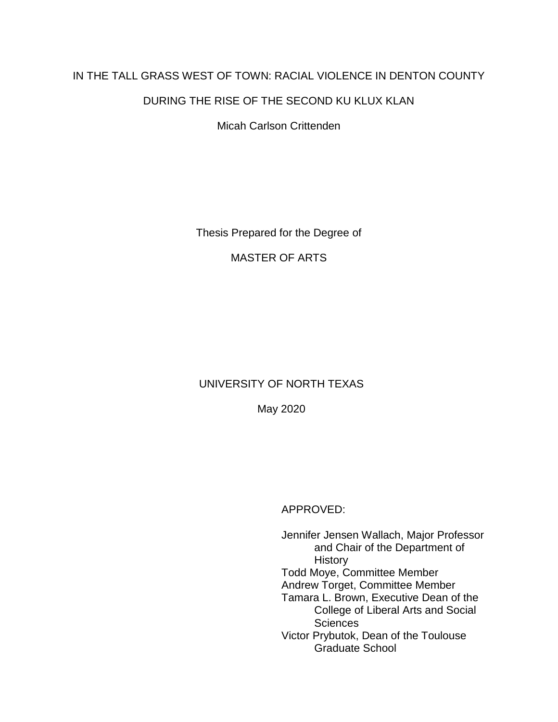# IN THE TALL GRASS WEST OF TOWN: RACIAL VIOLENCE IN DENTON COUNTY

### DURING THE RISE OF THE SECOND KU KLUX KLAN

Micah Carlson Crittenden

Thesis Prepared for the Degree of

MASTER OF ARTS

## UNIVERSITY OF NORTH TEXAS

May 2020

APPROVED:

Jennifer Jensen Wallach, Major Professor and Chair of the Department of **History** Todd Moye, Committee Member Andrew Torget, Committee Member Tamara L. Brown, Executive Dean of the College of Liberal Arts and Social **Sciences** Victor Prybutok, Dean of the Toulouse Graduate School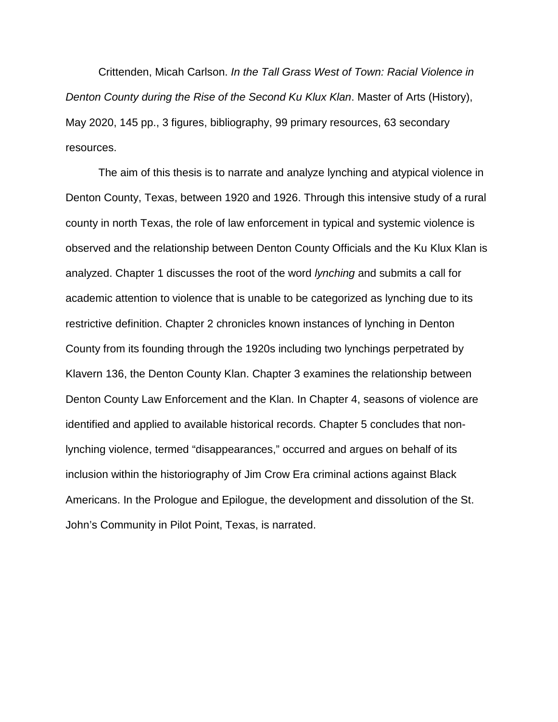Crittenden, Micah Carlson. *In the Tall Grass West of Town: Racial Violence in Denton County during the Rise of the Second Ku Klux Klan*. Master of Arts (History), May 2020, 145 pp., 3 figures, bibliography, 99 primary resources, 63 secondary resources.

The aim of this thesis is to narrate and analyze lynching and atypical violence in Denton County, Texas, between 1920 and 1926. Through this intensive study of a rural county in north Texas, the role of law enforcement in typical and systemic violence is observed and the relationship between Denton County Officials and the Ku Klux Klan is analyzed. Chapter 1 discusses the root of the word *lynching* and submits a call for academic attention to violence that is unable to be categorized as lynching due to its restrictive definition. Chapter 2 chronicles known instances of lynching in Denton County from its founding through the 1920s including two lynchings perpetrated by Klavern 136, the Denton County Klan. Chapter 3 examines the relationship between Denton County Law Enforcement and the Klan. In Chapter 4, seasons of violence are identified and applied to available historical records. Chapter 5 concludes that nonlynching violence, termed "disappearances," occurred and argues on behalf of its inclusion within the historiography of Jim Crow Era criminal actions against Black Americans. In the Prologue and Epilogue, the development and dissolution of the St. John's Community in Pilot Point, Texas, is narrated.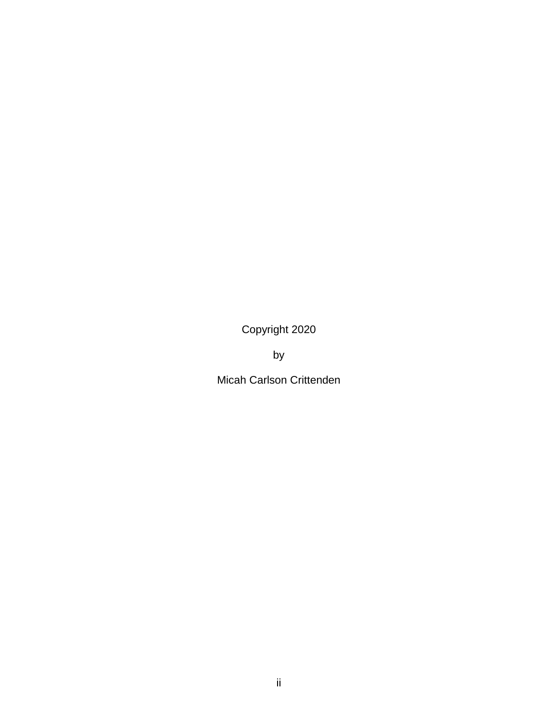Copyright 2020

by

Micah Carlson Crittenden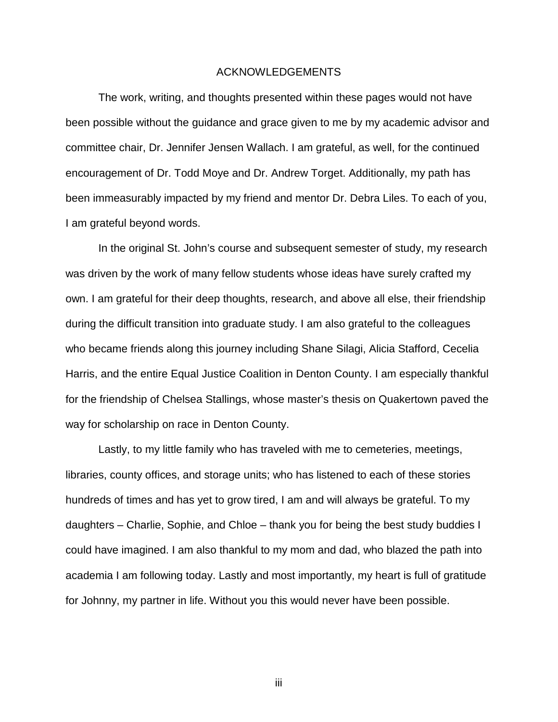#### ACKNOWLEDGEMENTS

<span id="page-3-0"></span>The work, writing, and thoughts presented within these pages would not have been possible without the guidance and grace given to me by my academic advisor and committee chair, Dr. Jennifer Jensen Wallach. I am grateful, as well, for the continued encouragement of Dr. Todd Moye and Dr. Andrew Torget. Additionally, my path has been immeasurably impacted by my friend and mentor Dr. Debra Liles. To each of you, I am grateful beyond words.

In the original St. John's course and subsequent semester of study, my research was driven by the work of many fellow students whose ideas have surely crafted my own. I am grateful for their deep thoughts, research, and above all else, their friendship during the difficult transition into graduate study. I am also grateful to the colleagues who became friends along this journey including Shane Silagi, Alicia Stafford, Cecelia Harris, and the entire Equal Justice Coalition in Denton County. I am especially thankful for the friendship of Chelsea Stallings, whose master's thesis on Quakertown paved the way for scholarship on race in Denton County.

Lastly, to my little family who has traveled with me to cemeteries, meetings, libraries, county offices, and storage units; who has listened to each of these stories hundreds of times and has yet to grow tired, I am and will always be grateful. To my daughters – Charlie, Sophie, and Chloe – thank you for being the best study buddies I could have imagined. I am also thankful to my mom and dad, who blazed the path into academia I am following today. Lastly and most importantly, my heart is full of gratitude for Johnny, my partner in life. Without you this would never have been possible.

iii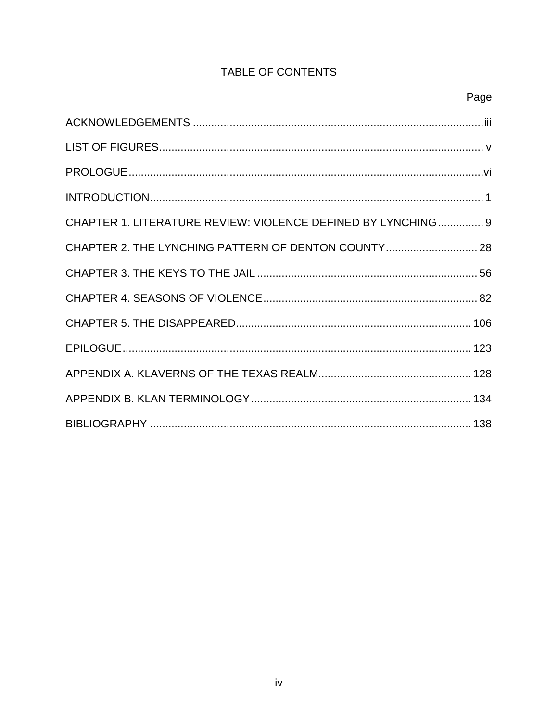# TABLE OF CONTENTS

| CHAPTER 1. LITERATURE REVIEW: VIOLENCE DEFINED BY LYNCHING 9 |  |
|--------------------------------------------------------------|--|
|                                                              |  |
|                                                              |  |
|                                                              |  |
|                                                              |  |
|                                                              |  |
|                                                              |  |
|                                                              |  |
|                                                              |  |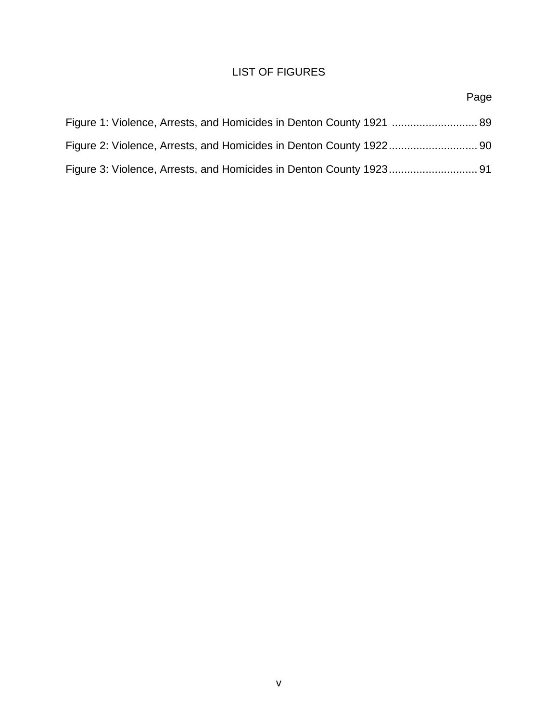## LIST OF FIGURES

<span id="page-5-0"></span>

|                                                                      | Page |
|----------------------------------------------------------------------|------|
| Figure 1: Violence, Arrests, and Homicides in Denton County 1921  89 |      |
| Figure 2: Violence, Arrests, and Homicides in Denton County 192290   |      |
| Figure 3: Violence, Arrests, and Homicides in Denton County 1923 91  |      |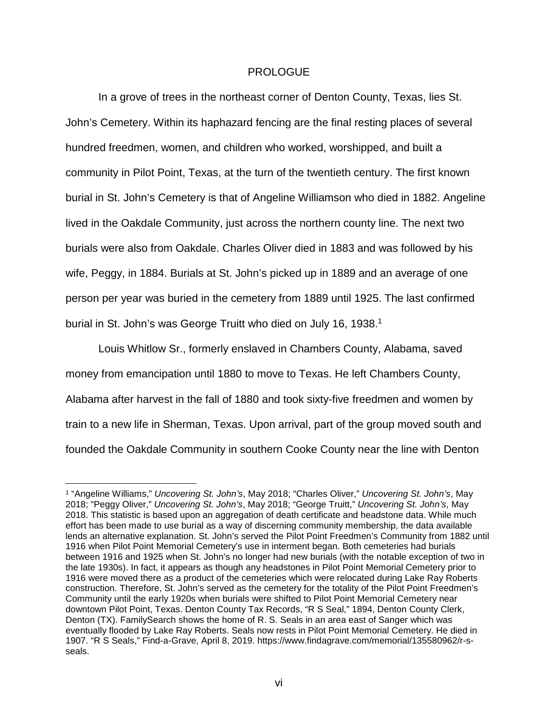### PROLOGUE

<span id="page-6-0"></span>In a grove of trees in the northeast corner of Denton County, Texas, lies St. John's Cemetery. Within its haphazard fencing are the final resting places of several hundred freedmen, women, and children who worked, worshipped, and built a community in Pilot Point, Texas, at the turn of the twentieth century. The first known burial in St. John's Cemetery is that of Angeline Williamson who died in 1882. Angeline lived in the Oakdale Community, just across the northern county line. The next two burials were also from Oakdale. Charles Oliver died in 1883 and was followed by his wife, Peggy, in 1884. Burials at St. John's picked up in 1889 and an average of one person per year was buried in the cemetery from 1889 until 1925. The last confirmed burial in St. John's was George Truitt who died on July 16, 1938.<sup>1</sup>

Louis Whitlow Sr., formerly enslaved in Chambers County, Alabama, saved money from emancipation until 1880 to move to Texas. He left Chambers County, Alabama after harvest in the fall of 1880 and took sixty-five freedmen and women by train to a new life in Sherman, Texas. Upon arrival, part of the group moved south and founded the Oakdale Community in southern Cooke County near the line with Denton

 <sup>1</sup> "Angeline Williams," *Uncovering St. John's*, May 2018; "Charles Oliver," *Uncovering St. John's*, May 2018; "Peggy Oliver," *Uncovering St. John's*, May 2018; "George Truitt," *Uncovering St. John's*, May 2018. This statistic is based upon an aggregation of death certificate and headstone data. While much effort has been made to use burial as a way of discerning community membership, the data available lends an alternative explanation. St. John's served the Pilot Point Freedmen's Community from 1882 until 1916 when Pilot Point Memorial Cemetery's use in interment began. Both cemeteries had burials between 1916 and 1925 when St. John's no longer had new burials (with the notable exception of two in the late 1930s). In fact, it appears as though any headstones in Pilot Point Memorial Cemetery prior to 1916 were moved there as a product of the cemeteries which were relocated during Lake Ray Roberts construction. Therefore, St. John's served as the cemetery for the totality of the Pilot Point Freedmen's Community until the early 1920s when burials were shifted to Pilot Point Memorial Cemetery near downtown Pilot Point, Texas. Denton County Tax Records, "R S Seal," 1894, Denton County Clerk, Denton (TX). FamilySearch shows the home of R. S. Seals in an area east of Sanger which was eventually flooded by Lake Ray Roberts. Seals now rests in Pilot Point Memorial Cemetery. He died in 1907. "R S Seals," Find-a-Grave, April 8, 2019. https://www.findagrave.com/memorial/135580962/r-sseals.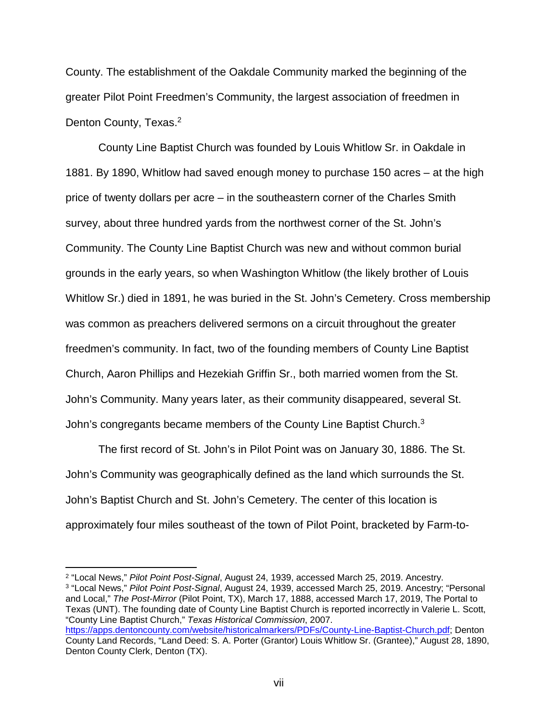County. The establishment of the Oakdale Community marked the beginning of the greater Pilot Point Freedmen's Community, the largest association of freedmen in Denton County, Texas.<sup>2</sup>

County Line Baptist Church was founded by Louis Whitlow Sr. in Oakdale in 1881. By 1890, Whitlow had saved enough money to purchase 150 acres – at the high price of twenty dollars per acre – in the southeastern corner of the Charles Smith survey, about three hundred yards from the northwest corner of the St. John's Community. The County Line Baptist Church was new and without common burial grounds in the early years, so when Washington Whitlow (the likely brother of Louis Whitlow Sr.) died in 1891, he was buried in the St. John's Cemetery. Cross membership was common as preachers delivered sermons on a circuit throughout the greater freedmen's community. In fact, two of the founding members of County Line Baptist Church, Aaron Phillips and Hezekiah Griffin Sr., both married women from the St. John's Community. Many years later, as their community disappeared, several St. John's congregants became members of the County Line Baptist Church.3

The first record of St. John's in Pilot Point was on January 30, 1886. The St. John's Community was geographically defined as the land which surrounds the St. John's Baptist Church and St. John's Cemetery. The center of this location is approximately four miles southeast of the town of Pilot Point, bracketed by Farm-to-

 2 "Local News," *Pilot Point Post-Signal*, August 24, 1939, accessed March 25, 2019. Ancestry. <sup>3</sup> "Local News," *Pilot Point Post-Signal*, August 24, 1939, accessed March 25, 2019. Ancestry; "Personal and Local," *The Post-Mirror* (Pilot Point, TX), March 17, 1888, accessed March 17, 2019, The Portal to Texas (UNT). The founding date of County Line Baptist Church is reported incorrectly in Valerie L. Scott, "County Line Baptist Church," *Texas Historical Commission*, 2007. [https://apps.dentoncounty.com/website/historicalmarkers/PDFs/County-Line-Baptist-Church.pdf;](https://apps.dentoncounty.com/website/historicalmarkers/PDFs/County-Line-Baptist-Church.pdf) Denton

County Land Records, "Land Deed: S. A. Porter (Grantor) Louis Whitlow Sr. (Grantee)," August 28, 1890, Denton County Clerk, Denton (TX).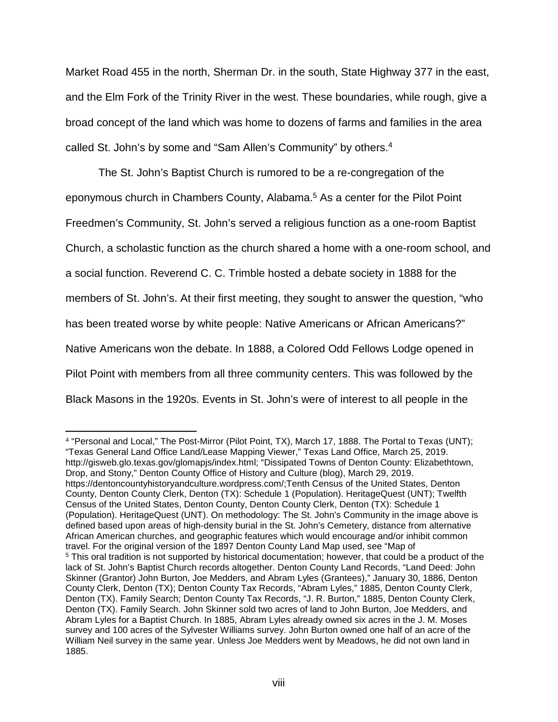Market Road 455 in the north, Sherman Dr. in the south, State Highway 377 in the east, and the Elm Fork of the Trinity River in the west. These boundaries, while rough, give a broad concept of the land which was home to dozens of farms and families in the area called St. John's by some and "Sam Allen's Community" by others.<sup>4</sup>

The St. John's Baptist Church is rumored to be a re-congregation of the eponymous church in Chambers County, Alabama.<sup>5</sup> As a center for the Pilot Point Freedmen's Community, St. John's served a religious function as a one-room Baptist Church, a scholastic function as the church shared a home with a one-room school, and a social function. Reverend C. C. Trimble hosted a debate society in 1888 for the members of St. John's. At their first meeting, they sought to answer the question, "who has been treated worse by white people: Native Americans or African Americans?" Native Americans won the debate. In 1888, a Colored Odd Fellows Lodge opened in Pilot Point with members from all three community centers. This was followed by the Black Masons in the 1920s. Events in St. John's were of interest to all people in the

 <sup>4</sup> "Personal and Local," The Post-Mirror (Pilot Point, TX), March 17, 1888. The Portal to Texas (UNT); "Texas General Land Office Land/Lease Mapping Viewer," Texas Land Office, March 25, 2019. http://gisweb.glo.texas.gov/glomapjs/index.html; "Dissipated Towns of Denton County: Elizabethtown, Drop, and Stony," Denton County Office of History and Culture (blog), March 29, 2019. https://dentoncountyhistoryandculture.wordpress.com/;Tenth Census of the United States, Denton County, Denton County Clerk, Denton (TX): Schedule 1 (Population). HeritageQuest (UNT); Twelfth Census of the United States, Denton County, Denton County Clerk, Denton (TX): Schedule 1 (Population). HeritageQuest (UNT). On methodology: The St. John's Community in the image above is defined based upon areas of high-density burial in the St. John's Cemetery, distance from alternative African American churches, and geographic features which would encourage and/or inhibit common travel. For the original version of the 1897 Denton County Land Map used, see "Map of <sup>5</sup> This oral tradition is not supported by historical documentation; however, that could be a product of the lack of St. John's Baptist Church records altogether. Denton County Land Records, "Land Deed: John Skinner (Grantor) John Burton, Joe Medders, and Abram Lyles (Grantees)," January 30, 1886, Denton County Clerk, Denton (TX); Denton County Tax Records, "Abram Lyles," 1885, Denton County Clerk, Denton (TX). Family Search; Denton County Tax Records, "J. R. Burton," 1885, Denton County Clerk, Denton (TX). Family Search. John Skinner sold two acres of land to John Burton, Joe Medders, and Abram Lyles for a Baptist Church. In 1885, Abram Lyles already owned six acres in the J. M. Moses survey and 100 acres of the Sylvester Williams survey. John Burton owned one half of an acre of the William Neil survey in the same year. Unless Joe Medders went by Meadows, he did not own land in 1885.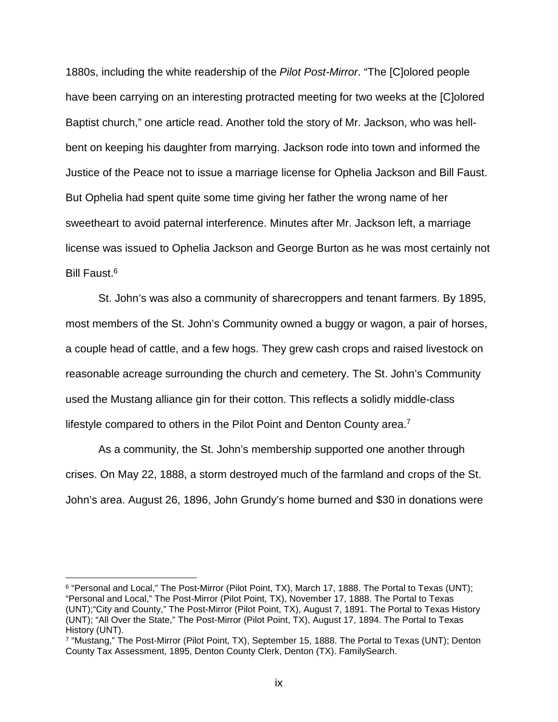1880s, including the white readership of the *Pilot Post-Mirror*. "The [C]olored people have been carrying on an interesting protracted meeting for two weeks at the [C]olored Baptist church," one article read. Another told the story of Mr. Jackson, who was hellbent on keeping his daughter from marrying. Jackson rode into town and informed the Justice of the Peace not to issue a marriage license for Ophelia Jackson and Bill Faust. But Ophelia had spent quite some time giving her father the wrong name of her sweetheart to avoid paternal interference. Minutes after Mr. Jackson left, a marriage license was issued to Ophelia Jackson and George Burton as he was most certainly not Bill Faust.6

St. John's was also a community of sharecroppers and tenant farmers. By 1895, most members of the St. John's Community owned a buggy or wagon, a pair of horses, a couple head of cattle, and a few hogs. They grew cash crops and raised livestock on reasonable acreage surrounding the church and cemetery. The St. John's Community used the Mustang alliance gin for their cotton. This reflects a solidly middle-class lifestyle compared to others in the Pilot Point and Denton County area.<sup>7</sup>

As a community, the St. John's membership supported one another through crises. On May 22, 1888, a storm destroyed much of the farmland and crops of the St. John's area. August 26, 1896, John Grundy's home burned and \$30 in donations were

 <sup>6</sup> "Personal and Local," The Post-Mirror (Pilot Point, TX), March 17, 1888. The Portal to Texas (UNT); "Personal and Local," The Post-Mirror (Pilot Point, TX), November 17, 1888. The Portal to Texas (UNT);"City and County," The Post-Mirror (Pilot Point, TX), August 7, 1891. The Portal to Texas History (UNT); "All Over the State," The Post-Mirror (Pilot Point, TX), August 17, 1894. The Portal to Texas History (UNT).

<sup>7</sup> "Mustang," The Post-Mirror (Pilot Point, TX), September 15, 1888. The Portal to Texas (UNT); Denton County Tax Assessment, 1895, Denton County Clerk, Denton (TX). FamilySearch.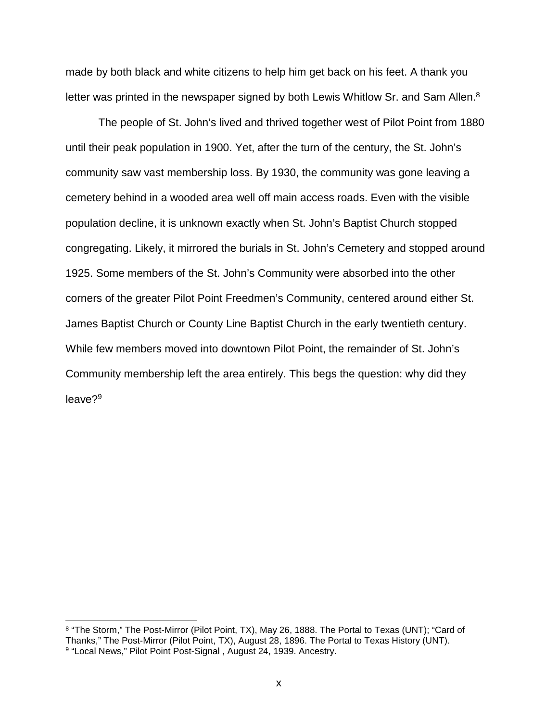made by both black and white citizens to help him get back on his feet. A thank you letter was printed in the newspaper signed by both Lewis Whitlow Sr. and Sam Allen.<sup>8</sup>

The people of St. John's lived and thrived together west of Pilot Point from 1880 until their peak population in 1900. Yet, after the turn of the century, the St. John's community saw vast membership loss. By 1930, the community was gone leaving a cemetery behind in a wooded area well off main access roads. Even with the visible population decline, it is unknown exactly when St. John's Baptist Church stopped congregating. Likely, it mirrored the burials in St. John's Cemetery and stopped around 1925. Some members of the St. John's Community were absorbed into the other corners of the greater Pilot Point Freedmen's Community, centered around either St. James Baptist Church or County Line Baptist Church in the early twentieth century. While few members moved into downtown Pilot Point, the remainder of St. John's Community membership left the area entirely. This begs the question: why did they leave?9

 <sup>8</sup> "The Storm," The Post-Mirror (Pilot Point, TX), May 26, 1888. The Portal to Texas (UNT); "Card of Thanks," The Post-Mirror (Pilot Point, TX), August 28, 1896. The Portal to Texas History (UNT). 9 "Local News," Pilot Point Post-Signal, August 24, 1939. Ancestry.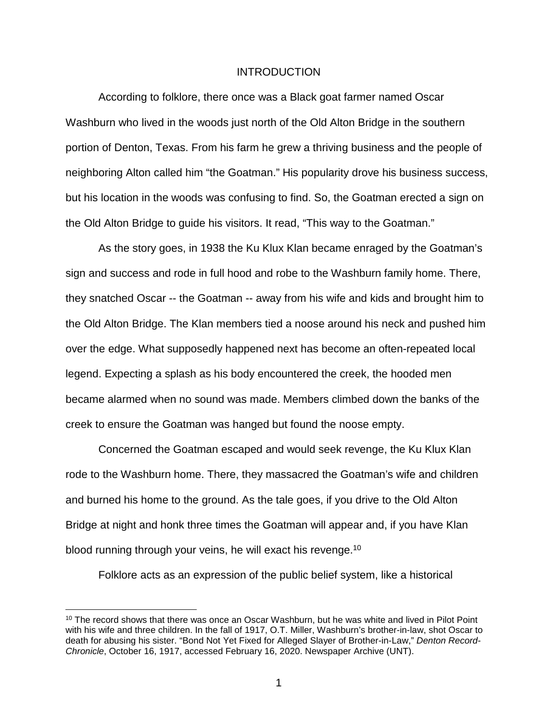#### INTRODUCTION

<span id="page-11-0"></span>According to folklore, there once was a Black goat farmer named Oscar Washburn who lived in the woods just north of the Old Alton Bridge in the southern portion of Denton, Texas. From his farm he grew a thriving business and the people of neighboring Alton called him "the Goatman." His popularity drove his business success, but his location in the woods was confusing to find. So, the Goatman erected a sign on the Old Alton Bridge to guide his visitors. It read, "This way to the Goatman."

As the story goes, in 1938 the Ku Klux Klan became enraged by the Goatman's sign and success and rode in full hood and robe to the Washburn family home. There, they snatched Oscar -- the Goatman -- away from his wife and kids and brought him to the Old Alton Bridge. The Klan members tied a noose around his neck and pushed him over the edge. What supposedly happened next has become an often-repeated local legend. Expecting a splash as his body encountered the creek, the hooded men became alarmed when no sound was made. Members climbed down the banks of the creek to ensure the Goatman was hanged but found the noose empty.

Concerned the Goatman escaped and would seek revenge, the Ku Klux Klan rode to the Washburn home. There, they massacred the Goatman's wife and children and burned his home to the ground. As the tale goes, if you drive to the Old Alton Bridge at night and honk three times the Goatman will appear and, if you have Klan blood running through your veins, he will exact his revenge.<sup>10</sup>

Folklore acts as an expression of the public belief system, like a historical

 $10$  The record shows that there was once an Oscar Washburn, but he was white and lived in Pilot Point with his wife and three children. In the fall of 1917, O.T. Miller, Washburn's brother-in-law, shot Oscar to death for abusing his sister. "Bond Not Yet Fixed for Alleged Slayer of Brother-in-Law," *Denton Record-Chronicle*, October 16, 1917, accessed February 16, 2020. Newspaper Archive (UNT).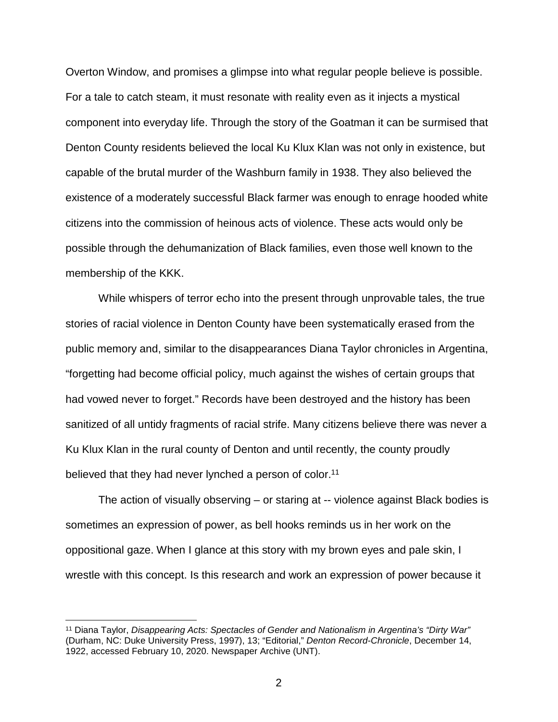Overton Window, and promises a glimpse into what regular people believe is possible. For a tale to catch steam, it must resonate with reality even as it injects a mystical component into everyday life. Through the story of the Goatman it can be surmised that Denton County residents believed the local Ku Klux Klan was not only in existence, but capable of the brutal murder of the Washburn family in 1938. They also believed the existence of a moderately successful Black farmer was enough to enrage hooded white citizens into the commission of heinous acts of violence. These acts would only be possible through the dehumanization of Black families, even those well known to the membership of the KKK.

While whispers of terror echo into the present through unprovable tales, the true stories of racial violence in Denton County have been systematically erased from the public memory and, similar to the disappearances Diana Taylor chronicles in Argentina, "forgetting had become official policy, much against the wishes of certain groups that had vowed never to forget." Records have been destroyed and the history has been sanitized of all untidy fragments of racial strife. Many citizens believe there was never a Ku Klux Klan in the rural county of Denton and until recently, the county proudly believed that they had never lynched a person of color.<sup>11</sup>

The action of visually observing – or staring at -- violence against Black bodies is sometimes an expression of power, as bell hooks reminds us in her work on the oppositional gaze. When I glance at this story with my brown eyes and pale skin, I wrestle with this concept. Is this research and work an expression of power because it

 <sup>11</sup> Diana Taylor, *Disappearing Acts: Spectacles of Gender and Nationalism in Argentina's "Dirty War"* (Durham, NC: Duke University Press, 1997), 13; "Editorial," *Denton Record-Chronicle*, December 14, 1922, accessed February 10, 2020. Newspaper Archive (UNT).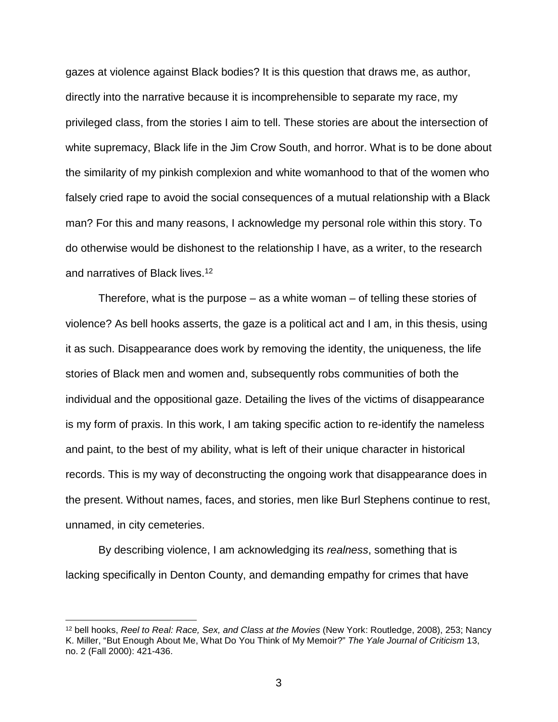gazes at violence against Black bodies? It is this question that draws me, as author, directly into the narrative because it is incomprehensible to separate my race, my privileged class, from the stories I aim to tell. These stories are about the intersection of white supremacy, Black life in the Jim Crow South, and horror. What is to be done about the similarity of my pinkish complexion and white womanhood to that of the women who falsely cried rape to avoid the social consequences of a mutual relationship with a Black man? For this and many reasons, I acknowledge my personal role within this story. To do otherwise would be dishonest to the relationship I have, as a writer, to the research and narratives of Black lives.12

Therefore, what is the purpose – as a white woman – of telling these stories of violence? As bell hooks asserts, the gaze is a political act and I am, in this thesis, using it as such. Disappearance does work by removing the identity, the uniqueness, the life stories of Black men and women and, subsequently robs communities of both the individual and the oppositional gaze. Detailing the lives of the victims of disappearance is my form of praxis. In this work, I am taking specific action to re-identify the nameless and paint, to the best of my ability, what is left of their unique character in historical records. This is my way of deconstructing the ongoing work that disappearance does in the present. Without names, faces, and stories, men like Burl Stephens continue to rest, unnamed, in city cemeteries.

By describing violence, I am acknowledging its *realness*, something that is lacking specifically in Denton County, and demanding empathy for crimes that have

 <sup>12</sup> bell hooks, *Reel to Real: Race, Sex, and Class at the Movies* (New York: Routledge, 2008), 253; Nancy K. Miller, "But Enough About Me, What Do You Think of My Memoir?" *The Yale Journal of Criticism* 13, no. 2 (Fall 2000): 421-436.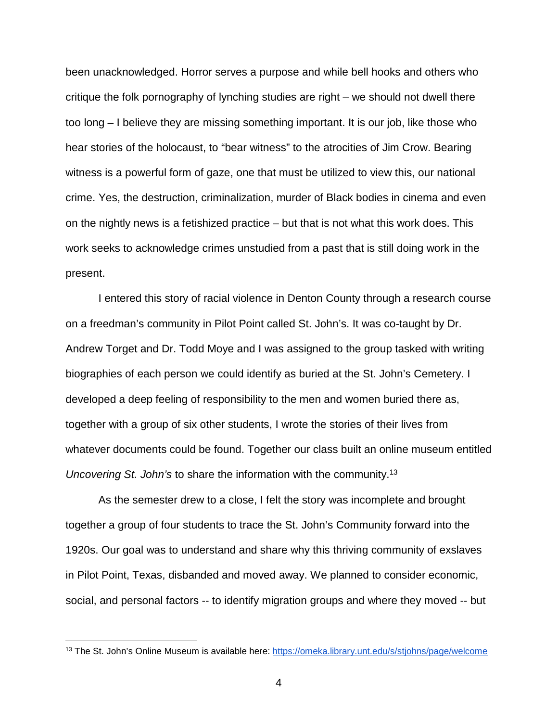been unacknowledged. Horror serves a purpose and while bell hooks and others who critique the folk pornography of lynching studies are right – we should not dwell there too long – I believe they are missing something important. It is our job, like those who hear stories of the holocaust, to "bear witness" to the atrocities of Jim Crow. Bearing witness is a powerful form of gaze, one that must be utilized to view this, our national crime. Yes, the destruction, criminalization, murder of Black bodies in cinema and even on the nightly news is a fetishized practice – but that is not what this work does. This work seeks to acknowledge crimes unstudied from a past that is still doing work in the present.

I entered this story of racial violence in Denton County through a research course on a freedman's community in Pilot Point called St. John's. It was co-taught by Dr. Andrew Torget and Dr. Todd Moye and I was assigned to the group tasked with writing biographies of each person we could identify as buried at the St. John's Cemetery. I developed a deep feeling of responsibility to the men and women buried there as, together with a group of six other students, I wrote the stories of their lives from whatever documents could be found. Together our class built an online museum entitled *Uncovering St. John's* to share the information with the community.13

As the semester drew to a close, I felt the story was incomplete and brought together a group of four students to trace the St. John's Community forward into the 1920s. Our goal was to understand and share why this thriving community of exslaves in Pilot Point, Texas, disbanded and moved away. We planned to consider economic, social, and personal factors -- to identify migration groups and where they moved -- but

<sup>&</sup>lt;sup>13</sup> The St. John's Online Museum is available here:<https://omeka.library.unt.edu/s/stjohns/page/welcome>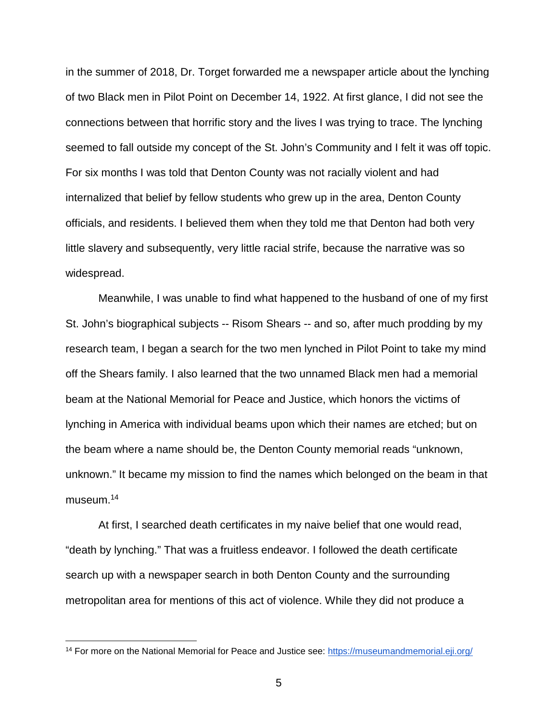in the summer of 2018, Dr. Torget forwarded me a newspaper article about the lynching of two Black men in Pilot Point on December 14, 1922. At first glance, I did not see the connections between that horrific story and the lives I was trying to trace. The lynching seemed to fall outside my concept of the St. John's Community and I felt it was off topic. For six months I was told that Denton County was not racially violent and had internalized that belief by fellow students who grew up in the area, Denton County officials, and residents. I believed them when they told me that Denton had both very little slavery and subsequently, very little racial strife, because the narrative was so widespread.

Meanwhile, I was unable to find what happened to the husband of one of my first St. John's biographical subjects -- Risom Shears -- and so, after much prodding by my research team, I began a search for the two men lynched in Pilot Point to take my mind off the Shears family. I also learned that the two unnamed Black men had a memorial beam at the National Memorial for Peace and Justice, which honors the victims of lynching in America with individual beams upon which their names are etched; but on the beam where a name should be, the Denton County memorial reads "unknown, unknown." It became my mission to find the names which belonged on the beam in that museum.<sup>14</sup>

At first, I searched death certificates in my naive belief that one would read, "death by lynching." That was a fruitless endeavor. I followed the death certificate search up with a newspaper search in both Denton County and the surrounding metropolitan area for mentions of this act of violence. While they did not produce a

<sup>&</sup>lt;sup>14</sup> For more on the National Memorial for Peace and Justice see:<https://museumandmemorial.eji.org/>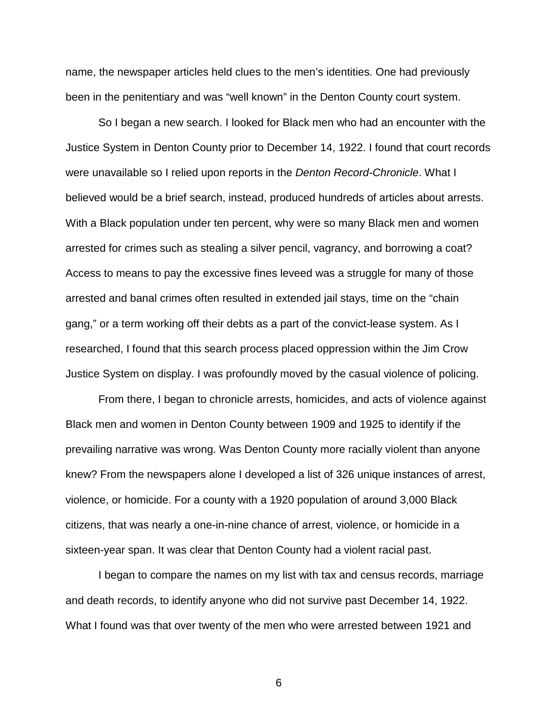name, the newspaper articles held clues to the men's identities. One had previously been in the penitentiary and was "well known" in the Denton County court system.

So I began a new search. I looked for Black men who had an encounter with the Justice System in Denton County prior to December 14, 1922. I found that court records were unavailable so I relied upon reports in the *Denton Record-Chronicle*. What I believed would be a brief search, instead, produced hundreds of articles about arrests. With a Black population under ten percent, why were so many Black men and women arrested for crimes such as stealing a silver pencil, vagrancy, and borrowing a coat? Access to means to pay the excessive fines leveed was a struggle for many of those arrested and banal crimes often resulted in extended jail stays, time on the "chain gang," or a term working off their debts as a part of the convict-lease system. As I researched, I found that this search process placed oppression within the Jim Crow Justice System on display. I was profoundly moved by the casual violence of policing.

From there, I began to chronicle arrests, homicides, and acts of violence against Black men and women in Denton County between 1909 and 1925 to identify if the prevailing narrative was wrong. Was Denton County more racially violent than anyone knew? From the newspapers alone I developed a list of 326 unique instances of arrest, violence, or homicide. For a county with a 1920 population of around 3,000 Black citizens, that was nearly a one-in-nine chance of arrest, violence, or homicide in a sixteen-year span. It was clear that Denton County had a violent racial past.

I began to compare the names on my list with tax and census records, marriage and death records, to identify anyone who did not survive past December 14, 1922. What I found was that over twenty of the men who were arrested between 1921 and

6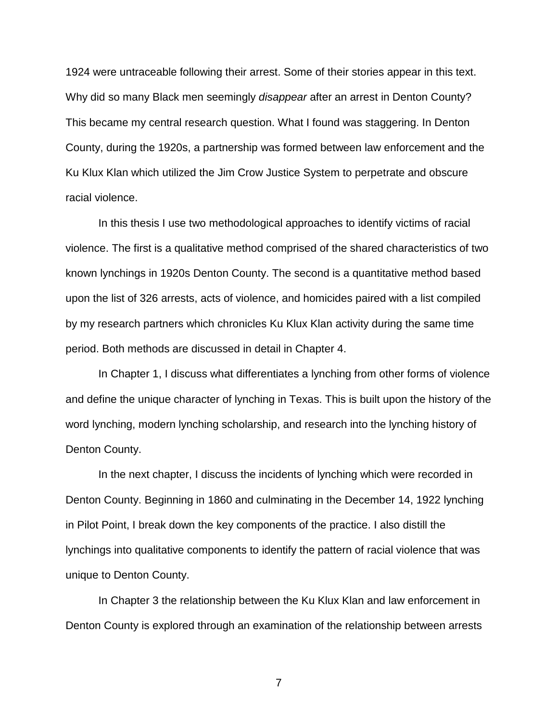1924 were untraceable following their arrest. Some of their stories appear in this text. Why did so many Black men seemingly *disappear* after an arrest in Denton County? This became my central research question. What I found was staggering. In Denton County, during the 1920s, a partnership was formed between law enforcement and the Ku Klux Klan which utilized the Jim Crow Justice System to perpetrate and obscure racial violence.

In this thesis I use two methodological approaches to identify victims of racial violence. The first is a qualitative method comprised of the shared characteristics of two known lynchings in 1920s Denton County. The second is a quantitative method based upon the list of 326 arrests, acts of violence, and homicides paired with a list compiled by my research partners which chronicles Ku Klux Klan activity during the same time period. Both methods are discussed in detail in Chapter 4.

In Chapter 1, I discuss what differentiates a lynching from other forms of violence and define the unique character of lynching in Texas. This is built upon the history of the word lynching, modern lynching scholarship, and research into the lynching history of Denton County.

In the next chapter, I discuss the incidents of lynching which were recorded in Denton County. Beginning in 1860 and culminating in the December 14, 1922 lynching in Pilot Point, I break down the key components of the practice. I also distill the lynchings into qualitative components to identify the pattern of racial violence that was unique to Denton County.

In Chapter 3 the relationship between the Ku Klux Klan and law enforcement in Denton County is explored through an examination of the relationship between arrests

7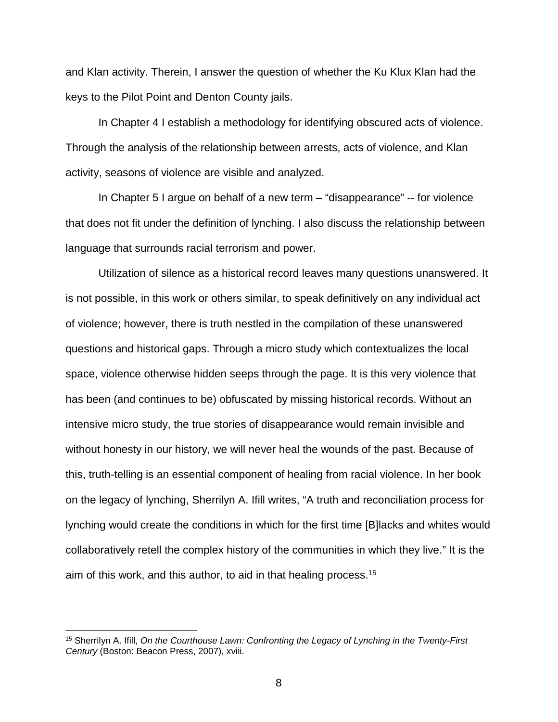and Klan activity. Therein, I answer the question of whether the Ku Klux Klan had the keys to the Pilot Point and Denton County jails.

In Chapter 4 I establish a methodology for identifying obscured acts of violence. Through the analysis of the relationship between arrests, acts of violence, and Klan activity, seasons of violence are visible and analyzed.

In Chapter 5 I argue on behalf of a new term – "disappearance" -- for violence that does not fit under the definition of lynching. I also discuss the relationship between language that surrounds racial terrorism and power.

Utilization of silence as a historical record leaves many questions unanswered. It is not possible, in this work or others similar, to speak definitively on any individual act of violence; however, there is truth nestled in the compilation of these unanswered questions and historical gaps. Through a micro study which contextualizes the local space, violence otherwise hidden seeps through the page. It is this very violence that has been (and continues to be) obfuscated by missing historical records. Without an intensive micro study, the true stories of disappearance would remain invisible and without honesty in our history, we will never heal the wounds of the past. Because of this, truth-telling is an essential component of healing from racial violence. In her book on the legacy of lynching, Sherrilyn A. Ifill writes, "A truth and reconciliation process for lynching would create the conditions in which for the first time [B]lacks and whites would collaboratively retell the complex history of the communities in which they live." It is the aim of this work, and this author, to aid in that healing process.15

 <sup>15</sup> Sherrilyn A. Ifill, *On the Courthouse Lawn: Confronting the Legacy of Lynching in the Twenty-First Century* (Boston: Beacon Press, 2007), xviii.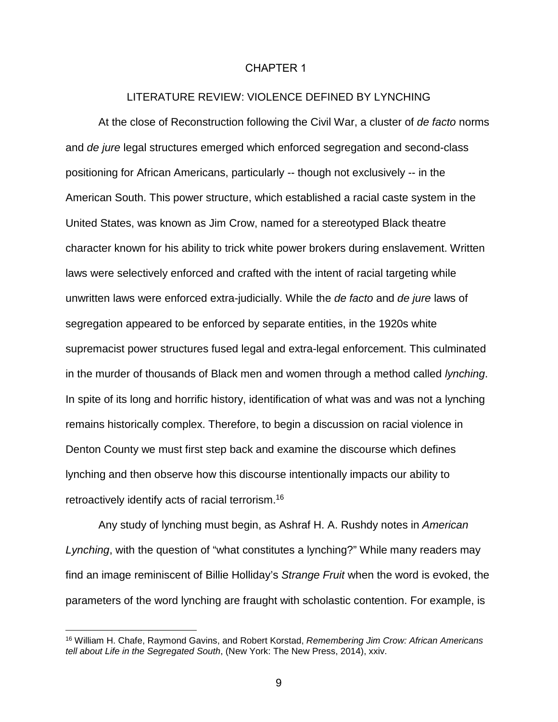#### CHAPTER 1

### LITERATURE REVIEW: VIOLENCE DEFINED BY LYNCHING

<span id="page-19-0"></span>At the close of Reconstruction following the Civil War, a cluster of *de facto* norms and *de jure* legal structures emerged which enforced segregation and second-class positioning for African Americans, particularly -- though not exclusively -- in the American South. This power structure, which established a racial caste system in the United States, was known as Jim Crow, named for a stereotyped Black theatre character known for his ability to trick white power brokers during enslavement. Written laws were selectively enforced and crafted with the intent of racial targeting while unwritten laws were enforced extra-judicially. While the *de facto* and *de jure* laws of segregation appeared to be enforced by separate entities, in the 1920s white supremacist power structures fused legal and extra-legal enforcement. This culminated in the murder of thousands of Black men and women through a method called *lynching*. In spite of its long and horrific history, identification of what was and was not a lynching remains historically complex. Therefore, to begin a discussion on racial violence in Denton County we must first step back and examine the discourse which defines lynching and then observe how this discourse intentionally impacts our ability to retroactively identify acts of racial terrorism.16

Any study of lynching must begin, as Ashraf H. A. Rushdy notes in *American Lynching*, with the question of "what constitutes a lynching?" While many readers may find an image reminiscent of Billie Holliday's *Strange Fruit* when the word is evoked, the parameters of the word lynching are fraught with scholastic contention. For example, is

<sup>16</sup> William H. Chafe, Raymond Gavins, and Robert Korstad, *Remembering Jim Crow: African Americans tell about Life in the Segregated South*, (New York: The New Press, 2014), xxiv.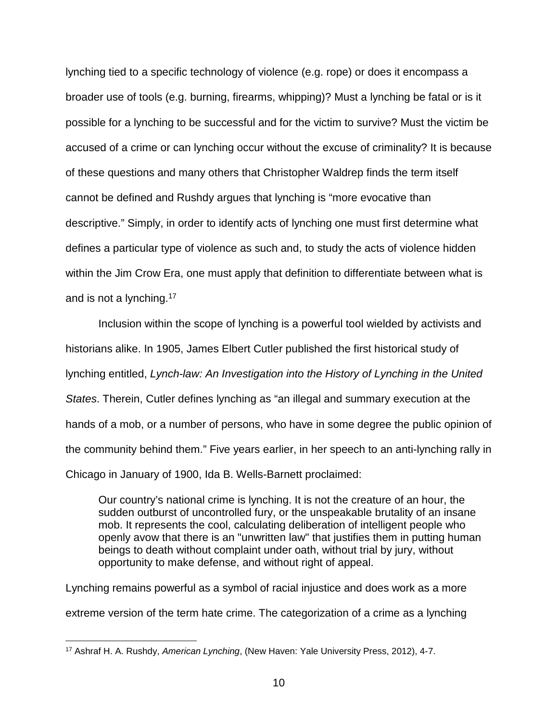lynching tied to a specific technology of violence (e.g. rope) or does it encompass a broader use of tools (e.g. burning, firearms, whipping)? Must a lynching be fatal or is it possible for a lynching to be successful and for the victim to survive? Must the victim be accused of a crime or can lynching occur without the excuse of criminality? It is because of these questions and many others that Christopher Waldrep finds the term itself cannot be defined and Rushdy argues that lynching is "more evocative than descriptive." Simply, in order to identify acts of lynching one must first determine what defines a particular type of violence as such and, to study the acts of violence hidden within the Jim Crow Era, one must apply that definition to differentiate between what is and is not a lynching.17

Inclusion within the scope of lynching is a powerful tool wielded by activists and historians alike. In 1905, James Elbert Cutler published the first historical study of lynching entitled, *Lynch-law: An Investigation into the History of Lynching in the United States*. Therein, Cutler defines lynching as "an illegal and summary execution at the hands of a mob, or a number of persons, who have in some degree the public opinion of the community behind them." Five years earlier, in her speech to an anti-lynching rally in Chicago in January of 1900, Ida B. Wells-Barnett proclaimed:

Our country's national crime is lynching. It is not the creature of an hour, the sudden outburst of uncontrolled fury, or the unspeakable brutality of an insane mob. It represents the cool, calculating deliberation of intelligent people who openly avow that there is an "unwritten law" that justifies them in putting human beings to death without complaint under oath, without trial by jury, without opportunity to make defense, and without right of appeal.

Lynching remains powerful as a symbol of racial injustice and does work as a more extreme version of the term hate crime. The categorization of a crime as a lynching

 <sup>17</sup> Ashraf H. A. Rushdy, *American Lynching*, (New Haven: Yale University Press, 2012), 4-7.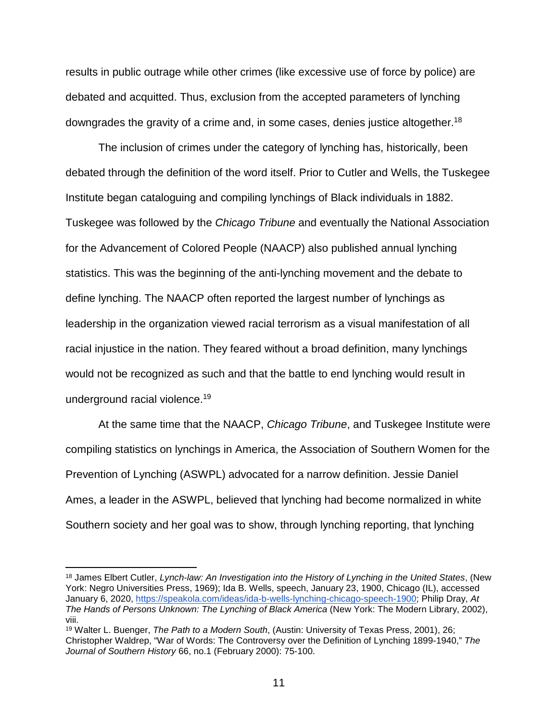results in public outrage while other crimes (like excessive use of force by police) are debated and acquitted. Thus, exclusion from the accepted parameters of lynching downgrades the gravity of a crime and, in some cases, denies justice altogether.18

The inclusion of crimes under the category of lynching has, historically, been debated through the definition of the word itself. Prior to Cutler and Wells, the Tuskegee Institute began cataloguing and compiling lynchings of Black individuals in 1882. Tuskegee was followed by the *Chicago Tribune* and eventually the National Association for the Advancement of Colored People (NAACP) also published annual lynching statistics. This was the beginning of the anti-lynching movement and the debate to define lynching. The NAACP often reported the largest number of lynchings as leadership in the organization viewed racial terrorism as a visual manifestation of all racial injustice in the nation. They feared without a broad definition, many lynchings would not be recognized as such and that the battle to end lynching would result in underground racial violence.19

At the same time that the NAACP, *Chicago Tribune*, and Tuskegee Institute were compiling statistics on lynchings in America, the Association of Southern Women for the Prevention of Lynching (ASWPL) advocated for a narrow definition. Jessie Daniel Ames, a leader in the ASWPL, believed that lynching had become normalized in white Southern society and her goal was to show, through lynching reporting, that lynching

 <sup>18</sup> James Elbert Cutler, *Lynch-law: An Investigation into the History of Lynching in the United States*, (New York: Negro Universities Press, 1969); Ida B. Wells, speech, January 23, 1900, Chicago (IL), accessed January 6, 2020, [https://speakola.com/ideas/ida-b-wells-lynching-chicago-speech-1900;](https://speakola.com/ideas/ida-b-wells-lynching-chicago-speech-1900) Philip Dray, *At The Hands of Persons Unknown: The Lynching of Black America* (New York: The Modern Library, 2002), viii.

<sup>19</sup> Walter L. Buenger, *The Path to a Modern South*, (Austin: University of Texas Press, 2001), 26; Christopher Waldrep, "War of Words: The Controversy over the Definition of Lynching 1899-1940," *The Journal of Southern History* 66, no.1 (February 2000): 75-100.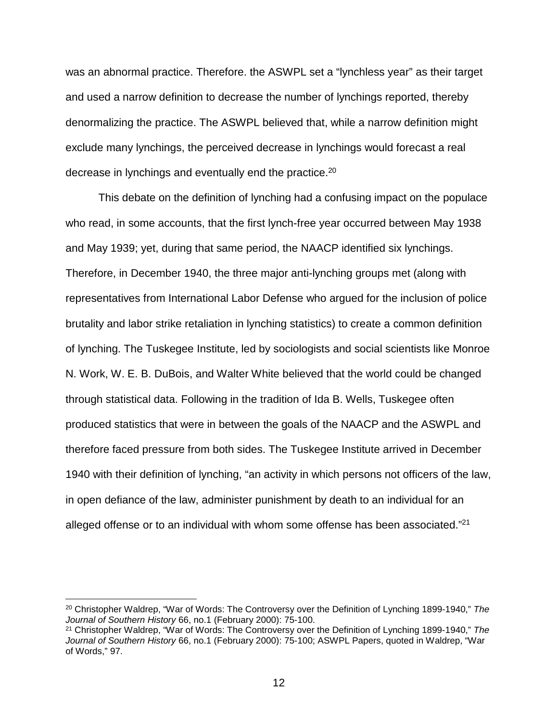was an abnormal practice. Therefore. the ASWPL set a "lynchless year" as their target and used a narrow definition to decrease the number of lynchings reported, thereby denormalizing the practice. The ASWPL believed that, while a narrow definition might exclude many lynchings, the perceived decrease in lynchings would forecast a real decrease in lynchings and eventually end the practice.20

This debate on the definition of lynching had a confusing impact on the populace who read, in some accounts, that the first lynch-free year occurred between May 1938 and May 1939; yet, during that same period, the NAACP identified six lynchings. Therefore, in December 1940, the three major anti-lynching groups met (along with representatives from International Labor Defense who argued for the inclusion of police brutality and labor strike retaliation in lynching statistics) to create a common definition of lynching. The Tuskegee Institute, led by sociologists and social scientists like Monroe N. Work, W. E. B. DuBois, and Walter White believed that the world could be changed through statistical data. Following in the tradition of Ida B. Wells, Tuskegee often produced statistics that were in between the goals of the NAACP and the ASWPL and therefore faced pressure from both sides. The Tuskegee Institute arrived in December 1940 with their definition of lynching, "an activity in which persons not officers of the law, in open defiance of the law, administer punishment by death to an individual for an alleged offense or to an individual with whom some offense has been associated."21

 <sup>20</sup> Christopher Waldrep, "War of Words: The Controversy over the Definition of Lynching 1899-1940," *The Journal of Southern History* 66, no.1 (February 2000): 75-100.

<sup>21</sup> Christopher Waldrep, "War of Words: The Controversy over the Definition of Lynching 1899-1940," *The Journal of Southern History* 66, no.1 (February 2000): 75-100; ASWPL Papers, quoted in Waldrep, "War of Words," 97.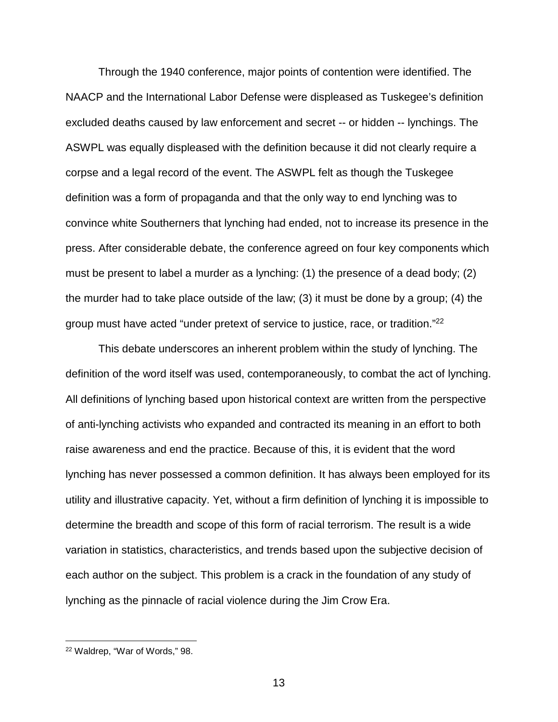Through the 1940 conference, major points of contention were identified. The NAACP and the International Labor Defense were displeased as Tuskegee's definition excluded deaths caused by law enforcement and secret -- or hidden -- lynchings. The ASWPL was equally displeased with the definition because it did not clearly require a corpse and a legal record of the event. The ASWPL felt as though the Tuskegee definition was a form of propaganda and that the only way to end lynching was to convince white Southerners that lynching had ended, not to increase its presence in the press. After considerable debate, the conference agreed on four key components which must be present to label a murder as a lynching: (1) the presence of a dead body; (2) the murder had to take place outside of the law; (3) it must be done by a group; (4) the group must have acted "under pretext of service to justice, race, or tradition."22

This debate underscores an inherent problem within the study of lynching. The definition of the word itself was used, contemporaneously, to combat the act of lynching. All definitions of lynching based upon historical context are written from the perspective of anti-lynching activists who expanded and contracted its meaning in an effort to both raise awareness and end the practice. Because of this, it is evident that the word lynching has never possessed a common definition. It has always been employed for its utility and illustrative capacity. Yet, without a firm definition of lynching it is impossible to determine the breadth and scope of this form of racial terrorism. The result is a wide variation in statistics, characteristics, and trends based upon the subjective decision of each author on the subject. This problem is a crack in the foundation of any study of lynching as the pinnacle of racial violence during the Jim Crow Era.

 <sup>22</sup> Waldrep, "War of Words," 98.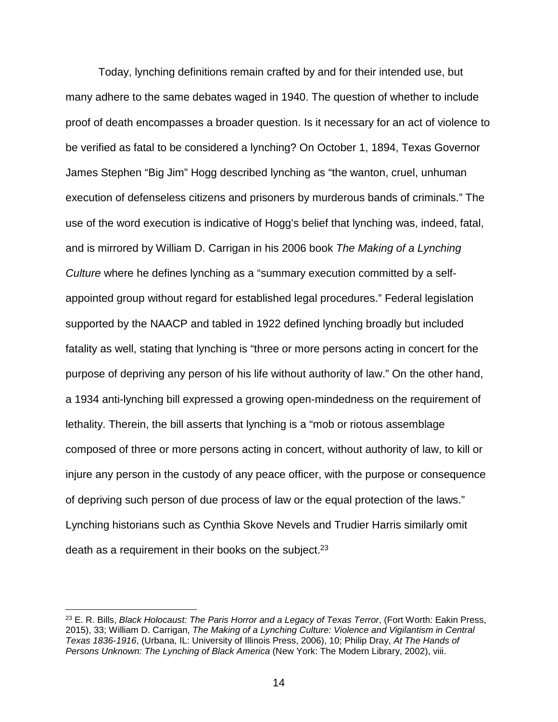Today, lynching definitions remain crafted by and for their intended use, but many adhere to the same debates waged in 1940. The question of whether to include proof of death encompasses a broader question. Is it necessary for an act of violence to be verified as fatal to be considered a lynching? On October 1, 1894, Texas Governor James Stephen "Big Jim" Hogg described lynching as "the wanton, cruel, unhuman execution of defenseless citizens and prisoners by murderous bands of criminals." The use of the word execution is indicative of Hogg's belief that lynching was, indeed, fatal, and is mirrored by William D. Carrigan in his 2006 book *The Making of a Lynching Culture* where he defines lynching as a "summary execution committed by a selfappointed group without regard for established legal procedures." Federal legislation supported by the NAACP and tabled in 1922 defined lynching broadly but included fatality as well, stating that lynching is "three or more persons acting in concert for the purpose of depriving any person of his life without authority of law." On the other hand, a 1934 anti-lynching bill expressed a growing open-mindedness on the requirement of lethality. Therein, the bill asserts that lynching is a "mob or riotous assemblage composed of three or more persons acting in concert, without authority of law, to kill or injure any person in the custody of any peace officer, with the purpose or consequence of depriving such person of due process of law or the equal protection of the laws." Lynching historians such as Cynthia Skove Nevels and Trudier Harris similarly omit death as a requirement in their books on the subject.<sup>23</sup>

 <sup>23</sup> E. R. Bills, *Black Holocaust: The Paris Horror and a Legacy of Texas Terror*, (Fort Worth: Eakin Press, 2015), 33; William D. Carrigan, *The Making of a Lynching Culture: Violence and Vigilantism in Central Texas 1836-1916*, (Urbana, IL: University of Illinois Press, 2006), 10; Philip Dray, *At The Hands of Persons Unknown: The Lynching of Black America* (New York: The Modern Library, 2002), viii.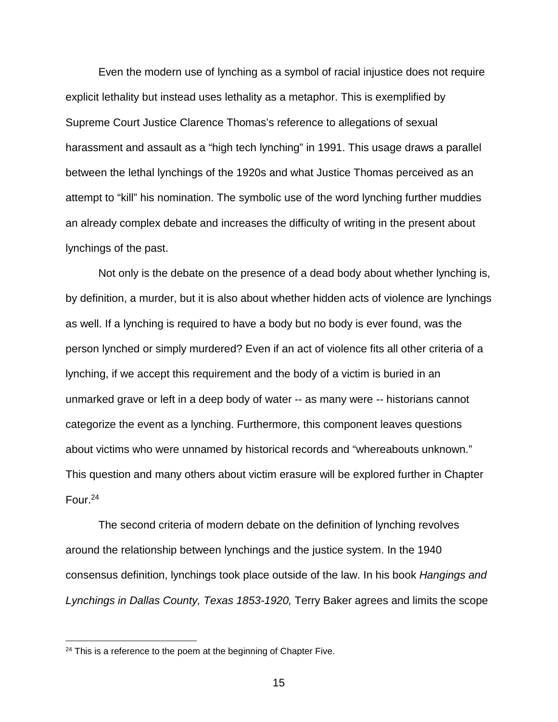Even the modern use of lynching as a symbol of racial injustice does not require explicit lethality but instead uses lethality as a metaphor. This is exemplified by Supreme Court Justice Clarence Thomas's reference to allegations of sexual harassment and assault as a "high tech lynching" in 1991. This usage draws a parallel between the lethal lynchings of the 1920s and what Justice Thomas perceived as an attempt to "kill" his nomination. The symbolic use of the word lynching further muddies an already complex debate and increases the difficulty of writing in the present about lynchings of the past.

Not only is the debate on the presence of a dead body about whether lynching is, by definition, a murder, but it is also about whether hidden acts of violence are lynchings as well. If a lynching is required to have a body but no body is ever found, was the person lynched or simply murdered? Even if an act of violence fits all other criteria of a lynching, if we accept this requirement and the body of a victim is buried in an unmarked grave or left in a deep body of water -- as many were -- historians cannot categorize the event as a lynching. Furthermore, this component leaves questions about victims who were unnamed by historical records and "whereabouts unknown." This question and many others about victim erasure will be explored further in Chapter Four.24

The second criteria of modern debate on the definition of lynching revolves around the relationship between lynchings and the justice system. In the 1940 consensus definition, lynchings took place outside of the law. In his book *Hangings and Lynchings in Dallas County, Texas 1853-1920,* Terry Baker agrees and limits the scope

<sup>&</sup>lt;sup>24</sup> This is a reference to the poem at the beginning of Chapter Five.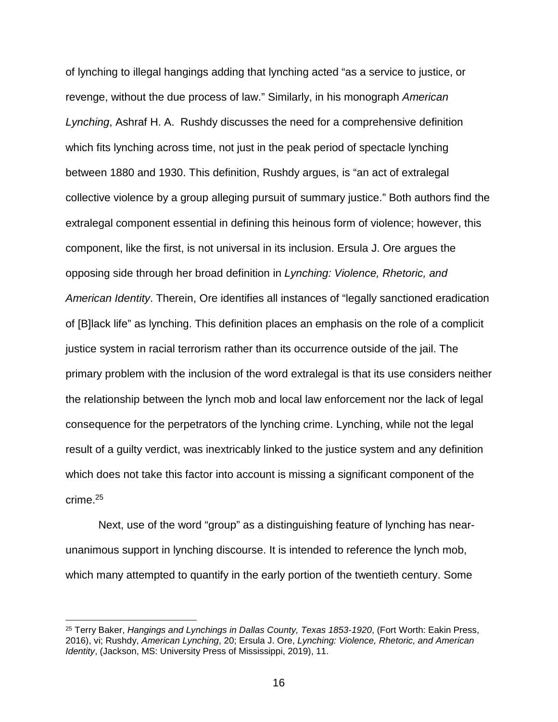of lynching to illegal hangings adding that lynching acted "as a service to justice, or revenge, without the due process of law." Similarly, in his monograph *American Lynching*, Ashraf H. A. Rushdy discusses the need for a comprehensive definition which fits lynching across time, not just in the peak period of spectacle lynching between 1880 and 1930. This definition, Rushdy argues, is "an act of extralegal collective violence by a group alleging pursuit of summary justice." Both authors find the extralegal component essential in defining this heinous form of violence; however, this component, like the first, is not universal in its inclusion. Ersula J. Ore argues the opposing side through her broad definition in *Lynching: Violence, Rhetoric, and American Identity*. Therein, Ore identifies all instances of "legally sanctioned eradication of [B]lack life" as lynching. This definition places an emphasis on the role of a complicit justice system in racial terrorism rather than its occurrence outside of the jail. The primary problem with the inclusion of the word extralegal is that its use considers neither the relationship between the lynch mob and local law enforcement nor the lack of legal consequence for the perpetrators of the lynching crime. Lynching, while not the legal result of a guilty verdict, was inextricably linked to the justice system and any definition which does not take this factor into account is missing a significant component of the crime.25

Next, use of the word "group" as a distinguishing feature of lynching has nearunanimous support in lynching discourse. It is intended to reference the lynch mob, which many attempted to quantify in the early portion of the twentieth century. Some

 <sup>25</sup> Terry Baker, *Hangings and Lynchings in Dallas County, Texas 1853-1920*, (Fort Worth: Eakin Press, 2016), vi; Rushdy, *American Lynching*, 20; Ersula J. Ore, *Lynching: Violence, Rhetoric, and American Identity*, (Jackson, MS: University Press of Mississippi, 2019), 11.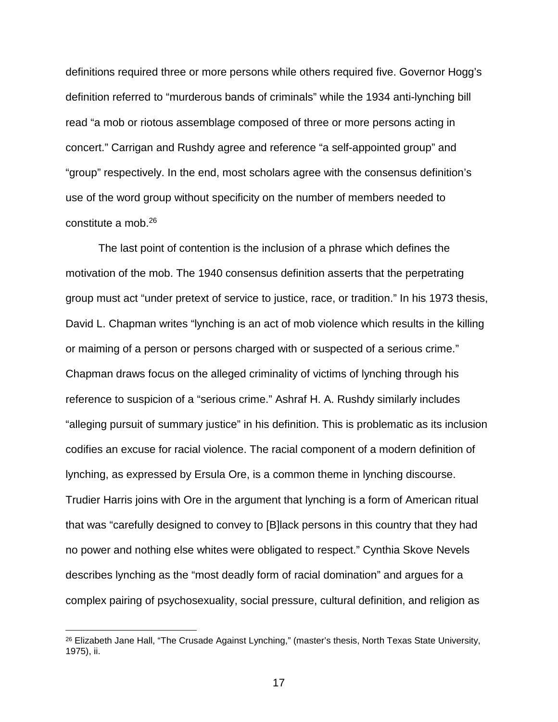definitions required three or more persons while others required five. Governor Hogg's definition referred to "murderous bands of criminals" while the 1934 anti-lynching bill read "a mob or riotous assemblage composed of three or more persons acting in concert." Carrigan and Rushdy agree and reference "a self-appointed group" and "group" respectively. In the end, most scholars agree with the consensus definition's use of the word group without specificity on the number of members needed to constitute a mob.26

The last point of contention is the inclusion of a phrase which defines the motivation of the mob. The 1940 consensus definition asserts that the perpetrating group must act "under pretext of service to justice, race, or tradition." In his 1973 thesis, David L. Chapman writes "lynching is an act of mob violence which results in the killing or maiming of a person or persons charged with or suspected of a serious crime." Chapman draws focus on the alleged criminality of victims of lynching through his reference to suspicion of a "serious crime." Ashraf H. A. Rushdy similarly includes "alleging pursuit of summary justice" in his definition. This is problematic as its inclusion codifies an excuse for racial violence. The racial component of a modern definition of lynching, as expressed by Ersula Ore, is a common theme in lynching discourse. Trudier Harris joins with Ore in the argument that lynching is a form of American ritual that was "carefully designed to convey to [B]lack persons in this country that they had no power and nothing else whites were obligated to respect." Cynthia Skove Nevels describes lynching as the "most deadly form of racial domination" and argues for a complex pairing of psychosexuality, social pressure, cultural definition, and religion as

<sup>&</sup>lt;sup>26</sup> Elizabeth Jane Hall, "The Crusade Against Lynching," (master's thesis, North Texas State University, 1975), ii.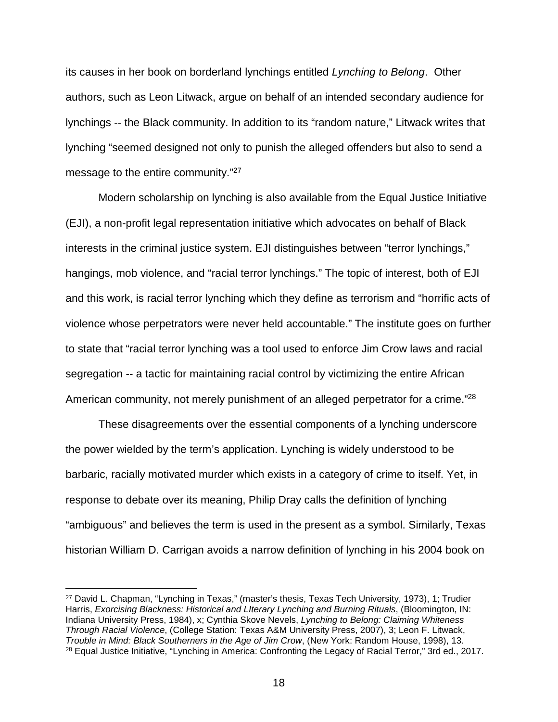its causes in her book on borderland lynchings entitled *Lynching to Belong*. Other authors, such as Leon Litwack, argue on behalf of an intended secondary audience for lynchings -- the Black community. In addition to its "random nature," Litwack writes that lynching "seemed designed not only to punish the alleged offenders but also to send a message to the entire community."27

Modern scholarship on lynching is also available from the Equal Justice Initiative (EJI), a non-profit legal representation initiative which advocates on behalf of Black interests in the criminal justice system. EJI distinguishes between "terror lynchings," hangings, mob violence, and "racial terror lynchings." The topic of interest, both of EJI and this work, is racial terror lynching which they define as terrorism and "horrific acts of violence whose perpetrators were never held accountable." The institute goes on further to state that "racial terror lynching was a tool used to enforce Jim Crow laws and racial segregation -- a tactic for maintaining racial control by victimizing the entire African American community, not merely punishment of an alleged perpetrator for a crime."<sup>28</sup>

These disagreements over the essential components of a lynching underscore the power wielded by the term's application. Lynching is widely understood to be barbaric, racially motivated murder which exists in a category of crime to itself. Yet, in response to debate over its meaning, Philip Dray calls the definition of lynching "ambiguous" and believes the term is used in the present as a symbol. Similarly, Texas historian William D. Carrigan avoids a narrow definition of lynching in his 2004 book on

 <sup>27</sup> David L. Chapman, "Lynching in Texas," (master's thesis, Texas Tech University, 1973), 1; Trudier Harris, *Exorcising Blackness: Historical and LIterary Lynching and Burning Rituals*, (Bloomington, IN: Indiana University Press, 1984), x; Cynthia Skove Nevels, *Lynching to Belong: Claiming Whiteness Through Racial Violence*, (College Station: Texas A&M University Press, 2007), 3; Leon F. Litwack, *Trouble in Mind: Black Southerners in the Age of Jim Crow*, (New York: Random House, 1998), 13. <sup>28</sup> Equal Justice Initiative, "Lynching in America: Confronting the Legacy of Racial Terror," 3rd ed., 2017.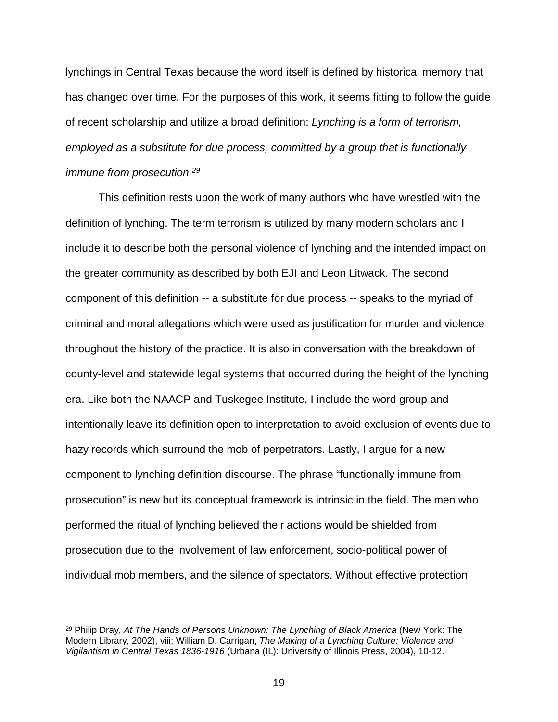lynchings in Central Texas because the word itself is defined by historical memory that has changed over time. For the purposes of this work, it seems fitting to follow the guide of recent scholarship and utilize a broad definition: *Lynching is a form of terrorism, employed as a substitute for due process, committed by a group that is functionally immune from prosecution.29*

This definition rests upon the work of many authors who have wrestled with the definition of lynching. The term terrorism is utilized by many modern scholars and I include it to describe both the personal violence of lynching and the intended impact on the greater community as described by both EJI and Leon Litwack. The second component of this definition -- a substitute for due process -- speaks to the myriad of criminal and moral allegations which were used as justification for murder and violence throughout the history of the practice. It is also in conversation with the breakdown of county-level and statewide legal systems that occurred during the height of the lynching era. Like both the NAACP and Tuskegee Institute, I include the word group and intentionally leave its definition open to interpretation to avoid exclusion of events due to hazy records which surround the mob of perpetrators. Lastly, I argue for a new component to lynching definition discourse. The phrase "functionally immune from prosecution" is new but its conceptual framework is intrinsic in the field. The men who performed the ritual of lynching believed their actions would be shielded from prosecution due to the involvement of law enforcement, socio-political power of individual mob members, and the silence of spectators. Without effective protection

 <sup>29</sup> Philip Dray, *At The Hands of Persons Unknown: The Lynching of Black America* (New York: The Modern Library, 2002), viii; William D. Carrigan, *The Making of a Lynching Culture: Violence and Vigilantism in Central Texas 1836-1916* (Urbana (IL): University of Illinois Press, 2004), 10-12.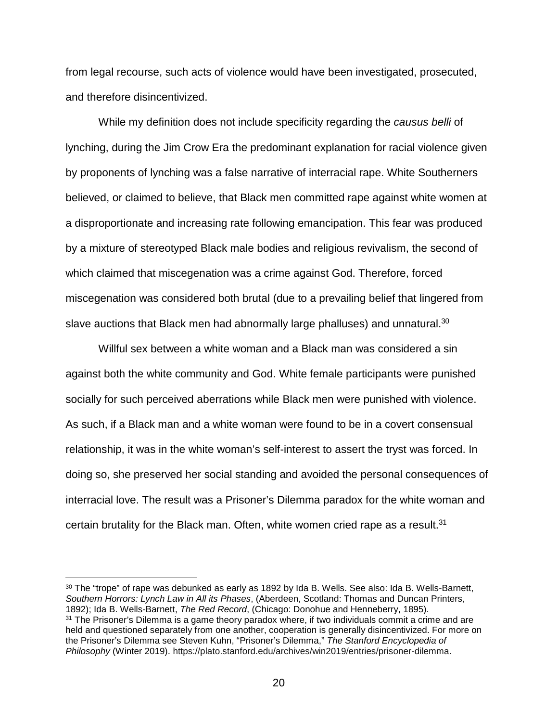from legal recourse, such acts of violence would have been investigated, prosecuted, and therefore disincentivized.

While my definition does not include specificity regarding the *causus belli* of lynching, during the Jim Crow Era the predominant explanation for racial violence given by proponents of lynching was a false narrative of interracial rape. White Southerners believed, or claimed to believe, that Black men committed rape against white women at a disproportionate and increasing rate following emancipation. This fear was produced by a mixture of stereotyped Black male bodies and religious revivalism, the second of which claimed that miscegenation was a crime against God. Therefore, forced miscegenation was considered both brutal (due to a prevailing belief that lingered from slave auctions that Black men had abnormally large phalluses) and unnatural.<sup>30</sup>

Willful sex between a white woman and a Black man was considered a sin against both the white community and God. White female participants were punished socially for such perceived aberrations while Black men were punished with violence. As such, if a Black man and a white woman were found to be in a covert consensual relationship, it was in the white woman's self-interest to assert the tryst was forced. In doing so, she preserved her social standing and avoided the personal consequences of interracial love. The result was a Prisoner's Dilemma paradox for the white woman and certain brutality for the Black man. Often, white women cried rape as a result.<sup>31</sup>

 30 The "trope" of rape was debunked as early as 1892 by Ida B. Wells. See also: Ida B. Wells-Barnett, *Southern Horrors: Lynch Law in All its Phases*, (Aberdeen, Scotland: Thomas and Duncan Printers, 1892); Ida B. Wells-Barnett, *The Red Record*, (Chicago: Donohue and Henneberry, 1895).  $31$  The Prisoner's Dilemma is a game theory paradox where, if two individuals commit a crime and are held and questioned separately from one another, cooperation is generally disincentivized. For more on the Prisoner's Dilemma see Steven Kuhn, "Prisoner's Dilemma," *The Stanford Encyclopedia of Philosophy* (Winter 2019). https://plato.stanford.edu/archives/win2019/entries/prisoner-dilemma.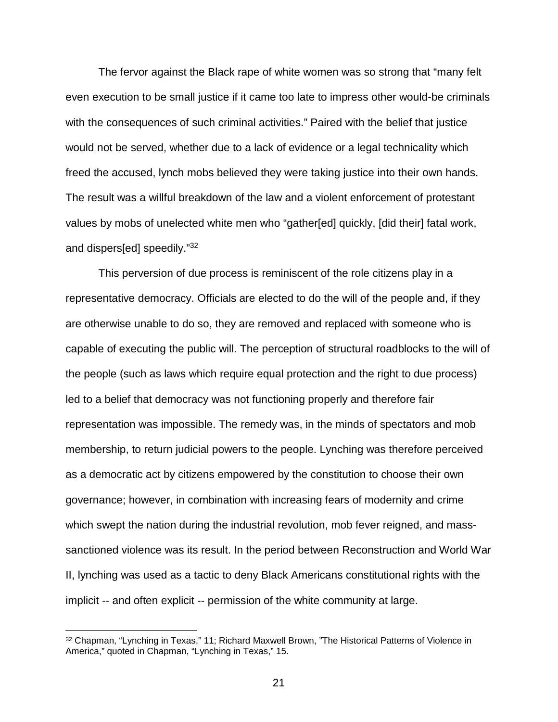The fervor against the Black rape of white women was so strong that "many felt even execution to be small justice if it came too late to impress other would-be criminals with the consequences of such criminal activities." Paired with the belief that justice would not be served, whether due to a lack of evidence or a legal technicality which freed the accused, lynch mobs believed they were taking justice into their own hands. The result was a willful breakdown of the law and a violent enforcement of protestant values by mobs of unelected white men who "gather[ed] quickly, [did their] fatal work, and dispers[ed] speedily."32

This perversion of due process is reminiscent of the role citizens play in a representative democracy. Officials are elected to do the will of the people and, if they are otherwise unable to do so, they are removed and replaced with someone who is capable of executing the public will. The perception of structural roadblocks to the will of the people (such as laws which require equal protection and the right to due process) led to a belief that democracy was not functioning properly and therefore fair representation was impossible. The remedy was, in the minds of spectators and mob membership, to return judicial powers to the people. Lynching was therefore perceived as a democratic act by citizens empowered by the constitution to choose their own governance; however, in combination with increasing fears of modernity and crime which swept the nation during the industrial revolution, mob fever reigned, and masssanctioned violence was its result. In the period between Reconstruction and World War II, lynching was used as a tactic to deny Black Americans constitutional rights with the implicit -- and often explicit -- permission of the white community at large.

<sup>32</sup> Chapman, "Lynching in Texas," 11; Richard Maxwell Brown, "The Historical Patterns of Violence in America," quoted in Chapman, "Lynching in Texas," 15.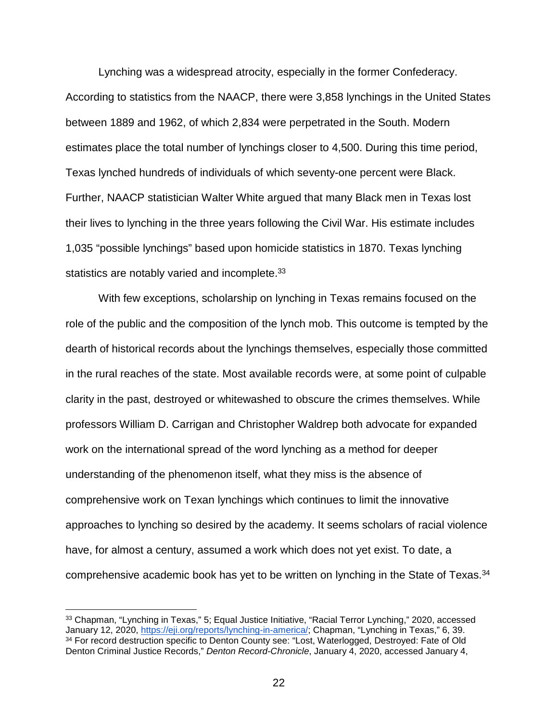Lynching was a widespread atrocity, especially in the former Confederacy. According to statistics from the NAACP, there were 3,858 lynchings in the United States between 1889 and 1962, of which 2,834 were perpetrated in the South. Modern estimates place the total number of lynchings closer to 4,500. During this time period, Texas lynched hundreds of individuals of which seventy-one percent were Black. Further, NAACP statistician Walter White argued that many Black men in Texas lost their lives to lynching in the three years following the Civil War. His estimate includes 1,035 "possible lynchings" based upon homicide statistics in 1870. Texas lynching statistics are notably varied and incomplete.<sup>33</sup>

With few exceptions, scholarship on lynching in Texas remains focused on the role of the public and the composition of the lynch mob. This outcome is tempted by the dearth of historical records about the lynchings themselves, especially those committed in the rural reaches of the state. Most available records were, at some point of culpable clarity in the past, destroyed or whitewashed to obscure the crimes themselves. While professors William D. Carrigan and Christopher Waldrep both advocate for expanded work on the international spread of the word lynching as a method for deeper understanding of the phenomenon itself, what they miss is the absence of comprehensive work on Texan lynchings which continues to limit the innovative approaches to lynching so desired by the academy. It seems scholars of racial violence have, for almost a century, assumed a work which does not yet exist. To date, a comprehensive academic book has yet to be written on lynching in the State of Texas.<sup>34</sup>

 <sup>33</sup> Chapman, "Lynching in Texas," 5; Equal Justice Initiative, "Racial Terror Lynching," 2020, accessed January 12, 2020, [https://eji.org/reports/lynching-in-america/;](https://eji.org/reports/lynching-in-america/) Chapman, "Lynching in Texas," 6, 39. 34 For record destruction specific to Denton County see: "Lost, Waterlogged, Destroyed: Fate of Old Denton Criminal Justice Records," *Denton Record-Chronicle*, January 4, 2020, accessed January 4,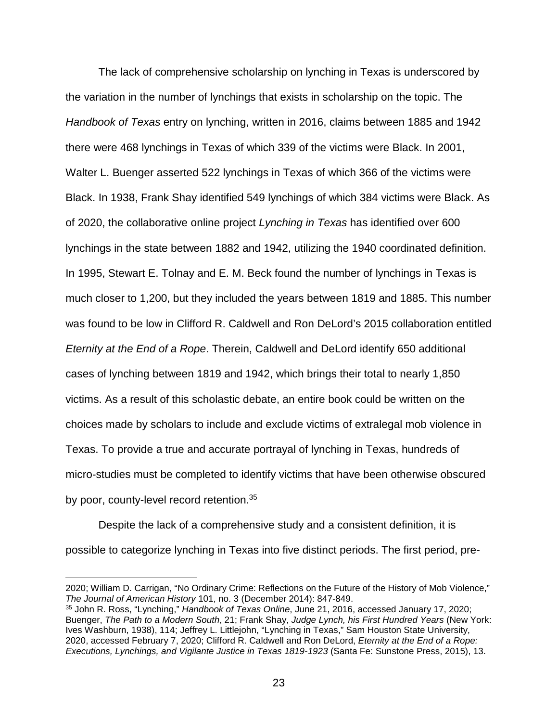The lack of comprehensive scholarship on lynching in Texas is underscored by the variation in the number of lynchings that exists in scholarship on the topic. The *Handbook of Texas* entry on lynching, written in 2016, claims between 1885 and 1942 there were 468 lynchings in Texas of which 339 of the victims were Black. In 2001, Walter L. Buenger asserted 522 lynchings in Texas of which 366 of the victims were Black. In 1938, Frank Shay identified 549 lynchings of which 384 victims were Black. As of 2020, the collaborative online project *Lynching in Texas* has identified over 600 lynchings in the state between 1882 and 1942, utilizing the 1940 coordinated definition. In 1995, Stewart E. Tolnay and E. M. Beck found the number of lynchings in Texas is much closer to 1,200, but they included the years between 1819 and 1885. This number was found to be low in Clifford R. Caldwell and Ron DeLord's 2015 collaboration entitled *Eternity at the End of a Rope*. Therein, Caldwell and DeLord identify 650 additional cases of lynching between 1819 and 1942, which brings their total to nearly 1,850 victims. As a result of this scholastic debate, an entire book could be written on the choices made by scholars to include and exclude victims of extralegal mob violence in Texas. To provide a true and accurate portrayal of lynching in Texas, hundreds of micro-studies must be completed to identify victims that have been otherwise obscured by poor, county-level record retention.<sup>35</sup>

Despite the lack of a comprehensive study and a consistent definition, it is possible to categorize lynching in Texas into five distinct periods. The first period, pre-

<u>.</u>

<sup>2020;</sup> William D. Carrigan, "No Ordinary Crime: Reflections on the Future of the History of Mob Violence," *The Journal of American History* 101, no. 3 (December 2014): 847-849.

<sup>35</sup> John R. Ross, "Lynching," *Handbook of Texas Online*, June 21, 2016, accessed January 17, 2020; Buenger, *The Path to a Modern South*, 21; Frank Shay, *Judge Lynch, his First Hundred Years* (New York: Ives Washburn, 1938), 114; Jeffrey L. Littlejohn, "Lynching in Texas," Sam Houston State University, 2020, accessed February 7, 2020; Clifford R. Caldwell and Ron DeLord, *Eternity at the End of a Rope: Executions, Lynchings, and Vigilante Justice in Texas 1819-1923* (Santa Fe: Sunstone Press, 2015), 13.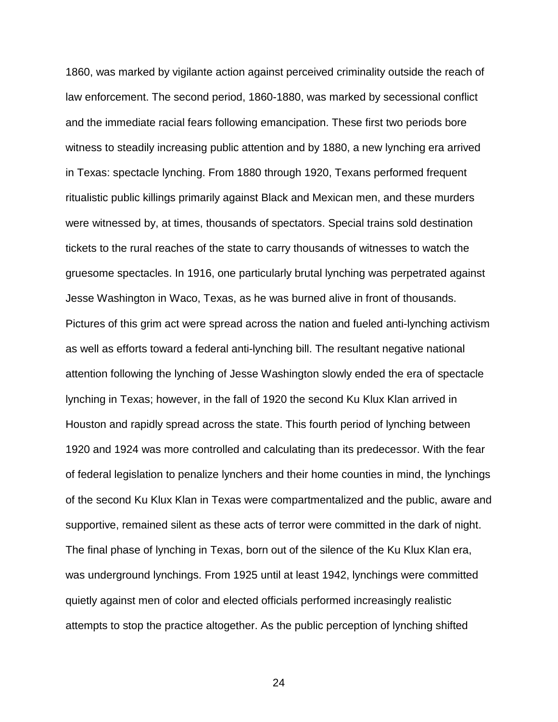1860, was marked by vigilante action against perceived criminality outside the reach of law enforcement. The second period, 1860-1880, was marked by secessional conflict and the immediate racial fears following emancipation. These first two periods bore witness to steadily increasing public attention and by 1880, a new lynching era arrived in Texas: spectacle lynching. From 1880 through 1920, Texans performed frequent ritualistic public killings primarily against Black and Mexican men, and these murders were witnessed by, at times, thousands of spectators. Special trains sold destination tickets to the rural reaches of the state to carry thousands of witnesses to watch the gruesome spectacles. In 1916, one particularly brutal lynching was perpetrated against Jesse Washington in Waco, Texas, as he was burned alive in front of thousands. Pictures of this grim act were spread across the nation and fueled anti-lynching activism as well as efforts toward a federal anti-lynching bill. The resultant negative national attention following the lynching of Jesse Washington slowly ended the era of spectacle lynching in Texas; however, in the fall of 1920 the second Ku Klux Klan arrived in Houston and rapidly spread across the state. This fourth period of lynching between 1920 and 1924 was more controlled and calculating than its predecessor. With the fear of federal legislation to penalize lynchers and their home counties in mind, the lynchings of the second Ku Klux Klan in Texas were compartmentalized and the public, aware and supportive, remained silent as these acts of terror were committed in the dark of night. The final phase of lynching in Texas, born out of the silence of the Ku Klux Klan era, was underground lynchings. From 1925 until at least 1942, lynchings were committed quietly against men of color and elected officials performed increasingly realistic attempts to stop the practice altogether. As the public perception of lynching shifted

24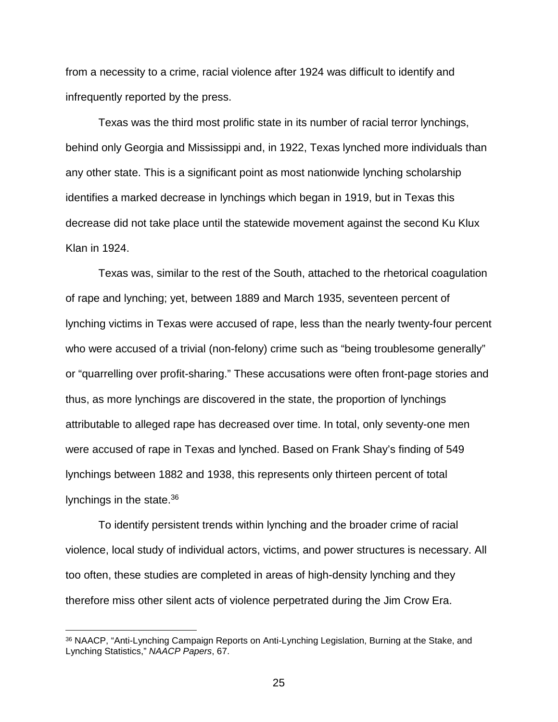from a necessity to a crime, racial violence after 1924 was difficult to identify and infrequently reported by the press.

Texas was the third most prolific state in its number of racial terror lynchings, behind only Georgia and Mississippi and, in 1922, Texas lynched more individuals than any other state. This is a significant point as most nationwide lynching scholarship identifies a marked decrease in lynchings which began in 1919, but in Texas this decrease did not take place until the statewide movement against the second Ku Klux Klan in 1924.

Texas was, similar to the rest of the South, attached to the rhetorical coagulation of rape and lynching; yet, between 1889 and March 1935, seventeen percent of lynching victims in Texas were accused of rape, less than the nearly twenty-four percent who were accused of a trivial (non-felony) crime such as "being troublesome generally" or "quarrelling over profit-sharing." These accusations were often front-page stories and thus, as more lynchings are discovered in the state, the proportion of lynchings attributable to alleged rape has decreased over time. In total, only seventy-one men were accused of rape in Texas and lynched. Based on Frank Shay's finding of 549 lynchings between 1882 and 1938, this represents only thirteen percent of total lynchings in the state.<sup>36</sup>

To identify persistent trends within lynching and the broader crime of racial violence, local study of individual actors, victims, and power structures is necessary. All too often, these studies are completed in areas of high-density lynching and they therefore miss other silent acts of violence perpetrated during the Jim Crow Era.

 <sup>36</sup> NAACP, "Anti-Lynching Campaign Reports on Anti-Lynching Legislation, Burning at the Stake, and Lynching Statistics," *NAACP Papers*, 67.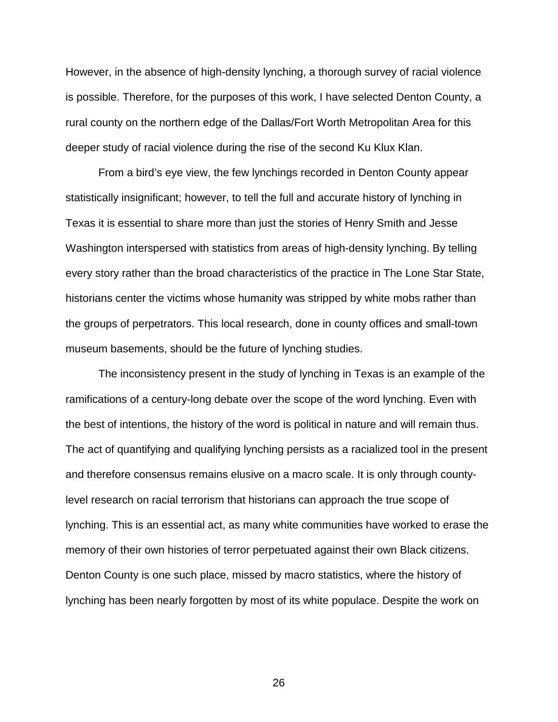However, in the absence of high-density lynching, a thorough survey of racial violence is possible. Therefore, for the purposes of this work, I have selected Denton County, a rural county on the northern edge of the Dallas/Fort Worth Metropolitan Area for this deeper study of racial violence during the rise of the second Ku Klux Klan.

From a bird's eye view, the few lynchings recorded in Denton County appear statistically insignificant; however, to tell the full and accurate history of lynching in Texas it is essential to share more than just the stories of Henry Smith and Jesse Washington interspersed with statistics from areas of high-density lynching. By telling every story rather than the broad characteristics of the practice in The Lone Star State, historians center the victims whose humanity was stripped by white mobs rather than the groups of perpetrators. This local research, done in county offices and small-town museum basements, should be the future of lynching studies.

The inconsistency present in the study of lynching in Texas is an example of the ramifications of a century-long debate over the scope of the word lynching. Even with the best of intentions, the history of the word is political in nature and will remain thus. The act of quantifying and qualifying lynching persists as a racialized tool in the present and therefore consensus remains elusive on a macro scale. It is only through countylevel research on racial terrorism that historians can approach the true scope of lynching. This is an essential act, as many white communities have worked to erase the memory of their own histories of terror perpetuated against their own Black citizens. Denton County is one such place, missed by macro statistics, where the history of lynching has been nearly forgotten by most of its white populace. Despite the work on

26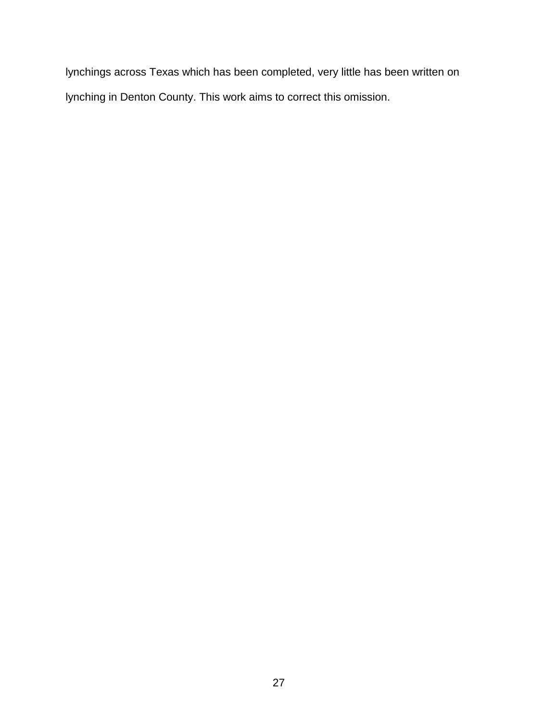lynchings across Texas which has been completed, very little has been written on lynching in Denton County. This work aims to correct this omission.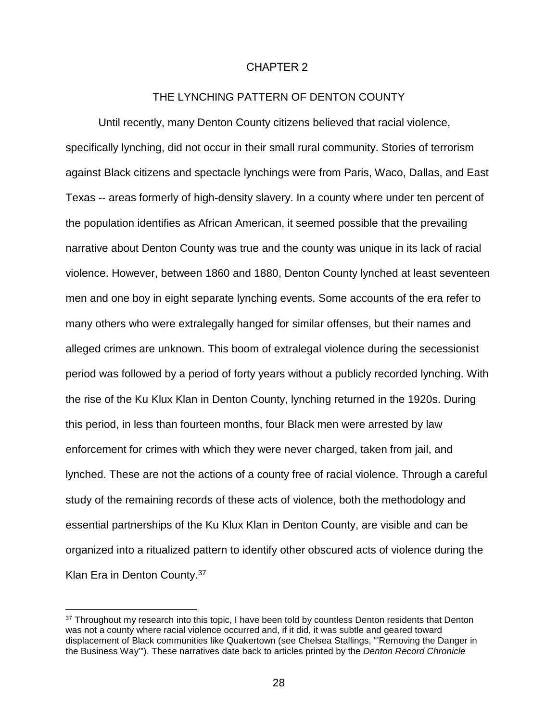## CHAPTER 2

## THE LYNCHING PATTERN OF DENTON COUNTY

Until recently, many Denton County citizens believed that racial violence, specifically lynching, did not occur in their small rural community. Stories of terrorism against Black citizens and spectacle lynchings were from Paris, Waco, Dallas, and East Texas -- areas formerly of high-density slavery. In a county where under ten percent of the population identifies as African American, it seemed possible that the prevailing narrative about Denton County was true and the county was unique in its lack of racial violence. However, between 1860 and 1880, Denton County lynched at least seventeen men and one boy in eight separate lynching events. Some accounts of the era refer to many others who were extralegally hanged for similar offenses, but their names and alleged crimes are unknown. This boom of extralegal violence during the secessionist period was followed by a period of forty years without a publicly recorded lynching. With the rise of the Ku Klux Klan in Denton County, lynching returned in the 1920s. During this period, in less than fourteen months, four Black men were arrested by law enforcement for crimes with which they were never charged, taken from jail, and lynched. These are not the actions of a county free of racial violence. Through a careful study of the remaining records of these acts of violence, both the methodology and essential partnerships of the Ku Klux Klan in Denton County, are visible and can be organized into a ritualized pattern to identify other obscured acts of violence during the Klan Era in Denton County.37

<sup>&</sup>lt;sup>37</sup> Throughout my research into this topic, I have been told by countless Denton residents that Denton was not a county where racial violence occurred and, if it did, it was subtle and geared toward displacement of Black communities like Quakertown (see Chelsea Stallings, "'Removing the Danger in the Business Way'"). These narratives date back to articles printed by the *Denton Record Chronicle*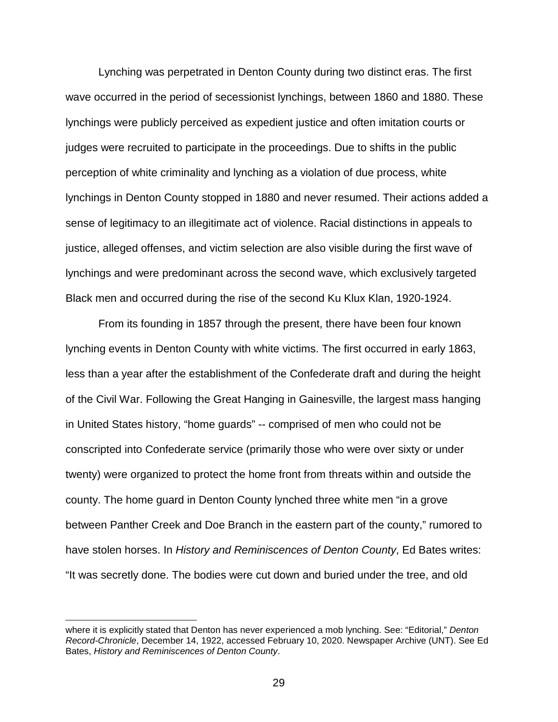Lynching was perpetrated in Denton County during two distinct eras. The first wave occurred in the period of secessionist lynchings, between 1860 and 1880. These lynchings were publicly perceived as expedient justice and often imitation courts or judges were recruited to participate in the proceedings. Due to shifts in the public perception of white criminality and lynching as a violation of due process, white lynchings in Denton County stopped in 1880 and never resumed. Their actions added a sense of legitimacy to an illegitimate act of violence. Racial distinctions in appeals to justice, alleged offenses, and victim selection are also visible during the first wave of lynchings and were predominant across the second wave, which exclusively targeted Black men and occurred during the rise of the second Ku Klux Klan, 1920-1924.

From its founding in 1857 through the present, there have been four known lynching events in Denton County with white victims. The first occurred in early 1863, less than a year after the establishment of the Confederate draft and during the height of the Civil War. Following the Great Hanging in Gainesville, the largest mass hanging in United States history, "home guards" -- comprised of men who could not be conscripted into Confederate service (primarily those who were over sixty or under twenty) were organized to protect the home front from threats within and outside the county. The home guard in Denton County lynched three white men "in a grove between Panther Creek and Doe Branch in the eastern part of the county," rumored to have stolen horses. In *History and Reminiscences of Denton County*, Ed Bates writes: "It was secretly done. The bodies were cut down and buried under the tree, and old

where it is explicitly stated that Denton has never experienced a mob lynching. See: "Editorial," *Denton Record-Chronicle*, December 14, 1922, accessed February 10, 2020. Newspaper Archive (UNT). See Ed Bates, *History and Reminiscences of Denton County*.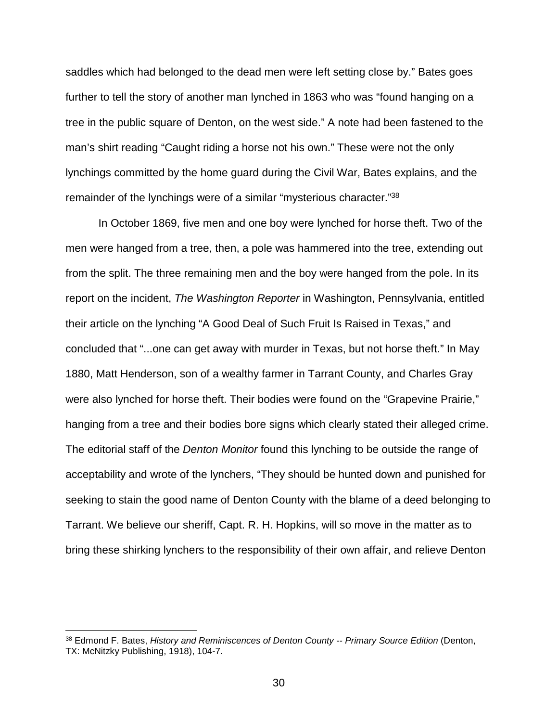saddles which had belonged to the dead men were left setting close by." Bates goes further to tell the story of another man lynched in 1863 who was "found hanging on a tree in the public square of Denton, on the west side." A note had been fastened to the man's shirt reading "Caught riding a horse not his own." These were not the only lynchings committed by the home guard during the Civil War, Bates explains, and the remainder of the lynchings were of a similar "mysterious character."38

In October 1869, five men and one boy were lynched for horse theft. Two of the men were hanged from a tree, then, a pole was hammered into the tree, extending out from the split. The three remaining men and the boy were hanged from the pole. In its report on the incident, *The Washington Reporter* in Washington, Pennsylvania, entitled their article on the lynching "A Good Deal of Such Fruit Is Raised in Texas," and concluded that "...one can get away with murder in Texas, but not horse theft." In May 1880, Matt Henderson, son of a wealthy farmer in Tarrant County, and Charles Gray were also lynched for horse theft. Their bodies were found on the "Grapevine Prairie," hanging from a tree and their bodies bore signs which clearly stated their alleged crime. The editorial staff of the *Denton Monitor* found this lynching to be outside the range of acceptability and wrote of the lynchers, "They should be hunted down and punished for seeking to stain the good name of Denton County with the blame of a deed belonging to Tarrant. We believe our sheriff, Capt. R. H. Hopkins, will so move in the matter as to bring these shirking lynchers to the responsibility of their own affair, and relieve Denton

 <sup>38</sup> Edmond F. Bates, *History and Reminiscences of Denton County -- Primary Source Edition* (Denton, TX: McNitzky Publishing, 1918), 104-7.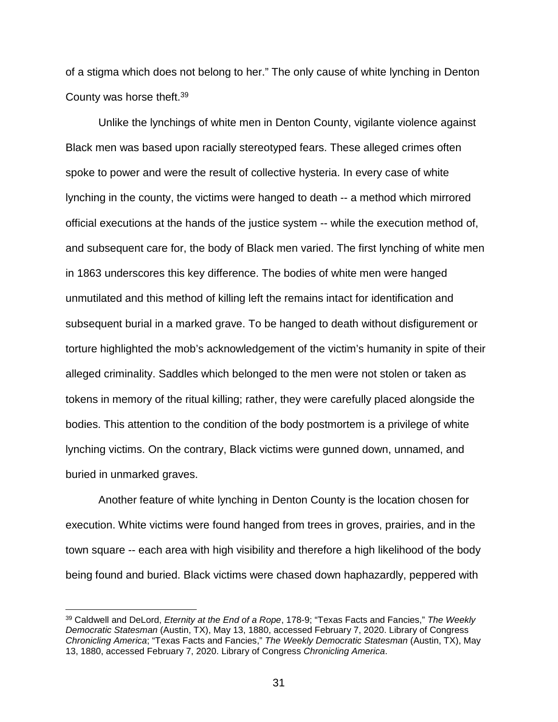of a stigma which does not belong to her." The only cause of white lynching in Denton County was horse theft.39

Unlike the lynchings of white men in Denton County, vigilante violence against Black men was based upon racially stereotyped fears. These alleged crimes often spoke to power and were the result of collective hysteria. In every case of white lynching in the county, the victims were hanged to death -- a method which mirrored official executions at the hands of the justice system -- while the execution method of, and subsequent care for, the body of Black men varied. The first lynching of white men in 1863 underscores this key difference. The bodies of white men were hanged unmutilated and this method of killing left the remains intact for identification and subsequent burial in a marked grave. To be hanged to death without disfigurement or torture highlighted the mob's acknowledgement of the victim's humanity in spite of their alleged criminality. Saddles which belonged to the men were not stolen or taken as tokens in memory of the ritual killing; rather, they were carefully placed alongside the bodies. This attention to the condition of the body postmortem is a privilege of white lynching victims. On the contrary, Black victims were gunned down, unnamed, and buried in unmarked graves.

Another feature of white lynching in Denton County is the location chosen for execution. White victims were found hanged from trees in groves, prairies, and in the town square -- each area with high visibility and therefore a high likelihood of the body being found and buried. Black victims were chased down haphazardly, peppered with

 <sup>39</sup> Caldwell and DeLord, *Eternity at the End of a Rope*, 178-9; "Texas Facts and Fancies," *The Weekly Democratic Statesman* (Austin, TX), May 13, 1880, accessed February 7, 2020. Library of Congress *Chronicling America*; "Texas Facts and Fancies," *The Weekly Democratic Statesman* (Austin, TX), May 13, 1880, accessed February 7, 2020. Library of Congress *Chronicling America*.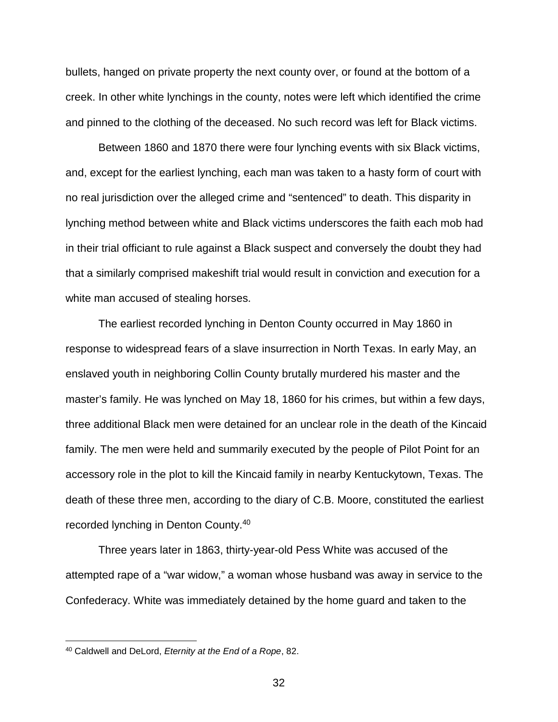bullets, hanged on private property the next county over, or found at the bottom of a creek. In other white lynchings in the county, notes were left which identified the crime and pinned to the clothing of the deceased. No such record was left for Black victims.

Between 1860 and 1870 there were four lynching events with six Black victims, and, except for the earliest lynching, each man was taken to a hasty form of court with no real jurisdiction over the alleged crime and "sentenced" to death. This disparity in lynching method between white and Black victims underscores the faith each mob had in their trial officiant to rule against a Black suspect and conversely the doubt they had that a similarly comprised makeshift trial would result in conviction and execution for a white man accused of stealing horses.

The earliest recorded lynching in Denton County occurred in May 1860 in response to widespread fears of a slave insurrection in North Texas. In early May, an enslaved youth in neighboring Collin County brutally murdered his master and the master's family. He was lynched on May 18, 1860 for his crimes, but within a few days, three additional Black men were detained for an unclear role in the death of the Kincaid family. The men were held and summarily executed by the people of Pilot Point for an accessory role in the plot to kill the Kincaid family in nearby Kentuckytown, Texas. The death of these three men, according to the diary of C.B. Moore, constituted the earliest recorded lynching in Denton County.40

Three years later in 1863, thirty-year-old Pess White was accused of the attempted rape of a "war widow," a woman whose husband was away in service to the Confederacy. White was immediately detained by the home guard and taken to the

 <sup>40</sup> Caldwell and DeLord, *Eternity at the End of a Rope*, 82.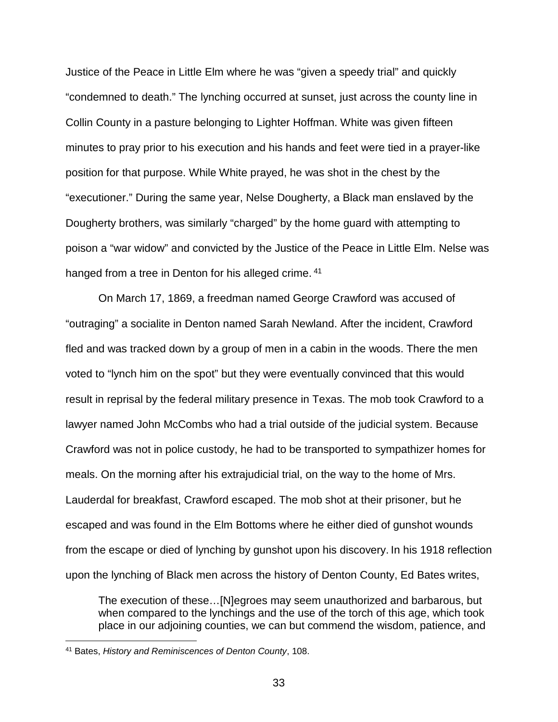Justice of the Peace in Little Elm where he was "given a speedy trial" and quickly "condemned to death." The lynching occurred at sunset, just across the county line in Collin County in a pasture belonging to Lighter Hoffman. White was given fifteen minutes to pray prior to his execution and his hands and feet were tied in a prayer-like position for that purpose. While White prayed, he was shot in the chest by the "executioner." During the same year, Nelse Dougherty, a Black man enslaved by the Dougherty brothers, was similarly "charged" by the home guard with attempting to poison a "war widow" and convicted by the Justice of the Peace in Little Elm. Nelse was hanged from a tree in Denton for his alleged crime. <sup>41</sup>

On March 17, 1869, a freedman named George Crawford was accused of "outraging" a socialite in Denton named Sarah Newland. After the incident, Crawford fled and was tracked down by a group of men in a cabin in the woods. There the men voted to "lynch him on the spot" but they were eventually convinced that this would result in reprisal by the federal military presence in Texas. The mob took Crawford to a lawyer named John McCombs who had a trial outside of the judicial system. Because Crawford was not in police custody, he had to be transported to sympathizer homes for meals. On the morning after his extrajudicial trial, on the way to the home of Mrs. Lauderdal for breakfast, Crawford escaped. The mob shot at their prisoner, but he escaped and was found in the Elm Bottoms where he either died of gunshot wounds from the escape or died of lynching by gunshot upon his discovery. In his 1918 reflection upon the lynching of Black men across the history of Denton County, Ed Bates writes,

The execution of these…[N]egroes may seem unauthorized and barbarous, but when compared to the lynchings and the use of the torch of this age, which took place in our adjoining counties, we can but commend the wisdom, patience, and

 <sup>41</sup> Bates, *History and Reminiscences of Denton County*, 108.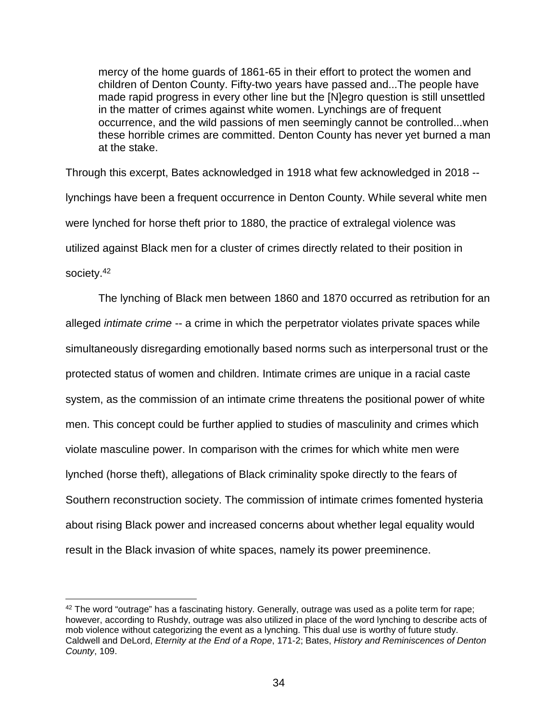mercy of the home guards of 1861-65 in their effort to protect the women and children of Denton County. Fifty-two years have passed and...The people have made rapid progress in every other line but the [N]egro question is still unsettled in the matter of crimes against white women. Lynchings are of frequent occurrence, and the wild passions of men seemingly cannot be controlled...when these horrible crimes are committed. Denton County has never yet burned a man at the stake.

Through this excerpt, Bates acknowledged in 1918 what few acknowledged in 2018 - lynchings have been a frequent occurrence in Denton County. While several white men were lynched for horse theft prior to 1880, the practice of extralegal violence was utilized against Black men for a cluster of crimes directly related to their position in society.<sup>42</sup>

The lynching of Black men between 1860 and 1870 occurred as retribution for an alleged *intimate crime* -- a crime in which the perpetrator violates private spaces while simultaneously disregarding emotionally based norms such as interpersonal trust or the protected status of women and children. Intimate crimes are unique in a racial caste system, as the commission of an intimate crime threatens the positional power of white men. This concept could be further applied to studies of masculinity and crimes which violate masculine power. In comparison with the crimes for which white men were lynched (horse theft), allegations of Black criminality spoke directly to the fears of Southern reconstruction society. The commission of intimate crimes fomented hysteria about rising Black power and increased concerns about whether legal equality would result in the Black invasion of white spaces, namely its power preeminence.

 <sup>42</sup> The word "outrage" has a fascinating history. Generally, outrage was used as a polite term for rape; however, according to Rushdy, outrage was also utilized in place of the word lynching to describe acts of mob violence without categorizing the event as a lynching. This dual use is worthy of future study. Caldwell and DeLord, *Eternity at the End of a Rope*, 171-2; Bates, *History and Reminiscences of Denton County*, 109.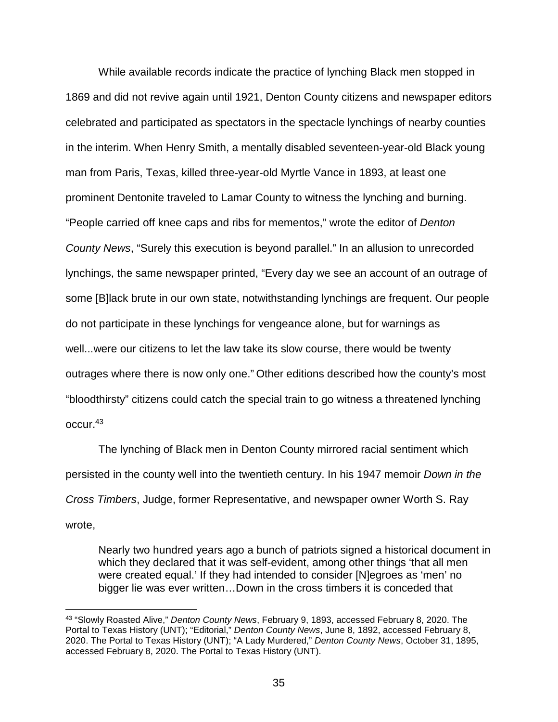While available records indicate the practice of lynching Black men stopped in 1869 and did not revive again until 1921, Denton County citizens and newspaper editors celebrated and participated as spectators in the spectacle lynchings of nearby counties in the interim. When Henry Smith, a mentally disabled seventeen-year-old Black young man from Paris, Texas, killed three-year-old Myrtle Vance in 1893, at least one prominent Dentonite traveled to Lamar County to witness the lynching and burning. "People carried off knee caps and ribs for mementos," wrote the editor of *Denton County News*, "Surely this execution is beyond parallel." In an allusion to unrecorded lynchings, the same newspaper printed, "Every day we see an account of an outrage of some [B]lack brute in our own state, notwithstanding lynchings are frequent. Our people do not participate in these lynchings for vengeance alone, but for warnings as well...were our citizens to let the law take its slow course, there would be twenty outrages where there is now only one." Other editions described how the county's most "bloodthirsty" citizens could catch the special train to go witness a threatened lynching occur.43

The lynching of Black men in Denton County mirrored racial sentiment which persisted in the county well into the twentieth century. In his 1947 memoir *Down in the Cross Timbers*, Judge, former Representative, and newspaper owner Worth S. Ray wrote,

Nearly two hundred years ago a bunch of patriots signed a historical document in which they declared that it was self-evident, among other things 'that all men were created equal.' If they had intended to consider [N]egroes as 'men' no bigger lie was ever written…Down in the cross timbers it is conceded that

 <sup>43</sup> "Slowly Roasted Alive," *Denton County News*, February 9, 1893, accessed February 8, 2020. The Portal to Texas History (UNT); "Editorial," *Denton County News*, June 8, 1892, accessed February 8, 2020. The Portal to Texas History (UNT); "A Lady Murdered," *Denton County News*, October 31, 1895, accessed February 8, 2020. The Portal to Texas History (UNT).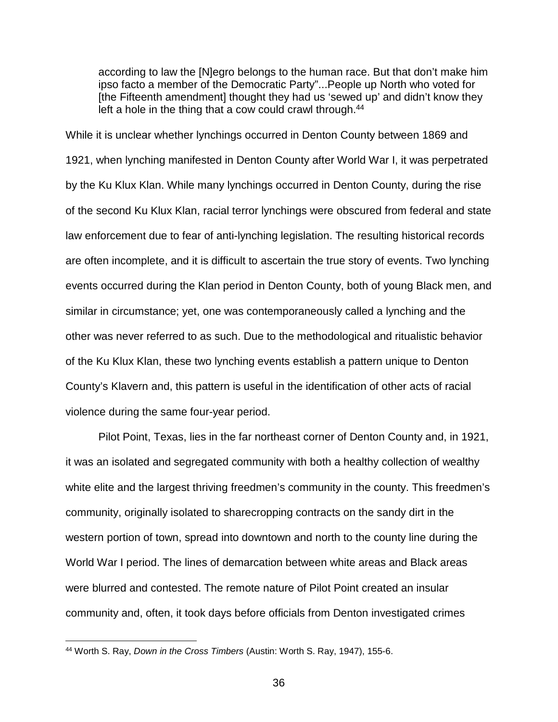according to law the [N]egro belongs to the human race. But that don't make him ipso facto a member of the Democratic Party"...People up North who voted for [the Fifteenth amendment] thought they had us 'sewed up' and didn't know they left a hole in the thing that a cow could crawl through.<sup>44</sup>

While it is unclear whether lynchings occurred in Denton County between 1869 and 1921, when lynching manifested in Denton County after World War I, it was perpetrated by the Ku Klux Klan. While many lynchings occurred in Denton County, during the rise of the second Ku Klux Klan, racial terror lynchings were obscured from federal and state law enforcement due to fear of anti-lynching legislation. The resulting historical records are often incomplete, and it is difficult to ascertain the true story of events. Two lynching events occurred during the Klan period in Denton County, both of young Black men, and similar in circumstance; yet, one was contemporaneously called a lynching and the other was never referred to as such. Due to the methodological and ritualistic behavior of the Ku Klux Klan, these two lynching events establish a pattern unique to Denton County's Klavern and, this pattern is useful in the identification of other acts of racial violence during the same four-year period.

Pilot Point, Texas, lies in the far northeast corner of Denton County and, in 1921, it was an isolated and segregated community with both a healthy collection of wealthy white elite and the largest thriving freedmen's community in the county. This freedmen's community, originally isolated to sharecropping contracts on the sandy dirt in the western portion of town, spread into downtown and north to the county line during the World War I period. The lines of demarcation between white areas and Black areas were blurred and contested. The remote nature of Pilot Point created an insular community and, often, it took days before officials from Denton investigated crimes

 <sup>44</sup> Worth S. Ray, *Down in the Cross Timbers* (Austin: Worth S. Ray, 1947), 155-6.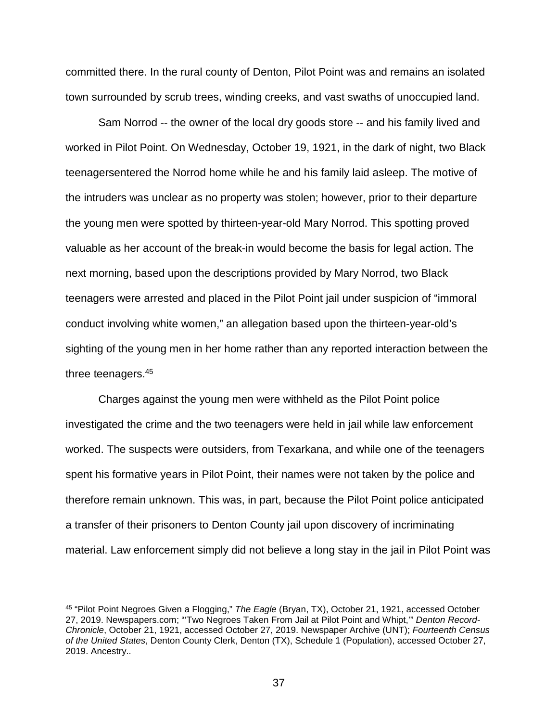committed there. In the rural county of Denton, Pilot Point was and remains an isolated town surrounded by scrub trees, winding creeks, and vast swaths of unoccupied land.

Sam Norrod -- the owner of the local dry goods store -- and his family lived and worked in Pilot Point. On Wednesday, October 19, 1921, in the dark of night, two Black teenagersentered the Norrod home while he and his family laid asleep. The motive of the intruders was unclear as no property was stolen; however, prior to their departure the young men were spotted by thirteen-year-old Mary Norrod. This spotting proved valuable as her account of the break-in would become the basis for legal action. The next morning, based upon the descriptions provided by Mary Norrod, two Black teenagers were arrested and placed in the Pilot Point jail under suspicion of "immoral conduct involving white women," an allegation based upon the thirteen-year-old's sighting of the young men in her home rather than any reported interaction between the three teenagers.45

Charges against the young men were withheld as the Pilot Point police investigated the crime and the two teenagers were held in jail while law enforcement worked. The suspects were outsiders, from Texarkana, and while one of the teenagers spent his formative years in Pilot Point, their names were not taken by the police and therefore remain unknown. This was, in part, because the Pilot Point police anticipated a transfer of their prisoners to Denton County jail upon discovery of incriminating material. Law enforcement simply did not believe a long stay in the jail in Pilot Point was

 <sup>45</sup> "Pilot Point Negroes Given a Flogging," *The Eagle* (Bryan, TX), October 21, 1921, accessed October 27, 2019. Newspapers.com; "'Two Negroes Taken From Jail at Pilot Point and Whipt,'" *Denton Record-Chronicle*, October 21, 1921, accessed October 27, 2019. Newspaper Archive (UNT); *Fourteenth Census of the United States*, Denton County Clerk, Denton (TX), Schedule 1 (Population), accessed October 27, 2019. Ancestry..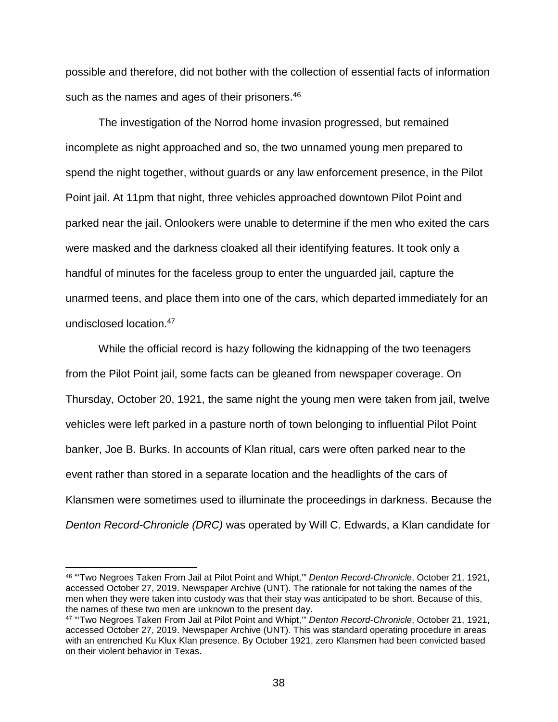possible and therefore, did not bother with the collection of essential facts of information such as the names and ages of their prisoners.<sup>46</sup>

The investigation of the Norrod home invasion progressed, but remained incomplete as night approached and so, the two unnamed young men prepared to spend the night together, without guards or any law enforcement presence, in the Pilot Point jail. At 11pm that night, three vehicles approached downtown Pilot Point and parked near the jail. Onlookers were unable to determine if the men who exited the cars were masked and the darkness cloaked all their identifying features. It took only a handful of minutes for the faceless group to enter the unguarded jail, capture the unarmed teens, and place them into one of the cars, which departed immediately for an undisclosed location.47

While the official record is hazy following the kidnapping of the two teenagers from the Pilot Point jail, some facts can be gleaned from newspaper coverage. On Thursday, October 20, 1921, the same night the young men were taken from jail, twelve vehicles were left parked in a pasture north of town belonging to influential Pilot Point banker, Joe B. Burks. In accounts of Klan ritual, cars were often parked near to the event rather than stored in a separate location and the headlights of the cars of Klansmen were sometimes used to illuminate the proceedings in darkness. Because the *Denton Record-Chronicle (DRC)* was operated by Will C. Edwards, a Klan candidate for

 <sup>46</sup> "'Two Negroes Taken From Jail at Pilot Point and Whipt,'" *Denton Record-Chronicle*, October 21, 1921, accessed October 27, 2019. Newspaper Archive (UNT). The rationale for not taking the names of the men when they were taken into custody was that their stay was anticipated to be short. Because of this, the names of these two men are unknown to the present day.

<sup>47</sup> "'Two Negroes Taken From Jail at Pilot Point and Whipt,'" *Denton Record-Chronicle*, October 21, 1921, accessed October 27, 2019. Newspaper Archive (UNT). This was standard operating procedure in areas with an entrenched Ku Klux Klan presence. By October 1921, zero Klansmen had been convicted based on their violent behavior in Texas.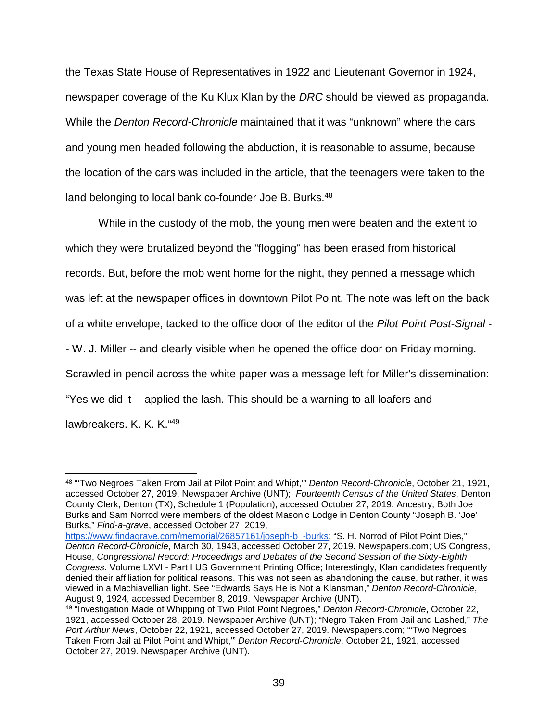the Texas State House of Representatives in 1922 and Lieutenant Governor in 1924, newspaper coverage of the Ku Klux Klan by the *DRC* should be viewed as propaganda. While the *Denton Record-Chronicle* maintained that it was "unknown" where the cars and young men headed following the abduction, it is reasonable to assume, because the location of the cars was included in the article, that the teenagers were taken to the land belonging to local bank co-founder Joe B. Burks.<sup>48</sup>

While in the custody of the mob, the young men were beaten and the extent to which they were brutalized beyond the "flogging" has been erased from historical records. But, before the mob went home for the night, they penned a message which was left at the newspaper offices in downtown Pilot Point. The note was left on the back of a white envelope, tacked to the office door of the editor of the *Pilot Point Post-Signal* - - W. J. Miller -- and clearly visible when he opened the office door on Friday morning. Scrawled in pencil across the white paper was a message left for Miller's dissemination: "Yes we did it -- applied the lash. This should be a warning to all loafers and lawbreakers. K. K. K."49

 <sup>48</sup> "'Two Negroes Taken From Jail at Pilot Point and Whipt,'" *Denton Record-Chronicle*, October 21, 1921, accessed October 27, 2019. Newspaper Archive (UNT); *Fourteenth Census of the United States*, Denton County Clerk, Denton (TX), Schedule 1 (Population), accessed October 27, 2019. Ancestry; Both Joe Burks and Sam Norrod were members of the oldest Masonic Lodge in Denton County "Joseph B. 'Joe' Burks," *Find-a-grave*, accessed October 27, 2019,

[https://www.findagrave.com/memorial/26857161/joseph-b\\_-burks;](https://www.findagrave.com/memorial/26857161/joseph-b_-burks) "S. H. Norrod of Pilot Point Dies," *Denton Record-Chronicle*, March 30, 1943, accessed October 27, 2019. Newspapers.com; US Congress, House, *Congressional Record: Proceedings and Debates of the Second Session of the Sixty-Eighth Congress*. Volume LXVI - Part I US Government Printing Office; Interestingly, Klan candidates frequently denied their affiliation for political reasons. This was not seen as abandoning the cause, but rather, it was viewed in a Machiavellian light. See "Edwards Says He is Not a Klansman," *Denton Record-Chronicle*, August 9, 1924, accessed December 8, 2019. Newspaper Archive (UNT).

<sup>49</sup> "Investigation Made of Whipping of Two Pilot Point Negroes," *Denton Record-Chronicle*, October 22, 1921, accessed October 28, 2019. Newspaper Archive (UNT); "Negro Taken From Jail and Lashed," *The Port Arthur News*, October 22, 1921, accessed October 27, 2019. Newspapers.com; "'Two Negroes Taken From Jail at Pilot Point and Whipt,'" *Denton Record-Chronicle*, October 21, 1921, accessed October 27, 2019. Newspaper Archive (UNT).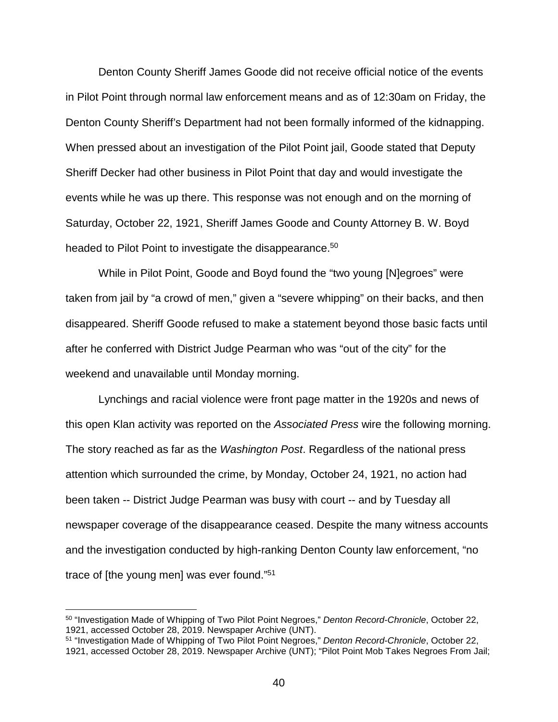Denton County Sheriff James Goode did not receive official notice of the events in Pilot Point through normal law enforcement means and as of 12:30am on Friday, the Denton County Sheriff's Department had not been formally informed of the kidnapping. When pressed about an investigation of the Pilot Point jail, Goode stated that Deputy Sheriff Decker had other business in Pilot Point that day and would investigate the events while he was up there. This response was not enough and on the morning of Saturday, October 22, 1921, Sheriff James Goode and County Attorney B. W. Boyd headed to Pilot Point to investigate the disappearance.<sup>50</sup>

While in Pilot Point, Goode and Boyd found the "two young [N]egroes" were taken from jail by "a crowd of men," given a "severe whipping" on their backs, and then disappeared. Sheriff Goode refused to make a statement beyond those basic facts until after he conferred with District Judge Pearman who was "out of the city" for the weekend and unavailable until Monday morning.

Lynchings and racial violence were front page matter in the 1920s and news of this open Klan activity was reported on the *Associated Press* wire the following morning. The story reached as far as the *Washington Post*. Regardless of the national press attention which surrounded the crime, by Monday, October 24, 1921, no action had been taken -- District Judge Pearman was busy with court -- and by Tuesday all newspaper coverage of the disappearance ceased. Despite the many witness accounts and the investigation conducted by high-ranking Denton County law enforcement, "no trace of [the young men] was ever found."51

 <sup>50</sup> "Investigation Made of Whipping of Two Pilot Point Negroes," *Denton Record-Chronicle*, October 22, 1921, accessed October 28, 2019. Newspaper Archive (UNT).

<sup>51</sup> "Investigation Made of Whipping of Two Pilot Point Negroes," *Denton Record-Chronicle*, October 22, 1921, accessed October 28, 2019. Newspaper Archive (UNT); "Pilot Point Mob Takes Negroes From Jail;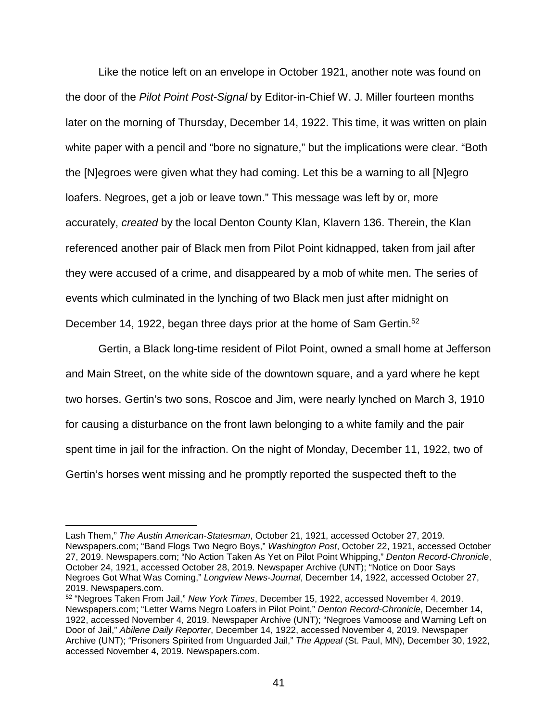Like the notice left on an envelope in October 1921, another note was found on the door of the *Pilot Point Post-Signal* by Editor-in-Chief W. J. Miller fourteen months later on the morning of Thursday, December 14, 1922. This time, it was written on plain white paper with a pencil and "bore no signature," but the implications were clear. "Both the [N]egroes were given what they had coming. Let this be a warning to all [N]egro loafers. Negroes, get a job or leave town." This message was left by or, more accurately, *created* by the local Denton County Klan, Klavern 136. Therein, the Klan referenced another pair of Black men from Pilot Point kidnapped, taken from jail after they were accused of a crime, and disappeared by a mob of white men. The series of events which culminated in the lynching of two Black men just after midnight on December 14, 1922, began three days prior at the home of Sam Gertin.<sup>52</sup>

Gertin, a Black long-time resident of Pilot Point, owned a small home at Jefferson and Main Street, on the white side of the downtown square, and a yard where he kept two horses. Gertin's two sons, Roscoe and Jim, were nearly lynched on March 3, 1910 for causing a disturbance on the front lawn belonging to a white family and the pair spent time in jail for the infraction. On the night of Monday, December 11, 1922, two of Gertin's horses went missing and he promptly reported the suspected theft to the

Lash Them," *The Austin American-Statesman*, October 21, 1921, accessed October 27, 2019. Newspapers.com; "Band Flogs Two Negro Boys," *Washington Post*, October 22, 1921, accessed October 27, 2019. Newspapers.com; "No Action Taken As Yet on Pilot Point Whipping," *Denton Record-Chronicle*, October 24, 1921, accessed October 28, 2019. Newspaper Archive (UNT); "Notice on Door Says Negroes Got What Was Coming," *Longview News-Journal*, December 14, 1922, accessed October 27, 2019. Newspapers.com.

<sup>52</sup> "Negroes Taken From Jail," *New York Times*, December 15, 1922, accessed November 4, 2019. Newspapers.com; "Letter Warns Negro Loafers in Pilot Point," *Denton Record-Chronicle*, December 14, 1922, accessed November 4, 2019. Newspaper Archive (UNT); "Negroes Vamoose and Warning Left on Door of Jail," *Abilene Daily Reporter*, December 14, 1922, accessed November 4, 2019. Newspaper Archive (UNT); "Prisoners Spirited from Unguarded Jail," *The Appeal* (St. Paul, MN), December 30, 1922, accessed November 4, 2019. Newspapers.com.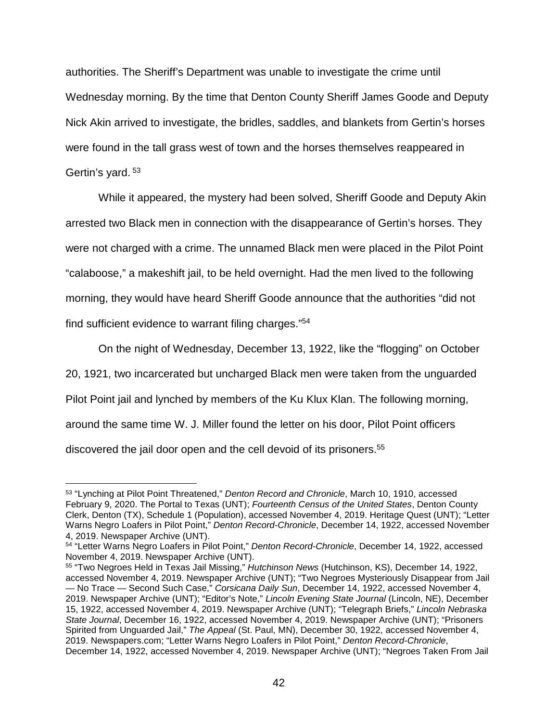authorities. The Sheriff's Department was unable to investigate the crime until Wednesday morning. By the time that Denton County Sheriff James Goode and Deputy Nick Akin arrived to investigate, the bridles, saddles, and blankets from Gertin's horses were found in the tall grass west of town and the horses themselves reappeared in Gertin's yard. <sup>53</sup>

While it appeared, the mystery had been solved, Sheriff Goode and Deputy Akin arrested two Black men in connection with the disappearance of Gertin's horses. They were not charged with a crime. The unnamed Black men were placed in the Pilot Point "calaboose," a makeshift jail, to be held overnight. Had the men lived to the following morning, they would have heard Sheriff Goode announce that the authorities "did not find sufficient evidence to warrant filing charges."54

On the night of Wednesday, December 13, 1922, like the "flogging" on October

20, 1921, two incarcerated but uncharged Black men were taken from the unguarded

Pilot Point jail and lynched by members of the Ku Klux Klan. The following morning,

around the same time W. J. Miller found the letter on his door, Pilot Point officers

discovered the jail door open and the cell devoid of its prisoners.<sup>55</sup>

 <sup>53</sup> "Lynching at Pilot Point Threatened," *Denton Record and Chronicle*, March 10, 1910, accessed February 9, 2020. The Portal to Texas (UNT); *Fourteenth Census of the United States*, Denton County Clerk, Denton (TX), Schedule 1 (Population), accessed November 4, 2019. Heritage Quest (UNT); "Letter Warns Negro Loafers in Pilot Point," *Denton Record-Chronicle*, December 14, 1922, accessed November 4, 2019. Newspaper Archive (UNT).

<sup>54</sup> "Letter Warns Negro Loafers in Pilot Point," *Denton Record-Chronicle*, December 14, 1922, accessed November 4, 2019. Newspaper Archive (UNT).

<sup>55</sup> "Two Negroes Held in Texas Jail Missing," *Hutchinson News* (Hutchinson, KS), December 14, 1922, accessed November 4, 2019. Newspaper Archive (UNT); "Two Negroes Mysteriously Disappear from Jail — No Trace — Second Such Case," *Corsicana Daily Sun*, December 14, 1922, accessed November 4, 2019. Newspaper Archive (UNT); "Editor's Note," *Lincoln Evening State Journal* (Lincoln, NE), December 15, 1922, accessed November 4, 2019. Newspaper Archive (UNT); "Telegraph Briefs," *Lincoln Nebraska State Journal*, December 16, 1922, accessed November 4, 2019. Newspaper Archive (UNT); "Prisoners Spirited from Unguarded Jail," *The Appeal* (St. Paul, MN), December 30, 1922, accessed November 4, 2019. Newspapers.com; "Letter Warns Negro Loafers in Pilot Point," *Denton Record-Chronicle*, December 14, 1922, accessed November 4, 2019. Newspaper Archive (UNT); "Negroes Taken From Jail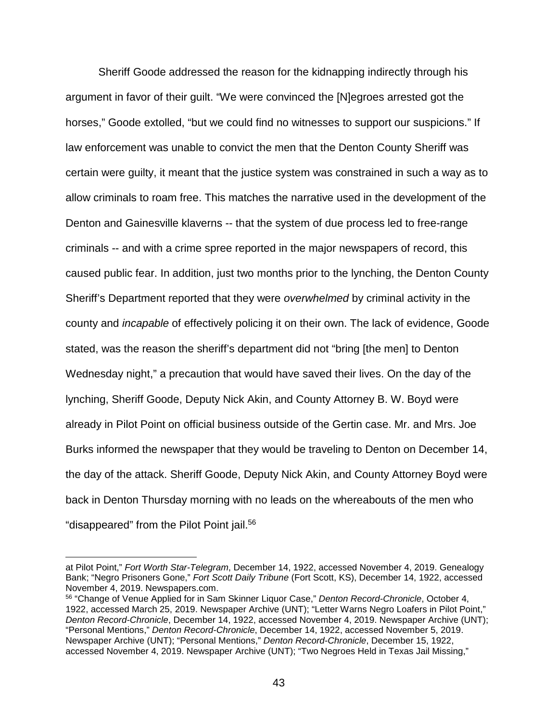Sheriff Goode addressed the reason for the kidnapping indirectly through his argument in favor of their guilt. "We were convinced the [N]egroes arrested got the horses," Goode extolled, "but we could find no witnesses to support our suspicions." If law enforcement was unable to convict the men that the Denton County Sheriff was certain were guilty, it meant that the justice system was constrained in such a way as to allow criminals to roam free. This matches the narrative used in the development of the Denton and Gainesville klaverns -- that the system of due process led to free-range criminals -- and with a crime spree reported in the major newspapers of record, this caused public fear. In addition, just two months prior to the lynching, the Denton County Sheriff's Department reported that they were *overwhelmed* by criminal activity in the county and *incapable* of effectively policing it on their own. The lack of evidence, Goode stated, was the reason the sheriff's department did not "bring [the men] to Denton Wednesday night," a precaution that would have saved their lives. On the day of the lynching, Sheriff Goode, Deputy Nick Akin, and County Attorney B. W. Boyd were already in Pilot Point on official business outside of the Gertin case. Mr. and Mrs. Joe Burks informed the newspaper that they would be traveling to Denton on December 14, the day of the attack. Sheriff Goode, Deputy Nick Akin, and County Attorney Boyd were back in Denton Thursday morning with no leads on the whereabouts of the men who "disappeared" from the Pilot Point jail.<sup>56</sup>

at Pilot Point," *Fort Worth Star-Telegram*, December 14, 1922, accessed November 4, 2019. Genealogy Bank; "Negro Prisoners Gone," *Fort Scott Daily Tribune* (Fort Scott, KS), December 14, 1922, accessed November 4, 2019. Newspapers.com.

<sup>56</sup> "Change of Venue Applied for in Sam Skinner Liquor Case," *Denton Record-Chronicle*, October 4, 1922, accessed March 25, 2019. Newspaper Archive (UNT); "Letter Warns Negro Loafers in Pilot Point," *Denton Record-Chronicle*, December 14, 1922, accessed November 4, 2019. Newspaper Archive (UNT); "Personal Mentions," *Denton Record-Chronicle*, December 14, 1922, accessed November 5, 2019. Newspaper Archive (UNT); "Personal Mentions," *Denton Record-Chronicle*, December 15, 1922, accessed November 4, 2019. Newspaper Archive (UNT); "Two Negroes Held in Texas Jail Missing,"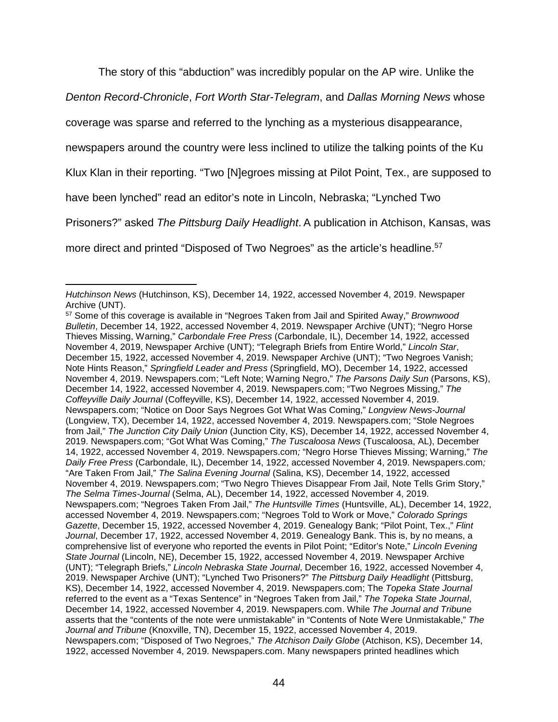The story of this "abduction" was incredibly popular on the AP wire. Unlike the

*Denton Record-Chronicle*, *Fort Worth Star-Telegram*, and *Dallas Morning News* whose

coverage was sparse and referred to the lynching as a mysterious disappearance,

newspapers around the country were less inclined to utilize the talking points of the Ku

Klux Klan in their reporting. "Two [N]egroes missing at Pilot Point, Tex., are supposed to

have been lynched" read an editor's note in Lincoln, Nebraska; "Lynched Two

Prisoners?" asked *The Pittsburg Daily Headlight*. A publication in Atchison, Kansas, was

more direct and printed "Disposed of Two Negroes" as the article's headline.<sup>57</sup>

<sup>-</sup>*Hutchinson News* (Hutchinson, KS), December 14, 1922, accessed November 4, 2019. Newspaper Archive (UNT).

<sup>57</sup> Some of this coverage is available in "Negroes Taken from Jail and Spirited Away," *Brownwood Bulletin*, December 14, 1922, accessed November 4, 2019. Newspaper Archive (UNT); "Negro Horse Thieves Missing, Warning," *Carbondale Free Press* (Carbondale, IL), December 14, 1922, accessed November 4, 2019, Newspaper Archive (UNT); "Telegraph Briefs from Entire World," *Lincoln Star*, December 15, 1922, accessed November 4, 2019. Newspaper Archive (UNT); "Two Negroes Vanish; Note Hints Reason," *Springfield Leader and Press* (Springfield, MO), December 14, 1922, accessed November 4, 2019. Newspapers.com; "Left Note; Warning Negro," *The Parsons Daily Sun* (Parsons, KS), December 14, 1922, accessed November 4, 2019. Newspapers.com; "Two Negroes Missing," *The Coffeyville Daily Journal* (Coffeyville, KS), December 14, 1922, accessed November 4, 2019. Newspapers.com; "Notice on Door Says Negroes Got What Was Coming," *Longview News-Journal* (Longview, TX), December 14, 1922, accessed November 4, 2019. Newspapers.com; "Stole Negroes from Jail," *The Junction City Daily Union* (Junction City, KS), December 14, 1922, accessed November 4, 2019. Newspapers.com; "Got What Was Coming," *The Tuscaloosa News* (Tuscaloosa, AL), December 14, 1922, accessed November 4, 2019. Newspapers.com*;* "Negro Horse Thieves Missing; Warning," *The Daily Free Press* (Carbondale, IL), December 14, 1922, accessed November 4, 2019. Newspapers.com*;* "Are Taken From Jail," *The Salina Evening Journal* (Salina, KS), December 14, 1922, accessed November 4, 2019. Newspapers.com; "Two Negro Thieves Disappear From Jail, Note Tells Grim Story," *The Selma Times-Journal* (Selma, AL), December 14, 1922, accessed November 4, 2019. Newspapers.com; "Negroes Taken From Jail," *The Huntsville Times* (Huntsville, AL), December 14, 1922, accessed November 4, 2019. Newspapers.com; "Negroes Told to Work or Move," *Colorado Springs Gazette*, December 15, 1922, accessed November 4, 2019. Genealogy Bank; "Pilot Point, Tex.," *Flint Journal*, December 17, 1922, accessed November 4, 2019. Genealogy Bank. This is, by no means, a comprehensive list of everyone who reported the events in Pilot Point; "Editor's Note," *Lincoln Evening State Journal* (Lincoln, NE), December 15, 1922, accessed November 4, 2019. Newspaper Archive (UNT); "Telegraph Briefs," *Lincoln Nebraska State Journal*, December 16, 1922, accessed November 4, 2019. Newspaper Archive (UNT); "Lynched Two Prisoners?" *The Pittsburg Daily Headlight* (Pittsburg, KS), December 14, 1922, accessed November 4, 2019. Newspapers.com; The *Topeka State Journal* referred to the event as a "Texas Sentence" in "Negroes Taken from Jail," *The Topeka State Journal*, December 14, 1922, accessed November 4, 2019. Newspapers.com. While *The Journal and Tribune* asserts that the "contents of the note were unmistakable" in "Contents of Note Were Unmistakable," *The Journal and Tribune* (Knoxville, TN), December 15, 1922, accessed November 4, 2019. Newspapers.com; "Disposed of Two Negroes," *The Atchison Daily Globe* (Atchison, KS), December 14, 1922, accessed November 4, 2019. Newspapers.com. Many newspapers printed headlines which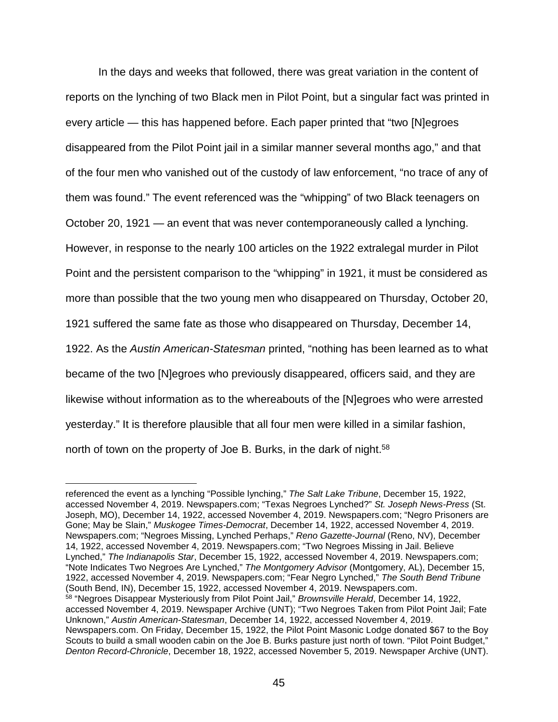In the days and weeks that followed, there was great variation in the content of reports on the lynching of two Black men in Pilot Point, but a singular fact was printed in every article — this has happened before. Each paper printed that "two [N]egroes disappeared from the Pilot Point jail in a similar manner several months ago," and that of the four men who vanished out of the custody of law enforcement, "no trace of any of them was found." The event referenced was the "whipping" of two Black teenagers on October 20, 1921 — an event that was never contemporaneously called a lynching. However, in response to the nearly 100 articles on the 1922 extralegal murder in Pilot Point and the persistent comparison to the "whipping" in 1921, it must be considered as more than possible that the two young men who disappeared on Thursday, October 20, 1921 suffered the same fate as those who disappeared on Thursday, December 14, 1922. As the *Austin American-Statesman* printed, "nothing has been learned as to what became of the two [N]egroes who previously disappeared, officers said, and they are likewise without information as to the whereabouts of the [N]egroes who were arrested yesterday." It is therefore plausible that all four men were killed in a similar fashion, north of town on the property of Joe B. Burks, in the dark of night.<sup>58</sup>

referenced the event as a lynching "Possible lynching," *The Salt Lake Tribune*, December 15, 1922, accessed November 4, 2019. Newspapers.com; "Texas Negroes Lynched?" *St. Joseph News-Press* (St. Joseph, MO), December 14, 1922, accessed November 4, 2019. Newspapers.com; "Negro Prisoners are Gone; May be Slain," *Muskogee Times-Democrat*, December 14, 1922, accessed November 4, 2019. Newspapers.com; "Negroes Missing, Lynched Perhaps," *Reno Gazette-Journal* (Reno, NV), December 14, 1922, accessed November 4, 2019. Newspapers.com; "Two Negroes Missing in Jail. Believe Lynched," *The Indianapolis Star*, December 15, 1922, accessed November 4, 2019. Newspapers.com; "Note Indicates Two Negroes Are Lynched," *The Montgomery Advisor* (Montgomery, AL), December 15, 1922, accessed November 4, 2019. Newspapers.com; "Fear Negro Lynched," *The South Bend Tribune* (South Bend, IN), December 15, 1922, accessed November 4, 2019. Newspapers.com. <sup>58</sup> "Negroes Disappear Mysteriously from Pilot Point Jail," *Brownsville Herald*, December 14, 1922, accessed November 4, 2019. Newspaper Archive (UNT); "Two Negroes Taken from Pilot Point Jail; Fate Unknown," *Austin American-Statesman*, December 14, 1922, accessed November 4, 2019. Newspapers.com. On Friday, December 15, 1922, the Pilot Point Masonic Lodge donated \$67 to the Boy Scouts to build a small wooden cabin on the Joe B. Burks pasture just north of town. "Pilot Point Budget," *Denton Record-Chronicle*, December 18, 1922, accessed November 5, 2019. Newspaper Archive (UNT).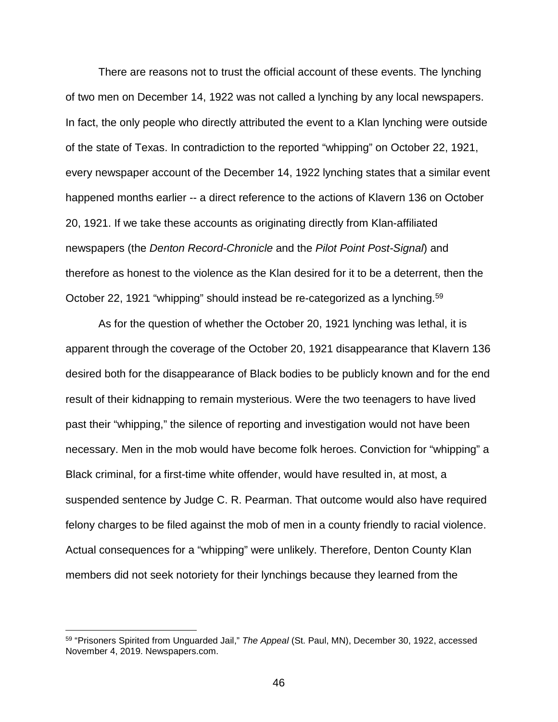There are reasons not to trust the official account of these events. The lynching of two men on December 14, 1922 was not called a lynching by any local newspapers. In fact, the only people who directly attributed the event to a Klan lynching were outside of the state of Texas. In contradiction to the reported "whipping" on October 22, 1921, every newspaper account of the December 14, 1922 lynching states that a similar event happened months earlier -- a direct reference to the actions of Klavern 136 on October 20, 1921. If we take these accounts as originating directly from Klan-affiliated newspapers (the *Denton Record-Chronicle* and the *Pilot Point Post-Signal*) and therefore as honest to the violence as the Klan desired for it to be a deterrent, then the October 22, 1921 "whipping" should instead be re-categorized as a lynching.59

As for the question of whether the October 20, 1921 lynching was lethal, it is apparent through the coverage of the October 20, 1921 disappearance that Klavern 136 desired both for the disappearance of Black bodies to be publicly known and for the end result of their kidnapping to remain mysterious. Were the two teenagers to have lived past their "whipping," the silence of reporting and investigation would not have been necessary. Men in the mob would have become folk heroes. Conviction for "whipping" a Black criminal, for a first-time white offender, would have resulted in, at most, a suspended sentence by Judge C. R. Pearman. That outcome would also have required felony charges to be filed against the mob of men in a county friendly to racial violence. Actual consequences for a "whipping" were unlikely. Therefore, Denton County Klan members did not seek notoriety for their lynchings because they learned from the

 <sup>59</sup> "Prisoners Spirited from Unguarded Jail," *The Appeal* (St. Paul, MN), December 30, 1922, accessed November 4, 2019. Newspapers.com.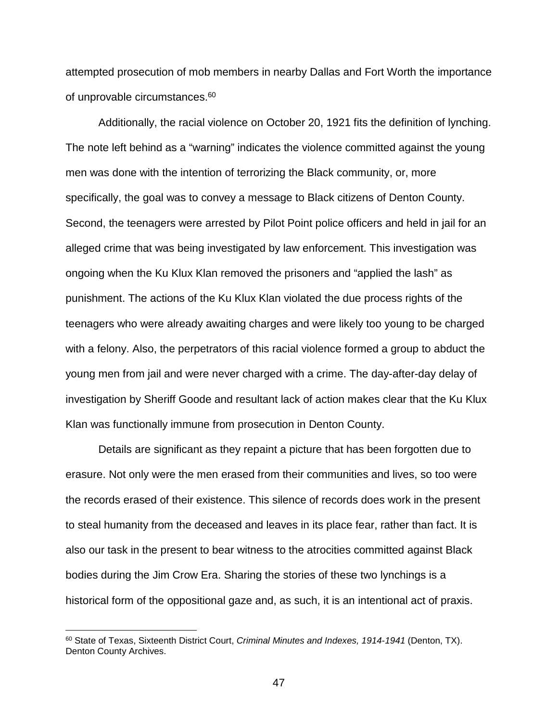attempted prosecution of mob members in nearby Dallas and Fort Worth the importance of unprovable circumstances.<sup>60</sup>

Additionally, the racial violence on October 20, 1921 fits the definition of lynching. The note left behind as a "warning" indicates the violence committed against the young men was done with the intention of terrorizing the Black community, or, more specifically, the goal was to convey a message to Black citizens of Denton County. Second, the teenagers were arrested by Pilot Point police officers and held in jail for an alleged crime that was being investigated by law enforcement. This investigation was ongoing when the Ku Klux Klan removed the prisoners and "applied the lash" as punishment. The actions of the Ku Klux Klan violated the due process rights of the teenagers who were already awaiting charges and were likely too young to be charged with a felony. Also, the perpetrators of this racial violence formed a group to abduct the young men from jail and were never charged with a crime. The day-after-day delay of investigation by Sheriff Goode and resultant lack of action makes clear that the Ku Klux Klan was functionally immune from prosecution in Denton County.

Details are significant as they repaint a picture that has been forgotten due to erasure. Not only were the men erased from their communities and lives, so too were the records erased of their existence. This silence of records does work in the present to steal humanity from the deceased and leaves in its place fear, rather than fact. It is also our task in the present to bear witness to the atrocities committed against Black bodies during the Jim Crow Era. Sharing the stories of these two lynchings is a historical form of the oppositional gaze and, as such, it is an intentional act of praxis.

 <sup>60</sup> State of Texas, Sixteenth District Court, *Criminal Minutes and Indexes, 1914-1941* (Denton, TX). Denton County Archives.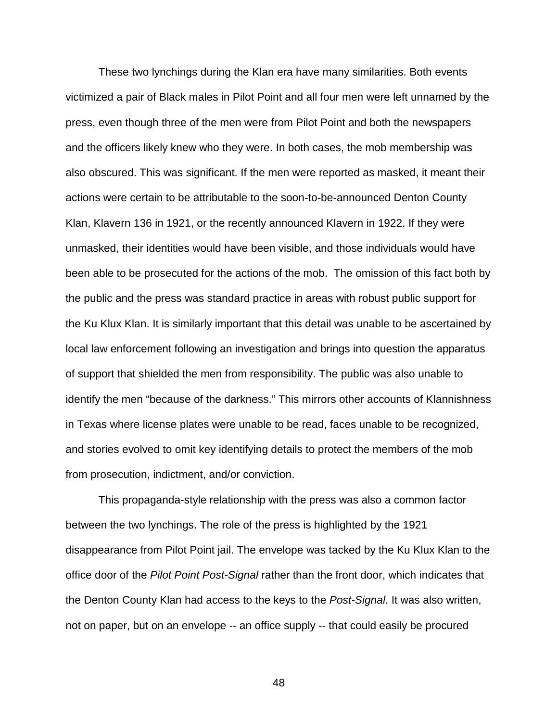These two lynchings during the Klan era have many similarities. Both events victimized a pair of Black males in Pilot Point and all four men were left unnamed by the press, even though three of the men were from Pilot Point and both the newspapers and the officers likely knew who they were. In both cases, the mob membership was also obscured. This was significant. If the men were reported as masked, it meant their actions were certain to be attributable to the soon-to-be-announced Denton County Klan, Klavern 136 in 1921, or the recently announced Klavern in 1922. If they were unmasked, their identities would have been visible, and those individuals would have been able to be prosecuted for the actions of the mob. The omission of this fact both by the public and the press was standard practice in areas with robust public support for the Ku Klux Klan. It is similarly important that this detail was unable to be ascertained by local law enforcement following an investigation and brings into question the apparatus of support that shielded the men from responsibility. The public was also unable to identify the men "because of the darkness." This mirrors other accounts of Klannishness in Texas where license plates were unable to be read, faces unable to be recognized, and stories evolved to omit key identifying details to protect the members of the mob from prosecution, indictment, and/or conviction.

This propaganda-style relationship with the press was also a common factor between the two lynchings. The role of the press is highlighted by the 1921 disappearance from Pilot Point jail. The envelope was tacked by the Ku Klux Klan to the office door of the *Pilot Point Post-Signal* rather than the front door, which indicates that the Denton County Klan had access to the keys to the *Post-Signal*. It was also written, not on paper, but on an envelope -- an office supply -- that could easily be procured

48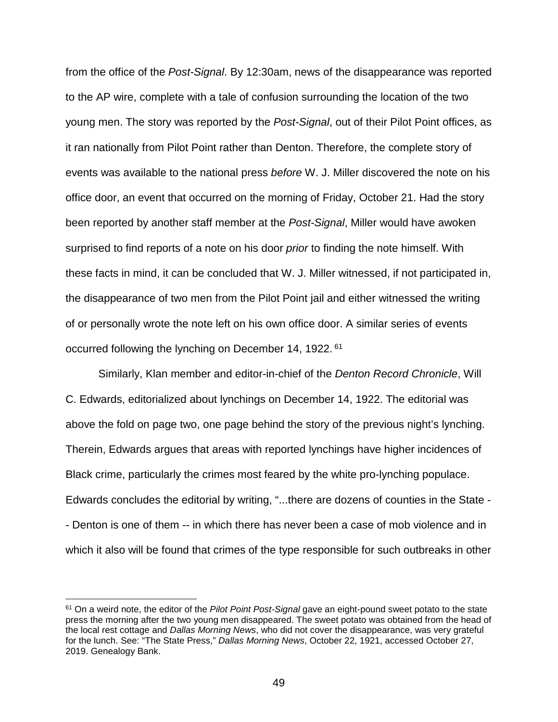from the office of the *Post-Signal*. By 12:30am, news of the disappearance was reported to the AP wire, complete with a tale of confusion surrounding the location of the two young men. The story was reported by the *Post-Signal*, out of their Pilot Point offices, as it ran nationally from Pilot Point rather than Denton. Therefore, the complete story of events was available to the national press *before* W. J. Miller discovered the note on his office door, an event that occurred on the morning of Friday, October 21. Had the story been reported by another staff member at the *Post-Signal*, Miller would have awoken surprised to find reports of a note on his door *prior* to finding the note himself. With these facts in mind, it can be concluded that W. J. Miller witnessed, if not participated in, the disappearance of two men from the Pilot Point jail and either witnessed the writing of or personally wrote the note left on his own office door. A similar series of events occurred following the lynching on December 14, 1922. <sup>61</sup>

Similarly, Klan member and editor-in-chief of the *Denton Record Chronicle*, Will C. Edwards, editorialized about lynchings on December 14, 1922. The editorial was above the fold on page two, one page behind the story of the previous night's lynching. Therein, Edwards argues that areas with reported lynchings have higher incidences of Black crime, particularly the crimes most feared by the white pro-lynching populace. Edwards concludes the editorial by writing, "...there are dozens of counties in the State - - Denton is one of them -- in which there has never been a case of mob violence and in which it also will be found that crimes of the type responsible for such outbreaks in other

 <sup>61</sup> On a weird note, the editor of the *Pilot Point Post-Signal* gave an eight-pound sweet potato to the state press the morning after the two young men disappeared. The sweet potato was obtained from the head of the local rest cottage and *Dallas Morning News*, who did not cover the disappearance, was very grateful for the lunch. See: "The State Press," *Dallas Morning News*, October 22, 1921, accessed October 27, 2019. Genealogy Bank.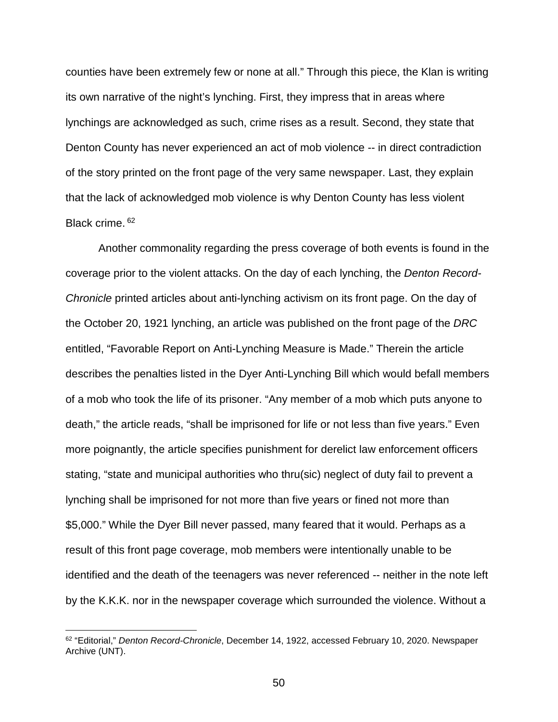counties have been extremely few or none at all." Through this piece, the Klan is writing its own narrative of the night's lynching. First, they impress that in areas where lynchings are acknowledged as such, crime rises as a result. Second, they state that Denton County has never experienced an act of mob violence -- in direct contradiction of the story printed on the front page of the very same newspaper. Last, they explain that the lack of acknowledged mob violence is why Denton County has less violent Black crime. <sup>62</sup>

Another commonality regarding the press coverage of both events is found in the coverage prior to the violent attacks. On the day of each lynching, the *Denton Record-Chronicle* printed articles about anti-lynching activism on its front page. On the day of the October 20, 1921 lynching, an article was published on the front page of the *DRC* entitled, "Favorable Report on Anti-Lynching Measure is Made." Therein the article describes the penalties listed in the Dyer Anti-Lynching Bill which would befall members of a mob who took the life of its prisoner. "Any member of a mob which puts anyone to death," the article reads, "shall be imprisoned for life or not less than five years." Even more poignantly, the article specifies punishment for derelict law enforcement officers stating, "state and municipal authorities who thru(sic) neglect of duty fail to prevent a lynching shall be imprisoned for not more than five years or fined not more than \$5,000." While the Dyer Bill never passed, many feared that it would. Perhaps as a result of this front page coverage, mob members were intentionally unable to be identified and the death of the teenagers was never referenced -- neither in the note left by the K.K.K. nor in the newspaper coverage which surrounded the violence. Without a

 <sup>62</sup> "Editorial," *Denton Record-Chronicle*, December 14, 1922, accessed February 10, 2020. Newspaper Archive (UNT).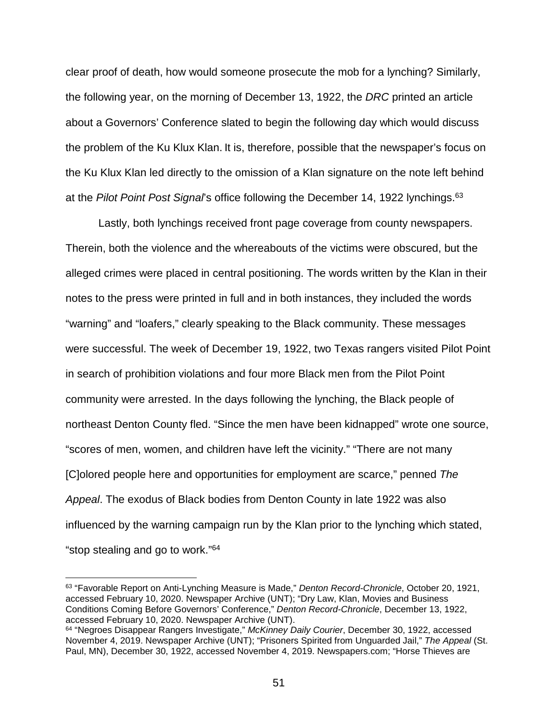clear proof of death, how would someone prosecute the mob for a lynching? Similarly, the following year, on the morning of December 13, 1922, the *DRC* printed an article about a Governors' Conference slated to begin the following day which would discuss the problem of the Ku Klux Klan. It is, therefore, possible that the newspaper's focus on the Ku Klux Klan led directly to the omission of a Klan signature on the note left behind at the *Pilot Point Post Signal*'s office following the December 14, 1922 lynchings. 63

Lastly, both lynchings received front page coverage from county newspapers. Therein, both the violence and the whereabouts of the victims were obscured, but the alleged crimes were placed in central positioning. The words written by the Klan in their notes to the press were printed in full and in both instances, they included the words "warning" and "loafers," clearly speaking to the Black community. These messages were successful. The week of December 19, 1922, two Texas rangers visited Pilot Point in search of prohibition violations and four more Black men from the Pilot Point community were arrested. In the days following the lynching, the Black people of northeast Denton County fled. "Since the men have been kidnapped" wrote one source, "scores of men, women, and children have left the vicinity." "There are not many [C]olored people here and opportunities for employment are scarce," penned *The Appeal*. The exodus of Black bodies from Denton County in late 1922 was also influenced by the warning campaign run by the Klan prior to the lynching which stated, "stop stealing and go to work."64

 <sup>63</sup> "Favorable Report on Anti-Lynching Measure is Made," *Denton Record-Chronicle*, October 20, 1921, accessed February 10, 2020. Newspaper Archive (UNT); "Dry Law, Klan, Movies and Business Conditions Coming Before Governors' Conference," *Denton Record-Chronicle*, December 13, 1922, accessed February 10, 2020. Newspaper Archive (UNT).

<sup>64</sup> "Negroes Disappear Rangers Investigate," *McKinney Daily Courier*, December 30, 1922, accessed November 4, 2019. Newspaper Archive (UNT); "Prisoners Spirited from Unguarded Jail," *The Appeal* (St. Paul, MN), December 30, 1922, accessed November 4, 2019. Newspapers.com; "Horse Thieves are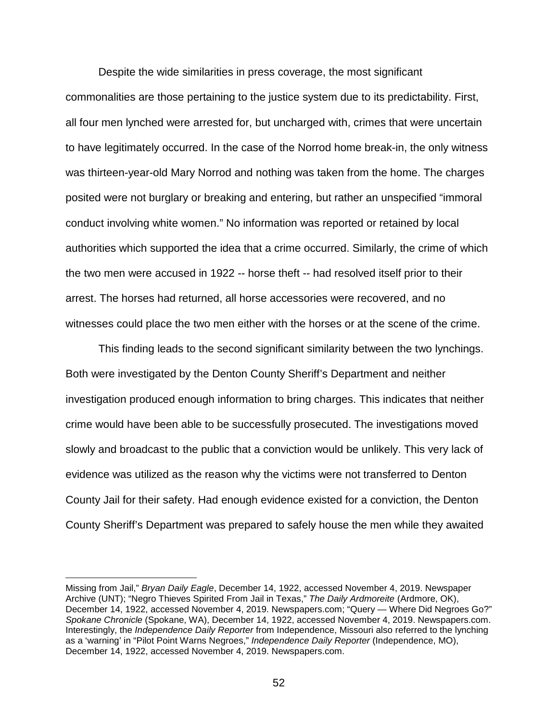Despite the wide similarities in press coverage, the most significant commonalities are those pertaining to the justice system due to its predictability. First, all four men lynched were arrested for, but uncharged with, crimes that were uncertain to have legitimately occurred. In the case of the Norrod home break-in, the only witness was thirteen-year-old Mary Norrod and nothing was taken from the home. The charges posited were not burglary or breaking and entering, but rather an unspecified "immoral conduct involving white women." No information was reported or retained by local authorities which supported the idea that a crime occurred. Similarly, the crime of which the two men were accused in 1922 -- horse theft -- had resolved itself prior to their arrest. The horses had returned, all horse accessories were recovered, and no witnesses could place the two men either with the horses or at the scene of the crime.

This finding leads to the second significant similarity between the two lynchings. Both were investigated by the Denton County Sheriff's Department and neither investigation produced enough information to bring charges. This indicates that neither crime would have been able to be successfully prosecuted. The investigations moved slowly and broadcast to the public that a conviction would be unlikely. This very lack of evidence was utilized as the reason why the victims were not transferred to Denton County Jail for their safety. Had enough evidence existed for a conviction, the Denton County Sheriff's Department was prepared to safely house the men while they awaited

Missing from Jail," *Bryan Daily Eagle*, December 14, 1922, accessed November 4, 2019. Newspaper Archive (UNT); "Negro Thieves Spirited From Jail in Texas," *The Daily Ardmoreite* (Ardmore, OK), December 14, 1922, accessed November 4, 2019. Newspapers.com; "Query — Where Did Negroes Go?" *Spokane Chronicle* (Spokane, WA), December 14, 1922, accessed November 4, 2019. Newspapers.com. Interestingly, the *Independence Daily Reporter* from Independence, Missouri also referred to the lynching as a 'warning' in "Pilot Point Warns Negroes," *Independence Daily Reporter* (Independence, MO), December 14, 1922, accessed November 4, 2019. Newspapers.com.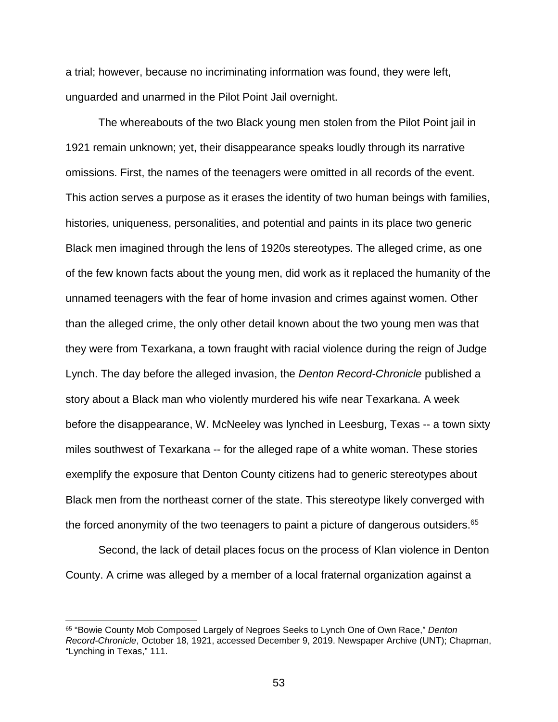a trial; however, because no incriminating information was found, they were left, unguarded and unarmed in the Pilot Point Jail overnight.

The whereabouts of the two Black young men stolen from the Pilot Point jail in 1921 remain unknown; yet, their disappearance speaks loudly through its narrative omissions. First, the names of the teenagers were omitted in all records of the event. This action serves a purpose as it erases the identity of two human beings with families, histories, uniqueness, personalities, and potential and paints in its place two generic Black men imagined through the lens of 1920s stereotypes. The alleged crime, as one of the few known facts about the young men, did work as it replaced the humanity of the unnamed teenagers with the fear of home invasion and crimes against women. Other than the alleged crime, the only other detail known about the two young men was that they were from Texarkana, a town fraught with racial violence during the reign of Judge Lynch. The day before the alleged invasion, the *Denton Record-Chronicle* published a story about a Black man who violently murdered his wife near Texarkana. A week before the disappearance, W. McNeeley was lynched in Leesburg, Texas -- a town sixty miles southwest of Texarkana -- for the alleged rape of a white woman. These stories exemplify the exposure that Denton County citizens had to generic stereotypes about Black men from the northeast corner of the state. This stereotype likely converged with the forced anonymity of the two teenagers to paint a picture of dangerous outsiders.<sup>65</sup>

Second, the lack of detail places focus on the process of Klan violence in Denton County. A crime was alleged by a member of a local fraternal organization against a

 <sup>65</sup> "Bowie County Mob Composed Largely of Negroes Seeks to Lynch One of Own Race," *Denton Record-Chronicle*, October 18, 1921, accessed December 9, 2019. Newspaper Archive (UNT); Chapman, "Lynching in Texas," 111.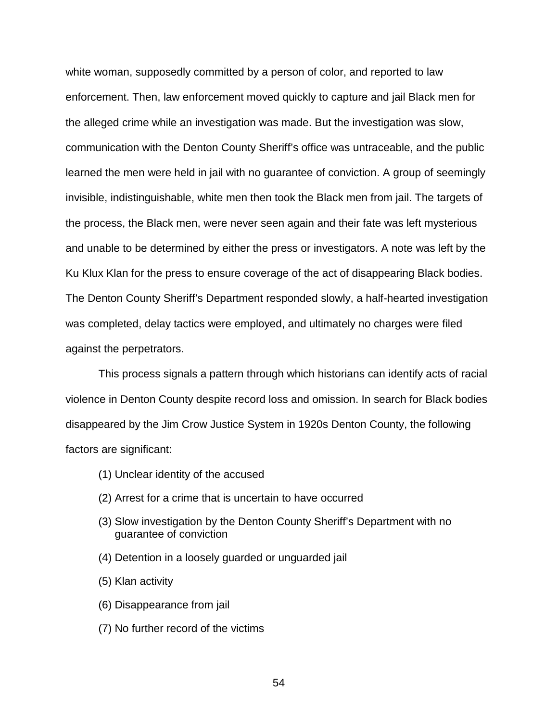white woman, supposedly committed by a person of color, and reported to law enforcement. Then, law enforcement moved quickly to capture and jail Black men for the alleged crime while an investigation was made. But the investigation was slow, communication with the Denton County Sheriff's office was untraceable, and the public learned the men were held in jail with no guarantee of conviction. A group of seemingly invisible, indistinguishable, white men then took the Black men from jail. The targets of the process, the Black men, were never seen again and their fate was left mysterious and unable to be determined by either the press or investigators. A note was left by the Ku Klux Klan for the press to ensure coverage of the act of disappearing Black bodies. The Denton County Sheriff's Department responded slowly, a half-hearted investigation was completed, delay tactics were employed, and ultimately no charges were filed against the perpetrators.

This process signals a pattern through which historians can identify acts of racial violence in Denton County despite record loss and omission. In search for Black bodies disappeared by the Jim Crow Justice System in 1920s Denton County, the following factors are significant:

- (1) Unclear identity of the accused
- (2) Arrest for a crime that is uncertain to have occurred
- (3) Slow investigation by the Denton County Sheriff's Department with no guarantee of conviction
- (4) Detention in a loosely guarded or unguarded jail
- (5) Klan activity
- (6) Disappearance from jail
- (7) No further record of the victims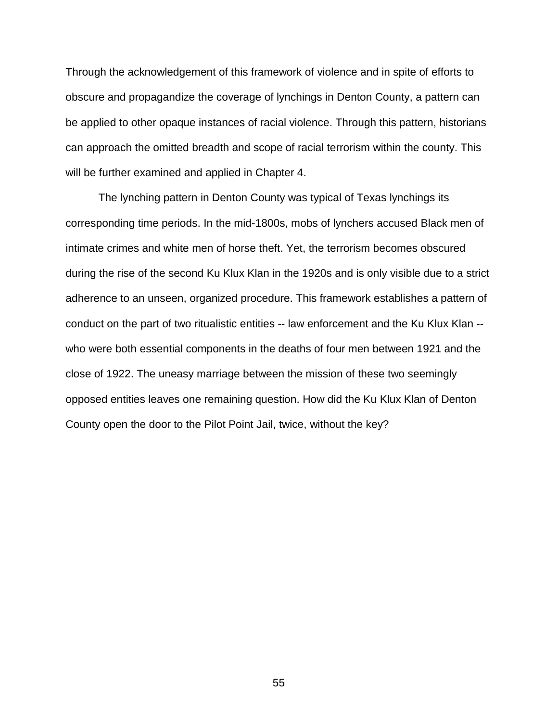Through the acknowledgement of this framework of violence and in spite of efforts to obscure and propagandize the coverage of lynchings in Denton County, a pattern can be applied to other opaque instances of racial violence. Through this pattern, historians can approach the omitted breadth and scope of racial terrorism within the county. This will be further examined and applied in Chapter 4.

The lynching pattern in Denton County was typical of Texas lynchings its corresponding time periods. In the mid-1800s, mobs of lynchers accused Black men of intimate crimes and white men of horse theft. Yet, the terrorism becomes obscured during the rise of the second Ku Klux Klan in the 1920s and is only visible due to a strict adherence to an unseen, organized procedure. This framework establishes a pattern of conduct on the part of two ritualistic entities -- law enforcement and the Ku Klux Klan - who were both essential components in the deaths of four men between 1921 and the close of 1922. The uneasy marriage between the mission of these two seemingly opposed entities leaves one remaining question. How did the Ku Klux Klan of Denton County open the door to the Pilot Point Jail, twice, without the key?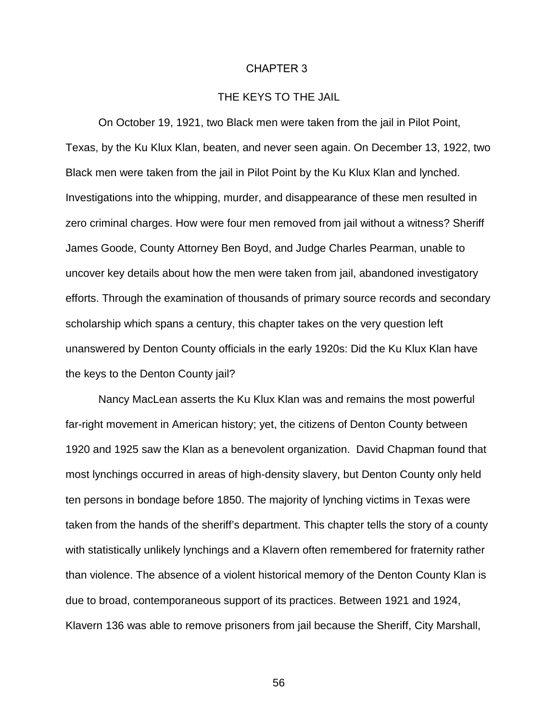## CHAPTER 3

## THE KEYS TO THE JAIL

On October 19, 1921, two Black men were taken from the jail in Pilot Point, Texas, by the Ku Klux Klan, beaten, and never seen again. On December 13, 1922, two Black men were taken from the jail in Pilot Point by the Ku Klux Klan and lynched. Investigations into the whipping, murder, and disappearance of these men resulted in zero criminal charges. How were four men removed from jail without a witness? Sheriff James Goode, County Attorney Ben Boyd, and Judge Charles Pearman, unable to uncover key details about how the men were taken from jail, abandoned investigatory efforts. Through the examination of thousands of primary source records and secondary scholarship which spans a century, this chapter takes on the very question left unanswered by Denton County officials in the early 1920s: Did the Ku Klux Klan have the keys to the Denton County jail?

Nancy MacLean asserts the Ku Klux Klan was and remains the most powerful far-right movement in American history; yet, the citizens of Denton County between 1920 and 1925 saw the Klan as a benevolent organization. David Chapman found that most lynchings occurred in areas of high-density slavery, but Denton County only held ten persons in bondage before 1850. The majority of lynching victims in Texas were taken from the hands of the sheriff's department. This chapter tells the story of a county with statistically unlikely lynchings and a Klavern often remembered for fraternity rather than violence. The absence of a violent historical memory of the Denton County Klan is due to broad, contemporaneous support of its practices. Between 1921 and 1924, Klavern 136 was able to remove prisoners from jail because the Sheriff, City Marshall,

56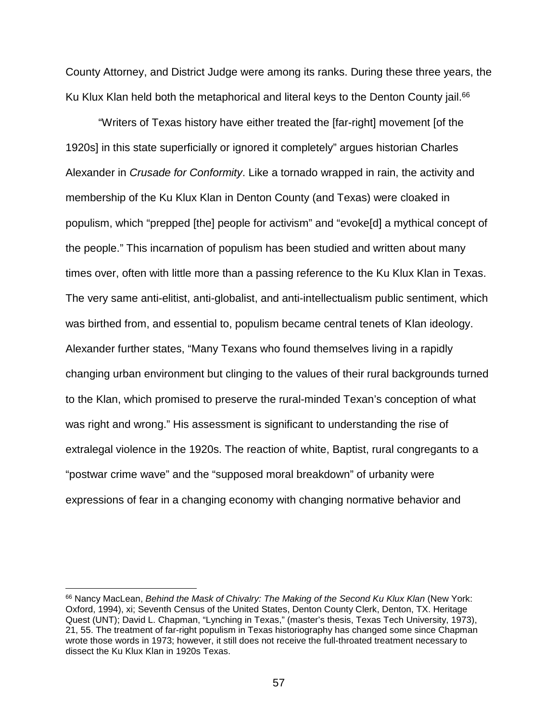County Attorney, and District Judge were among its ranks. During these three years, the Ku Klux Klan held both the metaphorical and literal keys to the Denton County jail.<sup>66</sup>

"Writers of Texas history have either treated the [far-right] movement [of the 1920s] in this state superficially or ignored it completely" argues historian Charles Alexander in *Crusade for Conformity*. Like a tornado wrapped in rain, the activity and membership of the Ku Klux Klan in Denton County (and Texas) were cloaked in populism, which "prepped [the] people for activism" and "evoke[d] a mythical concept of the people." This incarnation of populism has been studied and written about many times over, often with little more than a passing reference to the Ku Klux Klan in Texas. The very same anti-elitist, anti-globalist, and anti-intellectualism public sentiment, which was birthed from, and essential to, populism became central tenets of Klan ideology. Alexander further states, "Many Texans who found themselves living in a rapidly changing urban environment but clinging to the values of their rural backgrounds turned to the Klan, which promised to preserve the rural-minded Texan's conception of what was right and wrong." His assessment is significant to understanding the rise of extralegal violence in the 1920s. The reaction of white, Baptist, rural congregants to a "postwar crime wave" and the "supposed moral breakdown" of urbanity were expressions of fear in a changing economy with changing normative behavior and

 <sup>66</sup> Nancy MacLean, *Behind the Mask of Chivalry: The Making of the Second Ku Klux Klan* (New York: Oxford, 1994), xi; Seventh Census of the United States, Denton County Clerk, Denton, TX. Heritage Quest (UNT); David L. Chapman, "Lynching in Texas," (master's thesis, Texas Tech University, 1973), 21, 55. The treatment of far-right populism in Texas historiography has changed some since Chapman wrote those words in 1973; however, it still does not receive the full-throated treatment necessary to dissect the Ku Klux Klan in 1920s Texas.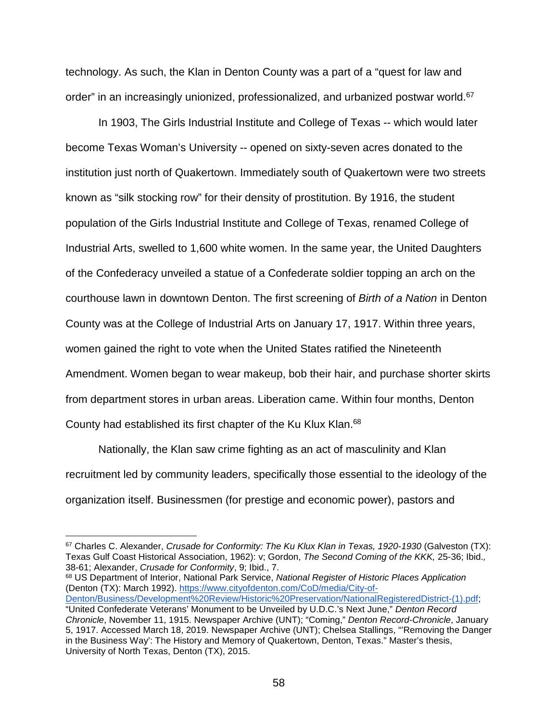technology. As such, the Klan in Denton County was a part of a "quest for law and order" in an increasingly unionized, professionalized, and urbanized postwar world.<sup>67</sup>

In 1903, The Girls Industrial Institute and College of Texas -- which would later become Texas Woman's University -- opened on sixty-seven acres donated to the institution just north of Quakertown. Immediately south of Quakertown were two streets known as "silk stocking row" for their density of prostitution. By 1916, the student population of the Girls Industrial Institute and College of Texas, renamed College of Industrial Arts, swelled to 1,600 white women. In the same year, the United Daughters of the Confederacy unveiled a statue of a Confederate soldier topping an arch on the courthouse lawn in downtown Denton. The first screening of *Birth of a Nation* in Denton County was at the College of Industrial Arts on January 17, 1917. Within three years, women gained the right to vote when the United States ratified the Nineteenth Amendment. Women began to wear makeup, bob their hair, and purchase shorter skirts from department stores in urban areas. Liberation came. Within four months, Denton County had established its first chapter of the Ku Klux Klan.68

Nationally, the Klan saw crime fighting as an act of masculinity and Klan recruitment led by community leaders, specifically those essential to the ideology of the organization itself. Businessmen (for prestige and economic power), pastors and

<sup>68</sup> US Department of Interior, National Park Service, *National Register of Historic Places Application* (Denton (TX): March 1992). [https://www.cityofdenton.com/CoD/media/City-of-](https://www.cityofdenton.com/CoD/media/City-of-Denton/Business/Development%20Review/Historic%20Preservation/NationalRegisteredDistrict-(1).pdf)

 <sup>67</sup> Charles C. Alexander, *Crusade for Conformity: The Ku Klux Klan in Texas, 1920-1930* (Galveston (TX): Texas Gulf Coast Historical Association, 1962): v; Gordon, *The Second Coming of the KKK,* 25-36; Ibid.*,* 38-61; Alexander, *Crusade for Conformity*, 9; Ibid., 7.

[Denton/Business/Development%20Review/Historic%20Preservation/NationalRegisteredDistrict-\(1\).pdf;](https://www.cityofdenton.com/CoD/media/City-of-Denton/Business/Development%20Review/Historic%20Preservation/NationalRegisteredDistrict-(1).pdf) "United Confederate Veterans' Monument to be Unveiled by U.D.C.'s Next June," *Denton Record Chronicle*, November 11, 1915. Newspaper Archive (UNT); "Coming," *Denton Record-Chronicle*, January 5, 1917. Accessed March 18, 2019. Newspaper Archive (UNT); Chelsea Stallings, "'Removing the Danger in the Business Way': The History and Memory of Quakertown, Denton, Texas." Master's thesis, University of North Texas, Denton (TX), 2015.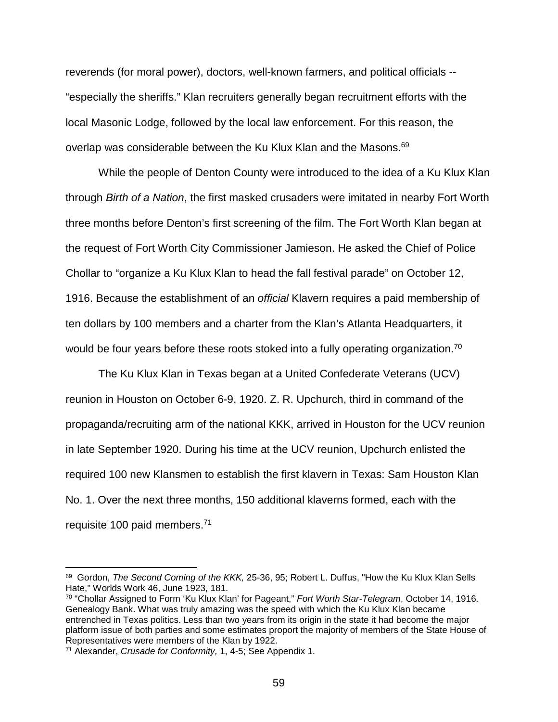reverends (for moral power), doctors, well-known farmers, and political officials -- "especially the sheriffs." Klan recruiters generally began recruitment efforts with the local Masonic Lodge, followed by the local law enforcement. For this reason, the overlap was considerable between the Ku Klux Klan and the Masons.<sup>69</sup>

While the people of Denton County were introduced to the idea of a Ku Klux Klan through *Birth of a Nation*, the first masked crusaders were imitated in nearby Fort Worth three months before Denton's first screening of the film. The Fort Worth Klan began at the request of Fort Worth City Commissioner Jamieson. He asked the Chief of Police Chollar to "organize a Ku Klux Klan to head the fall festival parade" on October 12, 1916. Because the establishment of an *official* Klavern requires a paid membership of ten dollars by 100 members and a charter from the Klan's Atlanta Headquarters, it would be four years before these roots stoked into a fully operating organization.<sup>70</sup>

The Ku Klux Klan in Texas began at a United Confederate Veterans (UCV) reunion in Houston on October 6-9, 1920. Z. R. Upchurch, third in command of the propaganda/recruiting arm of the national KKK, arrived in Houston for the UCV reunion in late September 1920. During his time at the UCV reunion, Upchurch enlisted the required 100 new Klansmen to establish the first klavern in Texas: Sam Houston Klan No. 1. Over the next three months, 150 additional klaverns formed, each with the requisite 100 paid members.71

 <sup>69</sup> Gordon, *The Second Coming of the KKK,* 25-36, 95; Robert L. Duffus, "How the Ku Klux Klan Sells Hate," Worlds Work 46, June 1923, 181.

<sup>70</sup> "Chollar Assigned to Form 'Ku Klux Klan' for Pageant," *Fort Worth Star-Telegram*, October 14, 1916. Genealogy Bank. What was truly amazing was the speed with which the Ku Klux Klan became entrenched in Texas politics. Less than two years from its origin in the state it had become the major platform issue of both parties and some estimates proport the majority of members of the State House of Representatives were members of the Klan by 1922.

<sup>71</sup> Alexander, *Crusade for Conformity,* 1, 4-5; See Appendix 1.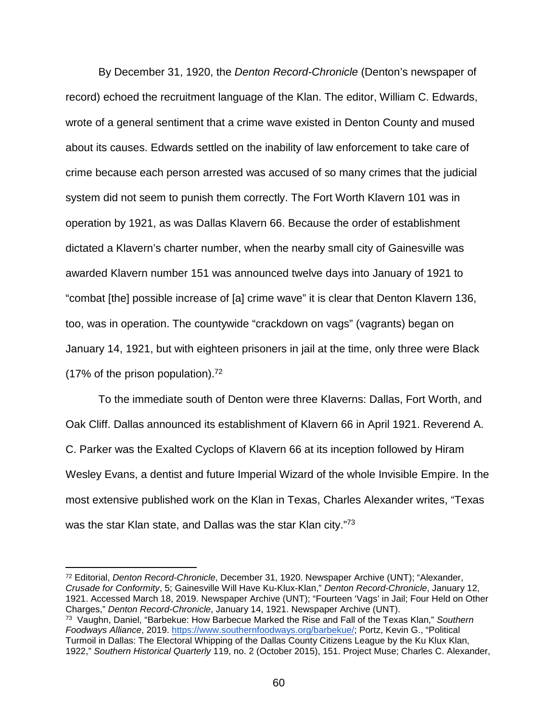By December 31, 1920, the *Denton Record-Chronicle* (Denton's newspaper of record) echoed the recruitment language of the Klan. The editor, William C. Edwards, wrote of a general sentiment that a crime wave existed in Denton County and mused about its causes. Edwards settled on the inability of law enforcement to take care of crime because each person arrested was accused of so many crimes that the judicial system did not seem to punish them correctly. The Fort Worth Klavern 101 was in operation by 1921, as was Dallas Klavern 66. Because the order of establishment dictated a Klavern's charter number, when the nearby small city of Gainesville was awarded Klavern number 151 was announced twelve days into January of 1921 to "combat [the] possible increase of [a] crime wave" it is clear that Denton Klavern 136, too, was in operation. The countywide "crackdown on vags" (vagrants) began on January 14, 1921, but with eighteen prisoners in jail at the time, only three were Black (17% of the prison population).<sup>72</sup>

To the immediate south of Denton were three Klaverns: Dallas, Fort Worth, and Oak Cliff. Dallas announced its establishment of Klavern 66 in April 1921. Reverend A. C. Parker was the Exalted Cyclops of Klavern 66 at its inception followed by Hiram Wesley Evans, a dentist and future Imperial Wizard of the whole Invisible Empire. In the most extensive published work on the Klan in Texas, Charles Alexander writes, "Texas was the star Klan state, and Dallas was the star Klan city."<sup>73</sup>

 <sup>72</sup> Editorial, *Denton Record-Chronicle*, December 31, 1920. Newspaper Archive (UNT); "Alexander, *Crusade for Conformity*, 5; Gainesville Will Have Ku-Klux-Klan," *Denton Record-Chronicle*, January 12, 1921. Accessed March 18, 2019. Newspaper Archive (UNT); "Fourteen 'Vags' in Jail; Four Held on Other Charges," *Denton Record-Chronicle*, January 14, 1921. Newspaper Archive (UNT). 73 Vaughn, Daniel, "Barbekue: How Barbecue Marked the Rise and Fall of the Texas Klan," *Southern Foodways Alliance*, 2019. [https://www.southernfoodways.org/barbekue/;](https://www.southernfoodways.org/barbekue/) Portz, Kevin G., "Political Turmoil in Dallas: The Electoral Whipping of the Dallas County Citizens League by the Ku Klux Klan, 1922," *Southern Historical Quarterly* 119, no. 2 (October 2015), 151. Project Muse; Charles C. Alexander,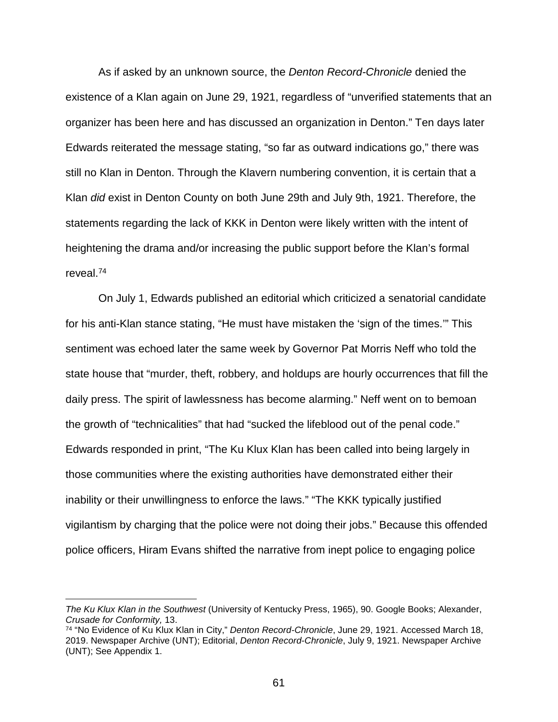As if asked by an unknown source, the *Denton Record-Chronicle* denied the existence of a Klan again on June 29, 1921, regardless of "unverified statements that an organizer has been here and has discussed an organization in Denton." Ten days later Edwards reiterated the message stating, "so far as outward indications go," there was still no Klan in Denton. Through the Klavern numbering convention, it is certain that a Klan *did* exist in Denton County on both June 29th and July 9th, 1921. Therefore, the statements regarding the lack of KKK in Denton were likely written with the intent of heightening the drama and/or increasing the public support before the Klan's formal reveal.74

On July 1, Edwards published an editorial which criticized a senatorial candidate for his anti-Klan stance stating, "He must have mistaken the 'sign of the times.'" This sentiment was echoed later the same week by Governor Pat Morris Neff who told the state house that "murder, theft, robbery, and holdups are hourly occurrences that fill the daily press. The spirit of lawlessness has become alarming." Neff went on to bemoan the growth of "technicalities" that had "sucked the lifeblood out of the penal code." Edwards responded in print, "The Ku Klux Klan has been called into being largely in those communities where the existing authorities have demonstrated either their inability or their unwillingness to enforce the laws." "The KKK typically justified vigilantism by charging that the police were not doing their jobs." Because this offended police officers, Hiram Evans shifted the narrative from inept police to engaging police

 $\overline{a}$ 

*The Ku Klux Klan in the Southwest* (University of Kentucky Press, 1965), 90. Google Books; Alexander, *Crusade for Conformity,* 13.

<sup>74</sup> "No Evidence of Ku Klux Klan in City," *Denton Record-Chronicle*, June 29, 1921. Accessed March 18, 2019. Newspaper Archive (UNT); Editorial, *Denton Record-Chronicle*, July 9, 1921. Newspaper Archive (UNT); See Appendix 1.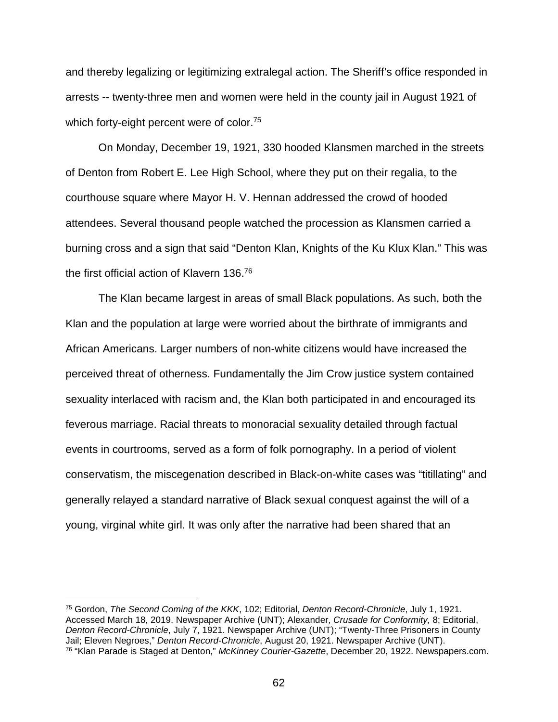and thereby legalizing or legitimizing extralegal action. The Sheriff's office responded in arrests -- twenty-three men and women were held in the county jail in August 1921 of which forty-eight percent were of color.<sup>75</sup>

On Monday, December 19, 1921, 330 hooded Klansmen marched in the streets of Denton from Robert E. Lee High School, where they put on their regalia, to the courthouse square where Mayor H. V. Hennan addressed the crowd of hooded attendees. Several thousand people watched the procession as Klansmen carried a burning cross and a sign that said "Denton Klan, Knights of the Ku Klux Klan." This was the first official action of Klavern 136.76

The Klan became largest in areas of small Black populations. As such, both the Klan and the population at large were worried about the birthrate of immigrants and African Americans. Larger numbers of non-white citizens would have increased the perceived threat of otherness. Fundamentally the Jim Crow justice system contained sexuality interlaced with racism and, the Klan both participated in and encouraged its feverous marriage. Racial threats to monoracial sexuality detailed through factual events in courtrooms, served as a form of folk pornography. In a period of violent conservatism, the miscegenation described in Black-on-white cases was "titillating" and generally relayed a standard narrative of Black sexual conquest against the will of a young, virginal white girl. It was only after the narrative had been shared that an

 <sup>75</sup> Gordon, *The Second Coming of the KKK*, 102; Editorial, *Denton Record-Chronicle*, July 1, 1921. Accessed March 18, 2019. Newspaper Archive (UNT); Alexander, *Crusade for Conformity,* 8; Editorial, *Denton Record-Chronicle*, July 7, 1921. Newspaper Archive (UNT); "Twenty-Three Prisoners in County Jail; Eleven Negroes," *Denton Record-Chronicle*, August 20, 1921. Newspaper Archive (UNT). <sup>76</sup> "Klan Parade is Staged at Denton," *McKinney Courier-Gazette*, December 20, 1922. Newspapers.com.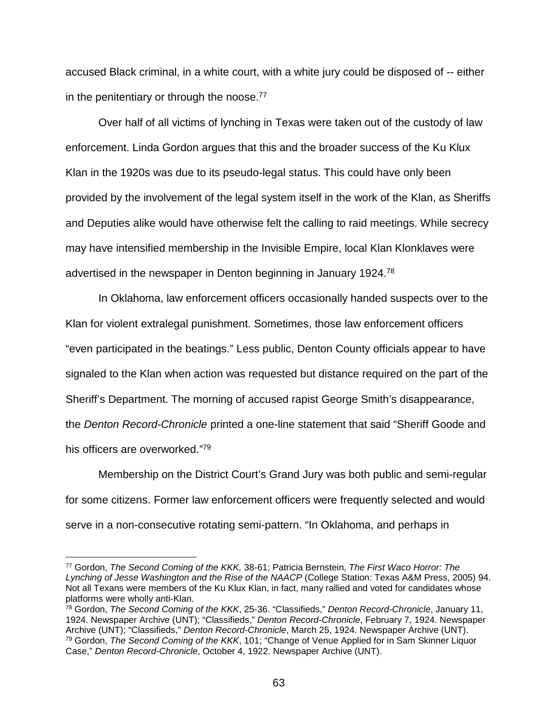accused Black criminal, in a white court, with a white jury could be disposed of -- either in the penitentiary or through the noose. $77$ 

Over half of all victims of lynching in Texas were taken out of the custody of law enforcement. Linda Gordon argues that this and the broader success of the Ku Klux Klan in the 1920s was due to its pseudo-legal status. This could have only been provided by the involvement of the legal system itself in the work of the Klan, as Sheriffs and Deputies alike would have otherwise felt the calling to raid meetings. While secrecy may have intensified membership in the Invisible Empire, local Klan Klonklaves were advertised in the newspaper in Denton beginning in January 1924.78

In Oklahoma, law enforcement officers occasionally handed suspects over to the Klan for violent extralegal punishment. Sometimes, those law enforcement officers "even participated in the beatings." Less public, Denton County officials appear to have signaled to the Klan when action was requested but distance required on the part of the Sheriff's Department. The morning of accused rapist George Smith's disappearance, the *Denton Record-Chronicle* printed a one-line statement that said "Sheriff Goode and his officers are overworked."79

Membership on the District Court's Grand Jury was both public and semi-regular for some citizens. Former law enforcement officers were frequently selected and would serve in a non-consecutive rotating semi-pattern. "In Oklahoma, and perhaps in

 <sup>77</sup> Gordon, *The Second Coming of the KKK,* 38-61; Patricia Bernstein, *The First Waco Horror: The Lynching of Jesse Washington and the Rise of the NAACP* (College Station: Texas A&M Press, 2005) 94. Not all Texans were members of the Ku Klux Klan, in fact, many rallied and voted for candidates whose platforms were wholly anti-Klan.

<sup>78</sup> Gordon, *The Second Coming of the KKK*, 25-36. "Classifieds," *Denton Record-Chronicle*, January 11, 1924. Newspaper Archive (UNT); "Classifieds," *Denton Record-Chronicle*, February 7, 1924. Newspaper Archive (UNT); "Classifieds," *Denton Record-Chronicle*, March 25, 1924. Newspaper Archive (UNT). <sup>79</sup> Gordon, *The Second Coming of the KKK*, 101; "Change of Venue Applied for in Sam Skinner Liquor Case," *Denton Record-Chronicle*, October 4, 1922. Newspaper Archive (UNT).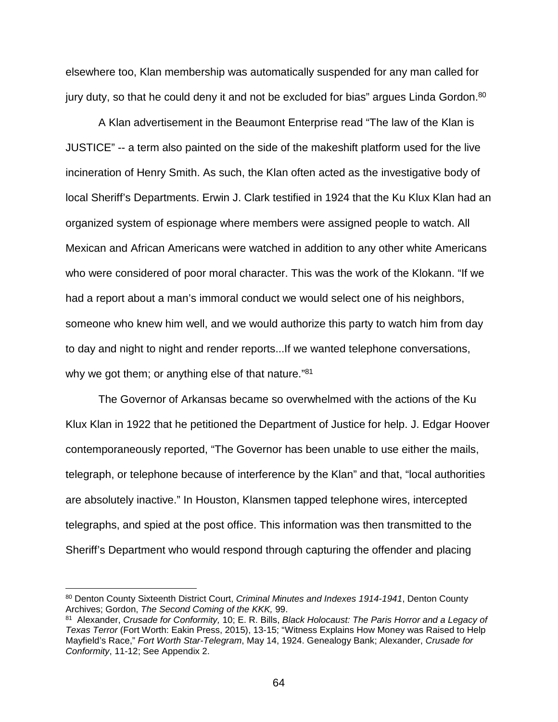elsewhere too, Klan membership was automatically suspended for any man called for jury duty, so that he could deny it and not be excluded for bias" argues Linda Gordon.<sup>80</sup>

A Klan advertisement in the Beaumont Enterprise read "The law of the Klan is JUSTICE" -- a term also painted on the side of the makeshift platform used for the live incineration of Henry Smith. As such, the Klan often acted as the investigative body of local Sheriff's Departments. Erwin J. Clark testified in 1924 that the Ku Klux Klan had an organized system of espionage where members were assigned people to watch. All Mexican and African Americans were watched in addition to any other white Americans who were considered of poor moral character. This was the work of the Klokann. "If we had a report about a man's immoral conduct we would select one of his neighbors, someone who knew him well, and we would authorize this party to watch him from day to day and night to night and render reports...If we wanted telephone conversations, why we got them; or anything else of that nature."<sup>81</sup>

The Governor of Arkansas became so overwhelmed with the actions of the Ku Klux Klan in 1922 that he petitioned the Department of Justice for help. J. Edgar Hoover contemporaneously reported, "The Governor has been unable to use either the mails, telegraph, or telephone because of interference by the Klan" and that, "local authorities are absolutely inactive." In Houston, Klansmen tapped telephone wires, intercepted telegraphs, and spied at the post office. This information was then transmitted to the Sheriff's Department who would respond through capturing the offender and placing

 <sup>80</sup> Denton County Sixteenth District Court, *Criminal Minutes and Indexes 1914-1941*, Denton County Archives; Gordon, *The Second Coming of the KKK,* 99.

<sup>81</sup> Alexander, *Crusade for Conformity,* 10; E. R. Bills, *Black Holocaust: The Paris Horror and a Legacy of Texas Terror* (Fort Worth: Eakin Press, 2015), 13-15; "Witness Explains How Money was Raised to Help Mayfield's Race," *Fort Worth Star-Telegram*, May 14, 1924. Genealogy Bank; Alexander, *Crusade for Conformity*, 11-12; See Appendix 2.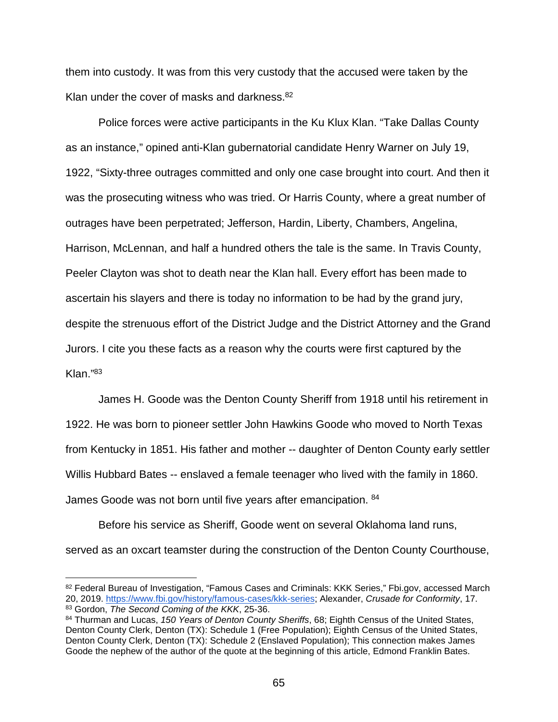them into custody. It was from this very custody that the accused were taken by the Klan under the cover of masks and darkness.<sup>82</sup>

Police forces were active participants in the Ku Klux Klan. "Take Dallas County as an instance," opined anti-Klan gubernatorial candidate Henry Warner on July 19, 1922, "Sixty-three outrages committed and only one case brought into court. And then it was the prosecuting witness who was tried. Or Harris County, where a great number of outrages have been perpetrated; Jefferson, Hardin, Liberty, Chambers, Angelina, Harrison, McLennan, and half a hundred others the tale is the same. In Travis County, Peeler Clayton was shot to death near the Klan hall. Every effort has been made to ascertain his slayers and there is today no information to be had by the grand jury, despite the strenuous effort of the District Judge and the District Attorney and the Grand Jurors. I cite you these facts as a reason why the courts were first captured by the Klan."83

James H. Goode was the Denton County Sheriff from 1918 until his retirement in 1922. He was born to pioneer settler John Hawkins Goode who moved to North Texas from Kentucky in 1851. His father and mother -- daughter of Denton County early settler Willis Hubbard Bates -- enslaved a female teenager who lived with the family in 1860. James Goode was not born until five years after emancipation. <sup>84</sup>

Before his service as Sheriff, Goode went on several Oklahoma land runs, served as an oxcart teamster during the construction of the Denton County Courthouse,

<sup>82</sup> Federal Bureau of Investigation, "Famous Cases and Criminals: KKK Series," Fbi.gov, accessed March 20, 2019. [https://www.fbi.gov/history/famous-cases/kkk-series;](https://www.fbi.gov/history/famous-cases/kkk-series) Alexander, *Crusade for Conformity*, 17. <sup>83</sup> Gordon, *The Second Coming of the KKK*, 25-36.

<sup>84</sup> Thurman and Lucas, *150 Years of Denton County Sheriffs*, 68; Eighth Census of the United States, Denton County Clerk, Denton (TX): Schedule 1 (Free Population); Eighth Census of the United States, Denton County Clerk, Denton (TX): Schedule 2 (Enslaved Population); This connection makes James Goode the nephew of the author of the quote at the beginning of this article, Edmond Franklin Bates.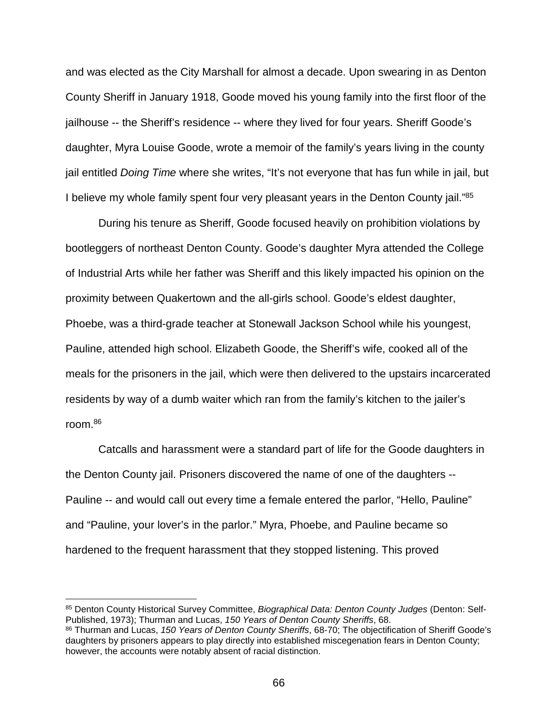and was elected as the City Marshall for almost a decade. Upon swearing in as Denton County Sheriff in January 1918, Goode moved his young family into the first floor of the jailhouse -- the Sheriff's residence -- where they lived for four years. Sheriff Goode's daughter, Myra Louise Goode, wrote a memoir of the family's years living in the county jail entitled *Doing Time* where she writes, "It's not everyone that has fun while in jail, but I believe my whole family spent four very pleasant years in the Denton County jail."85

During his tenure as Sheriff, Goode focused heavily on prohibition violations by bootleggers of northeast Denton County. Goode's daughter Myra attended the College of Industrial Arts while her father was Sheriff and this likely impacted his opinion on the proximity between Quakertown and the all-girls school. Goode's eldest daughter, Phoebe, was a third-grade teacher at Stonewall Jackson School while his youngest, Pauline, attended high school. Elizabeth Goode, the Sheriff's wife, cooked all of the meals for the prisoners in the jail, which were then delivered to the upstairs incarcerated residents by way of a dumb waiter which ran from the family's kitchen to the jailer's room.86

Catcalls and harassment were a standard part of life for the Goode daughters in the Denton County jail. Prisoners discovered the name of one of the daughters -- Pauline -- and would call out every time a female entered the parlor, "Hello, Pauline" and "Pauline, your lover's in the parlor." Myra, Phoebe, and Pauline became so hardened to the frequent harassment that they stopped listening. This proved

 <sup>85</sup> Denton County Historical Survey Committee, *Biographical Data: Denton County Judges* (Denton: Self-Published, 1973); Thurman and Lucas, *150 Years of Denton County Sheriffs*, 68.

<sup>86</sup> Thurman and Lucas, *150 Years of Denton County Sheriffs*, 68-70; The objectification of Sheriff Goode's daughters by prisoners appears to play directly into established miscegenation fears in Denton County; however, the accounts were notably absent of racial distinction.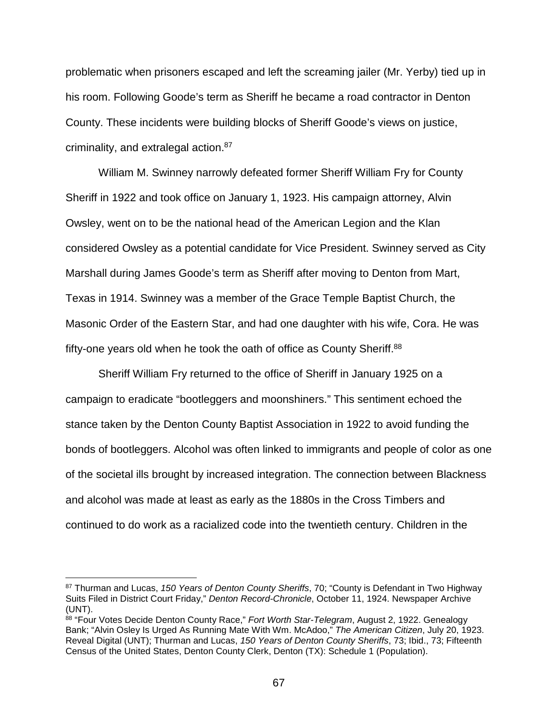problematic when prisoners escaped and left the screaming jailer (Mr. Yerby) tied up in his room. Following Goode's term as Sheriff he became a road contractor in Denton County. These incidents were building blocks of Sheriff Goode's views on justice, criminality, and extralegal action.87

William M. Swinney narrowly defeated former Sheriff William Fry for County Sheriff in 1922 and took office on January 1, 1923. His campaign attorney, Alvin Owsley, went on to be the national head of the American Legion and the Klan considered Owsley as a potential candidate for Vice President. Swinney served as City Marshall during James Goode's term as Sheriff after moving to Denton from Mart, Texas in 1914. Swinney was a member of the Grace Temple Baptist Church, the Masonic Order of the Eastern Star, and had one daughter with his wife, Cora. He was fifty-one years old when he took the oath of office as County Sheriff.<sup>88</sup>

Sheriff William Fry returned to the office of Sheriff in January 1925 on a campaign to eradicate "bootleggers and moonshiners." This sentiment echoed the stance taken by the Denton County Baptist Association in 1922 to avoid funding the bonds of bootleggers. Alcohol was often linked to immigrants and people of color as one of the societal ills brought by increased integration. The connection between Blackness and alcohol was made at least as early as the 1880s in the Cross Timbers and continued to do work as a racialized code into the twentieth century. Children in the

 <sup>87</sup> Thurman and Lucas, *150 Years of Denton County Sheriffs*, 70; "County is Defendant in Two Highway Suits Filed in District Court Friday," *Denton Record-Chronicle*, October 11, 1924. Newspaper Archive (UNT).

<sup>88</sup> "Four Votes Decide Denton County Race," *Fort Worth Star-Telegram*, August 2, 1922. Genealogy Bank; "Alvin Osley Is Urged As Running Mate With Wm. McAdoo," *The American Citizen*, July 20, 1923. Reveal Digital (UNT); Thurman and Lucas, *150 Years of Denton County Sheriffs*, 73; Ibid., 73; Fifteenth Census of the United States, Denton County Clerk, Denton (TX): Schedule 1 (Population).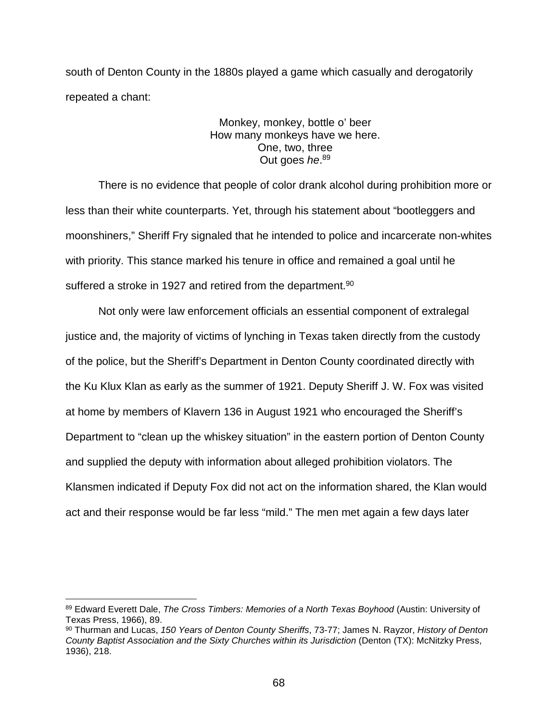south of Denton County in the 1880s played a game which casually and derogatorily repeated a chant:

# Monkey, monkey, bottle o' beer How many monkeys have we here. One, two, three Out goes *he*. 89

There is no evidence that people of color drank alcohol during prohibition more or less than their white counterparts. Yet, through his statement about "bootleggers and moonshiners," Sheriff Fry signaled that he intended to police and incarcerate non-whites with priority. This stance marked his tenure in office and remained a goal until he suffered a stroke in 1927 and retired from the department. $^{90}$ 

Not only were law enforcement officials an essential component of extralegal justice and, the majority of victims of lynching in Texas taken directly from the custody of the police, but the Sheriff's Department in Denton County coordinated directly with the Ku Klux Klan as early as the summer of 1921. Deputy Sheriff J. W. Fox was visited at home by members of Klavern 136 in August 1921 who encouraged the Sheriff's Department to "clean up the whiskey situation" in the eastern portion of Denton County and supplied the deputy with information about alleged prohibition violators. The Klansmen indicated if Deputy Fox did not act on the information shared, the Klan would act and their response would be far less "mild." The men met again a few days later

 <sup>89</sup> Edward Everett Dale, *The Cross Timbers: Memories of a North Texas Boyhood* (Austin: University of Texas Press, 1966), 89.

<sup>90</sup> Thurman and Lucas, *150 Years of Denton County Sheriffs*, 73-77; James N. Rayzor, *History of Denton County Baptist Association and the Sixty Churches within its Jurisdiction* (Denton (TX): McNitzky Press, 1936), 218.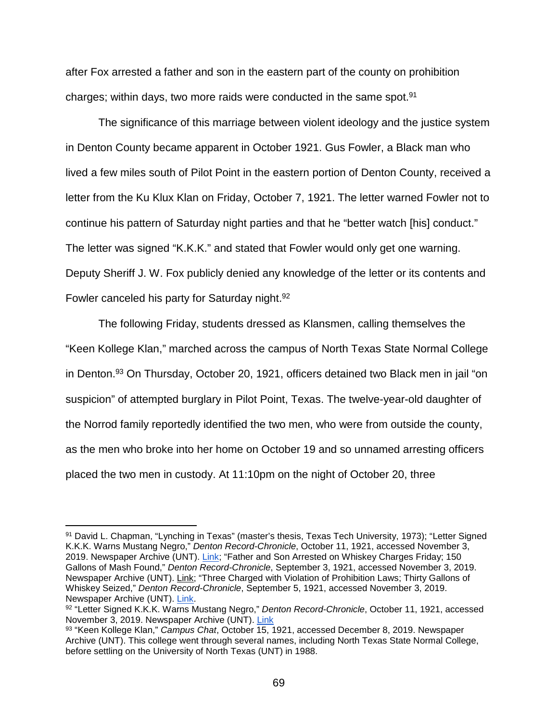after Fox arrested a father and son in the eastern part of the county on prohibition charges; within days, two more raids were conducted in the same spot.91

The significance of this marriage between violent ideology and the justice system in Denton County became apparent in October 1921. Gus Fowler, a Black man who lived a few miles south of Pilot Point in the eastern portion of Denton County, received a letter from the Ku Klux Klan on Friday, October 7, 1921. The letter warned Fowler not to continue his pattern of Saturday night parties and that he "better watch [his] conduct." The letter was signed "K.K.K." and stated that Fowler would only get one warning. Deputy Sheriff J. W. Fox publicly denied any knowledge of the letter or its contents and Fowler canceled his party for Saturday night.<sup>92</sup>

The following Friday, students dressed as Klansmen, calling themselves the "Keen Kollege Klan," marched across the campus of North Texas State Normal College in Denton.93 On Thursday, October 20, 1921, officers detained two Black men in jail "on suspicion" of attempted burglary in Pilot Point, Texas. The twelve-year-old daughter of the Norrod family reportedly identified the two men, who were from outside the county, as the men who broke into her home on October 19 and so unnamed arresting officers placed the two men in custody. At 11:10pm on the night of October 20, three

 <sup>91</sup> David L. Chapman, "Lynching in Texas" (master's thesis, Texas Tech University, 1973); "Letter Signed K.K.K. Warns Mustang Negro," *Denton Record-Chronicle*, October 11, 1921, accessed November 3, 2019. Newspaper Archive (UNT). [Link;](https://libproxy.library.unt.edu:3009/us/texas/denton/denton-record-chronicle/1921/10-11) "Father and Son Arrested on Whiskey Charges Friday; 150 Gallons of Mash Found," *Denton Record-Chronicle*, September 3, 1921, accessed November 3, 2019. Newspaper Archive (UNT). [Link;](https://libproxy.library.unt.edu:3009/us/texas/denton/denton-record-chronicle/1921/09-03/page-8/deputy-fox?pc=7326&psi=94&pci=7&pt=15093&ndt=bd&pd=1&pe=11&pem=10&py=1921&pm=8&pey=1921&psb=relevance) "Three Charged with Violation of Prohibition Laws; Thirty Gallons of Whiskey Seized," *Denton Record-Chronicle*, September 5, 1921, accessed November 3, 2019. Newspaper Archive (UNT). [Link.](https://libproxy.library.unt.edu:3009/us/texas/denton/denton-record-chronicle/1921/09-05/page-8/deputy-fox?pc=7326&psi=94&pci=7&pt=15093&ndt=bd&pd=1&pe=11&pem=10&py=1921&pm=8&pey=1921&psb=relevance)

<sup>92</sup> "Letter Signed K.K.K. Warns Mustang Negro," *Denton Record-Chronicle*, October 11, 1921, accessed November 3, 2019. Newspaper Archive (UNT). [Link](https://libproxy.library.unt.edu:3009/us/texas/denton/denton-record-chronicle/1921/10-11)

<sup>93</sup> "Keen Kollege Klan," *Campus Chat*, October 15, 1921, accessed December 8, 2019. Newspaper Archive (UNT). This college went through several names, including North Texas State Normal College, before settling on the University of North Texas (UNT) in 1988.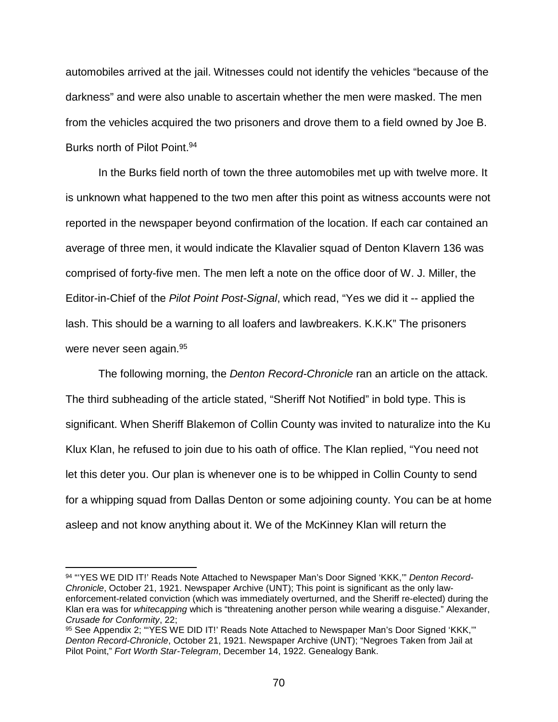automobiles arrived at the jail. Witnesses could not identify the vehicles "because of the darkness" and were also unable to ascertain whether the men were masked. The men from the vehicles acquired the two prisoners and drove them to a field owned by Joe B. Burks north of Pilot Point.94

In the Burks field north of town the three automobiles met up with twelve more. It is unknown what happened to the two men after this point as witness accounts were not reported in the newspaper beyond confirmation of the location. If each car contained an average of three men, it would indicate the Klavalier squad of Denton Klavern 136 was comprised of forty-five men. The men left a note on the office door of W. J. Miller, the Editor-in-Chief of the *Pilot Point Post-Signal*, which read, "Yes we did it -- applied the lash. This should be a warning to all loafers and lawbreakers. K.K.K" The prisoners were never seen again. 95

The following morning, the *Denton Record-Chronicle* ran an article on the attack. The third subheading of the article stated, "Sheriff Not Notified" in bold type. This is significant. When Sheriff Blakemon of Collin County was invited to naturalize into the Ku Klux Klan, he refused to join due to his oath of office. The Klan replied, "You need not let this deter you. Our plan is whenever one is to be whipped in Collin County to send for a whipping squad from Dallas Denton or some adjoining county. You can be at home asleep and not know anything about it. We of the McKinney Klan will return the

 <sup>94</sup> "'YES WE DID IT!' Reads Note Attached to Newspaper Man's Door Signed 'KKK,'" *Denton Record-Chronicle*, October 21, 1921. Newspaper Archive (UNT); This point is significant as the only lawenforcement-related conviction (which was immediately overturned, and the Sheriff re-elected) during the Klan era was for *whitecapping* which is "threatening another person while wearing a disguise." Alexander, *Crusade for Conformity*, 22;

<sup>95</sup> See Appendix 2; "'YES WE DID IT!' Reads Note Attached to Newspaper Man's Door Signed 'KKK,"" *Denton Record-Chronicle*, October 21, 1921. Newspaper Archive (UNT); "Negroes Taken from Jail at Pilot Point," *Fort Worth Star-Telegram*, December 14, 1922. Genealogy Bank.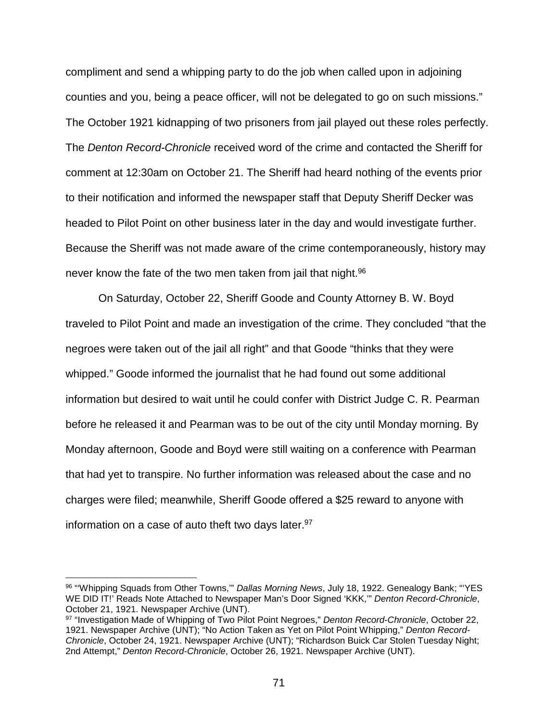compliment and send a whipping party to do the job when called upon in adjoining counties and you, being a peace officer, will not be delegated to go on such missions." The October 1921 kidnapping of two prisoners from jail played out these roles perfectly. The *Denton Record-Chronicle* received word of the crime and contacted the Sheriff for comment at 12:30am on October 21. The Sheriff had heard nothing of the events prior to their notification and informed the newspaper staff that Deputy Sheriff Decker was headed to Pilot Point on other business later in the day and would investigate further. Because the Sheriff was not made aware of the crime contemporaneously, history may never know the fate of the two men taken from jail that night.<sup>96</sup>

On Saturday, October 22, Sheriff Goode and County Attorney B. W. Boyd traveled to Pilot Point and made an investigation of the crime. They concluded "that the negroes were taken out of the jail all right" and that Goode "thinks that they were whipped." Goode informed the journalist that he had found out some additional information but desired to wait until he could confer with District Judge C. R. Pearman before he released it and Pearman was to be out of the city until Monday morning. By Monday afternoon, Goode and Boyd were still waiting on a conference with Pearman that had yet to transpire. No further information was released about the case and no charges were filed; meanwhile, Sheriff Goode offered a \$25 reward to anyone with information on a case of auto theft two days later.<sup>97</sup>

 <sup>96</sup> "'Whipping Squads from Other Towns,'" *Dallas Morning News*, July 18, 1922. Genealogy Bank; "'YES WE DID IT!' Reads Note Attached to Newspaper Man's Door Signed 'KKK,'" *Denton Record-Chronicle*, October 21, 1921. Newspaper Archive (UNT).

<sup>97</sup> "Investigation Made of Whipping of Two Pilot Point Negroes," *Denton Record-Chronicle*, October 22, 1921. Newspaper Archive (UNT); "No Action Taken as Yet on Pilot Point Whipping," *Denton Record-Chronicle*, October 24, 1921. Newspaper Archive (UNT); "Richardson Buick Car Stolen Tuesday Night; 2nd Attempt," *Denton Record-Chronicle*, October 26, 1921. Newspaper Archive (UNT).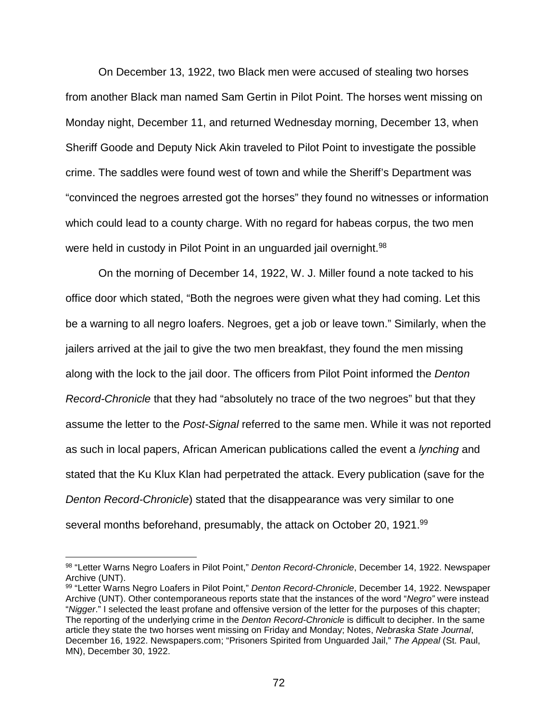On December 13, 1922, two Black men were accused of stealing two horses from another Black man named Sam Gertin in Pilot Point. The horses went missing on Monday night, December 11, and returned Wednesday morning, December 13, when Sheriff Goode and Deputy Nick Akin traveled to Pilot Point to investigate the possible crime. The saddles were found west of town and while the Sheriff's Department was "convinced the negroes arrested got the horses" they found no witnesses or information which could lead to a county charge. With no regard for habeas corpus, the two men were held in custody in Pilot Point in an unguarded jail overnight.<sup>98</sup>

On the morning of December 14, 1922, W. J. Miller found a note tacked to his office door which stated, "Both the negroes were given what they had coming. Let this be a warning to all negro loafers. Negroes, get a job or leave town." Similarly, when the jailers arrived at the jail to give the two men breakfast, they found the men missing along with the lock to the jail door. The officers from Pilot Point informed the *Denton Record-Chronicle* that they had "absolutely no trace of the two negroes" but that they assume the letter to the *Post-Signal* referred to the same men. While it was not reported as such in local papers, African American publications called the event a *lynching* and stated that the Ku Klux Klan had perpetrated the attack. Every publication (save for the *Denton Record-Chronicle*) stated that the disappearance was very similar to one several months beforehand, presumably, the attack on October 20, 1921.<sup>99</sup>

 <sup>98</sup> "Letter Warns Negro Loafers in Pilot Point," *Denton Record-Chronicle*, December 14, 1922. Newspaper Archive (UNT).

<sup>99</sup> "Letter Warns Negro Loafers in Pilot Point," *Denton Record-Chronicle*, December 14, 1922. Newspaper Archive (UNT). Other contemporaneous reports state that the instances of the word "*Negro"* were instead "*Nigger*." I selected the least profane and offensive version of the letter for the purposes of this chapter; The reporting of the underlying crime in the *Denton Record-Chronicle* is difficult to decipher. In the same article they state the two horses went missing on Friday and Monday; Notes, *Nebraska State Journal*, December 16, 1922. Newspapers.com; "Prisoners Spirited from Unguarded Jail," *The Appeal* (St. Paul, MN), December 30, 1922.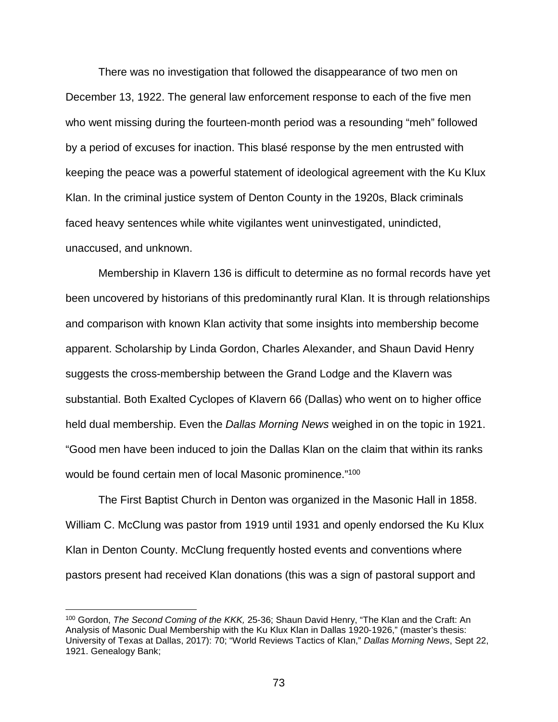There was no investigation that followed the disappearance of two men on December 13, 1922. The general law enforcement response to each of the five men who went missing during the fourteen-month period was a resounding "meh" followed by a period of excuses for inaction. This blasé response by the men entrusted with keeping the peace was a powerful statement of ideological agreement with the Ku Klux Klan. In the criminal justice system of Denton County in the 1920s, Black criminals faced heavy sentences while white vigilantes went uninvestigated, unindicted, unaccused, and unknown.

Membership in Klavern 136 is difficult to determine as no formal records have yet been uncovered by historians of this predominantly rural Klan. It is through relationships and comparison with known Klan activity that some insights into membership become apparent. Scholarship by Linda Gordon, Charles Alexander, and Shaun David Henry suggests the cross-membership between the Grand Lodge and the Klavern was substantial. Both Exalted Cyclopes of Klavern 66 (Dallas) who went on to higher office held dual membership. Even the *Dallas Morning News* weighed in on the topic in 1921. "Good men have been induced to join the Dallas Klan on the claim that within its ranks would be found certain men of local Masonic prominence."100

The First Baptist Church in Denton was organized in the Masonic Hall in 1858. William C. McClung was pastor from 1919 until 1931 and openly endorsed the Ku Klux Klan in Denton County. McClung frequently hosted events and conventions where pastors present had received Klan donations (this was a sign of pastoral support and

 <sup>100</sup> Gordon, *The Second Coming of the KKK,* 25-36; Shaun David Henry, "The Klan and the Craft: An Analysis of Masonic Dual Membership with the Ku Klux Klan in Dallas 1920-1926," (master's thesis: University of Texas at Dallas, 2017): 70; "World Reviews Tactics of Klan," *Dallas Morning News*, Sept 22, 1921. Genealogy Bank;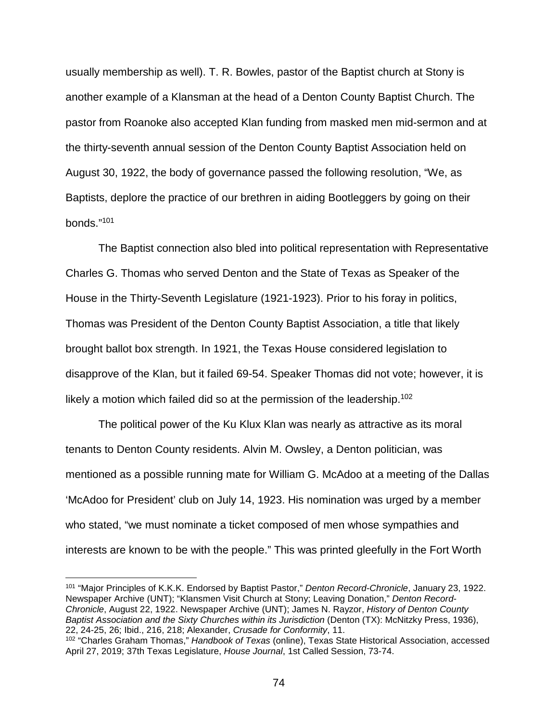usually membership as well). T. R. Bowles, pastor of the Baptist church at Stony is another example of a Klansman at the head of a Denton County Baptist Church. The pastor from Roanoke also accepted Klan funding from masked men mid-sermon and at the thirty-seventh annual session of the Denton County Baptist Association held on August 30, 1922, the body of governance passed the following resolution, "We, as Baptists, deplore the practice of our brethren in aiding Bootleggers by going on their bonds."101

The Baptist connection also bled into political representation with Representative Charles G. Thomas who served Denton and the State of Texas as Speaker of the House in the Thirty-Seventh Legislature (1921-1923). Prior to his foray in politics, Thomas was President of the Denton County Baptist Association, a title that likely brought ballot box strength. In 1921, the Texas House considered legislation to disapprove of the Klan, but it failed 69-54. Speaker Thomas did not vote; however, it is likely a motion which failed did so at the permission of the leadership.<sup>102</sup>

The political power of the Ku Klux Klan was nearly as attractive as its moral tenants to Denton County residents. Alvin M. Owsley, a Denton politician, was mentioned as a possible running mate for William G. McAdoo at a meeting of the Dallas 'McAdoo for President' club on July 14, 1923. His nomination was urged by a member who stated, "we must nominate a ticket composed of men whose sympathies and interests are known to be with the people." This was printed gleefully in the Fort Worth

 101 "Major Principles of K.K.K. Endorsed by Baptist Pastor," *Denton Record-Chronicle*, January 23, 1922. Newspaper Archive (UNT); "Klansmen Visit Church at Stony; Leaving Donation," *Denton Record-Chronicle*, August 22, 1922. Newspaper Archive (UNT); James N. Rayzor, *History of Denton County Baptist Association and the Sixty Churches within its Jurisdiction* (Denton (TX): McNitzky Press, 1936), 22, 24-25, 26; Ibid., 216, 218; Alexander, *Crusade for Conformity*, 11.

<sup>102</sup> "Charles Graham Thomas," *Handbook of Texas* (online), Texas State Historical Association, accessed April 27, 2019; 37th Texas Legislature, *House Journal*, 1st Called Session, 73-74.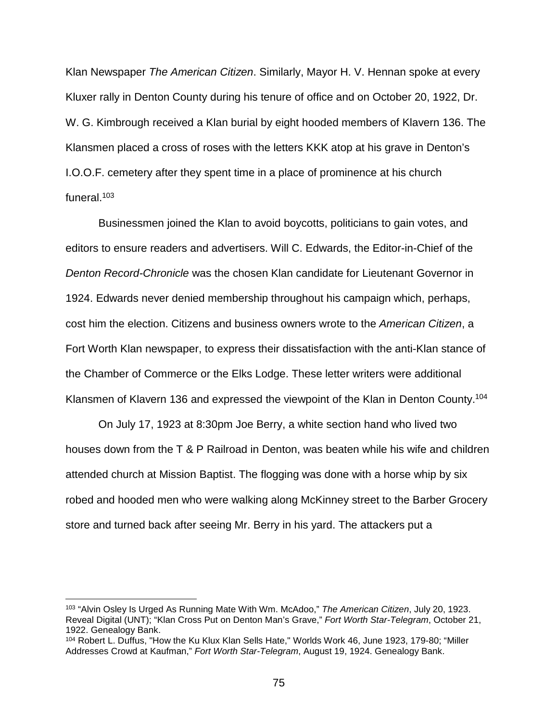Klan Newspaper *The American Citizen*. Similarly, Mayor H. V. Hennan spoke at every Kluxer rally in Denton County during his tenure of office and on October 20, 1922, Dr. W. G. Kimbrough received a Klan burial by eight hooded members of Klavern 136. The Klansmen placed a cross of roses with the letters KKK atop at his grave in Denton's I.O.O.F. cemetery after they spent time in a place of prominence at his church funeral. $103$ 

Businessmen joined the Klan to avoid boycotts, politicians to gain votes, and editors to ensure readers and advertisers. Will C. Edwards, the Editor-in-Chief of the *Denton Record-Chronicle* was the chosen Klan candidate for Lieutenant Governor in 1924. Edwards never denied membership throughout his campaign which, perhaps, cost him the election. Citizens and business owners wrote to the *American Citizen*, a Fort Worth Klan newspaper, to express their dissatisfaction with the anti-Klan stance of the Chamber of Commerce or the Elks Lodge. These letter writers were additional Klansmen of Klavern 136 and expressed the viewpoint of the Klan in Denton County.<sup>104</sup>

On July 17, 1923 at 8:30pm Joe Berry, a white section hand who lived two houses down from the T & P Railroad in Denton, was beaten while his wife and children attended church at Mission Baptist. The flogging was done with a horse whip by six robed and hooded men who were walking along McKinney street to the Barber Grocery store and turned back after seeing Mr. Berry in his yard. The attackers put a

 <sup>103</sup> "Alvin Osley Is Urged As Running Mate With Wm. McAdoo," *The American Citizen*, July 20, 1923. Reveal Digital (UNT); "Klan Cross Put on Denton Man's Grave," *Fort Worth Star-Telegram*, October 21, 1922. Genealogy Bank.

<sup>104</sup> Robert L. Duffus, "How the Ku Klux Klan Sells Hate," Worlds Work 46, June 1923, 179-80; "Miller Addresses Crowd at Kaufman," *Fort Worth Star-Telegram*, August 19, 1924. Genealogy Bank.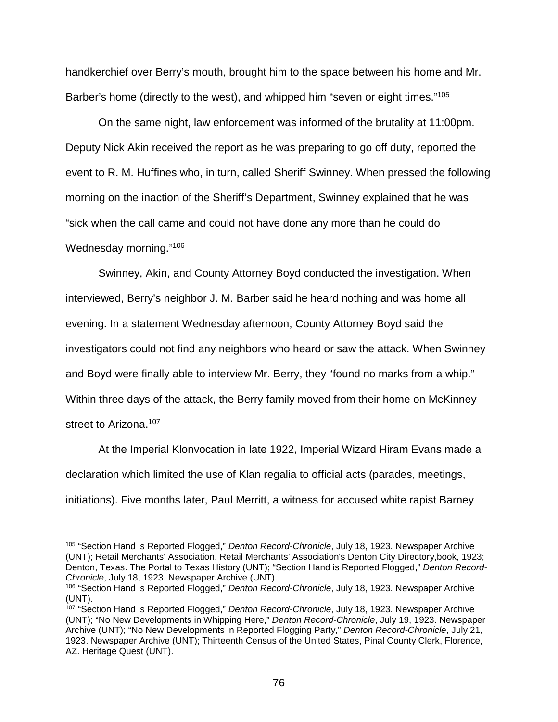handkerchief over Berry's mouth, brought him to the space between his home and Mr. Barber's home (directly to the west), and whipped him "seven or eight times."105

On the same night, law enforcement was informed of the brutality at 11:00pm. Deputy Nick Akin received the report as he was preparing to go off duty, reported the event to R. M. Huffines who, in turn, called Sheriff Swinney. When pressed the following morning on the inaction of the Sheriff's Department, Swinney explained that he was "sick when the call came and could not have done any more than he could do Wednesday morning."<sup>106</sup>

Swinney, Akin, and County Attorney Boyd conducted the investigation. When interviewed, Berry's neighbor J. M. Barber said he heard nothing and was home all evening. In a statement Wednesday afternoon, County Attorney Boyd said the investigators could not find any neighbors who heard or saw the attack. When Swinney and Boyd were finally able to interview Mr. Berry, they "found no marks from a whip." Within three days of the attack, the Berry family moved from their home on McKinney street to Arizona.<sup>107</sup>

At the Imperial Klonvocation in late 1922, Imperial Wizard Hiram Evans made a declaration which limited the use of Klan regalia to official acts (parades, meetings, initiations). Five months later, Paul Merritt, a witness for accused white rapist Barney

 <sup>105</sup> "Section Hand is Reported Flogged," *Denton Record-Chronicle*, July 18, 1923. Newspaper Archive (UNT); Retail Merchants' Association. Retail Merchants' Association's Denton City Directory,book, 1923; Denton, Texas. The Portal to Texas History (UNT); "Section Hand is Reported Flogged," *Denton Record-Chronicle*, July 18, 1923. Newspaper Archive (UNT).

<sup>106</sup> "Section Hand is Reported Flogged," *Denton Record-Chronicle*, July 18, 1923. Newspaper Archive (UNT).

<sup>107</sup> "Section Hand is Reported Flogged," *Denton Record-Chronicle*, July 18, 1923. Newspaper Archive (UNT); "No New Developments in Whipping Here," *Denton Record-Chronicle*, July 19, 1923. Newspaper Archive (UNT); "No New Developments in Reported Flogging Party," *Denton Record-Chronicle*, July 21, 1923. Newspaper Archive (UNT); Thirteenth Census of the United States, Pinal County Clerk, Florence, AZ. Heritage Quest (UNT).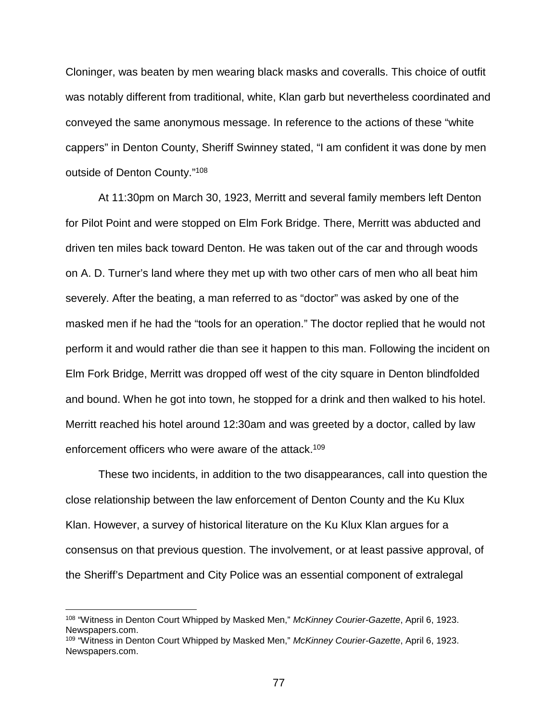Cloninger, was beaten by men wearing black masks and coveralls. This choice of outfit was notably different from traditional, white, Klan garb but nevertheless coordinated and conveyed the same anonymous message. In reference to the actions of these "white cappers" in Denton County, Sheriff Swinney stated, "I am confident it was done by men outside of Denton County."108

At 11:30pm on March 30, 1923, Merritt and several family members left Denton for Pilot Point and were stopped on Elm Fork Bridge. There, Merritt was abducted and driven ten miles back toward Denton. He was taken out of the car and through woods on A. D. Turner's land where they met up with two other cars of men who all beat him severely. After the beating, a man referred to as "doctor" was asked by one of the masked men if he had the "tools for an operation." The doctor replied that he would not perform it and would rather die than see it happen to this man. Following the incident on Elm Fork Bridge, Merritt was dropped off west of the city square in Denton blindfolded and bound. When he got into town, he stopped for a drink and then walked to his hotel. Merritt reached his hotel around 12:30am and was greeted by a doctor, called by law enforcement officers who were aware of the attack.<sup>109</sup>

These two incidents, in addition to the two disappearances, call into question the close relationship between the law enforcement of Denton County and the Ku Klux Klan. However, a survey of historical literature on the Ku Klux Klan argues for a consensus on that previous question. The involvement, or at least passive approval, of the Sheriff's Department and City Police was an essential component of extralegal

 <sup>108</sup> "Witness in Denton Court Whipped by Masked Men," *McKinney Courier-Gazette*, April 6, 1923. Newspapers.com.

<sup>109</sup> "Witness in Denton Court Whipped by Masked Men," *McKinney Courier-Gazette*, April 6, 1923. Newspapers.com.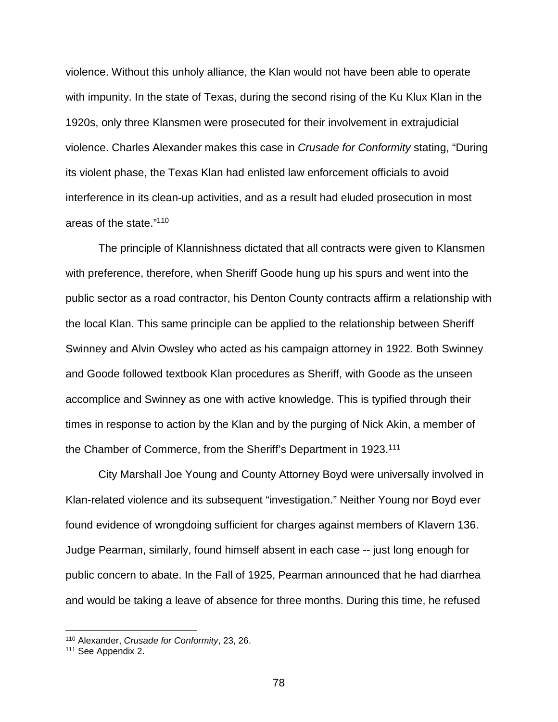violence. Without this unholy alliance, the Klan would not have been able to operate with impunity. In the state of Texas, during the second rising of the Ku Klux Klan in the 1920s, only three Klansmen were prosecuted for their involvement in extrajudicial violence. Charles Alexander makes this case in *Crusade for Conformity* stating, "During its violent phase, the Texas Klan had enlisted law enforcement officials to avoid interference in its clean-up activities, and as a result had eluded prosecution in most areas of the state."110

The principle of Klannishness dictated that all contracts were given to Klansmen with preference, therefore, when Sheriff Goode hung up his spurs and went into the public sector as a road contractor, his Denton County contracts affirm a relationship with the local Klan. This same principle can be applied to the relationship between Sheriff Swinney and Alvin Owsley who acted as his campaign attorney in 1922. Both Swinney and Goode followed textbook Klan procedures as Sheriff, with Goode as the unseen accomplice and Swinney as one with active knowledge. This is typified through their times in response to action by the Klan and by the purging of Nick Akin, a member of the Chamber of Commerce, from the Sheriff's Department in 1923.111

City Marshall Joe Young and County Attorney Boyd were universally involved in Klan-related violence and its subsequent "investigation." Neither Young nor Boyd ever found evidence of wrongdoing sufficient for charges against members of Klavern 136. Judge Pearman, similarly, found himself absent in each case -- just long enough for public concern to abate. In the Fall of 1925, Pearman announced that he had diarrhea and would be taking a leave of absence for three months. During this time, he refused

 <sup>110</sup> Alexander, *Crusade for Conformity*, 23, 26.

<sup>111</sup> See Appendix 2.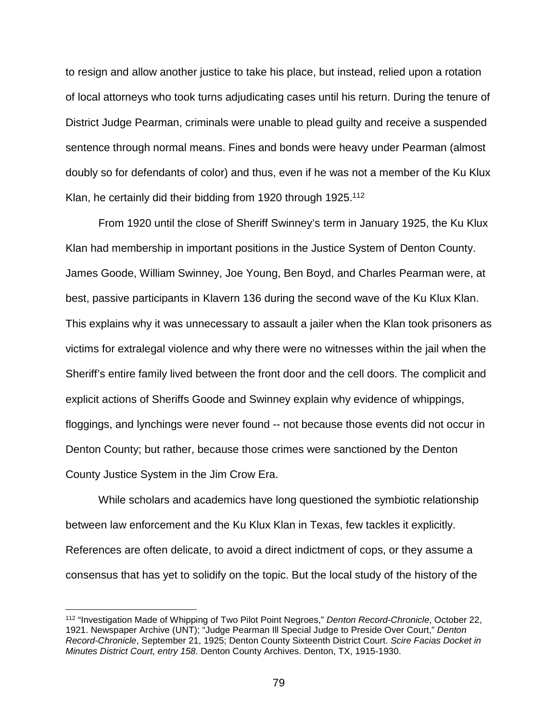to resign and allow another justice to take his place, but instead, relied upon a rotation of local attorneys who took turns adjudicating cases until his return. During the tenure of District Judge Pearman, criminals were unable to plead guilty and receive a suspended sentence through normal means. Fines and bonds were heavy under Pearman (almost doubly so for defendants of color) and thus, even if he was not a member of the Ku Klux Klan, he certainly did their bidding from 1920 through 1925.<sup>112</sup>

From 1920 until the close of Sheriff Swinney's term in January 1925, the Ku Klux Klan had membership in important positions in the Justice System of Denton County. James Goode, William Swinney, Joe Young, Ben Boyd, and Charles Pearman were, at best, passive participants in Klavern 136 during the second wave of the Ku Klux Klan. This explains why it was unnecessary to assault a jailer when the Klan took prisoners as victims for extralegal violence and why there were no witnesses within the jail when the Sheriff's entire family lived between the front door and the cell doors. The complicit and explicit actions of Sheriffs Goode and Swinney explain why evidence of whippings, floggings, and lynchings were never found -- not because those events did not occur in Denton County; but rather, because those crimes were sanctioned by the Denton County Justice System in the Jim Crow Era.

While scholars and academics have long questioned the symbiotic relationship between law enforcement and the Ku Klux Klan in Texas, few tackles it explicitly. References are often delicate, to avoid a direct indictment of cops, or they assume a consensus that has yet to solidify on the topic. But the local study of the history of the

 <sup>112</sup> "Investigation Made of Whipping of Two Pilot Point Negroes," *Denton Record-Chronicle*, October 22, 1921. Newspaper Archive (UNT); "Judge Pearman Ill Special Judge to Preside Over Court," *Denton Record-Chronicle*, September 21, 1925; Denton County Sixteenth District Court. *Scire Facias Docket in Minutes District Court, entry 158*. Denton County Archives. Denton, TX, 1915-1930.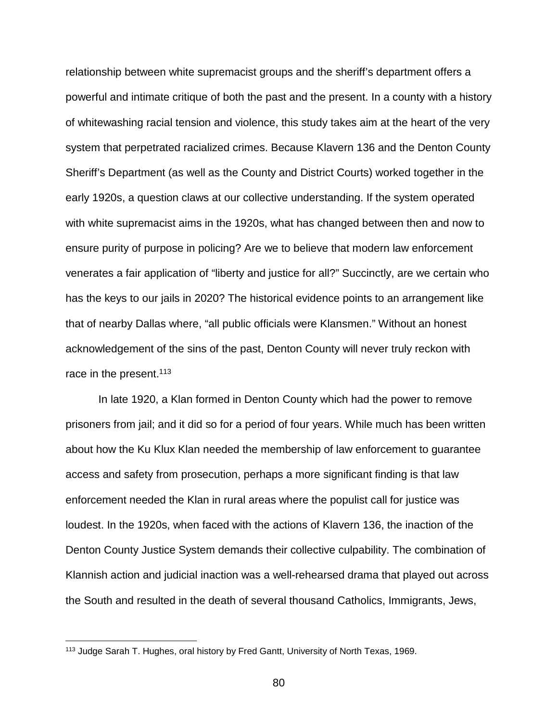relationship between white supremacist groups and the sheriff's department offers a powerful and intimate critique of both the past and the present. In a county with a history of whitewashing racial tension and violence, this study takes aim at the heart of the very system that perpetrated racialized crimes. Because Klavern 136 and the Denton County Sheriff's Department (as well as the County and District Courts) worked together in the early 1920s, a question claws at our collective understanding. If the system operated with white supremacist aims in the 1920s, what has changed between then and now to ensure purity of purpose in policing? Are we to believe that modern law enforcement venerates a fair application of "liberty and justice for all?" Succinctly, are we certain who has the keys to our jails in 2020? The historical evidence points to an arrangement like that of nearby Dallas where, "all public officials were Klansmen." Without an honest acknowledgement of the sins of the past, Denton County will never truly reckon with race in the present.<sup>113</sup>

In late 1920, a Klan formed in Denton County which had the power to remove prisoners from jail; and it did so for a period of four years. While much has been written about how the Ku Klux Klan needed the membership of law enforcement to guarantee access and safety from prosecution, perhaps a more significant finding is that law enforcement needed the Klan in rural areas where the populist call for justice was loudest. In the 1920s, when faced with the actions of Klavern 136, the inaction of the Denton County Justice System demands their collective culpability. The combination of Klannish action and judicial inaction was a well-rehearsed drama that played out across the South and resulted in the death of several thousand Catholics, Immigrants, Jews,

 <sup>113</sup> Judge Sarah T. Hughes, oral history by Fred Gantt, University of North Texas, 1969.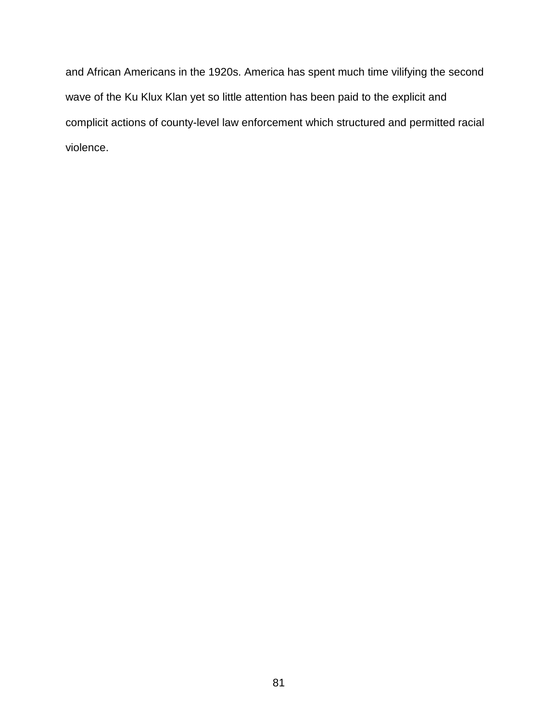and African Americans in the 1920s. America has spent much time vilifying the second wave of the Ku Klux Klan yet so little attention has been paid to the explicit and complicit actions of county-level law enforcement which structured and permitted racial violence.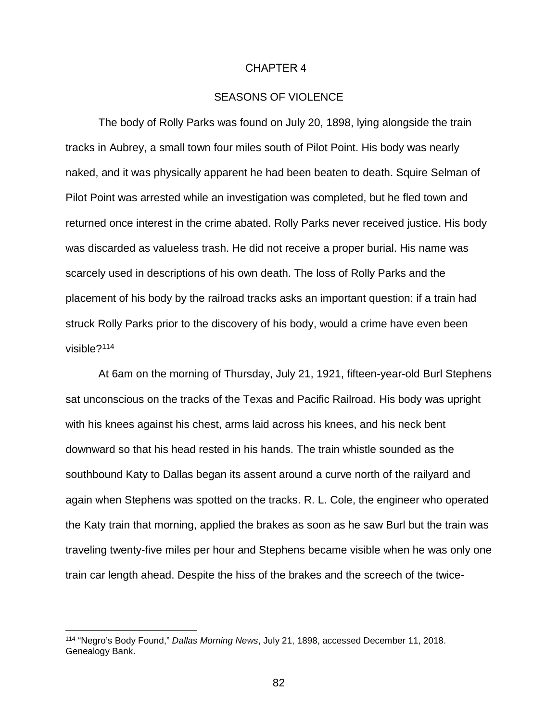#### CHAPTER 4

# SEASONS OF VIOLENCE

The body of Rolly Parks was found on July 20, 1898, lying alongside the train tracks in Aubrey, a small town four miles south of Pilot Point. His body was nearly naked, and it was physically apparent he had been beaten to death. Squire Selman of Pilot Point was arrested while an investigation was completed, but he fled town and returned once interest in the crime abated. Rolly Parks never received justice. His body was discarded as valueless trash. He did not receive a proper burial. His name was scarcely used in descriptions of his own death. The loss of Rolly Parks and the placement of his body by the railroad tracks asks an important question: if a train had struck Rolly Parks prior to the discovery of his body, would a crime have even been visible?114

At 6am on the morning of Thursday, July 21, 1921, fifteen-year-old Burl Stephens sat unconscious on the tracks of the Texas and Pacific Railroad. His body was upright with his knees against his chest, arms laid across his knees, and his neck bent downward so that his head rested in his hands. The train whistle sounded as the southbound Katy to Dallas began its assent around a curve north of the railyard and again when Stephens was spotted on the tracks. R. L. Cole, the engineer who operated the Katy train that morning, applied the brakes as soon as he saw Burl but the train was traveling twenty-five miles per hour and Stephens became visible when he was only one train car length ahead. Despite the hiss of the brakes and the screech of the twice-

<sup>114</sup> "Negro's Body Found," *Dallas Morning News*, July 21, 1898, accessed December 11, 2018. Genealogy Bank.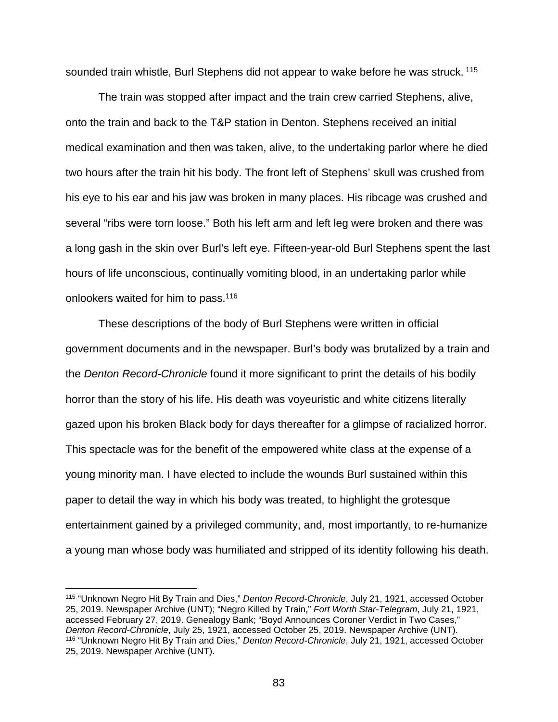sounded train whistle, Burl Stephens did not appear to wake before he was struck. <sup>115</sup>

The train was stopped after impact and the train crew carried Stephens, alive, onto the train and back to the T&P station in Denton. Stephens received an initial medical examination and then was taken, alive, to the undertaking parlor where he died two hours after the train hit his body. The front left of Stephens' skull was crushed from his eye to his ear and his jaw was broken in many places. His ribcage was crushed and several "ribs were torn loose." Both his left arm and left leg were broken and there was a long gash in the skin over Burl's left eye. Fifteen-year-old Burl Stephens spent the last hours of life unconscious, continually vomiting blood, in an undertaking parlor while onlookers waited for him to pass.116

These descriptions of the body of Burl Stephens were written in official government documents and in the newspaper. Burl's body was brutalized by a train and the *Denton Record-Chronicle* found it more significant to print the details of his bodily horror than the story of his life. His death was voyeuristic and white citizens literally gazed upon his broken Black body for days thereafter for a glimpse of racialized horror. This spectacle was for the benefit of the empowered white class at the expense of a young minority man. I have elected to include the wounds Burl sustained within this paper to detail the way in which his body was treated, to highlight the grotesque entertainment gained by a privileged community, and, most importantly, to re-humanize a young man whose body was humiliated and stripped of its identity following his death.

 <sup>115</sup> "Unknown Negro Hit By Train and Dies," *Denton Record-Chronicle*, July 21, 1921, accessed October 25, 2019. Newspaper Archive (UNT); "Negro Killed by Train," *Fort Worth Star-Telegram*, July 21, 1921, accessed February 27, 2019. Genealogy Bank; "Boyd Announces Coroner Verdict in Two Cases," *Denton Record-Chronicle*, July 25, 1921, accessed October 25, 2019. Newspaper Archive (UNT). <sup>116</sup> "Unknown Negro Hit By Train and Dies," *Denton Record-Chronicle*, July 21, 1921, accessed October 25, 2019. Newspaper Archive (UNT).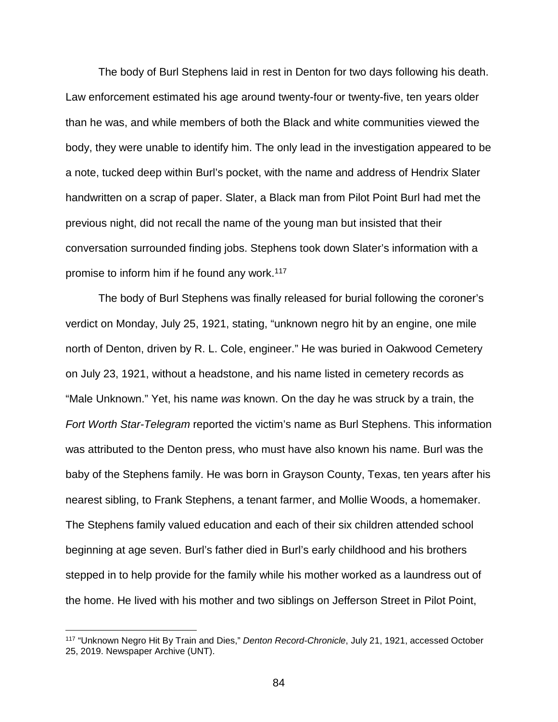The body of Burl Stephens laid in rest in Denton for two days following his death. Law enforcement estimated his age around twenty-four or twenty-five, ten years older than he was, and while members of both the Black and white communities viewed the body, they were unable to identify him. The only lead in the investigation appeared to be a note, tucked deep within Burl's pocket, with the name and address of Hendrix Slater handwritten on a scrap of paper. Slater, a Black man from Pilot Point Burl had met the previous night, did not recall the name of the young man but insisted that their conversation surrounded finding jobs. Stephens took down Slater's information with a promise to inform him if he found any work.<sup>117</sup>

The body of Burl Stephens was finally released for burial following the coroner's verdict on Monday, July 25, 1921, stating, "unknown negro hit by an engine, one mile north of Denton, driven by R. L. Cole, engineer." He was buried in Oakwood Cemetery on July 23, 1921, without a headstone, and his name listed in cemetery records as "Male Unknown." Yet, his name *was* known. On the day he was struck by a train, the *Fort Worth Star-Telegram* reported the victim's name as Burl Stephens. This information was attributed to the Denton press, who must have also known his name. Burl was the baby of the Stephens family. He was born in Grayson County, Texas, ten years after his nearest sibling, to Frank Stephens, a tenant farmer, and Mollie Woods, a homemaker. The Stephens family valued education and each of their six children attended school beginning at age seven. Burl's father died in Burl's early childhood and his brothers stepped in to help provide for the family while his mother worked as a laundress out of the home. He lived with his mother and two siblings on Jefferson Street in Pilot Point,

 <sup>117</sup> "Unknown Negro Hit By Train and Dies," *Denton Record-Chronicle*, July 21, 1921, accessed October 25, 2019. Newspaper Archive (UNT).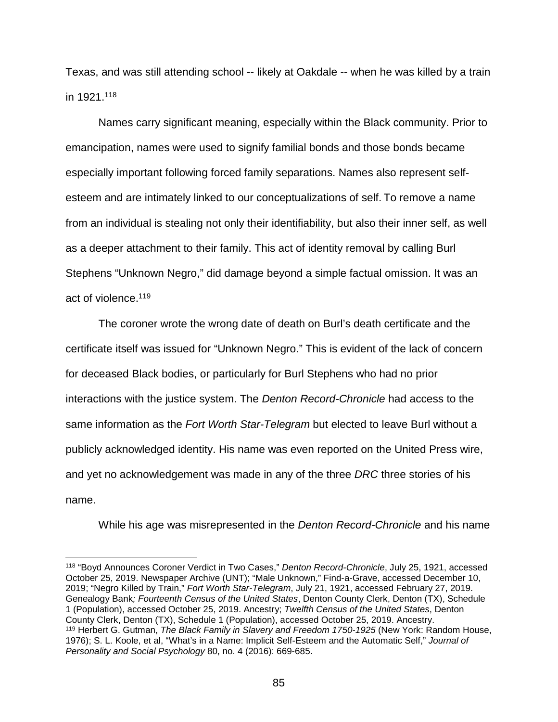Texas, and was still attending school -- likely at Oakdale -- when he was killed by a train in 1921.118

Names carry significant meaning, especially within the Black community. Prior to emancipation, names were used to signify familial bonds and those bonds became especially important following forced family separations. Names also represent selfesteem and are intimately linked to our conceptualizations of self. To remove a name from an individual is stealing not only their identifiability, but also their inner self, as well as a deeper attachment to their family. This act of identity removal by calling Burl Stephens "Unknown Negro," did damage beyond a simple factual omission. It was an act of violence.119

The coroner wrote the wrong date of death on Burl's death certificate and the certificate itself was issued for "Unknown Negro." This is evident of the lack of concern for deceased Black bodies, or particularly for Burl Stephens who had no prior interactions with the justice system. The *Denton Record-Chronicle* had access to the same information as the *Fort Worth Star-Telegram* but elected to leave Burl without a publicly acknowledged identity. His name was even reported on the United Press wire, and yet no acknowledgement was made in any of the three *DRC* three stories of his name.

While his age was misrepresented in the *Denton Record-Chronicle* and his name

 <sup>118</sup> "Boyd Announces Coroner Verdict in Two Cases," *Denton Record-Chronicle*, July 25, 1921, accessed October 25, 2019. Newspaper Archive (UNT); "Male Unknown," Find-a-Grave, accessed December 10, 2019; "Negro Killed by Train," *Fort Worth Star-Telegram*, July 21, 1921, accessed February 27, 2019. Genealogy Bank*; Fourteenth Census of the United States*, Denton County Clerk, Denton (TX), Schedule 1 (Population), accessed October 25, 2019. Ancestry; *Twelfth Census of the United States*, Denton County Clerk, Denton (TX), Schedule 1 (Population), accessed October 25, 2019. Ancestry. <sup>119</sup> Herbert G. Gutman, *The Black Family in Slavery and Freedom 1750-1925* (New York: Random House, 1976); S. L. Koole, et al, "What's in a Name: Implicit Self-Esteem and the Automatic Self," *Journal of Personality and Social Psychology* 80, no. 4 (2016): 669-685.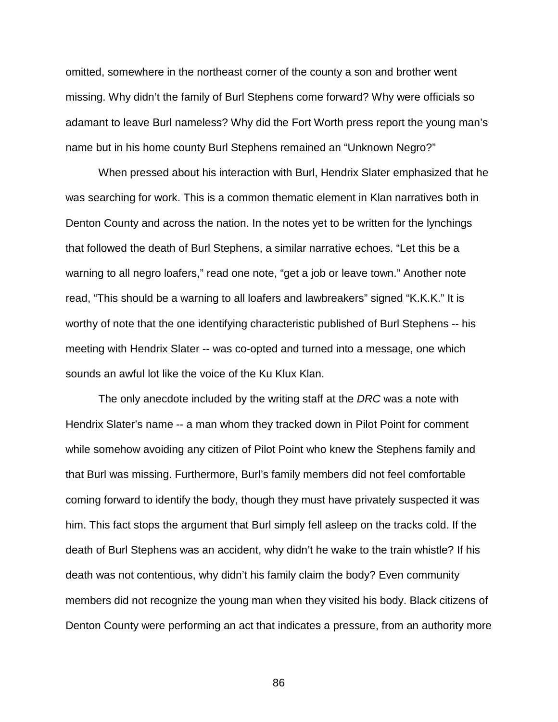omitted, somewhere in the northeast corner of the county a son and brother went missing. Why didn't the family of Burl Stephens come forward? Why were officials so adamant to leave Burl nameless? Why did the Fort Worth press report the young man's name but in his home county Burl Stephens remained an "Unknown Negro?"

When pressed about his interaction with Burl, Hendrix Slater emphasized that he was searching for work. This is a common thematic element in Klan narratives both in Denton County and across the nation. In the notes yet to be written for the lynchings that followed the death of Burl Stephens, a similar narrative echoes. "Let this be a warning to all negro loafers," read one note, "get a job or leave town." Another note read, "This should be a warning to all loafers and lawbreakers" signed "K.K.K." It is worthy of note that the one identifying characteristic published of Burl Stephens -- his meeting with Hendrix Slater -- was co-opted and turned into a message, one which sounds an awful lot like the voice of the Ku Klux Klan.

The only anecdote included by the writing staff at the *DRC* was a note with Hendrix Slater's name -- a man whom they tracked down in Pilot Point for comment while somehow avoiding any citizen of Pilot Point who knew the Stephens family and that Burl was missing. Furthermore, Burl's family members did not feel comfortable coming forward to identify the body, though they must have privately suspected it was him. This fact stops the argument that Burl simply fell asleep on the tracks cold. If the death of Burl Stephens was an accident, why didn't he wake to the train whistle? If his death was not contentious, why didn't his family claim the body? Even community members did not recognize the young man when they visited his body. Black citizens of Denton County were performing an act that indicates a pressure, from an authority more

86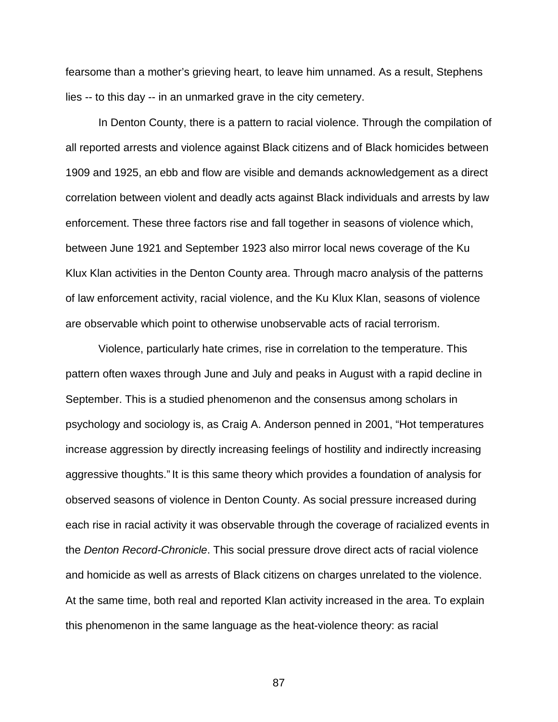fearsome than a mother's grieving heart, to leave him unnamed. As a result, Stephens lies -- to this day -- in an unmarked grave in the city cemetery.

In Denton County, there is a pattern to racial violence. Through the compilation of all reported arrests and violence against Black citizens and of Black homicides between 1909 and 1925, an ebb and flow are visible and demands acknowledgement as a direct correlation between violent and deadly acts against Black individuals and arrests by law enforcement. These three factors rise and fall together in seasons of violence which, between June 1921 and September 1923 also mirror local news coverage of the Ku Klux Klan activities in the Denton County area. Through macro analysis of the patterns of law enforcement activity, racial violence, and the Ku Klux Klan, seasons of violence are observable which point to otherwise unobservable acts of racial terrorism.

Violence, particularly hate crimes, rise in correlation to the temperature. This pattern often waxes through June and July and peaks in August with a rapid decline in September. This is a studied phenomenon and the consensus among scholars in psychology and sociology is, as Craig A. Anderson penned in 2001, "Hot temperatures increase aggression by directly increasing feelings of hostility and indirectly increasing aggressive thoughts." It is this same theory which provides a foundation of analysis for observed seasons of violence in Denton County. As social pressure increased during each rise in racial activity it was observable through the coverage of racialized events in the *Denton Record-Chronicle*. This social pressure drove direct acts of racial violence and homicide as well as arrests of Black citizens on charges unrelated to the violence. At the same time, both real and reported Klan activity increased in the area. To explain this phenomenon in the same language as the heat-violence theory: as racial

87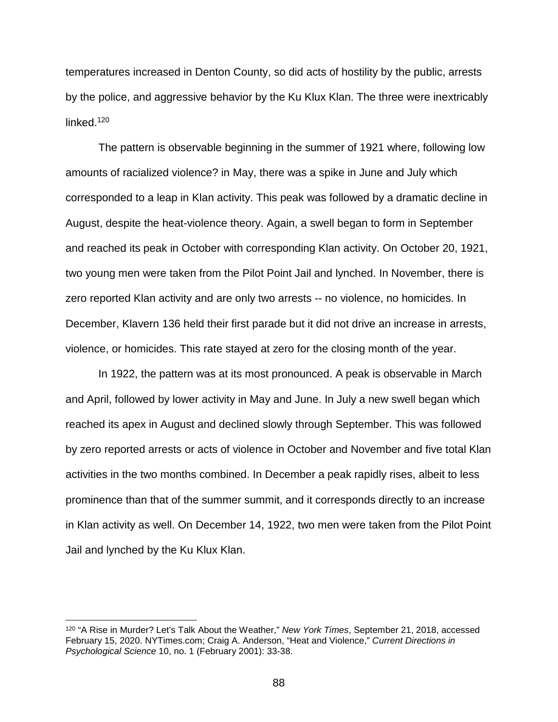temperatures increased in Denton County, so did acts of hostility by the public, arrests by the police, and aggressive behavior by the Ku Klux Klan. The three were inextricably linked. 120

The pattern is observable beginning in the summer of 1921 where, following low amounts of racialized violence? in May, there was a spike in June and July which corresponded to a leap in Klan activity. This peak was followed by a dramatic decline in August, despite the heat-violence theory. Again, a swell began to form in September and reached its peak in October with corresponding Klan activity. On October 20, 1921, two young men were taken from the Pilot Point Jail and lynched. In November, there is zero reported Klan activity and are only two arrests -- no violence, no homicides. In December, Klavern 136 held their first parade but it did not drive an increase in arrests, violence, or homicides. This rate stayed at zero for the closing month of the year.

In 1922, the pattern was at its most pronounced. A peak is observable in March and April, followed by lower activity in May and June. In July a new swell began which reached its apex in August and declined slowly through September. This was followed by zero reported arrests or acts of violence in October and November and five total Klan activities in the two months combined. In December a peak rapidly rises, albeit to less prominence than that of the summer summit, and it corresponds directly to an increase in Klan activity as well. On December 14, 1922, two men were taken from the Pilot Point Jail and lynched by the Ku Klux Klan.

 <sup>120</sup> "A Rise in Murder? Let's Talk About the Weather," *New York Times*, September 21, 2018, accessed February 15, 2020. NYTimes.com; Craig A. Anderson, "Heat and Violence," *Current Directions in Psychological Science* 10, no. 1 (February 2001): 33-38.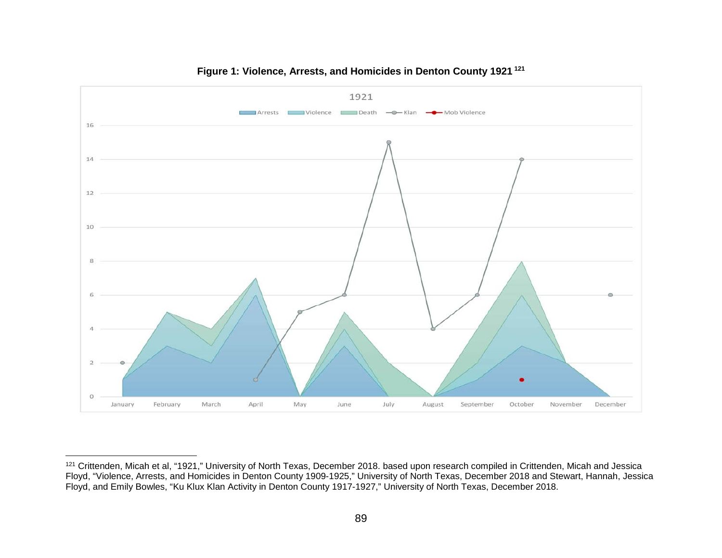

### **Figure 1: Violence, Arrests, and Homicides in Denton County 1921 <sup>121</sup>**

<sup>121</sup> Crittenden, Micah et al, "1921," University of North Texas, December 2018. based upon research compiled in Crittenden, Micah and Jessica Floyd, "Violence, Arrests, and Homicides in Denton County 1909-1925," University of North Texas, December 2018 and Stewart, Hannah, Jessica Floyd, and Emily Bowles, "Ku Klux Klan Activity in Denton County 1917-1927," University of North Texas, December 2018.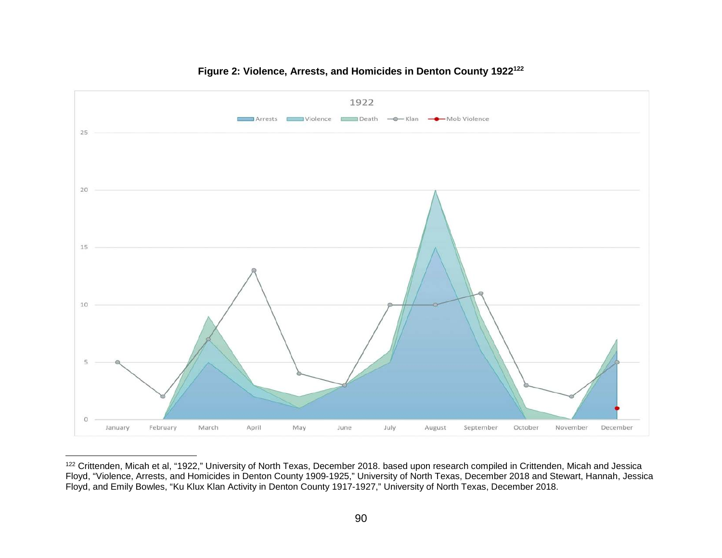

## **Figure 2: Violence, Arrests, and Homicides in Denton County 1922122**

<sup>122</sup> Crittenden, Micah et al, "1922," University of North Texas, December 2018. based upon research compiled in Crittenden, Micah and Jessica Floyd, "Violence, Arrests, and Homicides in Denton County 1909-1925," University of North Texas, December 2018 and Stewart, Hannah, Jessica Floyd, and Emily Bowles, "Ku Klux Klan Activity in Denton County 1917-1927," University of North Texas, December 2018.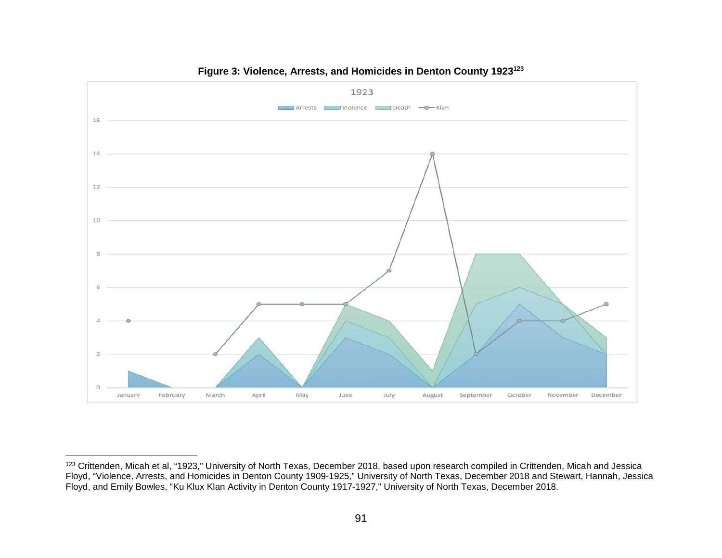

## **Figure 3: Violence, Arrests, and Homicides in Denton County 1923123**

<sup>123</sup> Crittenden, Micah et al, "1923," University of North Texas, December 2018. based upon research compiled in Crittenden, Micah and Jessica Floyd, "Violence, Arrests, and Homicides in Denton County 1909-1925," University of North Texas, December 2018 and Stewart, Hannah, Jessica Floyd, and Emily Bowles, "Ku Klux Klan Activity in Denton County 1917-1927," University of North Texas, December 2018.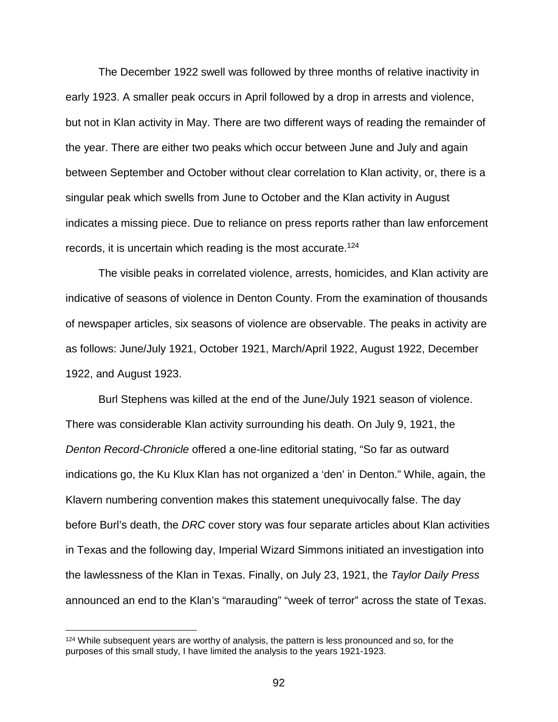The December 1922 swell was followed by three months of relative inactivity in early 1923. A smaller peak occurs in April followed by a drop in arrests and violence, but not in Klan activity in May. There are two different ways of reading the remainder of the year. There are either two peaks which occur between June and July and again between September and October without clear correlation to Klan activity, or, there is a singular peak which swells from June to October and the Klan activity in August indicates a missing piece. Due to reliance on press reports rather than law enforcement records, it is uncertain which reading is the most accurate.<sup>124</sup>

The visible peaks in correlated violence, arrests, homicides, and Klan activity are indicative of seasons of violence in Denton County. From the examination of thousands of newspaper articles, six seasons of violence are observable. The peaks in activity are as follows: June/July 1921, October 1921, March/April 1922, August 1922, December 1922, and August 1923.

Burl Stephens was killed at the end of the June/July 1921 season of violence. There was considerable Klan activity surrounding his death. On July 9, 1921, the *Denton Record-Chronicle* offered a one-line editorial stating, "So far as outward indications go, the Ku Klux Klan has not organized a 'den' in Denton." While, again, the Klavern numbering convention makes this statement unequivocally false. The day before Burl's death, the *DRC* cover story was four separate articles about Klan activities in Texas and the following day, Imperial Wizard Simmons initiated an investigation into the lawlessness of the Klan in Texas. Finally, on July 23, 1921, the *Taylor Daily Press* announced an end to the Klan's "marauding" "week of terror" across the state of Texas.

<sup>&</sup>lt;sup>124</sup> While subsequent years are worthy of analysis, the pattern is less pronounced and so, for the purposes of this small study, I have limited the analysis to the years 1921-1923.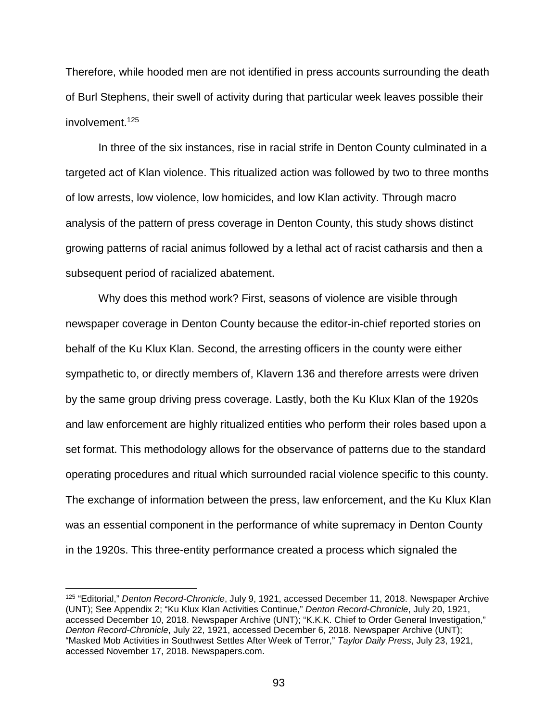Therefore, while hooded men are not identified in press accounts surrounding the death of Burl Stephens, their swell of activity during that particular week leaves possible their involvement.125

In three of the six instances, rise in racial strife in Denton County culminated in a targeted act of Klan violence. This ritualized action was followed by two to three months of low arrests, low violence, low homicides, and low Klan activity. Through macro analysis of the pattern of press coverage in Denton County, this study shows distinct growing patterns of racial animus followed by a lethal act of racist catharsis and then a subsequent period of racialized abatement.

Why does this method work? First, seasons of violence are visible through newspaper coverage in Denton County because the editor-in-chief reported stories on behalf of the Ku Klux Klan. Second, the arresting officers in the county were either sympathetic to, or directly members of, Klavern 136 and therefore arrests were driven by the same group driving press coverage. Lastly, both the Ku Klux Klan of the 1920s and law enforcement are highly ritualized entities who perform their roles based upon a set format. This methodology allows for the observance of patterns due to the standard operating procedures and ritual which surrounded racial violence specific to this county. The exchange of information between the press, law enforcement, and the Ku Klux Klan was an essential component in the performance of white supremacy in Denton County in the 1920s. This three-entity performance created a process which signaled the

 <sup>125</sup> "Editorial," *Denton Record-Chronicle*, July 9, 1921, accessed December 11, 2018. Newspaper Archive (UNT); See Appendix 2; "Ku Klux Klan Activities Continue," *Denton Record-Chronicle*, July 20, 1921, accessed December 10, 2018. Newspaper Archive (UNT); "K.K.K. Chief to Order General Investigation," *Denton Record-Chronicle*, July 22, 1921, accessed December 6, 2018. Newspaper Archive (UNT); "Masked Mob Activities in Southwest Settles After Week of Terror," *Taylor Daily Press*, July 23, 1921, accessed November 17, 2018. Newspapers.com.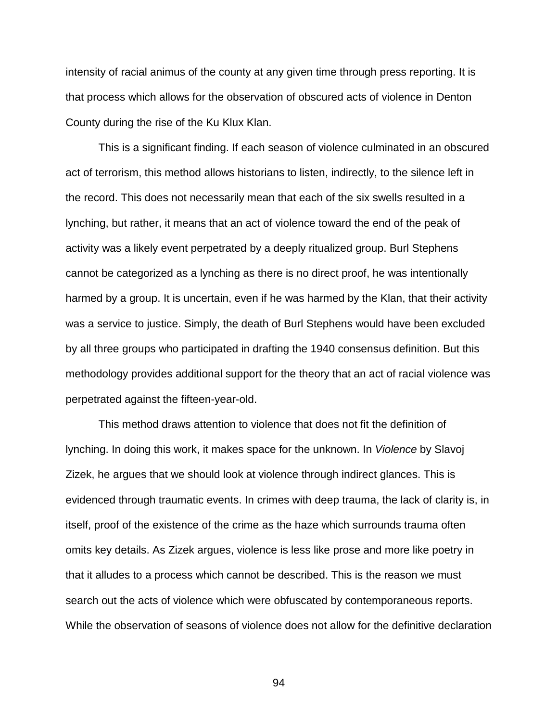intensity of racial animus of the county at any given time through press reporting. It is that process which allows for the observation of obscured acts of violence in Denton County during the rise of the Ku Klux Klan.

This is a significant finding. If each season of violence culminated in an obscured act of terrorism, this method allows historians to listen, indirectly, to the silence left in the record. This does not necessarily mean that each of the six swells resulted in a lynching, but rather, it means that an act of violence toward the end of the peak of activity was a likely event perpetrated by a deeply ritualized group. Burl Stephens cannot be categorized as a lynching as there is no direct proof, he was intentionally harmed by a group. It is uncertain, even if he was harmed by the Klan, that their activity was a service to justice. Simply, the death of Burl Stephens would have been excluded by all three groups who participated in drafting the 1940 consensus definition. But this methodology provides additional support for the theory that an act of racial violence was perpetrated against the fifteen-year-old.

This method draws attention to violence that does not fit the definition of lynching. In doing this work, it makes space for the unknown. In *Violence* by Slavoj Zizek, he argues that we should look at violence through indirect glances. This is evidenced through traumatic events. In crimes with deep trauma, the lack of clarity is, in itself, proof of the existence of the crime as the haze which surrounds trauma often omits key details. As Zizek argues, violence is less like prose and more like poetry in that it alludes to a process which cannot be described. This is the reason we must search out the acts of violence which were obfuscated by contemporaneous reports. While the observation of seasons of violence does not allow for the definitive declaration

94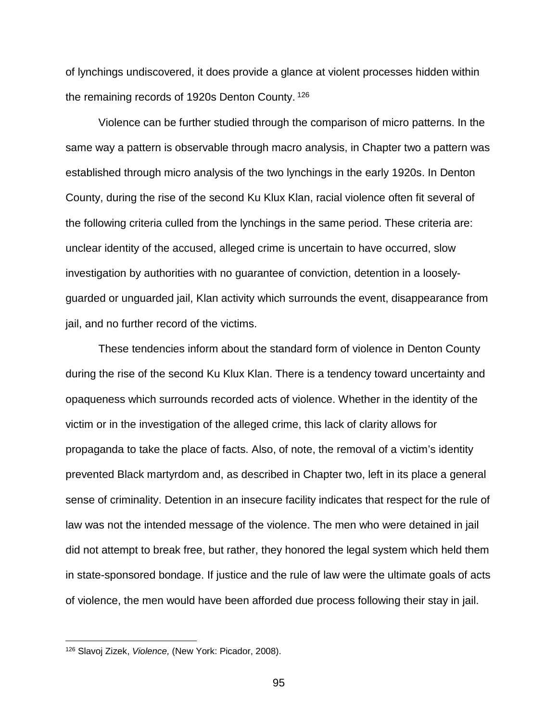of lynchings undiscovered, it does provide a glance at violent processes hidden within the remaining records of 1920s Denton County. 126

Violence can be further studied through the comparison of micro patterns. In the same way a pattern is observable through macro analysis, in Chapter two a pattern was established through micro analysis of the two lynchings in the early 1920s. In Denton County, during the rise of the second Ku Klux Klan, racial violence often fit several of the following criteria culled from the lynchings in the same period. These criteria are: unclear identity of the accused, alleged crime is uncertain to have occurred, slow investigation by authorities with no guarantee of conviction, detention in a looselyguarded or unguarded jail, Klan activity which surrounds the event, disappearance from jail, and no further record of the victims.

These tendencies inform about the standard form of violence in Denton County during the rise of the second Ku Klux Klan. There is a tendency toward uncertainty and opaqueness which surrounds recorded acts of violence. Whether in the identity of the victim or in the investigation of the alleged crime, this lack of clarity allows for propaganda to take the place of facts. Also, of note, the removal of a victim's identity prevented Black martyrdom and, as described in Chapter two, left in its place a general sense of criminality. Detention in an insecure facility indicates that respect for the rule of law was not the intended message of the violence. The men who were detained in jail did not attempt to break free, but rather, they honored the legal system which held them in state-sponsored bondage. If justice and the rule of law were the ultimate goals of acts of violence, the men would have been afforded due process following their stay in jail.

 <sup>126</sup> Slavoj Zizek, *Violence,* (New York: Picador, 2008).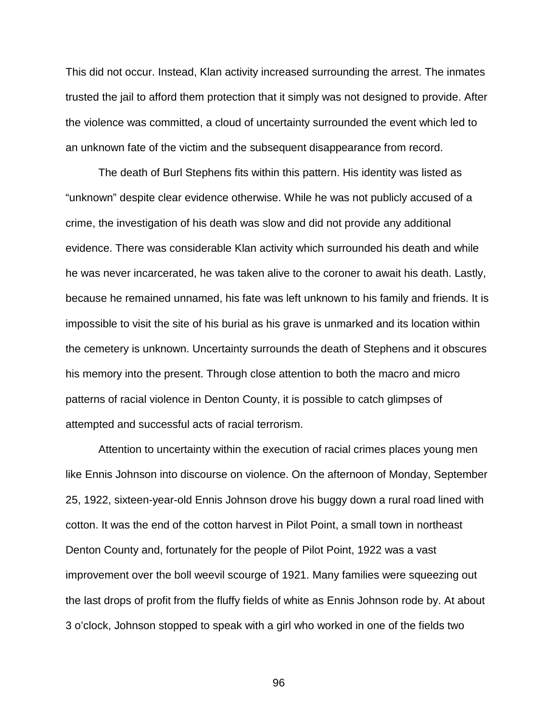This did not occur. Instead, Klan activity increased surrounding the arrest. The inmates trusted the jail to afford them protection that it simply was not designed to provide. After the violence was committed, a cloud of uncertainty surrounded the event which led to an unknown fate of the victim and the subsequent disappearance from record.

The death of Burl Stephens fits within this pattern. His identity was listed as "unknown" despite clear evidence otherwise. While he was not publicly accused of a crime, the investigation of his death was slow and did not provide any additional evidence. There was considerable Klan activity which surrounded his death and while he was never incarcerated, he was taken alive to the coroner to await his death. Lastly, because he remained unnamed, his fate was left unknown to his family and friends. It is impossible to visit the site of his burial as his grave is unmarked and its location within the cemetery is unknown. Uncertainty surrounds the death of Stephens and it obscures his memory into the present. Through close attention to both the macro and micro patterns of racial violence in Denton County, it is possible to catch glimpses of attempted and successful acts of racial terrorism.

Attention to uncertainty within the execution of racial crimes places young men like Ennis Johnson into discourse on violence. On the afternoon of Monday, September 25, 1922, sixteen-year-old Ennis Johnson drove his buggy down a rural road lined with cotton. It was the end of the cotton harvest in Pilot Point, a small town in northeast Denton County and, fortunately for the people of Pilot Point, 1922 was a vast improvement over the boll weevil scourge of 1921. Many families were squeezing out the last drops of profit from the fluffy fields of white as Ennis Johnson rode by. At about 3 o'clock, Johnson stopped to speak with a girl who worked in one of the fields two

96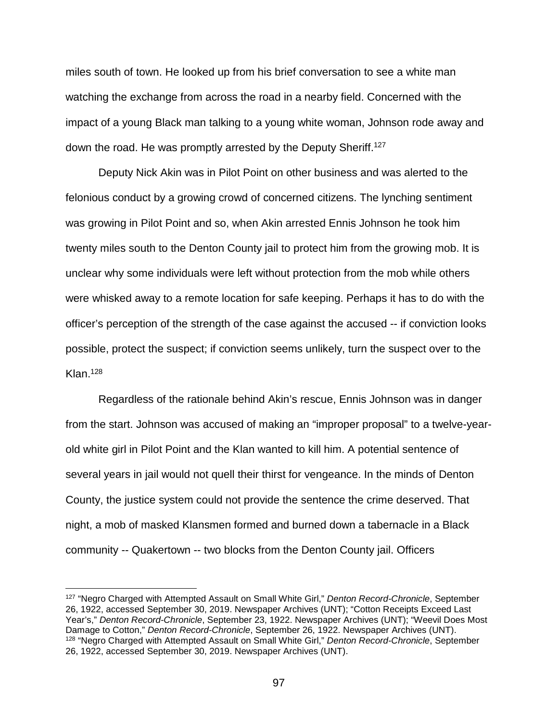miles south of town. He looked up from his brief conversation to see a white man watching the exchange from across the road in a nearby field. Concerned with the impact of a young Black man talking to a young white woman, Johnson rode away and down the road. He was promptly arrested by the Deputy Sheriff.<sup>127</sup>

Deputy Nick Akin was in Pilot Point on other business and was alerted to the felonious conduct by a growing crowd of concerned citizens. The lynching sentiment was growing in Pilot Point and so, when Akin arrested Ennis Johnson he took him twenty miles south to the Denton County jail to protect him from the growing mob. It is unclear why some individuals were left without protection from the mob while others were whisked away to a remote location for safe keeping. Perhaps it has to do with the officer's perception of the strength of the case against the accused -- if conviction looks possible, protect the suspect; if conviction seems unlikely, turn the suspect over to the  $Klan<sub>.128</sub>$ 

Regardless of the rationale behind Akin's rescue, Ennis Johnson was in danger from the start. Johnson was accused of making an "improper proposal" to a twelve-yearold white girl in Pilot Point and the Klan wanted to kill him. A potential sentence of several years in jail would not quell their thirst for vengeance. In the minds of Denton County, the justice system could not provide the sentence the crime deserved. That night, a mob of masked Klansmen formed and burned down a tabernacle in a Black community -- Quakertown -- two blocks from the Denton County jail. Officers

 <sup>127</sup> "Negro Charged with Attempted Assault on Small White Girl," *Denton Record-Chronicle*, September 26, 1922, accessed September 30, 2019. Newspaper Archives (UNT); "Cotton Receipts Exceed Last Year's," *Denton Record-Chronicle*, September 23, 1922. Newspaper Archives (UNT); "Weevil Does Most Damage to Cotton," *Denton Record-Chronicle*, September 26, 1922. Newspaper Archives (UNT). <sup>128</sup> "Negro Charged with Attempted Assault on Small White Girl," *Denton Record-Chronicle*, September 26, 1922, accessed September 30, 2019. Newspaper Archives (UNT).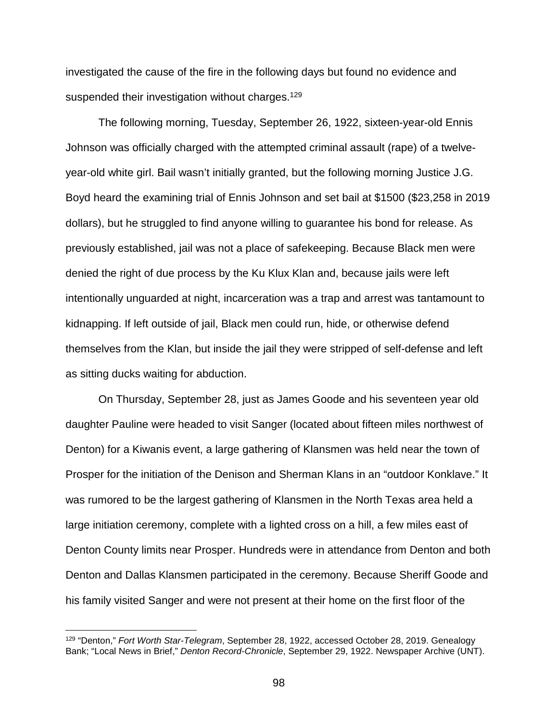investigated the cause of the fire in the following days but found no evidence and suspended their investigation without charges.<sup>129</sup>

The following morning, Tuesday, September 26, 1922, sixteen-year-old Ennis Johnson was officially charged with the attempted criminal assault (rape) of a twelveyear-old white girl. Bail wasn't initially granted, but the following morning Justice J.G. Boyd heard the examining trial of Ennis Johnson and set bail at \$1500 (\$23,258 in 2019 dollars), but he struggled to find anyone willing to guarantee his bond for release. As previously established, jail was not a place of safekeeping. Because Black men were denied the right of due process by the Ku Klux Klan and, because jails were left intentionally unguarded at night, incarceration was a trap and arrest was tantamount to kidnapping. If left outside of jail, Black men could run, hide, or otherwise defend themselves from the Klan, but inside the jail they were stripped of self-defense and left as sitting ducks waiting for abduction.

On Thursday, September 28, just as James Goode and his seventeen year old daughter Pauline were headed to visit Sanger (located about fifteen miles northwest of Denton) for a Kiwanis event, a large gathering of Klansmen was held near the town of Prosper for the initiation of the Denison and Sherman Klans in an "outdoor Konklave." It was rumored to be the largest gathering of Klansmen in the North Texas area held a large initiation ceremony, complete with a lighted cross on a hill, a few miles east of Denton County limits near Prosper. Hundreds were in attendance from Denton and both Denton and Dallas Klansmen participated in the ceremony. Because Sheriff Goode and his family visited Sanger and were not present at their home on the first floor of the

 <sup>129</sup> "Denton," *Fort Worth Star-Telegram*, September 28, 1922, accessed October 28, 2019. Genealogy Bank; "Local News in Brief," *Denton Record-Chronicle*, September 29, 1922. Newspaper Archive (UNT).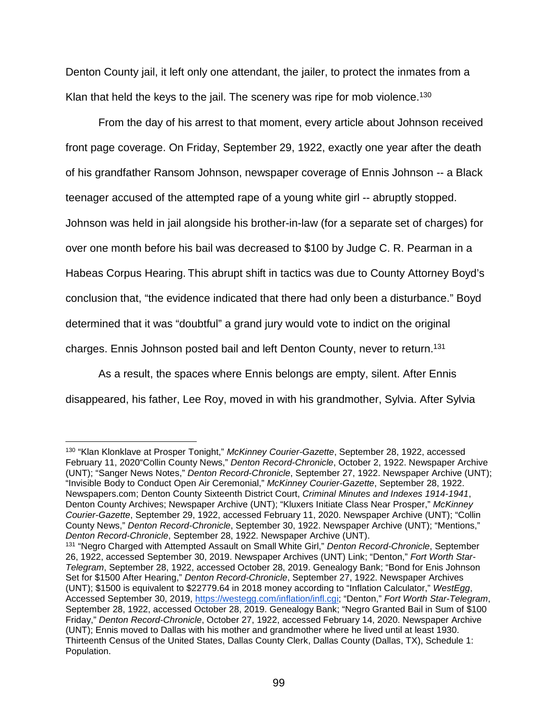Denton County jail, it left only one attendant, the jailer, to protect the inmates from a Klan that held the keys to the jail. The scenery was ripe for mob violence.<sup>130</sup>

From the day of his arrest to that moment, every article about Johnson received front page coverage. On Friday, September 29, 1922, exactly one year after the death of his grandfather Ransom Johnson, newspaper coverage of Ennis Johnson -- a Black teenager accused of the attempted rape of a young white girl -- abruptly stopped. Johnson was held in jail alongside his brother-in-law (for a separate set of charges) for over one month before his bail was decreased to \$100 by Judge C. R. Pearman in a Habeas Corpus Hearing. This abrupt shift in tactics was due to County Attorney Boyd's conclusion that, "the evidence indicated that there had only been a disturbance." Boyd determined that it was "doubtful" a grand jury would vote to indict on the original charges. Ennis Johnson posted bail and left Denton County, never to return.131

As a result, the spaces where Ennis belongs are empty, silent. After Ennis disappeared, his father, Lee Roy, moved in with his grandmother, Sylvia. After Sylvia

 <sup>130</sup> "Klan Klonklave at Prosper Tonight," *McKinney Courier-Gazette*, September 28, 1922, accessed February 11, 2020"Collin County News," *Denton Record-Chronicle*, October 2, 1922. Newspaper Archive (UNT); "Sanger News Notes," *Denton Record-Chronicle*, September 27, 1922. Newspaper Archive (UNT); "Invisible Body to Conduct Open Air Ceremonial," *McKinney Courier-Gazette*, September 28, 1922. Newspapers.com; Denton County Sixteenth District Court, *Criminal Minutes and Indexes 1914-1941*, Denton County Archives; Newspaper Archive (UNT); "Kluxers Initiate Class Near Prosper," *McKinney Courier-Gazette*, September 29, 1922, accessed February 11, 2020. Newspaper Archive (UNT); "Collin County News," *Denton Record-Chronicle*, September 30, 1922. Newspaper Archive (UNT); "Mentions," *Denton Record-Chronicle*, September 28, 1922. Newspaper Archive (UNT).

<sup>131</sup> "Negro Charged with Attempted Assault on Small White Girl," *Denton Record-Chronicle*, September 26, 1922, accessed September 30, 2019. Newspaper Archives (UNT) Link; "Denton," *Fort Worth Star-Telegram*, September 28, 1922, accessed October 28, 2019. Genealogy Bank; "Bond for Enis Johnson Set for \$1500 After Hearing," *Denton Record-Chronicle*, September 27, 1922. Newspaper Archives (UNT); \$1500 is equivalent to \$22779.64 in 2018 money according to "Inflation Calculator," *WestEgg*, Accessed September 30, 2019, [https://westegg.com/inflation/infl.cgi;](https://westegg.com/inflation/infl.cgi) "Denton," *Fort Worth Star-Telegram*, September 28, 1922, accessed October 28, 2019. Genealogy Bank; "Negro Granted Bail in Sum of \$100 Friday," *Denton Record-Chronicle*, October 27, 1922, accessed February 14, 2020. Newspaper Archive (UNT); Ennis moved to Dallas with his mother and grandmother where he lived until at least 1930. Thirteenth Census of the United States, Dallas County Clerk, Dallas County (Dallas, TX), Schedule 1: Population.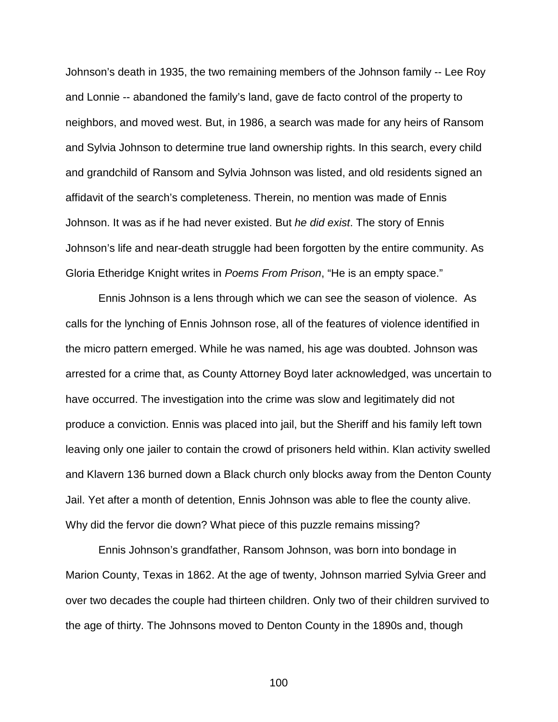Johnson's death in 1935, the two remaining members of the Johnson family -- Lee Roy and Lonnie -- abandoned the family's land, gave de facto control of the property to neighbors, and moved west. But, in 1986, a search was made for any heirs of Ransom and Sylvia Johnson to determine true land ownership rights. In this search, every child and grandchild of Ransom and Sylvia Johnson was listed, and old residents signed an affidavit of the search's completeness. Therein, no mention was made of Ennis Johnson. It was as if he had never existed. But *he did exist*. The story of Ennis Johnson's life and near-death struggle had been forgotten by the entire community. As Gloria Etheridge Knight writes in *Poems From Prison*, "He is an empty space."

Ennis Johnson is a lens through which we can see the season of violence. As calls for the lynching of Ennis Johnson rose, all of the features of violence identified in the micro pattern emerged. While he was named, his age was doubted. Johnson was arrested for a crime that, as County Attorney Boyd later acknowledged, was uncertain to have occurred. The investigation into the crime was slow and legitimately did not produce a conviction. Ennis was placed into jail, but the Sheriff and his family left town leaving only one jailer to contain the crowd of prisoners held within. Klan activity swelled and Klavern 136 burned down a Black church only blocks away from the Denton County Jail. Yet after a month of detention, Ennis Johnson was able to flee the county alive. Why did the fervor die down? What piece of this puzzle remains missing?

Ennis Johnson's grandfather, Ransom Johnson, was born into bondage in Marion County, Texas in 1862. At the age of twenty, Johnson married Sylvia Greer and over two decades the couple had thirteen children. Only two of their children survived to the age of thirty. The Johnsons moved to Denton County in the 1890s and, though

100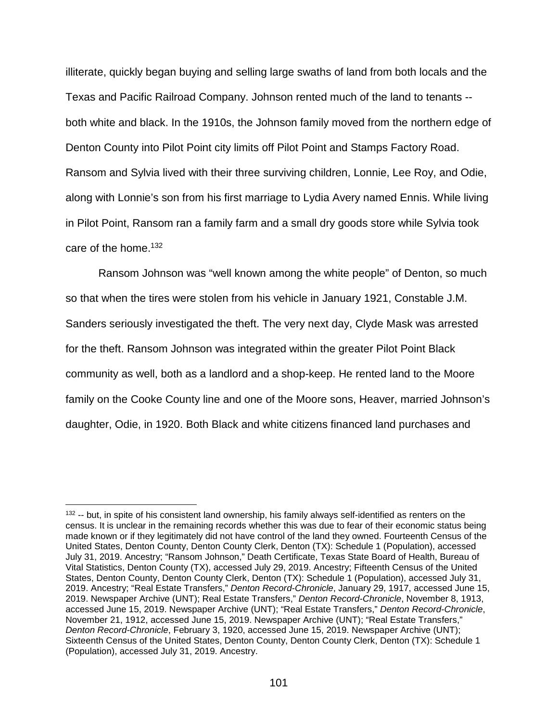illiterate, quickly began buying and selling large swaths of land from both locals and the Texas and Pacific Railroad Company. Johnson rented much of the land to tenants - both white and black. In the 1910s, the Johnson family moved from the northern edge of Denton County into Pilot Point city limits off Pilot Point and Stamps Factory Road. Ransom and Sylvia lived with their three surviving children, Lonnie, Lee Roy, and Odie, along with Lonnie's son from his first marriage to Lydia Avery named Ennis. While living in Pilot Point, Ransom ran a family farm and a small dry goods store while Sylvia took care of the home.132

Ransom Johnson was "well known among the white people" of Denton, so much so that when the tires were stolen from his vehicle in January 1921, Constable J.M. Sanders seriously investigated the theft. The very next day, Clyde Mask was arrested for the theft. Ransom Johnson was integrated within the greater Pilot Point Black community as well, both as a landlord and a shop-keep. He rented land to the Moore family on the Cooke County line and one of the Moore sons, Heaver, married Johnson's daughter, Odie, in 1920. Both Black and white citizens financed land purchases and

 <sup>132</sup> -- but, in spite of his consistent land ownership, his family always self-identified as renters on the census. It is unclear in the remaining records whether this was due to fear of their economic status being made known or if they legitimately did not have control of the land they owned. Fourteenth Census of the United States, Denton County, Denton County Clerk, Denton (TX): Schedule 1 (Population), accessed July 31, 2019. Ancestry; "Ransom Johnson," Death Certificate, Texas State Board of Health, Bureau of Vital Statistics, Denton County (TX), accessed July 29, 2019. Ancestry; Fifteenth Census of the United States, Denton County, Denton County Clerk, Denton (TX): Schedule 1 (Population), accessed July 31, 2019. Ancestry; "Real Estate Transfers," *Denton Record-Chronicle*, January 29, 1917, accessed June 15, 2019. Newspaper Archive (UNT); Real Estate Transfers," *Denton Record-Chronicle*, November 8, 1913, accessed June 15, 2019. Newspaper Archive (UNT); "Real Estate Transfers," *Denton Record-Chronicle*, November 21, 1912, accessed June 15, 2019. Newspaper Archive (UNT); "Real Estate Transfers," *Denton Record-Chronicle*, February 3, 1920, accessed June 15, 2019. Newspaper Archive (UNT); Sixteenth Census of the United States, Denton County, Denton County Clerk, Denton (TX): Schedule 1 (Population), accessed July 31, 2019. Ancestry.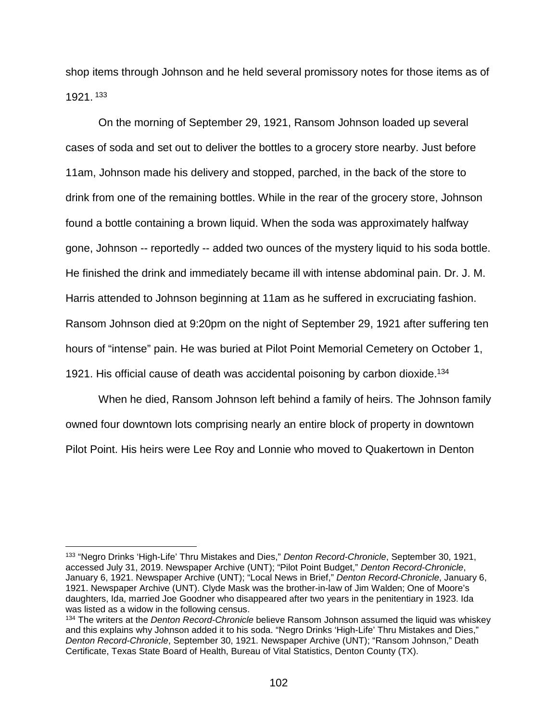shop items through Johnson and he held several promissory notes for those items as of 1921. <sup>133</sup>

On the morning of September 29, 1921, Ransom Johnson loaded up several cases of soda and set out to deliver the bottles to a grocery store nearby. Just before 11am, Johnson made his delivery and stopped, parched, in the back of the store to drink from one of the remaining bottles. While in the rear of the grocery store, Johnson found a bottle containing a brown liquid. When the soda was approximately halfway gone, Johnson -- reportedly -- added two ounces of the mystery liquid to his soda bottle. He finished the drink and immediately became ill with intense abdominal pain. Dr. J. M. Harris attended to Johnson beginning at 11am as he suffered in excruciating fashion. Ransom Johnson died at 9:20pm on the night of September 29, 1921 after suffering ten hours of "intense" pain. He was buried at Pilot Point Memorial Cemetery on October 1, 1921. His official cause of death was accidental poisoning by carbon dioxide.<sup>134</sup>

When he died, Ransom Johnson left behind a family of heirs. The Johnson family owned four downtown lots comprising nearly an entire block of property in downtown Pilot Point. His heirs were Lee Roy and Lonnie who moved to Quakertown in Denton

 <sup>133</sup> "Negro Drinks 'High-Life' Thru Mistakes and Dies," *Denton Record-Chronicle*, September 30, 1921, accessed July 31, 2019. Newspaper Archive (UNT); "Pilot Point Budget," *Denton Record-Chronicle*, January 6, 1921. Newspaper Archive (UNT); "Local News in Brief," *Denton Record-Chronicle*, January 6, 1921. Newspaper Archive (UNT). Clyde Mask was the brother-in-law of Jim Walden; One of Moore's daughters, Ida, married Joe Goodner who disappeared after two years in the penitentiary in 1923. Ida was listed as a widow in the following census.

<sup>134</sup> The writers at the *Denton Record-Chronicle* believe Ransom Johnson assumed the liquid was whiskey and this explains why Johnson added it to his soda. "Negro Drinks 'High-Life' Thru Mistakes and Dies," *Denton Record-Chronicle*, September 30, 1921. Newspaper Archive (UNT); "Ransom Johnson," Death Certificate, Texas State Board of Health, Bureau of Vital Statistics, Denton County (TX).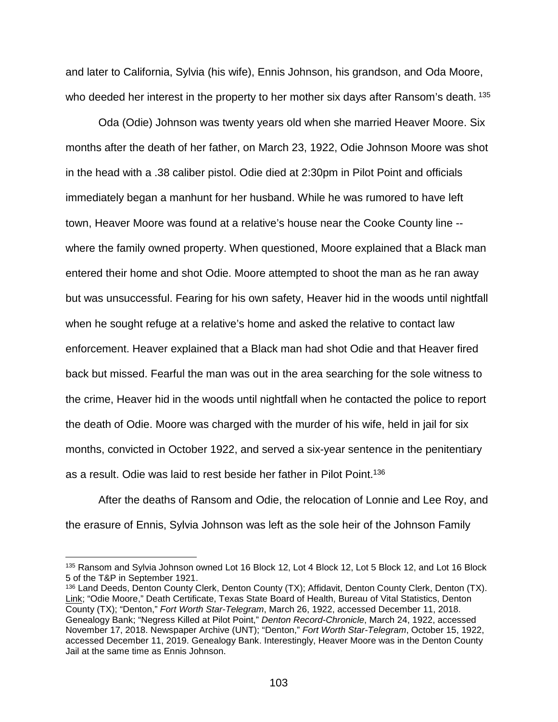and later to California, Sylvia (his wife), Ennis Johnson, his grandson, and Oda Moore, who deeded her interest in the property to her mother six days after Ransom's death. 135

Oda (Odie) Johnson was twenty years old when she married Heaver Moore. Six months after the death of her father, on March 23, 1922, Odie Johnson Moore was shot in the head with a .38 caliber pistol. Odie died at 2:30pm in Pilot Point and officials immediately began a manhunt for her husband. While he was rumored to have left town, Heaver Moore was found at a relative's house near the Cooke County line - where the family owned property. When questioned, Moore explained that a Black man entered their home and shot Odie. Moore attempted to shoot the man as he ran away but was unsuccessful. Fearing for his own safety, Heaver hid in the woods until nightfall when he sought refuge at a relative's home and asked the relative to contact law enforcement. Heaver explained that a Black man had shot Odie and that Heaver fired back but missed. Fearful the man was out in the area searching for the sole witness to the crime, Heaver hid in the woods until nightfall when he contacted the police to report the death of Odie. Moore was charged with the murder of his wife, held in jail for six months, convicted in October 1922, and served a six-year sentence in the penitentiary as a result. Odie was laid to rest beside her father in Pilot Point.136

After the deaths of Ransom and Odie, the relocation of Lonnie and Lee Roy, and the erasure of Ennis, Sylvia Johnson was left as the sole heir of the Johnson Family

<sup>135</sup> Ransom and Sylvia Johnson owned Lot 16 Block 12, Lot 4 Block 12, Lot 5 Block 12, and Lot 16 Block 5 of the T&P in September 1921.

<sup>136</sup> Land Deeds, Denton County Clerk, Denton County (TX); Affidavit, Denton County Clerk, Denton (TX). [Link;](https://dentontx.search.kofile.com/48121/Home/Index/1?pageNo=25) "Odie Moore," Death Certificate, Texas State Board of Health, Bureau of Vital Statistics, Denton County (TX); "Denton," *Fort Worth Star-Telegram*, March 26, 1922, accessed December 11, 2018. Genealogy Bank; "Negress Killed at Pilot Point," *Denton Record-Chronicle*, March 24, 1922, accessed November 17, 2018. Newspaper Archive (UNT); "Denton," *Fort Worth Star-Telegram*, October 15, 1922, accessed December 11, 2019. Genealogy Bank. Interestingly, Heaver Moore was in the Denton County Jail at the same time as Ennis Johnson.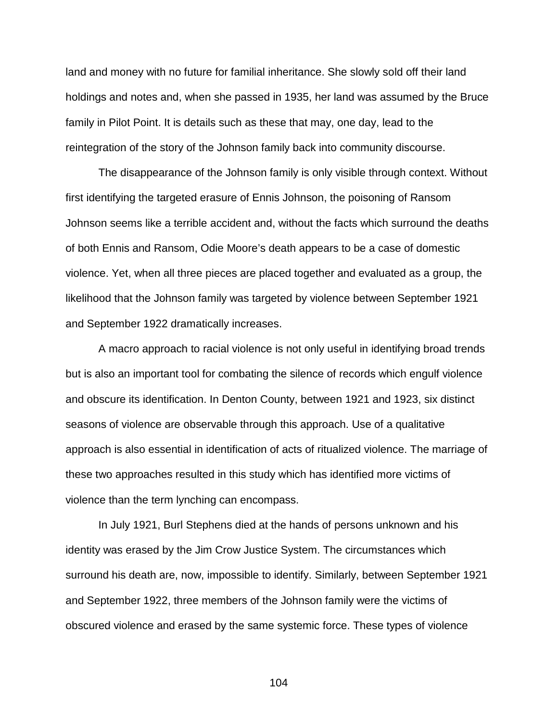land and money with no future for familial inheritance. She slowly sold off their land holdings and notes and, when she passed in 1935, her land was assumed by the Bruce family in Pilot Point. It is details such as these that may, one day, lead to the reintegration of the story of the Johnson family back into community discourse.

The disappearance of the Johnson family is only visible through context. Without first identifying the targeted erasure of Ennis Johnson, the poisoning of Ransom Johnson seems like a terrible accident and, without the facts which surround the deaths of both Ennis and Ransom, Odie Moore's death appears to be a case of domestic violence. Yet, when all three pieces are placed together and evaluated as a group, the likelihood that the Johnson family was targeted by violence between September 1921 and September 1922 dramatically increases.

A macro approach to racial violence is not only useful in identifying broad trends but is also an important tool for combating the silence of records which engulf violence and obscure its identification. In Denton County, between 1921 and 1923, six distinct seasons of violence are observable through this approach. Use of a qualitative approach is also essential in identification of acts of ritualized violence. The marriage of these two approaches resulted in this study which has identified more victims of violence than the term lynching can encompass.

In July 1921, Burl Stephens died at the hands of persons unknown and his identity was erased by the Jim Crow Justice System. The circumstances which surround his death are, now, impossible to identify. Similarly, between September 1921 and September 1922, three members of the Johnson family were the victims of obscured violence and erased by the same systemic force. These types of violence

104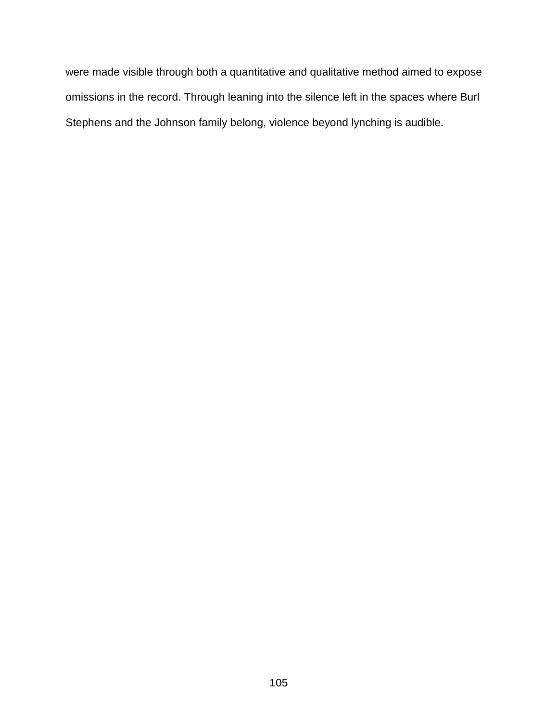were made visible through both a quantitative and qualitative method aimed to expose omissions in the record. Through leaning into the silence left in the spaces where Burl Stephens and the Johnson family belong, violence beyond lynching is audible.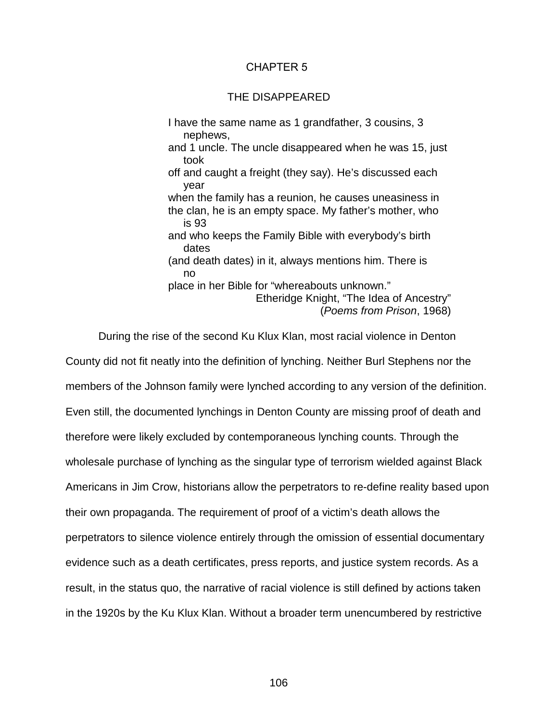## CHAPTER 5

## THE DISAPPEARED

I have the same name as 1 grandfather, 3 cousins, 3 nephews, and 1 uncle. The uncle disappeared when he was 15, just took off and caught a freight (they say). He's discussed each year when the family has a reunion, he causes uneasiness in the clan, he is an empty space. My father's mother, who is 93 and who keeps the Family Bible with everybody's birth dates (and death dates) in it, always mentions him. There is no place in her Bible for "whereabouts unknown." Etheridge Knight, "The Idea of Ancestry" (*Poems from Prison*, 1968)

During the rise of the second Ku Klux Klan, most racial violence in Denton County did not fit neatly into the definition of lynching. Neither Burl Stephens nor the members of the Johnson family were lynched according to any version of the definition. Even still, the documented lynchings in Denton County are missing proof of death and therefore were likely excluded by contemporaneous lynching counts. Through the wholesale purchase of lynching as the singular type of terrorism wielded against Black Americans in Jim Crow, historians allow the perpetrators to re-define reality based upon their own propaganda. The requirement of proof of a victim's death allows the perpetrators to silence violence entirely through the omission of essential documentary evidence such as a death certificates, press reports, and justice system records. As a result, in the status quo, the narrative of racial violence is still defined by actions taken in the 1920s by the Ku Klux Klan. Without a broader term unencumbered by restrictive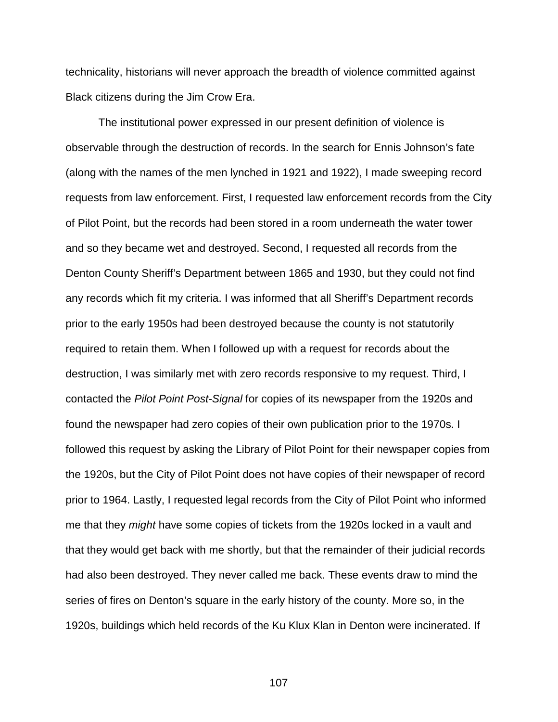technicality, historians will never approach the breadth of violence committed against Black citizens during the Jim Crow Era.

The institutional power expressed in our present definition of violence is observable through the destruction of records. In the search for Ennis Johnson's fate (along with the names of the men lynched in 1921 and 1922), I made sweeping record requests from law enforcement. First, I requested law enforcement records from the City of Pilot Point, but the records had been stored in a room underneath the water tower and so they became wet and destroyed. Second, I requested all records from the Denton County Sheriff's Department between 1865 and 1930, but they could not find any records which fit my criteria. I was informed that all Sheriff's Department records prior to the early 1950s had been destroyed because the county is not statutorily required to retain them. When I followed up with a request for records about the destruction, I was similarly met with zero records responsive to my request. Third, I contacted the *Pilot Point Post-Signal* for copies of its newspaper from the 1920s and found the newspaper had zero copies of their own publication prior to the 1970s. I followed this request by asking the Library of Pilot Point for their newspaper copies from the 1920s, but the City of Pilot Point does not have copies of their newspaper of record prior to 1964. Lastly, I requested legal records from the City of Pilot Point who informed me that they *might* have some copies of tickets from the 1920s locked in a vault and that they would get back with me shortly, but that the remainder of their judicial records had also been destroyed. They never called me back. These events draw to mind the series of fires on Denton's square in the early history of the county. More so, in the 1920s, buildings which held records of the Ku Klux Klan in Denton were incinerated. If

107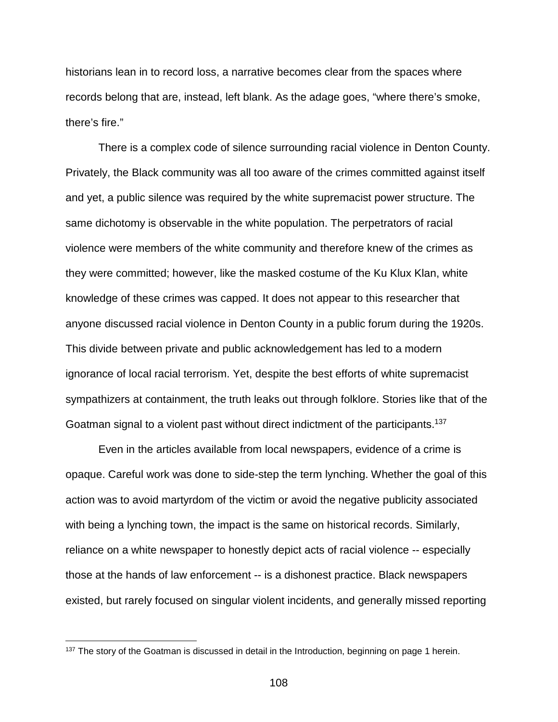historians lean in to record loss, a narrative becomes clear from the spaces where records belong that are, instead, left blank. As the adage goes, "where there's smoke, there's fire."

There is a complex code of silence surrounding racial violence in Denton County. Privately, the Black community was all too aware of the crimes committed against itself and yet, a public silence was required by the white supremacist power structure. The same dichotomy is observable in the white population. The perpetrators of racial violence were members of the white community and therefore knew of the crimes as they were committed; however, like the masked costume of the Ku Klux Klan, white knowledge of these crimes was capped. It does not appear to this researcher that anyone discussed racial violence in Denton County in a public forum during the 1920s. This divide between private and public acknowledgement has led to a modern ignorance of local racial terrorism. Yet, despite the best efforts of white supremacist sympathizers at containment, the truth leaks out through folklore. Stories like that of the Goatman signal to a violent past without direct indictment of the participants.137

Even in the articles available from local newspapers, evidence of a crime is opaque. Careful work was done to side-step the term lynching. Whether the goal of this action was to avoid martyrdom of the victim or avoid the negative publicity associated with being a lynching town, the impact is the same on historical records. Similarly, reliance on a white newspaper to honestly depict acts of racial violence -- especially those at the hands of law enforcement -- is a dishonest practice. Black newspapers existed, but rarely focused on singular violent incidents, and generally missed reporting

<sup>&</sup>lt;sup>137</sup> The story of the Goatman is discussed in detail in the Introduction, beginning on page 1 herein.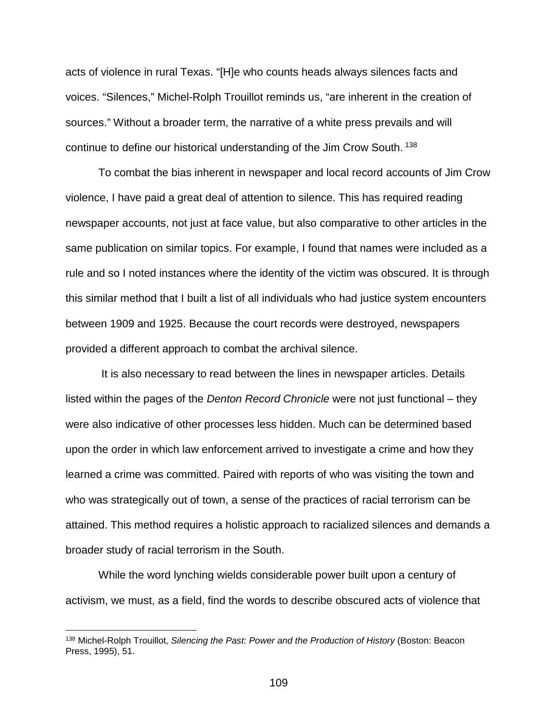acts of violence in rural Texas. "[H]e who counts heads always silences facts and voices. "Silences," Michel-Rolph Trouillot reminds us, "are inherent in the creation of sources." Without a broader term, the narrative of a white press prevails and will continue to define our historical understanding of the Jim Crow South. <sup>138</sup>

To combat the bias inherent in newspaper and local record accounts of Jim Crow violence, I have paid a great deal of attention to silence. This has required reading newspaper accounts, not just at face value, but also comparative to other articles in the same publication on similar topics. For example, I found that names were included as a rule and so I noted instances where the identity of the victim was obscured. It is through this similar method that I built a list of all individuals who had justice system encounters between 1909 and 1925. Because the court records were destroyed, newspapers provided a different approach to combat the archival silence.

It is also necessary to read between the lines in newspaper articles. Details listed within the pages of the *Denton Record Chronicle* were not just functional – they were also indicative of other processes less hidden. Much can be determined based upon the order in which law enforcement arrived to investigate a crime and how they learned a crime was committed. Paired with reports of who was visiting the town and who was strategically out of town, a sense of the practices of racial terrorism can be attained. This method requires a holistic approach to racialized silences and demands a broader study of racial terrorism in the South.

While the word lynching wields considerable power built upon a century of activism, we must, as a field, find the words to describe obscured acts of violence that

 <sup>138</sup> Michel-Rolph Trouillot, *Silencing the Past: Power and the Production of History* (Boston: Beacon Press, 1995), 51.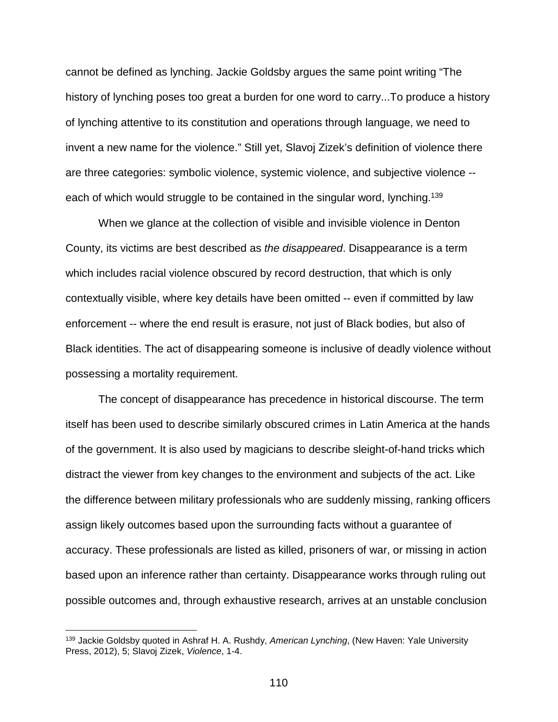cannot be defined as lynching. Jackie Goldsby argues the same point writing "The history of lynching poses too great a burden for one word to carry...To produce a history of lynching attentive to its constitution and operations through language, we need to invent a new name for the violence." Still yet, Slavoj Zizek's definition of violence there are three categories: symbolic violence, systemic violence, and subjective violence - each of which would struggle to be contained in the singular word, lynching.<sup>139</sup>

When we glance at the collection of visible and invisible violence in Denton County, its victims are best described as *the disappeared*. Disappearance is a term which includes racial violence obscured by record destruction, that which is only contextually visible, where key details have been omitted -- even if committed by law enforcement -- where the end result is erasure, not just of Black bodies, but also of Black identities. The act of disappearing someone is inclusive of deadly violence without possessing a mortality requirement.

The concept of disappearance has precedence in historical discourse. The term itself has been used to describe similarly obscured crimes in Latin America at the hands of the government. It is also used by magicians to describe sleight-of-hand tricks which distract the viewer from key changes to the environment and subjects of the act. Like the difference between military professionals who are suddenly missing, ranking officers assign likely outcomes based upon the surrounding facts without a guarantee of accuracy. These professionals are listed as killed, prisoners of war, or missing in action based upon an inference rather than certainty. Disappearance works through ruling out possible outcomes and, through exhaustive research, arrives at an unstable conclusion

 <sup>139</sup> Jackie Goldsby quoted in Ashraf H. A. Rushdy, *American Lynching*, (New Haven: Yale University Press, 2012), 5; Slavoj Zizek, *Violence*, 1-4.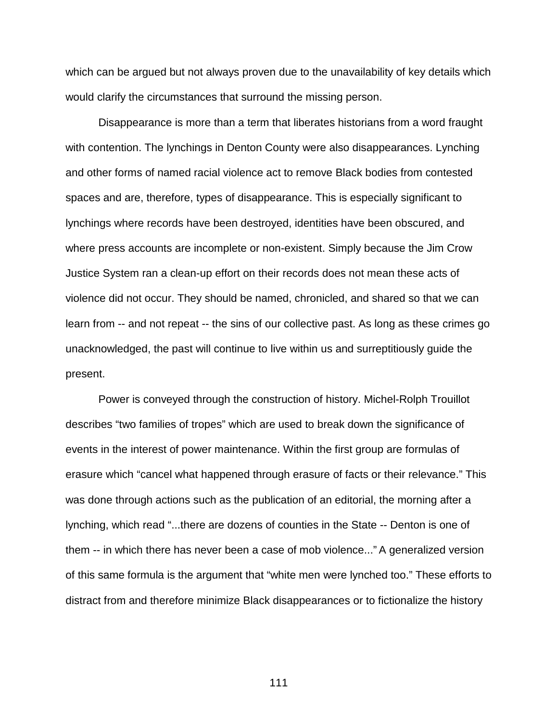which can be argued but not always proven due to the unavailability of key details which would clarify the circumstances that surround the missing person.

Disappearance is more than a term that liberates historians from a word fraught with contention. The lynchings in Denton County were also disappearances. Lynching and other forms of named racial violence act to remove Black bodies from contested spaces and are, therefore, types of disappearance. This is especially significant to lynchings where records have been destroyed, identities have been obscured, and where press accounts are incomplete or non-existent. Simply because the Jim Crow Justice System ran a clean-up effort on their records does not mean these acts of violence did not occur. They should be named, chronicled, and shared so that we can learn from -- and not repeat -- the sins of our collective past. As long as these crimes go unacknowledged, the past will continue to live within us and surreptitiously guide the present.

Power is conveyed through the construction of history. Michel-Rolph Trouillot describes "two families of tropes" which are used to break down the significance of events in the interest of power maintenance. Within the first group are formulas of erasure which "cancel what happened through erasure of facts or their relevance." This was done through actions such as the publication of an editorial, the morning after a lynching, which read "...there are dozens of counties in the State -- Denton is one of them -- in which there has never been a case of mob violence..." A generalized version of this same formula is the argument that "white men were lynched too." These efforts to distract from and therefore minimize Black disappearances or to fictionalize the history

111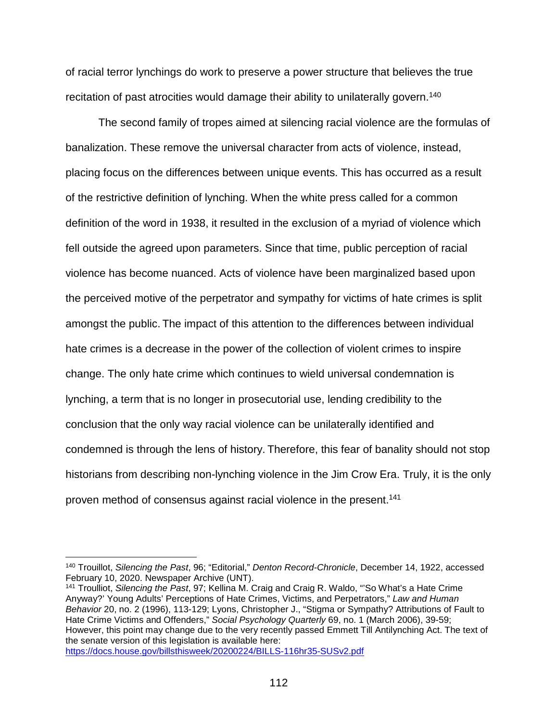of racial terror lynchings do work to preserve a power structure that believes the true recitation of past atrocities would damage their ability to unilaterally govern.<sup>140</sup>

The second family of tropes aimed at silencing racial violence are the formulas of banalization. These remove the universal character from acts of violence, instead, placing focus on the differences between unique events. This has occurred as a result of the restrictive definition of lynching. When the white press called for a common definition of the word in 1938, it resulted in the exclusion of a myriad of violence which fell outside the agreed upon parameters. Since that time, public perception of racial violence has become nuanced. Acts of violence have been marginalized based upon the perceived motive of the perpetrator and sympathy for victims of hate crimes is split amongst the public. The impact of this attention to the differences between individual hate crimes is a decrease in the power of the collection of violent crimes to inspire change. The only hate crime which continues to wield universal condemnation is lynching, a term that is no longer in prosecutorial use, lending credibility to the conclusion that the only way racial violence can be unilaterally identified and condemned is through the lens of history. Therefore, this fear of banality should not stop historians from describing non-lynching violence in the Jim Crow Era. Truly, it is the only proven method of consensus against racial violence in the present.<sup>141</sup>

<sup>141</sup> Troulliot, *Silencing the Past*, 97; Kellina M. Craig and Craig R. Waldo, "'So What's a Hate Crime Anyway?' Young Adults' Perceptions of Hate Crimes, Victims, and Perpetrators," *Law and Human Behavior* 20, no. 2 (1996), 113-129; Lyons, Christopher J., "Stigma or Sympathy? Attributions of Fault to Hate Crime Victims and Offenders," *Social Psychology Quarterly* 69, no. 1 (March 2006), 39-59; However, this point may change due to the very recently passed Emmett Till Antilynching Act. The text of the senate version of this legislation is available here: <https://docs.house.gov/billsthisweek/20200224/BILLS-116hr35-SUSv2.pdf>

 <sup>140</sup> Trouillot, *Silencing the Past*, 96; "Editorial," *Denton Record-Chronicle*, December 14, 1922, accessed February 10, 2020. Newspaper Archive (UNT).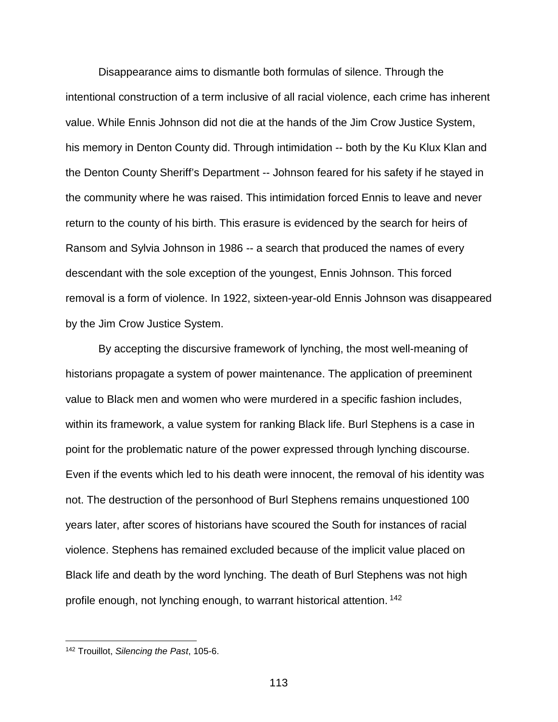Disappearance aims to dismantle both formulas of silence. Through the intentional construction of a term inclusive of all racial violence, each crime has inherent value. While Ennis Johnson did not die at the hands of the Jim Crow Justice System, his memory in Denton County did. Through intimidation -- both by the Ku Klux Klan and the Denton County Sheriff's Department -- Johnson feared for his safety if he stayed in the community where he was raised. This intimidation forced Ennis to leave and never return to the county of his birth. This erasure is evidenced by the search for heirs of Ransom and Sylvia Johnson in 1986 -- a search that produced the names of every descendant with the sole exception of the youngest, Ennis Johnson. This forced removal is a form of violence. In 1922, sixteen-year-old Ennis Johnson was disappeared by the Jim Crow Justice System.

By accepting the discursive framework of lynching, the most well-meaning of historians propagate a system of power maintenance. The application of preeminent value to Black men and women who were murdered in a specific fashion includes, within its framework, a value system for ranking Black life. Burl Stephens is a case in point for the problematic nature of the power expressed through lynching discourse. Even if the events which led to his death were innocent, the removal of his identity was not. The destruction of the personhood of Burl Stephens remains unquestioned 100 years later, after scores of historians have scoured the South for instances of racial violence. Stephens has remained excluded because of the implicit value placed on Black life and death by the word lynching. The death of Burl Stephens was not high profile enough, not lynching enough, to warrant historical attention. <sup>142</sup>

 <sup>142</sup> Trouillot, *Silencing the Past*, 105-6.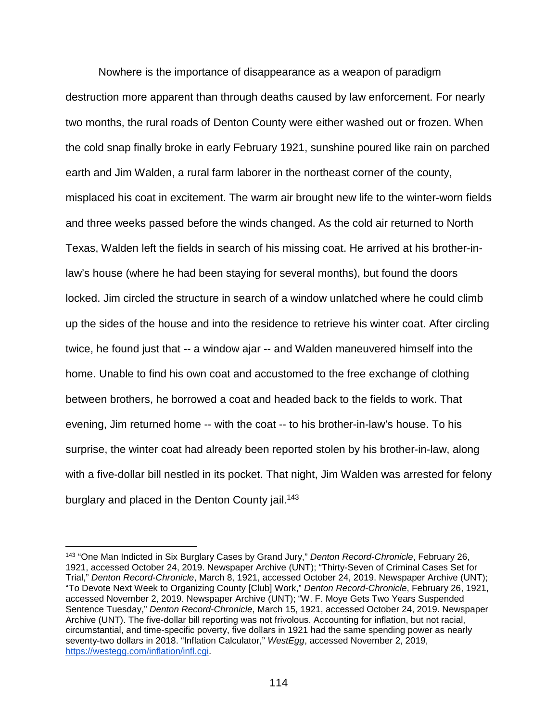Nowhere is the importance of disappearance as a weapon of paradigm destruction more apparent than through deaths caused by law enforcement. For nearly two months, the rural roads of Denton County were either washed out or frozen. When the cold snap finally broke in early February 1921, sunshine poured like rain on parched earth and Jim Walden, a rural farm laborer in the northeast corner of the county, misplaced his coat in excitement. The warm air brought new life to the winter-worn fields and three weeks passed before the winds changed. As the cold air returned to North Texas, Walden left the fields in search of his missing coat. He arrived at his brother-inlaw's house (where he had been staying for several months), but found the doors locked. Jim circled the structure in search of a window unlatched where he could climb up the sides of the house and into the residence to retrieve his winter coat. After circling twice, he found just that -- a window ajar -- and Walden maneuvered himself into the home. Unable to find his own coat and accustomed to the free exchange of clothing between brothers, he borrowed a coat and headed back to the fields to work. That evening, Jim returned home -- with the coat -- to his brother-in-law's house. To his surprise, the winter coat had already been reported stolen by his brother-in-law, along with a five-dollar bill nestled in its pocket. That night, Jim Walden was arrested for felony burglary and placed in the Denton County jail.<sup>143</sup>

 <sup>143</sup> "One Man Indicted in Six Burglary Cases by Grand Jury," *Denton Record-Chronicle*, February 26, 1921, accessed October 24, 2019. Newspaper Archive (UNT); "Thirty-Seven of Criminal Cases Set for Trial," *Denton Record-Chronicle*, March 8, 1921, accessed October 24, 2019. Newspaper Archive (UNT); "To Devote Next Week to Organizing County [Club] Work," *Denton Record-Chronicle*, February 26, 1921, accessed November 2, 2019. Newspaper Archive (UNT); "W. F. Moye Gets Two Years Suspended Sentence Tuesday," *Denton Record-Chronicle*, March 15, 1921, accessed October 24, 2019. Newspaper Archive (UNT). The five-dollar bill reporting was not frivolous. Accounting for inflation, but not racial, circumstantial, and time-specific poverty, five dollars in 1921 had the same spending power as nearly seventy-two dollars in 2018. "Inflation Calculator," *WestEgg*, accessed November 2, 2019, [https://westegg.com/inflation/infl.cgi.](https://westegg.com/inflation/infl.cgi)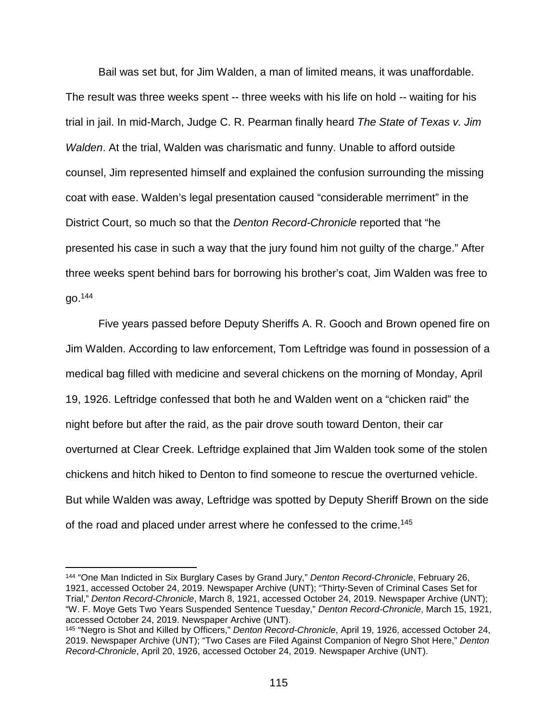Bail was set but, for Jim Walden, a man of limited means, it was unaffordable. The result was three weeks spent -- three weeks with his life on hold -- waiting for his trial in jail. In mid-March, Judge C. R. Pearman finally heard *The State of Texas v. Jim Walden*. At the trial, Walden was charismatic and funny. Unable to afford outside counsel, Jim represented himself and explained the confusion surrounding the missing coat with ease. Walden's legal presentation caused "considerable merriment" in the District Court, so much so that the *Denton Record-Chronicle* reported that "he presented his case in such a way that the jury found him not guilty of the charge." After three weeks spent behind bars for borrowing his brother's coat, Jim Walden was free to go.144

Five years passed before Deputy Sheriffs A. R. Gooch and Brown opened fire on Jim Walden. According to law enforcement, Tom Leftridge was found in possession of a medical bag filled with medicine and several chickens on the morning of Monday, April 19, 1926. Leftridge confessed that both he and Walden went on a "chicken raid" the night before but after the raid, as the pair drove south toward Denton, their car overturned at Clear Creek. Leftridge explained that Jim Walden took some of the stolen chickens and hitch hiked to Denton to find someone to rescue the overturned vehicle. But while Walden was away, Leftridge was spotted by Deputy Sheriff Brown on the side of the road and placed under arrest where he confessed to the crime.<sup>145</sup>

 <sup>144</sup> "One Man Indicted in Six Burglary Cases by Grand Jury," *Denton Record-Chronicle*, February 26, 1921, accessed October 24, 2019. Newspaper Archive (UNT); "Thirty-Seven of Criminal Cases Set for Trial," *Denton Record-Chronicle*, March 8, 1921, accessed October 24, 2019. Newspaper Archive (UNT); "W. F. Moye Gets Two Years Suspended Sentence Tuesday," *Denton Record-Chronicle*, March 15, 1921, accessed October 24, 2019. Newspaper Archive (UNT).

<sup>145</sup> "Negro is Shot and Killed by Officers," *Denton Record-Chronicle*, April 19, 1926, accessed October 24, 2019. Newspaper Archive (UNT); "Two Cases are Filed Against Companion of Negro Shot Here," *Denton Record-Chronicle*, April 20, 1926, accessed October 24, 2019. Newspaper Archive (UNT).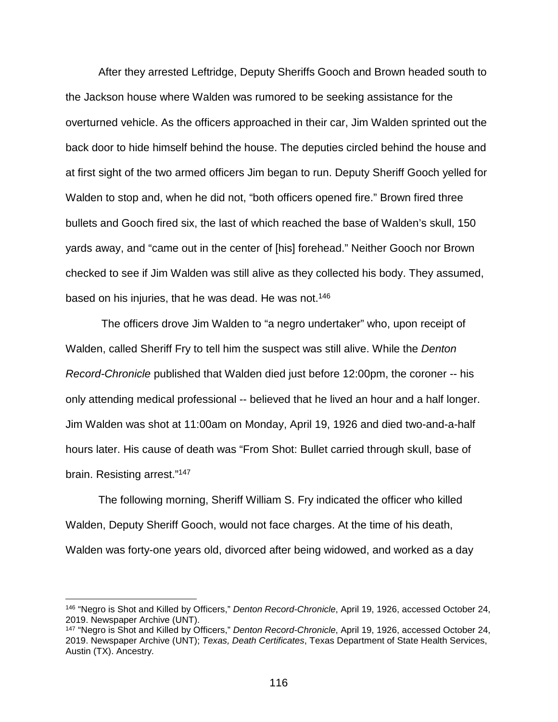After they arrested Leftridge, Deputy Sheriffs Gooch and Brown headed south to the Jackson house where Walden was rumored to be seeking assistance for the overturned vehicle. As the officers approached in their car, Jim Walden sprinted out the back door to hide himself behind the house. The deputies circled behind the house and at first sight of the two armed officers Jim began to run. Deputy Sheriff Gooch yelled for Walden to stop and, when he did not, "both officers opened fire." Brown fired three bullets and Gooch fired six, the last of which reached the base of Walden's skull, 150 yards away, and "came out in the center of [his] forehead." Neither Gooch nor Brown checked to see if Jim Walden was still alive as they collected his body. They assumed, based on his injuries, that he was dead. He was not.<sup>146</sup>

The officers drove Jim Walden to "a negro undertaker" who, upon receipt of Walden, called Sheriff Fry to tell him the suspect was still alive. While the *Denton Record-Chronicle* published that Walden died just before 12:00pm, the coroner -- his only attending medical professional -- believed that he lived an hour and a half longer. Jim Walden was shot at 11:00am on Monday, April 19, 1926 and died two-and-a-half hours later. His cause of death was "From Shot: Bullet carried through skull, base of brain. Resisting arrest."147

The following morning, Sheriff William S. Fry indicated the officer who killed Walden, Deputy Sheriff Gooch, would not face charges. At the time of his death, Walden was forty-one years old, divorced after being widowed, and worked as a day

 <sup>146</sup> "Negro is Shot and Killed by Officers," *Denton Record-Chronicle*, April 19, 1926, accessed October 24, 2019. Newspaper Archive (UNT).

<sup>147</sup> "Negro is Shot and Killed by Officers," *Denton Record-Chronicle*, April 19, 1926, accessed October 24, 2019. Newspaper Archive (UNT); *Texas, Death Certificates*, Texas Department of State Health Services, Austin (TX). Ancestry.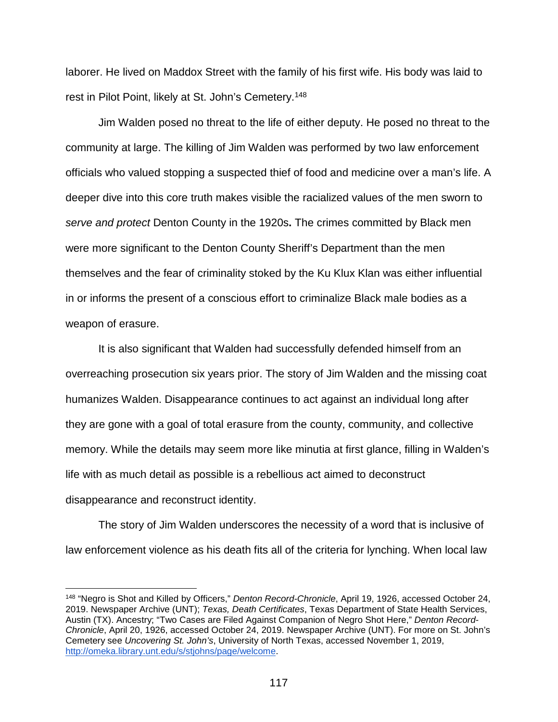laborer. He lived on Maddox Street with the family of his first wife. His body was laid to rest in Pilot Point, likely at St. John's Cemetery.148

Jim Walden posed no threat to the life of either deputy. He posed no threat to the community at large. The killing of Jim Walden was performed by two law enforcement officials who valued stopping a suspected thief of food and medicine over a man's life. A deeper dive into this core truth makes visible the racialized values of the men sworn to *serve and protect* Denton County in the 1920s**.** The crimes committed by Black men were more significant to the Denton County Sheriff's Department than the men themselves and the fear of criminality stoked by the Ku Klux Klan was either influential in or informs the present of a conscious effort to criminalize Black male bodies as a weapon of erasure.

It is also significant that Walden had successfully defended himself from an overreaching prosecution six years prior. The story of Jim Walden and the missing coat humanizes Walden. Disappearance continues to act against an individual long after they are gone with a goal of total erasure from the county, community, and collective memory. While the details may seem more like minutia at first glance, filling in Walden's life with as much detail as possible is a rebellious act aimed to deconstruct disappearance and reconstruct identity.

The story of Jim Walden underscores the necessity of a word that is inclusive of law enforcement violence as his death fits all of the criteria for lynching. When local law

 <sup>148</sup> "Negro is Shot and Killed by Officers," *Denton Record-Chronicle*, April 19, 1926, accessed October 24, 2019. Newspaper Archive (UNT); *Texas, Death Certificates*, Texas Department of State Health Services, Austin (TX). Ancestry; "Two Cases are Filed Against Companion of Negro Shot Here," *Denton Record-Chronicle*, April 20, 1926, accessed October 24, 2019. Newspaper Archive (UNT). For more on St. John's Cemetery see *Uncovering St. John's*, University of North Texas, accessed November 1, 2019, [http://omeka.library.unt.edu/s/stjohns/page/welcome.](http://omeka.library.unt.edu/s/stjohns/page/welcome)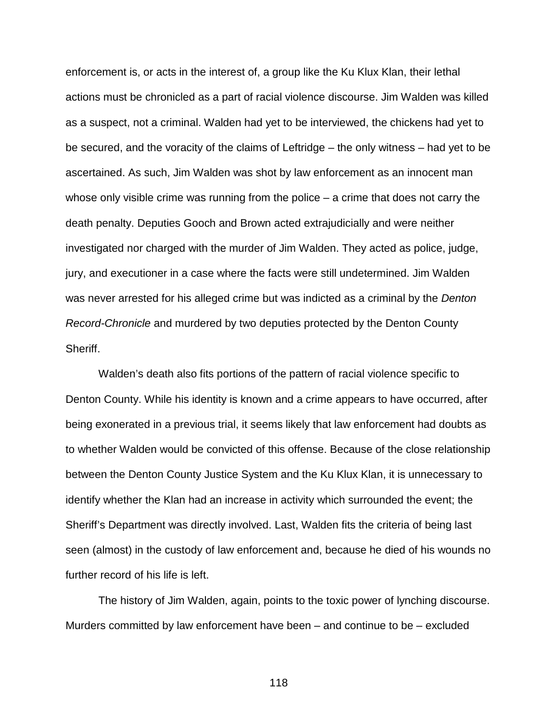enforcement is, or acts in the interest of, a group like the Ku Klux Klan, their lethal actions must be chronicled as a part of racial violence discourse. Jim Walden was killed as a suspect, not a criminal. Walden had yet to be interviewed, the chickens had yet to be secured, and the voracity of the claims of Leftridge – the only witness – had yet to be ascertained. As such, Jim Walden was shot by law enforcement as an innocent man whose only visible crime was running from the police – a crime that does not carry the death penalty. Deputies Gooch and Brown acted extrajudicially and were neither investigated nor charged with the murder of Jim Walden. They acted as police, judge, jury, and executioner in a case where the facts were still undetermined. Jim Walden was never arrested for his alleged crime but was indicted as a criminal by the *Denton Record-Chronicle* and murdered by two deputies protected by the Denton County Sheriff.

Walden's death also fits portions of the pattern of racial violence specific to Denton County. While his identity is known and a crime appears to have occurred, after being exonerated in a previous trial, it seems likely that law enforcement had doubts as to whether Walden would be convicted of this offense. Because of the close relationship between the Denton County Justice System and the Ku Klux Klan, it is unnecessary to identify whether the Klan had an increase in activity which surrounded the event; the Sheriff's Department was directly involved. Last, Walden fits the criteria of being last seen (almost) in the custody of law enforcement and, because he died of his wounds no further record of his life is left.

The history of Jim Walden, again, points to the toxic power of lynching discourse. Murders committed by law enforcement have been – and continue to be – excluded

118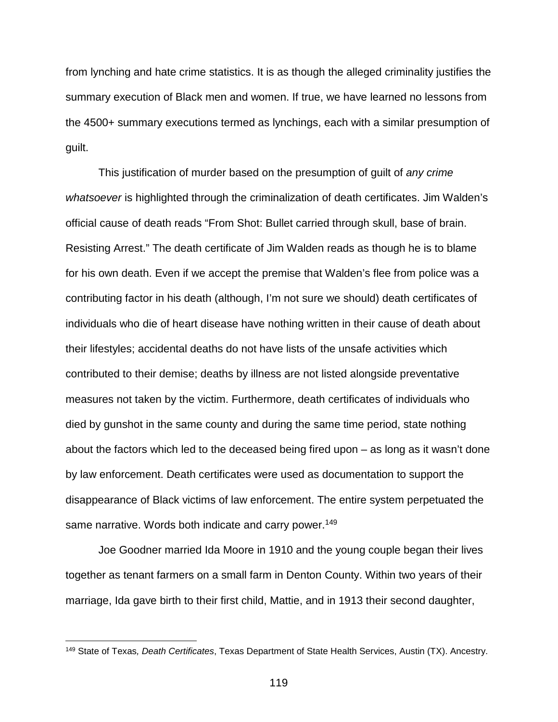from lynching and hate crime statistics. It is as though the alleged criminality justifies the summary execution of Black men and women. If true, we have learned no lessons from the 4500+ summary executions termed as lynchings, each with a similar presumption of guilt.

This justification of murder based on the presumption of guilt of *any crime whatsoever* is highlighted through the criminalization of death certificates. Jim Walden's official cause of death reads "From Shot: Bullet carried through skull, base of brain. Resisting Arrest." The death certificate of Jim Walden reads as though he is to blame for his own death. Even if we accept the premise that Walden's flee from police was a contributing factor in his death (although, I'm not sure we should) death certificates of individuals who die of heart disease have nothing written in their cause of death about their lifestyles; accidental deaths do not have lists of the unsafe activities which contributed to their demise; deaths by illness are not listed alongside preventative measures not taken by the victim. Furthermore, death certificates of individuals who died by gunshot in the same county and during the same time period, state nothing about the factors which led to the deceased being fired upon – as long as it wasn't done by law enforcement. Death certificates were used as documentation to support the disappearance of Black victims of law enforcement. The entire system perpetuated the same narrative. Words both indicate and carry power.<sup>149</sup>

Joe Goodner married Ida Moore in 1910 and the young couple began their lives together as tenant farmers on a small farm in Denton County. Within two years of their marriage, Ida gave birth to their first child, Mattie, and in 1913 their second daughter,

 <sup>149</sup> State of Texas*, Death Certificates*, Texas Department of State Health Services, Austin (TX). Ancestry.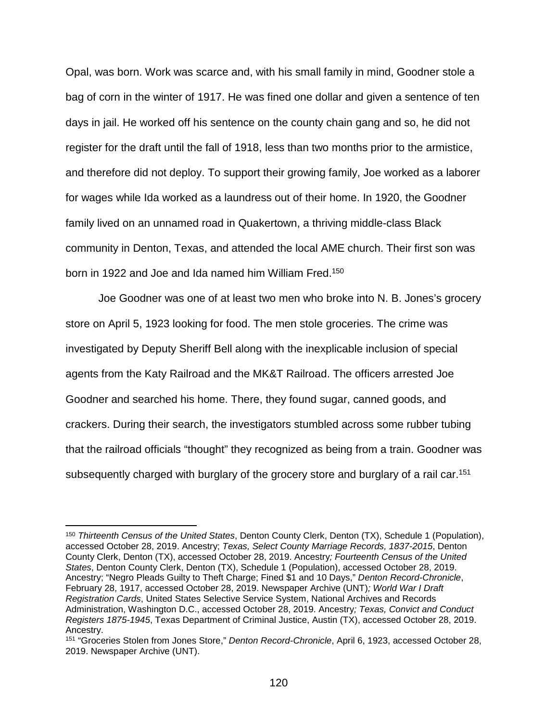Opal, was born. Work was scarce and, with his small family in mind, Goodner stole a bag of corn in the winter of 1917. He was fined one dollar and given a sentence of ten days in jail. He worked off his sentence on the county chain gang and so, he did not register for the draft until the fall of 1918, less than two months prior to the armistice, and therefore did not deploy. To support their growing family, Joe worked as a laborer for wages while Ida worked as a laundress out of their home. In 1920, the Goodner family lived on an unnamed road in Quakertown, a thriving middle-class Black community in Denton, Texas, and attended the local AME church. Their first son was born in 1922 and Joe and Ida named him William Fred.<sup>150</sup>

Joe Goodner was one of at least two men who broke into N. B. Jones's grocery store on April 5, 1923 looking for food. The men stole groceries. The crime was investigated by Deputy Sheriff Bell along with the inexplicable inclusion of special agents from the Katy Railroad and the MK&T Railroad. The officers arrested Joe Goodner and searched his home. There, they found sugar, canned goods, and crackers. During their search, the investigators stumbled across some rubber tubing that the railroad officials "thought" they recognized as being from a train. Goodner was subsequently charged with burglary of the grocery store and burglary of a rail car.<sup>151</sup>

 <sup>150</sup> *Thirteenth Census of the United States*, Denton County Clerk, Denton (TX), Schedule 1 (Population), accessed October 28, 2019. Ancestry; *Texas, Select County Marriage Records, 1837-2015*, Denton County Clerk, Denton (TX), accessed October 28, 2019. Ancestry*; Fourteenth Census of the United States*, Denton County Clerk, Denton (TX), Schedule 1 (Population), accessed October 28, 2019. Ancestry; "Negro Pleads Guilty to Theft Charge; Fined \$1 and 10 Days," *Denton Record-Chronicle*, February 28, 1917, accessed October 28, 2019. Newspaper Archive (UNT)*; World War I Draft Registration Cards*, United States Selective Service System, National Archives and Records Administration, Washington D.C., accessed October 28, 2019. Ancestry*; Texas, Convict and Conduct Registers 1875-1945*, Texas Department of Criminal Justice, Austin (TX), accessed October 28, 2019. Ancestry.

<sup>151</sup> "Groceries Stolen from Jones Store," *Denton Record-Chronicle*, April 6, 1923, accessed October 28, 2019. Newspaper Archive (UNT).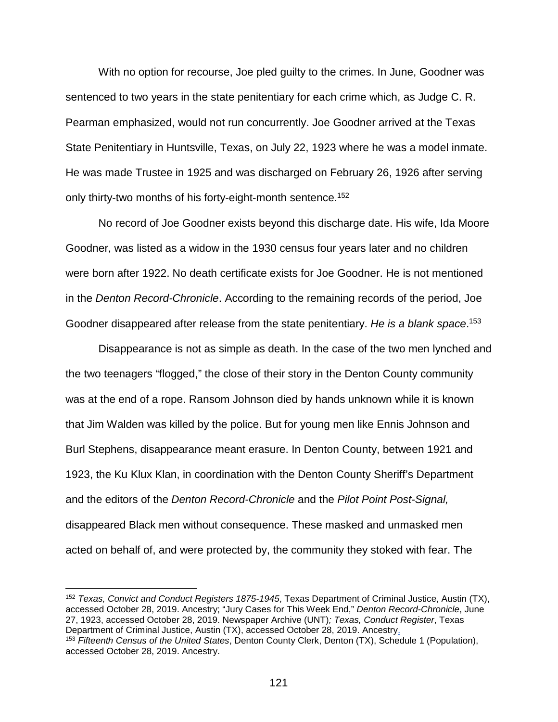With no option for recourse, Joe pled guilty to the crimes. In June, Goodner was sentenced to two years in the state penitentiary for each crime which, as Judge C. R. Pearman emphasized, would not run concurrently. Joe Goodner arrived at the Texas State Penitentiary in Huntsville, Texas, on July 22, 1923 where he was a model inmate. He was made Trustee in 1925 and was discharged on February 26, 1926 after serving only thirty-two months of his forty-eight-month sentence.<sup>152</sup>

No record of Joe Goodner exists beyond this discharge date. His wife, Ida Moore Goodner, was listed as a widow in the 1930 census four years later and no children were born after 1922. No death certificate exists for Joe Goodner. He is not mentioned in the *Denton Record-Chronicle*. According to the remaining records of the period, Joe Goodner disappeared after release from the state penitentiary. *He is a blank space*. 153

Disappearance is not as simple as death. In the case of the two men lynched and the two teenagers "flogged," the close of their story in the Denton County community was at the end of a rope. Ransom Johnson died by hands unknown while it is known that Jim Walden was killed by the police. But for young men like Ennis Johnson and Burl Stephens, disappearance meant erasure. In Denton County, between 1921 and 1923, the Ku Klux Klan, in coordination with the Denton County Sheriff's Department and the editors of the *Denton Record-Chronicle* and the *Pilot Point Post-Signal,* disappeared Black men without consequence. These masked and unmasked men acted on behalf of, and were protected by, the community they stoked with fear. The

 <sup>152</sup> *Texas, Convict and Conduct Registers 1875-1945*, Texas Department of Criminal Justice, Austin (TX), accessed October 28, 2019. Ancestry; "Jury Cases for This Week End," *Denton Record-Chronicle*, June 27, 1923, accessed October 28, 2019. Newspaper Archive (UNT)*; Texas, Conduct Register*, Texas Department of Criminal Justice, Austin (TX), accessed October 28, 2019. Ancestry. <sup>153</sup> *Fifteenth Census of the United States*, Denton County Clerk, Denton (TX), Schedule 1 (Population), accessed October 28, 2019. Ancestry.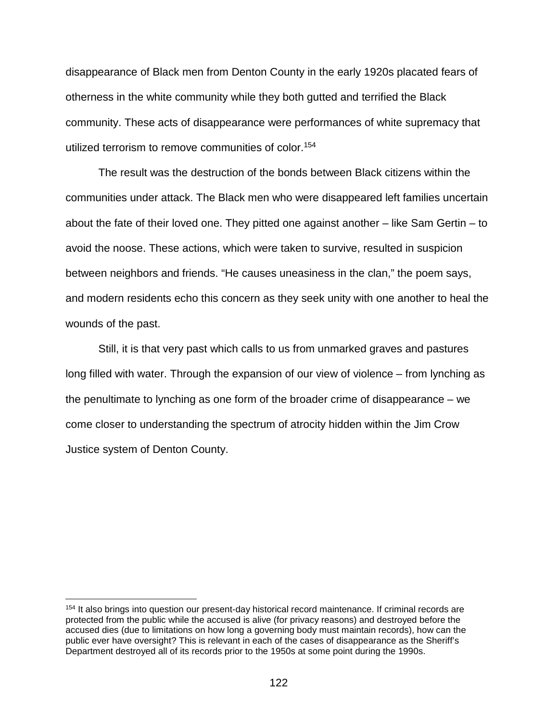disappearance of Black men from Denton County in the early 1920s placated fears of otherness in the white community while they both gutted and terrified the Black community. These acts of disappearance were performances of white supremacy that utilized terrorism to remove communities of color.154

The result was the destruction of the bonds between Black citizens within the communities under attack. The Black men who were disappeared left families uncertain about the fate of their loved one. They pitted one against another – like Sam Gertin – to avoid the noose. These actions, which were taken to survive, resulted in suspicion between neighbors and friends. "He causes uneasiness in the clan," the poem says, and modern residents echo this concern as they seek unity with one another to heal the wounds of the past.

Still, it is that very past which calls to us from unmarked graves and pastures long filled with water. Through the expansion of our view of violence – from lynching as the penultimate to lynching as one form of the broader crime of disappearance – we come closer to understanding the spectrum of atrocity hidden within the Jim Crow Justice system of Denton County.

 <sup>154</sup> It also brings into question our present-day historical record maintenance. If criminal records are protected from the public while the accused is alive (for privacy reasons) and destroyed before the accused dies (due to limitations on how long a governing body must maintain records), how can the public ever have oversight? This is relevant in each of the cases of disappearance as the Sheriff's Department destroyed all of its records prior to the 1950s at some point during the 1990s.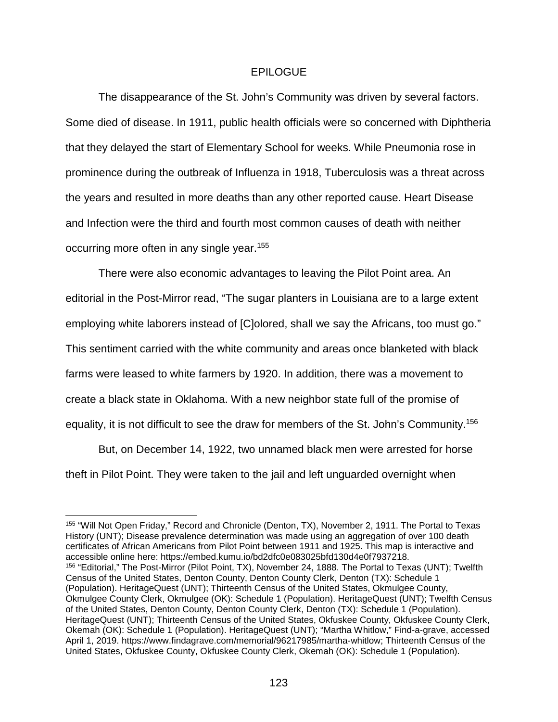## EPILOGUE

The disappearance of the St. John's Community was driven by several factors. Some died of disease. In 1911, public health officials were so concerned with Diphtheria that they delayed the start of Elementary School for weeks. While Pneumonia rose in prominence during the outbreak of Influenza in 1918, Tuberculosis was a threat across the years and resulted in more deaths than any other reported cause. Heart Disease and Infection were the third and fourth most common causes of death with neither occurring more often in any single year.155

There were also economic advantages to leaving the Pilot Point area. An editorial in the Post-Mirror read, "The sugar planters in Louisiana are to a large extent employing white laborers instead of [C]olored, shall we say the Africans, too must go." This sentiment carried with the white community and areas once blanketed with black farms were leased to white farmers by 1920. In addition, there was a movement to create a black state in Oklahoma. With a new neighbor state full of the promise of equality, it is not difficult to see the draw for members of the St. John's Community.156

But, on December 14, 1922, two unnamed black men were arrested for horse theft in Pilot Point. They were taken to the jail and left unguarded overnight when

 <sup>155</sup> "Will Not Open Friday," Record and Chronicle (Denton, TX), November 2, 1911. The Portal to Texas History (UNT); Disease prevalence determination was made using an aggregation of over 100 death certificates of African Americans from Pilot Point between 1911 and 1925. This map is interactive and accessible online here: https://embed.kumu.io/bd2dfc0e083025bfd130d4e0f7937218. 156 "Editorial," The Post-Mirror (Pilot Point, TX), November 24, 1888. The Portal to Texas (UNT); Twelfth Census of the United States, Denton County, Denton County Clerk, Denton (TX): Schedule 1 (Population). HeritageQuest (UNT); Thirteenth Census of the United States, Okmulgee County, Okmulgee County Clerk, Okmulgee (OK): Schedule 1 (Population). HeritageQuest (UNT); Twelfth Census of the United States, Denton County, Denton County Clerk, Denton (TX): Schedule 1 (Population). HeritageQuest (UNT); Thirteenth Census of the United States, Okfuskee County, Okfuskee County Clerk, Okemah (OK): Schedule 1 (Population). HeritageQuest (UNT); "Martha Whitlow," Find-a-grave, accessed April 1, 2019. https://www.findagrave.com/memorial/96217985/martha-whitlow; Thirteenth Census of the United States, Okfuskee County, Okfuskee County Clerk, Okemah (OK): Schedule 1 (Population).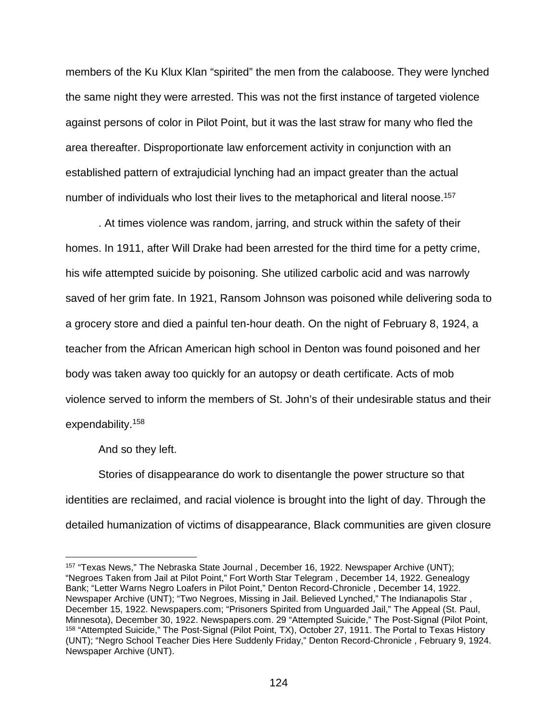members of the Ku Klux Klan "spirited" the men from the calaboose. They were lynched the same night they were arrested. This was not the first instance of targeted violence against persons of color in Pilot Point, but it was the last straw for many who fled the area thereafter. Disproportionate law enforcement activity in conjunction with an established pattern of extrajudicial lynching had an impact greater than the actual number of individuals who lost their lives to the metaphorical and literal noose.<sup>157</sup>

. At times violence was random, jarring, and struck within the safety of their homes. In 1911, after Will Drake had been arrested for the third time for a petty crime, his wife attempted suicide by poisoning. She utilized carbolic acid and was narrowly saved of her grim fate. In 1921, Ransom Johnson was poisoned while delivering soda to a grocery store and died a painful ten-hour death. On the night of February 8, 1924, a teacher from the African American high school in Denton was found poisoned and her body was taken away too quickly for an autopsy or death certificate. Acts of mob violence served to inform the members of St. John's of their undesirable status and their expendability.158

And so they left.

Stories of disappearance do work to disentangle the power structure so that identities are reclaimed, and racial violence is brought into the light of day. Through the detailed humanization of victims of disappearance, Black communities are given closure

<sup>&</sup>lt;sup>157</sup> "Texas News," The Nebraska State Journal, December 16, 1922. Newspaper Archive (UNT); "Negroes Taken from Jail at Pilot Point," Fort Worth Star Telegram , December 14, 1922. Genealogy Bank; "Letter Warns Negro Loafers in Pilot Point," Denton Record-Chronicle , December 14, 1922. Newspaper Archive (UNT); "Two Negroes, Missing in Jail. Believed Lynched," The Indianapolis Star , December 15, 1922. Newspapers.com; "Prisoners Spirited from Unguarded Jail," The Appeal (St. Paul, Minnesota), December 30, 1922. Newspapers.com. 29 "Attempted Suicide," The Post-Signal (Pilot Point, <sup>158</sup> "Attempted Suicide," The Post-Signal (Pilot Point, TX), October 27, 1911. The Portal to Texas History (UNT); "Negro School Teacher Dies Here Suddenly Friday," Denton Record-Chronicle , February 9, 1924. Newspaper Archive (UNT).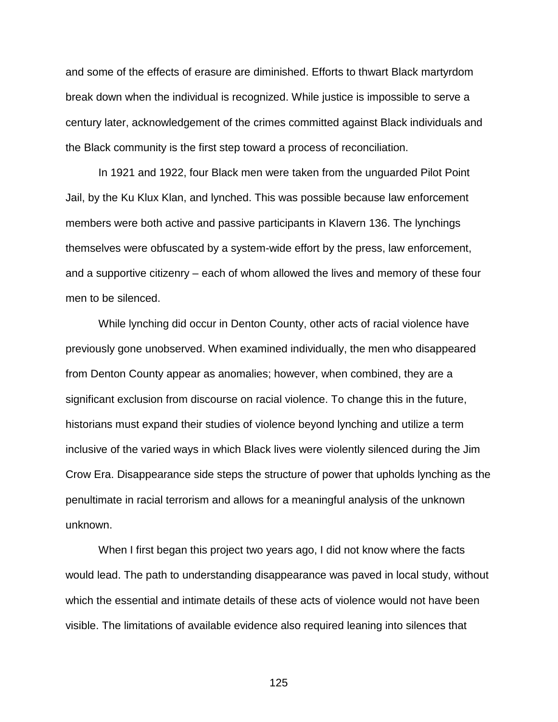and some of the effects of erasure are diminished. Efforts to thwart Black martyrdom break down when the individual is recognized. While justice is impossible to serve a century later, acknowledgement of the crimes committed against Black individuals and the Black community is the first step toward a process of reconciliation.

In 1921 and 1922, four Black men were taken from the unguarded Pilot Point Jail, by the Ku Klux Klan, and lynched. This was possible because law enforcement members were both active and passive participants in Klavern 136. The lynchings themselves were obfuscated by a system-wide effort by the press, law enforcement, and a supportive citizenry – each of whom allowed the lives and memory of these four men to be silenced.

While lynching did occur in Denton County, other acts of racial violence have previously gone unobserved. When examined individually, the men who disappeared from Denton County appear as anomalies; however, when combined, they are a significant exclusion from discourse on racial violence. To change this in the future, historians must expand their studies of violence beyond lynching and utilize a term inclusive of the varied ways in which Black lives were violently silenced during the Jim Crow Era. Disappearance side steps the structure of power that upholds lynching as the penultimate in racial terrorism and allows for a meaningful analysis of the unknown unknown.

When I first began this project two years ago, I did not know where the facts would lead. The path to understanding disappearance was paved in local study, without which the essential and intimate details of these acts of violence would not have been visible. The limitations of available evidence also required leaning into silences that

125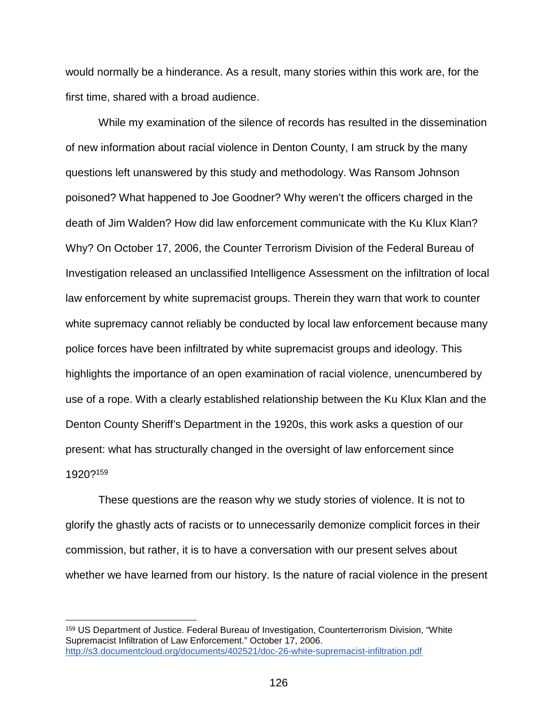would normally be a hinderance. As a result, many stories within this work are, for the first time, shared with a broad audience.

While my examination of the silence of records has resulted in the dissemination of new information about racial violence in Denton County, I am struck by the many questions left unanswered by this study and methodology. Was Ransom Johnson poisoned? What happened to Joe Goodner? Why weren't the officers charged in the death of Jim Walden? How did law enforcement communicate with the Ku Klux Klan? Why? On October 17, 2006, the Counter Terrorism Division of the Federal Bureau of Investigation released an unclassified Intelligence Assessment on the infiltration of local law enforcement by white supremacist groups. Therein they warn that work to counter white supremacy cannot reliably be conducted by local law enforcement because many police forces have been infiltrated by white supremacist groups and ideology. This highlights the importance of an open examination of racial violence, unencumbered by use of a rope. With a clearly established relationship between the Ku Klux Klan and the Denton County Sheriff's Department in the 1920s, this work asks a question of our present: what has structurally changed in the oversight of law enforcement since 1920?159

These questions are the reason why we study stories of violence. It is not to glorify the ghastly acts of racists or to unnecessarily demonize complicit forces in their commission, but rather, it is to have a conversation with our present selves about whether we have learned from our history. Is the nature of racial violence in the present

 <sup>159</sup> US Department of Justice. Federal Bureau of Investigation, Counterterrorism Division, "White Supremacist Infiltration of Law Enforcement." October 17, 2006. <http://s3.documentcloud.org/documents/402521/doc-26-white-supremacist-infiltration.pdf>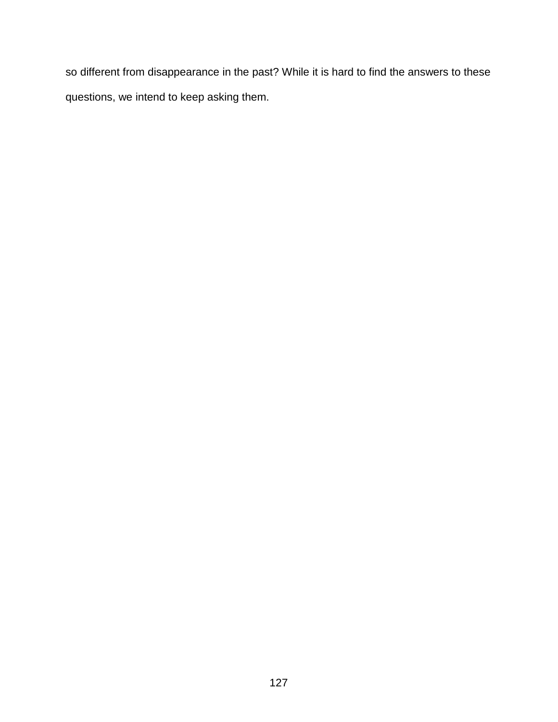so different from disappearance in the past? While it is hard to find the answers to these questions, we intend to keep asking them.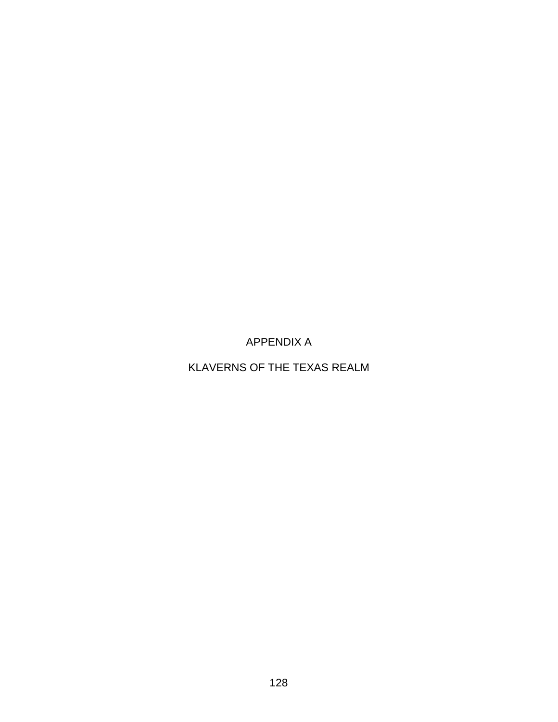APPENDIX A

KLAVERNS OF THE TEXAS REALM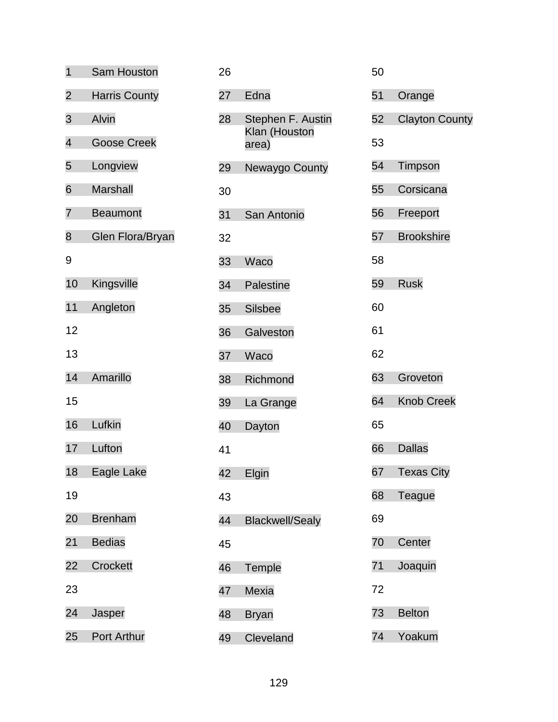| $\overline{1}$           | Sam Houston          | 26 |                        | 50 |                       |
|--------------------------|----------------------|----|------------------------|----|-----------------------|
| $\overline{2}$           | <b>Harris County</b> | 27 | Edna                   | 51 | Orange                |
| 3                        | Alvin                | 28 | Stephen F. Austin      | 52 | <b>Clayton County</b> |
| $\overline{\mathcal{A}}$ | <b>Goose Creek</b>   |    | Klan (Houston<br>area) | 53 |                       |
| 5                        | Longview             | 29 | Newaygo County         | 54 | Timpson               |
| 6                        | <b>Marshall</b>      | 30 |                        | 55 | Corsicana             |
| 7                        | <b>Beaumont</b>      | 31 | San Antonio            | 56 | Freeport              |
| 8                        | Glen Flora/Bryan     | 32 |                        | 57 | <b>Brookshire</b>     |
| 9                        |                      | 33 | Waco                   | 58 |                       |
| 10                       | Kingsville           | 34 | Palestine              | 59 | <b>Rusk</b>           |
| 11                       | Angleton             | 35 | <b>Silsbee</b>         | 60 |                       |
| 12                       |                      | 36 | Galveston              | 61 |                       |
| 13                       |                      | 37 | Waco                   | 62 |                       |
| 14                       | Amarillo             | 38 | Richmond               | 63 | Groveton              |
| 15                       |                      | 39 | La Grange              | 64 | <b>Knob Creek</b>     |
| 16                       | Lufkin               | 40 | Dayton                 | 65 |                       |
| 17                       | Lufton               | 41 |                        | 66 | <b>Dallas</b>         |
| 18                       | Eagle Lake           | 42 | Elgin                  | 67 | <b>Texas City</b>     |
| 19                       |                      | 43 |                        | 68 | <b>Teague</b>         |
| 20                       | <b>Brenham</b>       | 44 | <b>Blackwell/Sealy</b> | 69 |                       |
| 21                       | <b>Bedias</b>        | 45 |                        | 70 | Center                |
| 22                       | Crockett             | 46 | Temple                 | 71 | Joaquin               |
| 23                       |                      | 47 | Mexia                  | 72 |                       |
| 24                       | Jasper               | 48 | <b>Bryan</b>           | 73 | <b>Belton</b>         |
| 25                       | Port Arthur          | 49 | Cleveland              | 74 | Yoakum                |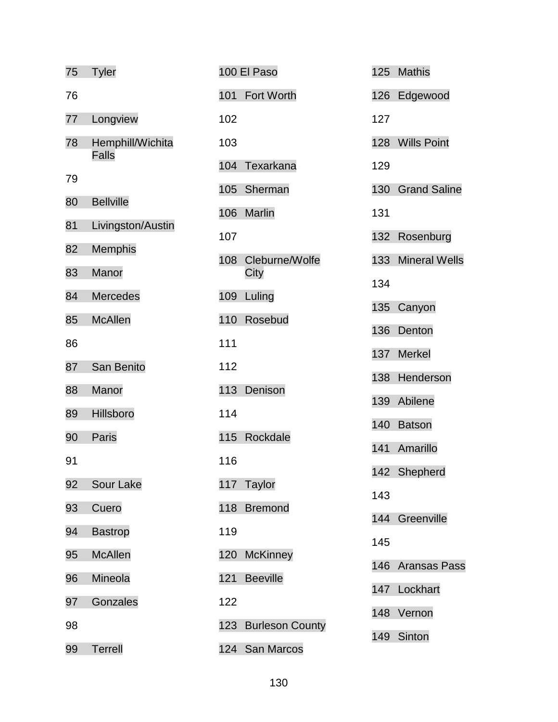| 75 | <b>Tyler</b>      | 100 El Paso            | 125 | <b>Mathis</b>        |
|----|-------------------|------------------------|-----|----------------------|
| 76 |                   | 101<br>Fort Worth      | 126 | Edgewood             |
| 77 | Longview          | 102                    | 127 |                      |
| 78 | Hemphill/Wichita  | 103                    | 128 | <b>Wills Point</b>   |
|    | <b>Falls</b>      | 104<br>Texarkana       | 129 |                      |
| 79 |                   | 105<br>Sherman         | 130 | <b>Grand Saline</b>  |
| 80 | <b>Bellville</b>  | <b>Marlin</b><br>106   | 131 |                      |
| 81 | Livingston/Austin | 107                    | 132 | Rosenburg            |
| 82 | Memphis           | 108<br>Cleburne/Wolfe  | 133 | <b>Mineral Wells</b> |
| 83 | Manor             | City                   | 134 |                      |
| 84 | <b>Mercedes</b>   | 109<br>Luling          | 135 | Canyon               |
| 85 | <b>McAllen</b>    | 110<br>Rosebud         | 136 | Denton               |
| 86 |                   | 111                    | 137 | <b>Merkel</b>        |
| 87 | San Benito        | 112                    | 138 | Henderson            |
| 88 | Manor             | 113<br>Denison         | 139 | Abilene              |
| 89 | Hillsboro         | 114                    | 140 | <b>Batson</b>        |
| 90 | Paris             | Rockdale<br>115        | 141 | Amarillo             |
| 91 |                   | 116                    |     | 142 Shepherd         |
| 92 | Sour Lake         | 117 Taylor             | 143 |                      |
| 93 | Cuero             | 118<br><b>Bremond</b>  | 144 |                      |
| 94 | <b>Bastrop</b>    | 119                    |     | Greenville           |
| 95 | <b>McAllen</b>    | 120<br><b>McKinney</b> | 145 |                      |
| 96 | Mineola           | <b>Beeville</b><br>121 | 146 | <b>Aransas Pass</b>  |
| 97 | Gonzales          | 122                    | 147 | Lockhart             |
| 98 |                   | 123 Burleson County    | 148 | Vernon               |
| 99 | <b>Terrell</b>    | 124 San Marcos         | 149 | Sinton               |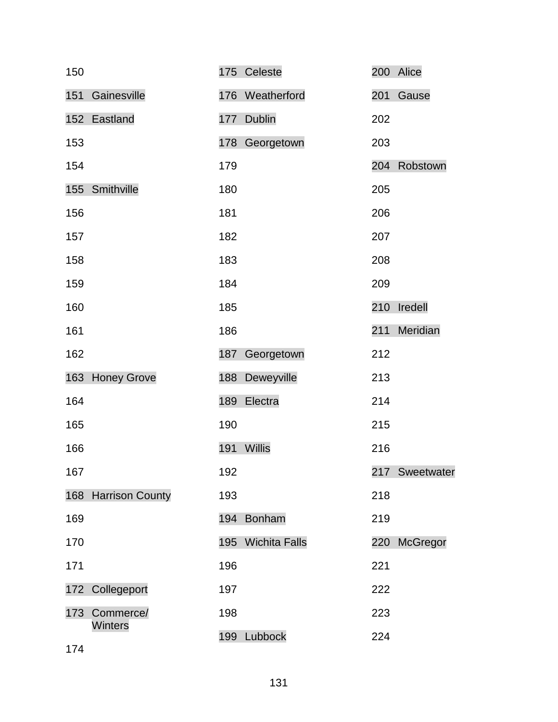| 150 |                     |     | 175 Celeste       |     | 200 Alice      |
|-----|---------------------|-----|-------------------|-----|----------------|
| 151 | Gainesville         |     | 176 Weatherford   | 201 | Gause          |
|     | 152 Eastland        |     | 177 Dublin        | 202 |                |
| 153 |                     |     | 178 Georgetown    | 203 |                |
| 154 |                     | 179 |                   |     | 204 Robstown   |
|     | 155 Smithville      | 180 |                   | 205 |                |
| 156 |                     | 181 |                   | 206 |                |
| 157 |                     | 182 |                   | 207 |                |
| 158 |                     | 183 |                   | 208 |                |
| 159 |                     | 184 |                   | 209 |                |
| 160 |                     | 185 |                   |     | 210 Iredell    |
| 161 |                     | 186 |                   | 211 | Meridian       |
| 162 |                     | 187 | Georgetown        | 212 |                |
|     | 163 Honey Grove     |     | 188 Deweyville    | 213 |                |
| 164 |                     |     | 189 Electra       | 214 |                |
| 165 |                     | 190 |                   | 215 |                |
| 166 |                     | 191 | Willis            | 216 |                |
| 167 |                     | 192 |                   |     | 217 Sweetwater |
|     | 168 Harrison County | 193 |                   | 218 |                |
| 169 |                     |     | 194 Bonham        | 219 |                |
| 170 |                     |     | 195 Wichita Falls |     | 220 McGregor   |
| 171 |                     | 196 |                   | 221 |                |
|     | 172 Collegeport     | 197 |                   | 222 |                |
| 173 | Commerce/           | 198 |                   | 223 |                |
| 174 | Winters             |     | 199 Lubbock       | 224 |                |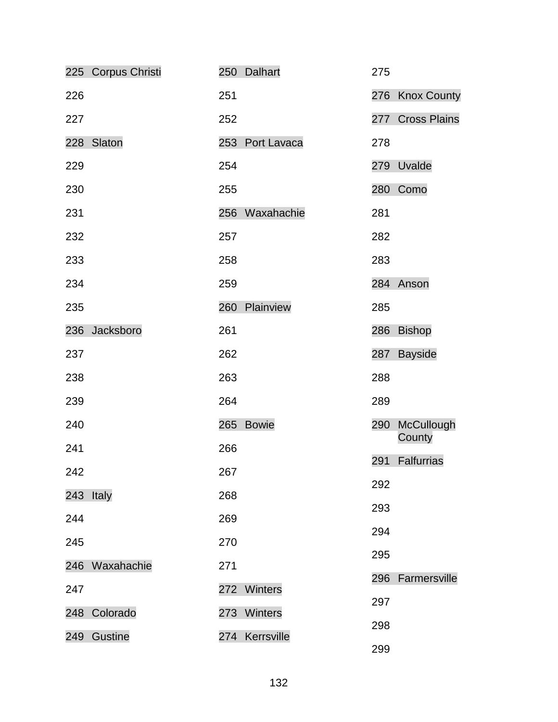|     | 225 Corpus Christi |     | 250 Dalhart     | 275 |                          |
|-----|--------------------|-----|-----------------|-----|--------------------------|
| 226 |                    | 251 |                 |     | 276 Knox County          |
| 227 |                    | 252 |                 | 277 | <b>Cross Plains</b>      |
|     | 228 Slaton         |     | 253 Port Lavaca | 278 |                          |
| 229 |                    | 254 |                 | 279 | Uvalde                   |
| 230 |                    | 255 |                 |     | 280 Como                 |
| 231 |                    |     | 256 Waxahachie  | 281 |                          |
| 232 |                    | 257 |                 | 282 |                          |
| 233 |                    | 258 |                 | 283 |                          |
| 234 |                    | 259 |                 |     | 284 Anson                |
| 235 |                    | 260 | Plainview       | 285 |                          |
|     | 236 Jacksboro      | 261 |                 | 286 | <b>Bishop</b>            |
| 237 |                    | 262 |                 | 287 | <b>Bayside</b>           |
| 238 |                    | 263 |                 | 288 |                          |
| 239 |                    | 264 |                 | 289 |                          |
| 240 |                    |     | 265 Bowie       |     | 290 McCullough<br>County |
| 241 |                    | 266 |                 | 291 | Falfurrias               |
| 242 |                    | 267 |                 | 292 |                          |
|     | 243 Italy          | 268 |                 | 293 |                          |
| 244 |                    | 269 |                 | 294 |                          |
| 245 |                    | 270 |                 | 295 |                          |
|     | 246 Waxahachie     | 271 |                 | 296 | Farmersville             |
| 247 |                    |     | 272 Winters     | 297 |                          |
|     | 248 Colorado       |     | 273 Winters     | 298 |                          |
| 249 | Gustine            |     | 274 Kerrsville  | 299 |                          |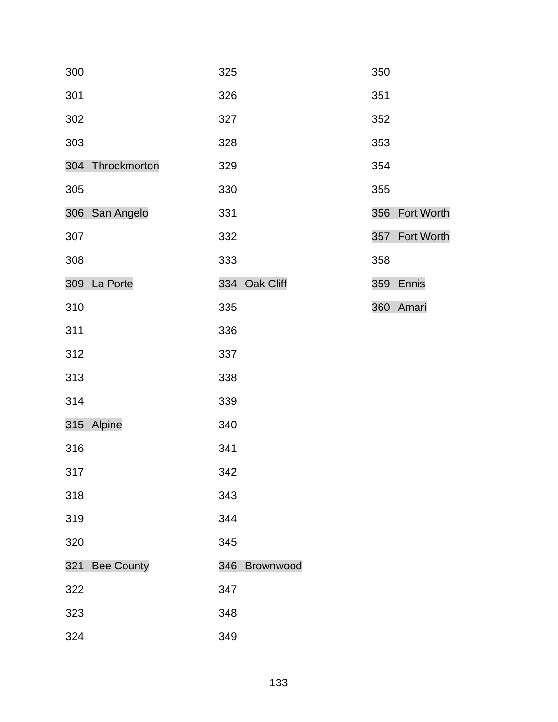| 300              | 325           | 350            |
|------------------|---------------|----------------|
| 301              | 326           | 351            |
| 302              | 327           | 352            |
| 303              | 328           | 353            |
| 304 Throckmorton | 329           | 354            |
| 305              | 330           | 355            |
| 306 San Angelo   | 331           | 356 Fort Worth |
| 307              | 332           | 357 Fort Worth |
| 308              | 333           | 358            |
| 309 La Porte     | 334 Oak Cliff | 359 Ennis      |
| 310              | 335           | 360 Amari      |
| 311              | 336           |                |
| 312              | 337           |                |
| 313              | 338           |                |
| 314              | 339           |                |
| 315 Alpine       | 340           |                |
| 316              | 341           |                |
| 317              | 342           |                |
| 318              | 343           |                |
| 319              | 344           |                |
| 320              | 345           |                |
| 321 Bee County   | 346 Brownwood |                |
| 322              | 347           |                |
| 323              | 348           |                |
| 324              | 349           |                |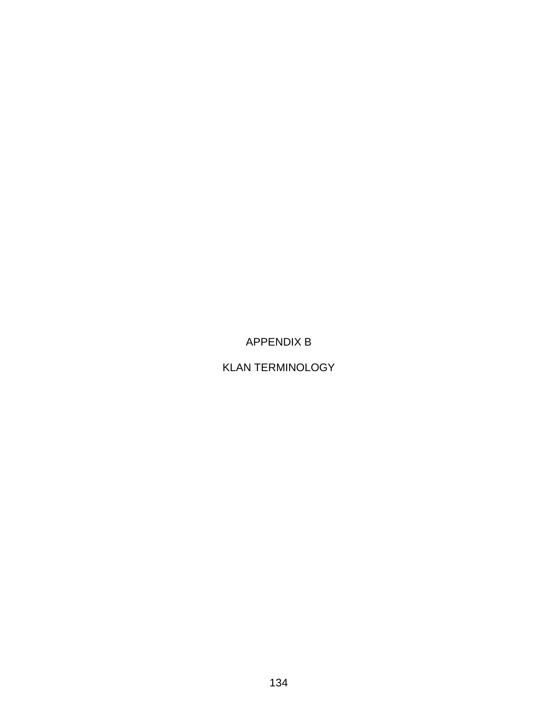# APPENDIX B

## KLAN TERMINOLOGY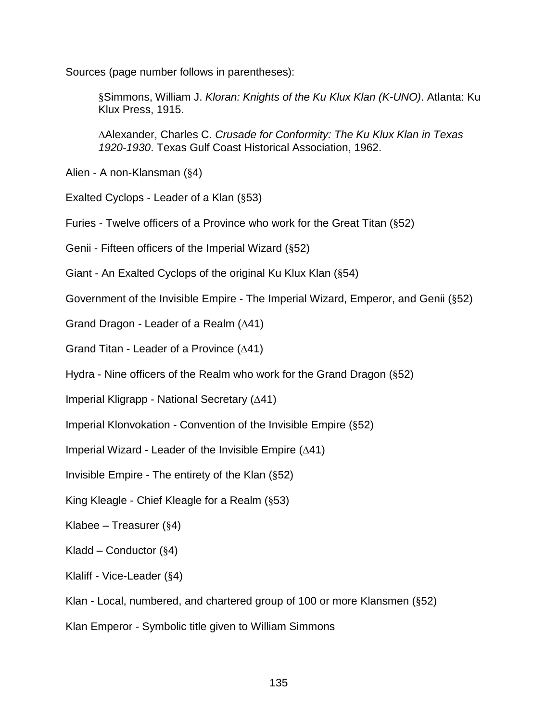Sources (page number follows in parentheses):

§Simmons, William J. *Kloran: Knights of the Ku Klux Klan (K-UNO)*. Atlanta: Ku Klux Press, 1915.

∆Alexander, Charles C. *Crusade for Conformity: The Ku Klux Klan in Texas 1920-1930*. Texas Gulf Coast Historical Association, 1962.

Alien - A non-Klansman (§4)

Exalted Cyclops - Leader of a Klan (§53)

Furies - Twelve officers of a Province who work for the Great Titan (§52)

Genii - Fifteen officers of the Imperial Wizard (§52)

Giant - An Exalted Cyclops of the original Ku Klux Klan (§54)

Government of the Invisible Empire - The Imperial Wizard, Emperor, and Genii (§52)

Grand Dragon - Leader of a Realm (∆41)

Grand Titan - Leader of a Province (∆41)

Hydra - Nine officers of the Realm who work for the Grand Dragon (§52)

Imperial Kligrapp - National Secretary (∆41)

Imperial Klonvokation - Convention of the Invisible Empire (§52)

Imperial Wizard - Leader of the Invisible Empire (∆41)

Invisible Empire - The entirety of the Klan (§52)

King Kleagle - Chief Kleagle for a Realm (§53)

Klabee – Treasurer  $(\S 4)$ 

Kladd – Conductor  $(\S 4)$ 

Klaliff - Vice-Leader (§4)

Klan - Local, numbered, and chartered group of 100 or more Klansmen (§52)

Klan Emperor - Symbolic title given to William Simmons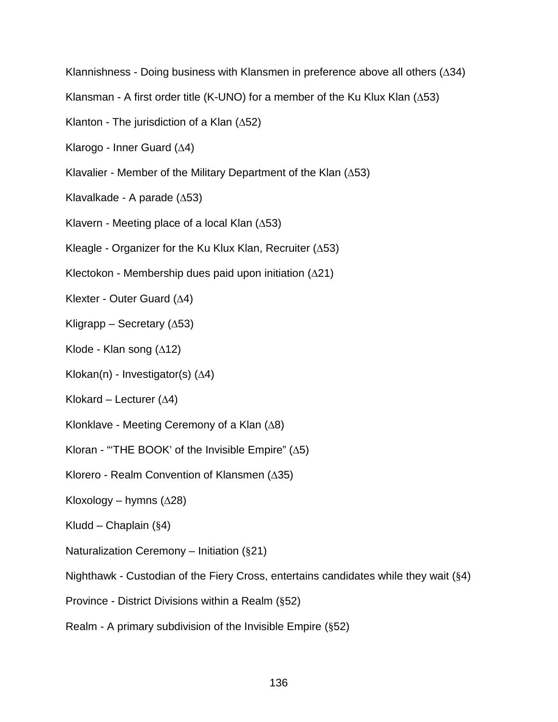Klannishness - Doing business with Klansmen in preference above all others (∆34)

Klansman - A first order title (K-UNO) for a member of the Ku Klux Klan ( $\Delta$ 53)

- Klanton The jurisdiction of a Klan (∆52)
- Klarogo Inner Guard (∆4)
- Klavalier Member of the Military Department of the Klan (∆53)
- Klavalkade A parade (∆53)
- Klavern Meeting place of a local Klan (∆53)
- Kleagle Organizer for the Ku Klux Klan, Recruiter (∆53)
- Klectokon Membership dues paid upon initiation (∆21)
- Klexter Outer Guard (∆4)
- Kligrapp Secretary (∆53)
- Klode Klan song  $(∆12)$
- Klokan(n) Investigator(s) (∆4)
- Klokard Lecturer  $(∆4)$
- Klonklave Meeting Ceremony of a Klan (∆8)
- Kloran "THE BOOK' of the Invisible Empire"  $(∆5)$
- Klorero Realm Convention of Klansmen (∆35)
- Kloxology hymns  $(\Delta 28)$
- Kludd Chaplain  $(\S 4)$
- Naturalization Ceremony Initiation (§21)
- Nighthawk Custodian of the Fiery Cross, entertains candidates while they wait (§4)
- Province District Divisions within a Realm (§52)
- Realm A primary subdivision of the Invisible Empire (§52)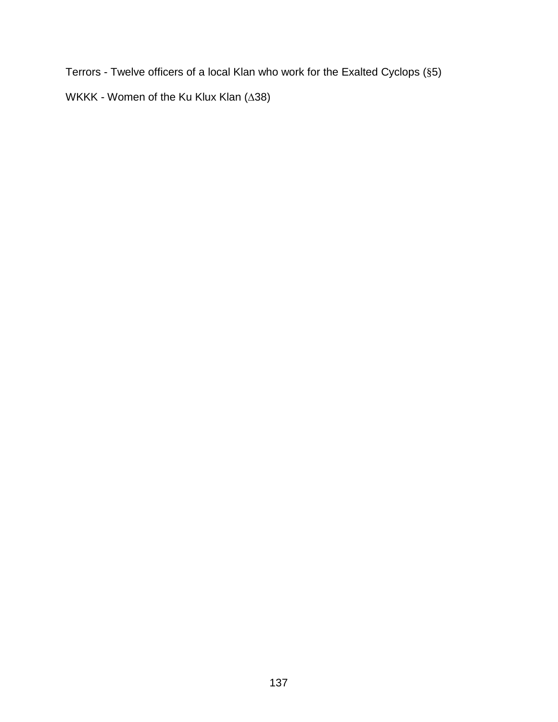Terrors - Twelve officers of a local Klan who work for the Exalted Cyclops (§5)

WKKK - Women of the Ku Klux Klan (∆38)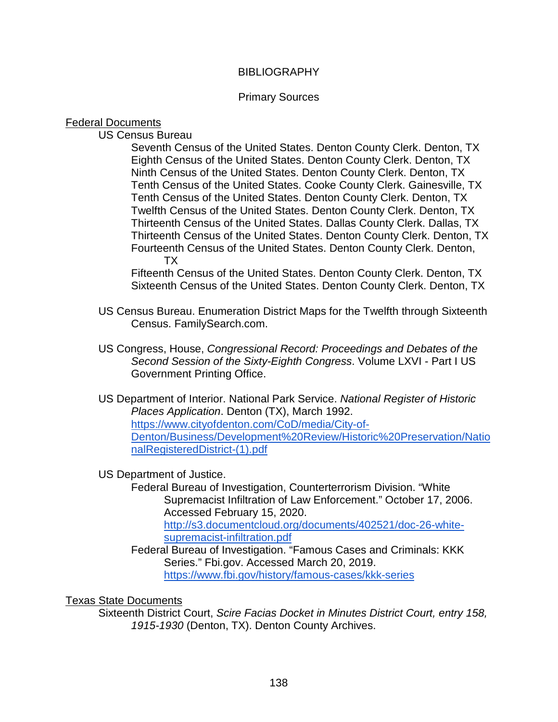#### **BIBLIOGRAPHY**

#### Primary Sources

#### Federal Documents

US Census Bureau

Seventh Census of the United States. Denton County Clerk. Denton, TX Eighth Census of the United States. Denton County Clerk. Denton, TX Ninth Census of the United States. Denton County Clerk. Denton, TX Tenth Census of the United States. Cooke County Clerk. Gainesville, TX Tenth Census of the United States. Denton County Clerk. Denton, TX Twelfth Census of the United States. Denton County Clerk. Denton, TX Thirteenth Census of the United States. Dallas County Clerk. Dallas, TX Thirteenth Census of the United States. Denton County Clerk. Denton, TX Fourteenth Census of the United States. Denton County Clerk. Denton, TX

Fifteenth Census of the United States. Denton County Clerk. Denton, TX Sixteenth Census of the United States. Denton County Clerk. Denton, TX

- US Census Bureau. Enumeration District Maps for the Twelfth through Sixteenth Census. FamilySearch.com.
- US Congress, House, *Congressional Record: Proceedings and Debates of the Second Session of the Sixty-Eighth Congress*. Volume LXVI - Part I US Government Printing Office.
- US Department of Interior. National Park Service. *National Register of Historic Places Application*. Denton (TX), March 1992. [https://www.cityofdenton.com/CoD/media/City-of-](https://www.cityofdenton.com/CoD/media/City-of-Denton/Business/Development%20Review/Historic%20Preservation/NationalRegisteredDistrict-(1).pdf)[Denton/Business/Development%20Review/Historic%20Preservation/Natio](https://www.cityofdenton.com/CoD/media/City-of-Denton/Business/Development%20Review/Historic%20Preservation/NationalRegisteredDistrict-(1).pdf) [nalRegisteredDistrict-\(1\).pdf](https://www.cityofdenton.com/CoD/media/City-of-Denton/Business/Development%20Review/Historic%20Preservation/NationalRegisteredDistrict-(1).pdf)

US Department of Justice.

Federal Bureau of Investigation, Counterterrorism Division. "White Supremacist Infiltration of Law Enforcement." October 17, 2006. Accessed February 15, 2020.

[http://s3.documentcloud.org/documents/402521/doc-26-white](http://s3.documentcloud.org/documents/402521/doc-26-white-supremacist-infiltration.pdf)[supremacist-infiltration.pdf](http://s3.documentcloud.org/documents/402521/doc-26-white-supremacist-infiltration.pdf)

Federal Bureau of Investigation. "Famous Cases and Criminals: KKK Series." Fbi.gov. Accessed March 20, 2019. <https://www.fbi.gov/history/famous-cases/kkk-series>

#### Texas State Documents

Sixteenth District Court, *Scire Facias Docket in Minutes District Court, entry 158, 1915-1930* (Denton, TX). Denton County Archives.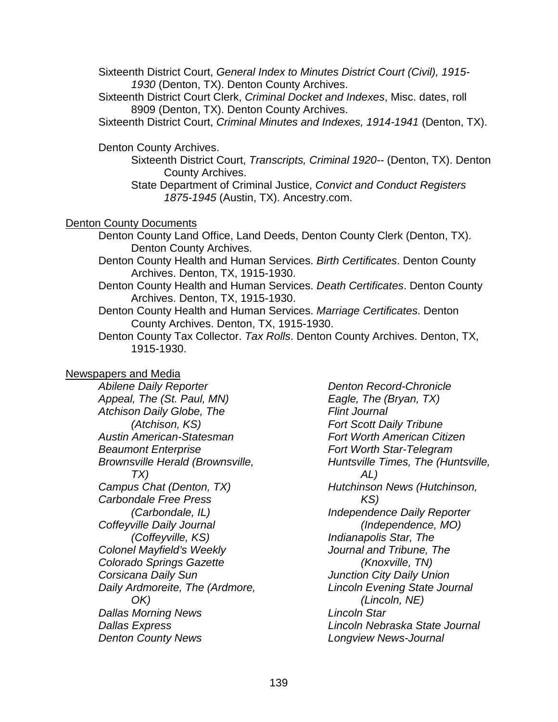Sixteenth District Court, *General Index to Minutes District Court (Civil), 1915- 1930* (Denton, TX). Denton County Archives.

Sixteenth District Court Clerk, *Criminal Docket and Indexes*, Misc. dates, roll 8909 (Denton, TX). Denton County Archives.

Sixteenth District Court, *Criminal Minutes and Indexes, 1914-1941* (Denton, TX).

Denton County Archives.

Sixteenth District Court, *Transcripts, Criminal 1920--* (Denton, TX). Denton County Archives.

State Department of Criminal Justice, *Convict and Conduct Registers 1875-1945* (Austin, TX). Ancestry.com.

#### Denton County Documents

- Denton County Land Office, Land Deeds, Denton County Clerk (Denton, TX). Denton County Archives.
- Denton County Health and Human Services. *Birth Certificates*. Denton County Archives. Denton, TX, 1915-1930.
- Denton County Health and Human Services. *Death Certificates*. Denton County Archives. Denton, TX, 1915-1930.
- Denton County Health and Human Services. *Marriage Certificates*. Denton County Archives. Denton, TX, 1915-1930.
- Denton County Tax Collector. *Tax Rolls*. Denton County Archives. Denton, TX, 1915-1930.

### Newspapers and Media

*Abilene Daily Reporter Appeal, The (St. Paul, MN) Atchison Daily Globe, The (Atchison, KS) Austin American-Statesman Beaumont Enterprise Brownsville Herald (Brownsville, TX) Campus Chat (Denton, TX) Carbondale Free Press (Carbondale, IL) Coffeyville Daily Journal (Coffeyville, KS) Colonel Mayfield's Weekly Colorado Springs Gazette Corsicana Daily Sun Daily Ardmoreite, The (Ardmore, OK) Dallas Morning News Dallas Express Denton County News*

*Denton Record-Chronicle Eagle, The (Bryan, TX) Flint Journal Fort Scott Daily Tribune Fort Worth American Citizen Fort Worth Star-Telegram Huntsville Times, The (Huntsville, AL) Hutchinson News (Hutchinson, KS) Independence Daily Reporter (Independence, MO) Indianapolis Star, The Journal and Tribune, The (Knoxville, TN) Junction City Daily Union Lincoln Evening State Journal (Lincoln, NE) Lincoln Star Lincoln Nebraska State Journal Longview News-Journal*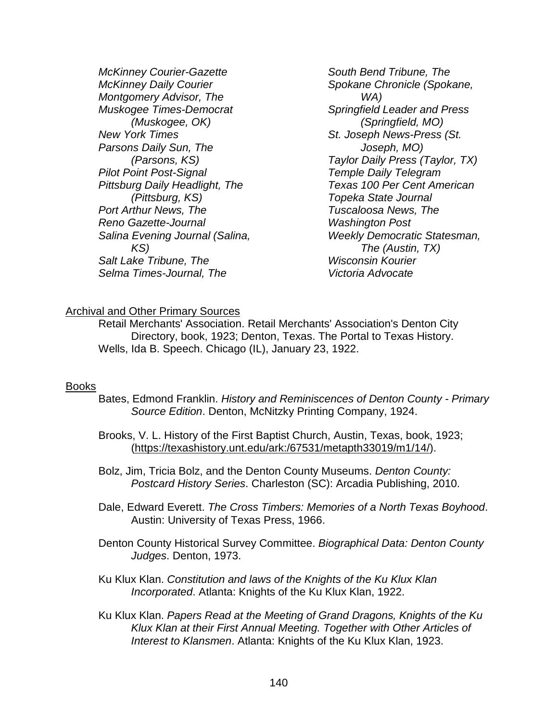*McKinney Courier-Gazette McKinney Daily Courier Montgomery Advisor, The Muskogee Times-Democrat (Muskogee, OK) New York Times Parsons Daily Sun, The (Parsons, KS) Pilot Point Post-Signal Pittsburg Daily Headlight, The (Pittsburg, KS) Port Arthur News, The Reno Gazette-Journal Salina Evening Journal (Salina, KS) Salt Lake Tribune, The Selma Times-Journal, The*

*South Bend Tribune, The Spokane Chronicle (Spokane, WA) Springfield Leader and Press (Springfield, MO) St. Joseph News-Press (St. Joseph, MO) Taylor Daily Press (Taylor, TX) Temple Daily Telegram Texas 100 Per Cent American Topeka State Journal Tuscaloosa News, The Washington Post Weekly Democratic Statesman, The (Austin, TX) Wisconsin Kourier Victoria Advocate*

#### Archival and Other Primary Sources

Retail Merchants' Association. Retail Merchants' Association's Denton City Directory, book, 1923; Denton, Texas. The Portal to Texas History. Wells, Ida B. Speech. Chicago (IL), January 23, 1922.

#### Books

- Bates, Edmond Franklin. *History and Reminiscences of Denton County - Primary Source Edition*. Denton, McNitzky Printing Company, 1924.
- Brooks, V. L. History of the First Baptist Church, Austin, Texas, book, 1923; [\(https://texashistory.unt.edu/ark:/67531/metapth33019/m1/14/\)](https://texashistory.unt.edu/ark:/67531/metapth33019/m1/14/).
- Bolz, Jim, Tricia Bolz, and the Denton County Museums. *Denton County: Postcard History Series*. Charleston (SC): Arcadia Publishing, 2010.
- Dale, Edward Everett. *The Cross Timbers: Memories of a North Texas Boyhood*. Austin: University of Texas Press, 1966.
- Denton County Historical Survey Committee. *Biographical Data: Denton County Judges*. Denton, 1973.
- Ku Klux Klan. *Constitution and laws of the Knights of the Ku Klux Klan Incorporated*. Atlanta: Knights of the Ku Klux Klan, 1922.
- Ku Klux Klan. *Papers Read at the Meeting of Grand Dragons, Knights of the Ku Klux Klan at their First Annual Meeting. Together with Other Articles of Interest to Klansmen*. Atlanta: Knights of the Ku Klux Klan, 1923.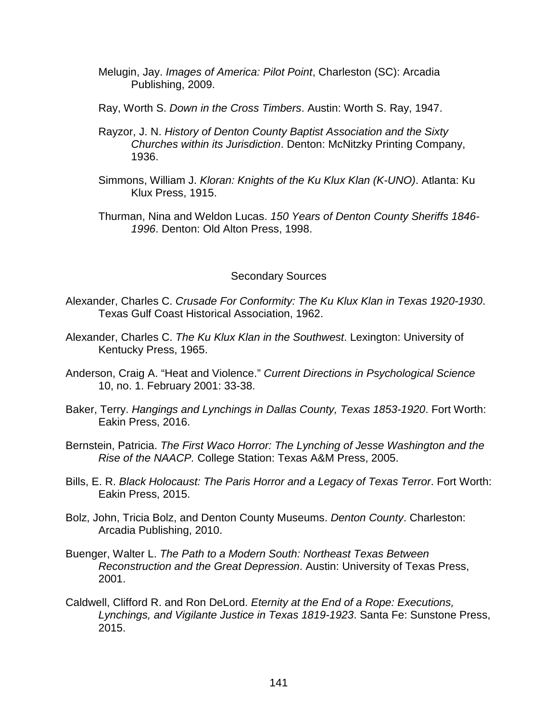- Melugin, Jay. *Images of America: Pilot Point*, Charleston (SC): Arcadia Publishing, 2009.
- Ray, Worth S. *Down in the Cross Timbers*. Austin: Worth S. Ray, 1947.
- Rayzor, J. N. *History of Denton County Baptist Association and the Sixty Churches within its Jurisdiction*. Denton: McNitzky Printing Company, 1936.
- Simmons, William J. *Kloran: Knights of the Ku Klux Klan (K-UNO)*. Atlanta: Ku Klux Press, 1915.
- Thurman, Nina and Weldon Lucas. *150 Years of Denton County Sheriffs 1846- 1996*. Denton: Old Alton Press, 1998.

#### Secondary Sources

- Alexander, Charles C. *Crusade For Conformity: The Ku Klux Klan in Texas 1920-1930*. Texas Gulf Coast Historical Association, 1962.
- Alexander, Charles C. *The Ku Klux Klan in the Southwest*. Lexington: University of Kentucky Press, 1965.
- Anderson, Craig A. "Heat and Violence." *Current Directions in Psychological Science* 10, no. 1. February 2001: 33-38.
- Baker, Terry. *Hangings and Lynchings in Dallas County, Texas 1853-1920*. Fort Worth: Eakin Press, 2016.
- Bernstein, Patricia. *The First Waco Horror: The Lynching of Jesse Washington and the Rise of the NAACP.* College Station: Texas A&M Press, 2005.
- Bills, E. R. *Black Holocaust: The Paris Horror and a Legacy of Texas Terror*. Fort Worth: Eakin Press, 2015.
- Bolz, John, Tricia Bolz, and Denton County Museums. *Denton County*. Charleston: Arcadia Publishing, 2010.
- Buenger, Walter L. *The Path to a Modern South: Northeast Texas Between Reconstruction and the Great Depression*. Austin: University of Texas Press, 2001.
- Caldwell, Clifford R. and Ron DeLord. *Eternity at the End of a Rope: Executions, Lynchings, and Vigilante Justice in Texas 1819-1923*. Santa Fe: Sunstone Press, 2015.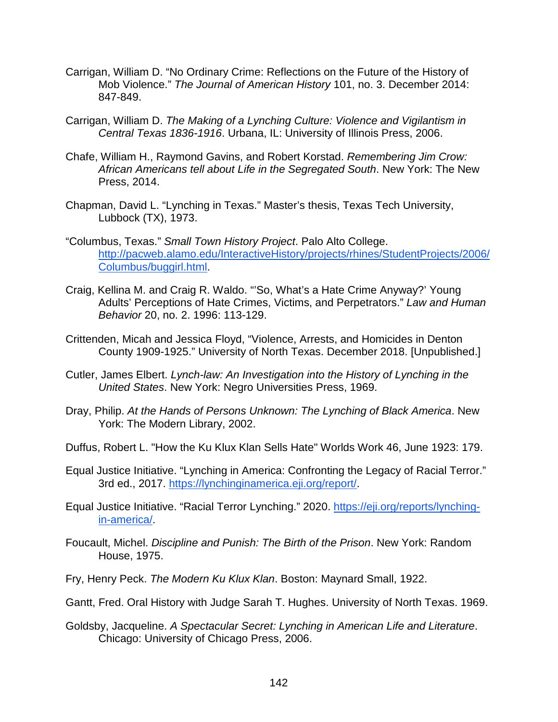- Carrigan, William D. "No Ordinary Crime: Reflections on the Future of the History of Mob Violence." *The Journal of American History* 101, no. 3. December 2014: 847-849.
- Carrigan, William D. *The Making of a Lynching Culture: Violence and Vigilantism in Central Texas 1836-1916*. Urbana, IL: University of Illinois Press, 2006.
- Chafe, William H., Raymond Gavins, and Robert Korstad. *Remembering Jim Crow: African Americans tell about Life in the Segregated South*. New York: The New Press, 2014.
- Chapman, David L. "Lynching in Texas." Master's thesis, Texas Tech University, Lubbock (TX), 1973.
- "Columbus, Texas." *Small Town History Project*. Palo Alto College. [http://pacweb.alamo.edu/InteractiveHistory/projects/rhines/StudentProjects/2006/](http://pacweb.alamo.edu/InteractiveHistory/projects/rhines/StudentProjects/2006/Columbus/buggirl.html) [Columbus/buggirl.html.](http://pacweb.alamo.edu/InteractiveHistory/projects/rhines/StudentProjects/2006/Columbus/buggirl.html)
- Craig, Kellina M. and Craig R. Waldo. "'So, What's a Hate Crime Anyway?' Young Adults' Perceptions of Hate Crimes, Victims, and Perpetrators." *Law and Human Behavior* 20, no. 2. 1996: 113-129.
- Crittenden, Micah and Jessica Floyd, "Violence, Arrests, and Homicides in Denton County 1909-1925." University of North Texas. December 2018. [Unpublished.]
- Cutler, James Elbert. *Lynch-law: An Investigation into the History of Lynching in the United States*. New York: Negro Universities Press, 1969.
- Dray, Philip. *At the Hands of Persons Unknown: The Lynching of Black America*. New York: The Modern Library, 2002.
- Duffus, Robert L. "How the Ku Klux Klan Sells Hate" Worlds Work 46, June 1923: 179.
- Equal Justice Initiative. "Lynching in America: Confronting the Legacy of Racial Terror." 3rd ed., 2017. [https://lynchinginamerica.eji.org/report/.](https://lynchinginamerica.eji.org/report/)
- Equal Justice Initiative. "Racial Terror Lynching." 2020. [https://eji.org/reports/lynching](https://eji.org/reports/lynching-in-america/)[in-america/.](https://eji.org/reports/lynching-in-america/)
- Foucault, Michel. *Discipline and Punish: The Birth of the Prison*. New York: Random House, 1975.
- Fry, Henry Peck. *The Modern Ku Klux Klan*. Boston: Maynard Small, 1922.
- Gantt, Fred. Oral History with Judge Sarah T. Hughes. University of North Texas. 1969.
- Goldsby, Jacqueline. *A Spectacular Secret: Lynching in American Life and Literature*. Chicago: University of Chicago Press, 2006.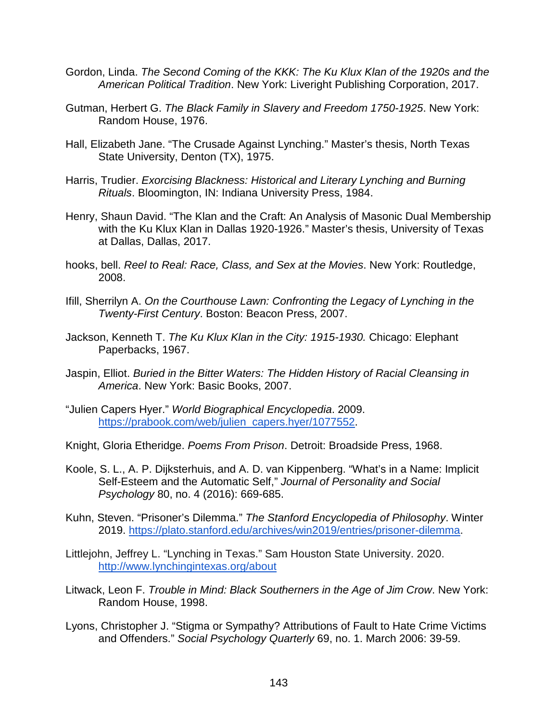- Gordon, Linda. *The Second Coming of the KKK: The Ku Klux Klan of the 1920s and the American Political Tradition*. New York: Liveright Publishing Corporation, 2017.
- Gutman, Herbert G. *The Black Family in Slavery and Freedom 1750-1925*. New York: Random House, 1976.
- Hall, Elizabeth Jane. "The Crusade Against Lynching." Master's thesis, North Texas State University, Denton (TX), 1975.
- Harris, Trudier. *Exorcising Blackness: Historical and Literary Lynching and Burning Rituals*. Bloomington, IN: Indiana University Press, 1984.
- Henry, Shaun David. "The Klan and the Craft: An Analysis of Masonic Dual Membership with the Ku Klux Klan in Dallas 1920-1926." Master's thesis, University of Texas at Dallas, Dallas, 2017.
- hooks, bell. *Reel to Real: Race, Class, and Sex at the Movies*. New York: Routledge, 2008.
- Ifill, Sherrilyn A. *On the Courthouse Lawn: Confronting the Legacy of Lynching in the Twenty-First Century*. Boston: Beacon Press, 2007.
- Jackson, Kenneth T. *The Ku Klux Klan in the City: 1915-1930.* Chicago: Elephant Paperbacks, 1967.
- Jaspin, Elliot. *Buried in the Bitter Waters: The Hidden History of Racial Cleansing in America*. New York: Basic Books, 2007.
- "Julien Capers Hyer." *World Biographical Encyclopedia*. 2009. [https://prabook.com/web/julien\\_capers.hyer/1077552.](https://prabook.com/web/julien_capers.hyer/1077552)
- Knight, Gloria Etheridge. *Poems From Prison*. Detroit: Broadside Press, 1968.
- Koole, S. L., A. P. Dijksterhuis, and A. D. van Kippenberg. "What's in a Name: Implicit Self-Esteem and the Automatic Self," *Journal of Personality and Social Psychology* 80, no. 4 (2016): 669-685.
- Kuhn, Steven. "Prisoner's Dilemma." *The Stanford Encyclopedia of Philosophy*. Winter 2019. [https://plato.stanford.edu/archives/win2019/entries/prisoner-dilemma.](https://plato.stanford.edu/archives/win2019/entries/prisoner-dilemma)
- Littlejohn, Jeffrey L. "Lynching in Texas." Sam Houston State University. 2020. <http://www.lynchingintexas.org/about>
- Litwack, Leon F. *Trouble in Mind: Black Southerners in the Age of Jim Crow*. New York: Random House, 1998.
- Lyons, Christopher J. "Stigma or Sympathy? Attributions of Fault to Hate Crime Victims and Offenders." *Social Psychology Quarterly* 69, no. 1. March 2006: 39-59.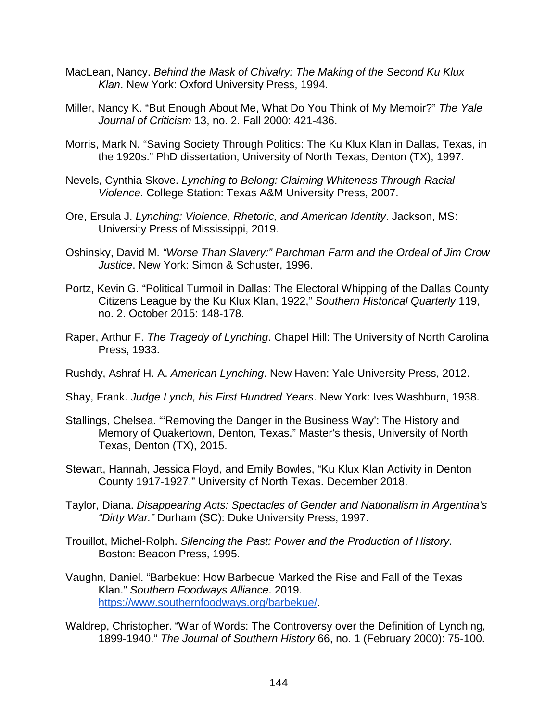- MacLean, Nancy. *Behind the Mask of Chivalry: The Making of the Second Ku Klux Klan*. New York: Oxford University Press, 1994.
- Miller, Nancy K. "But Enough About Me, What Do You Think of My Memoir?" *The Yale Journal of Criticism* 13, no. 2. Fall 2000: 421-436.
- Morris, Mark N. "Saving Society Through Politics: The Ku Klux Klan in Dallas, Texas, in the 1920s." PhD dissertation, University of North Texas, Denton (TX), 1997.
- Nevels, Cynthia Skove. *Lynching to Belong: Claiming Whiteness Through Racial Violence*. College Station: Texas A&M University Press, 2007.
- Ore, Ersula J. *Lynching: Violence, Rhetoric, and American Identity*. Jackson, MS: University Press of Mississippi, 2019.
- Oshinsky, David M. *"Worse Than Slavery:" Parchman Farm and the Ordeal of Jim Crow Justice*. New York: Simon & Schuster, 1996.
- Portz, Kevin G. "Political Turmoil in Dallas: The Electoral Whipping of the Dallas County Citizens League by the Ku Klux Klan, 1922," *Southern Historical Quarterly* 119, no. 2. October 2015: 148-178.
- Raper, Arthur F. *The Tragedy of Lynching*. Chapel Hill: The University of North Carolina Press, 1933.
- Rushdy, Ashraf H. A. *American Lynching*. New Haven: Yale University Press, 2012.
- Shay, Frank. *Judge Lynch, his First Hundred Years*. New York: Ives Washburn, 1938.
- Stallings, Chelsea. "'Removing the Danger in the Business Way': The History and Memory of Quakertown, Denton, Texas." Master's thesis, University of North Texas, Denton (TX), 2015.
- Stewart, Hannah, Jessica Floyd, and Emily Bowles, "Ku Klux Klan Activity in Denton County 1917-1927." University of North Texas. December 2018.
- Taylor, Diana. *Disappearing Acts: Spectacles of Gender and Nationalism in Argentina's "Dirty War."* Durham (SC): Duke University Press, 1997.
- Trouillot, Michel-Rolph. *Silencing the Past: Power and the Production of History*. Boston: Beacon Press, 1995.
- Vaughn, Daniel. "Barbekue: How Barbecue Marked the Rise and Fall of the Texas Klan." *Southern Foodways Alliance*. 2019. [https://www.southernfoodways.org/barbekue/.](https://www.southernfoodways.org/barbekue/)
- Waldrep, Christopher. "War of Words: The Controversy over the Definition of Lynching, 1899-1940." *The Journal of Southern History* 66, no. 1 (February 2000): 75-100.